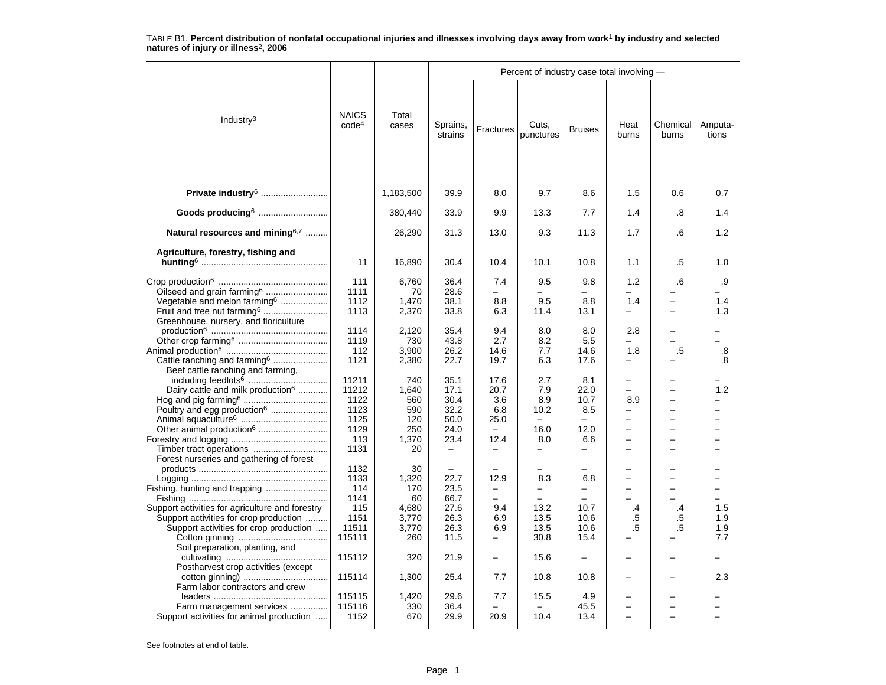| Industry $3$                                                                                                                                                                                                                                                                                                                                                                                          | <b>NAICS</b><br>code <sup>4</sup>                                                                                           | Total<br>cases                                                                                                             |                                                                                                                                                  |                                                                                                                                                       |                                                                                                                                    |                                                                                                                                |                                                                                                                       |                                                                                |                                             |
|-------------------------------------------------------------------------------------------------------------------------------------------------------------------------------------------------------------------------------------------------------------------------------------------------------------------------------------------------------------------------------------------------------|-----------------------------------------------------------------------------------------------------------------------------|----------------------------------------------------------------------------------------------------------------------------|--------------------------------------------------------------------------------------------------------------------------------------------------|-------------------------------------------------------------------------------------------------------------------------------------------------------|------------------------------------------------------------------------------------------------------------------------------------|--------------------------------------------------------------------------------------------------------------------------------|-----------------------------------------------------------------------------------------------------------------------|--------------------------------------------------------------------------------|---------------------------------------------|
|                                                                                                                                                                                                                                                                                                                                                                                                       |                                                                                                                             |                                                                                                                            | Sprains,<br>strains                                                                                                                              | Fractures                                                                                                                                             | Cuts,<br>punctures                                                                                                                 | <b>Bruises</b>                                                                                                                 | Heat<br>burns                                                                                                         | Chemical<br>burns                                                              | Amputa-<br>tions                            |
| Private industry <sup>6</sup>                                                                                                                                                                                                                                                                                                                                                                         |                                                                                                                             | 1,183,500                                                                                                                  | 39.9                                                                                                                                             | 8.0                                                                                                                                                   | 9.7                                                                                                                                | 8.6                                                                                                                            | 1.5                                                                                                                   | 0.6                                                                            | 0.7                                         |
| Goods producing <sup>6</sup>                                                                                                                                                                                                                                                                                                                                                                          |                                                                                                                             | 380,440                                                                                                                    | 33.9                                                                                                                                             | 9.9                                                                                                                                                   | 13.3                                                                                                                               | 7.7                                                                                                                            | 1.4                                                                                                                   | .8                                                                             | 1.4                                         |
| Natural resources and mining <sup>6,7</sup>                                                                                                                                                                                                                                                                                                                                                           |                                                                                                                             | 26,290                                                                                                                     | 31.3                                                                                                                                             | 13.0                                                                                                                                                  | 9.3                                                                                                                                | 11.3                                                                                                                           | 1.7                                                                                                                   | .6                                                                             | 1.2                                         |
| Agriculture, forestry, fishing and                                                                                                                                                                                                                                                                                                                                                                    | 11                                                                                                                          | 16,890                                                                                                                     | 30.4                                                                                                                                             | 10.4                                                                                                                                                  | 10.1                                                                                                                               | 10.8                                                                                                                           | 1.1                                                                                                                   | .5                                                                             | 1.0                                         |
| Oilseed and grain farming <sup>6</sup><br>Vegetable and melon farming <sup>6</sup><br>Fruit and tree nut farming <sup>6</sup><br>Greenhouse, nursery, and floriculture<br>Cattle ranching and farming <sup>6</sup><br>Beef cattle ranching and farming,<br>Dairy cattle and milk production <sup>6</sup><br>Poultry and egg production <sup>6</sup><br>Other animal production <sup>6</sup>           | 111<br>1111<br>1112<br>1113<br>1114<br>1119<br>112<br>1121<br>11211<br>11212<br>1122<br>1123<br>1125<br>1129<br>113<br>1131 | 6,760<br>70<br>1,470<br>2,370<br>2,120<br>730<br>3,900<br>2,380<br>740<br>1,640<br>560<br>590<br>120<br>250<br>1,370<br>20 | 36.4<br>28.6<br>38.1<br>33.8<br>35.4<br>43.8<br>26.2<br>22.7<br>35.1<br>17.1<br>30.4<br>32.2<br>50.0<br>24.0<br>23.4<br>$\overline{\phantom{0}}$ | 7.4<br>8.8<br>6.3<br>9.4<br>2.7<br>14.6<br>19.7<br>17.6<br>20.7<br>3.6<br>6.8<br>25.0<br>$\overline{\phantom{0}}$<br>12.4<br>$\overline{\phantom{0}}$ | 9.5<br>9.5<br>11.4<br>8.0<br>8.2<br>7.7<br>6.3<br>2.7<br>7.9<br>8.9<br>10.2<br>$\equiv$<br>16.0<br>8.0<br>$\overline{\phantom{0}}$ | 9.8<br>8.8<br>13.1<br>8.0<br>5.5<br>14.6<br>17.6<br>8.1<br>22.0<br>10.7<br>8.5<br>$\overline{\phantom{0}}$<br>12.0<br>6.6<br>- | 1.2<br>1.4<br>2.8<br>1.8<br>$\equiv$<br>8.9<br>$\overline{a}$<br>$\overline{\phantom{0}}$<br>$\overline{\phantom{0}}$ | 6.6<br>.5<br>$\overline{\phantom{0}}$<br>$\overline{a}$<br>$\overline{a}$<br>- | .9<br>1.4<br>1.3<br>.8<br>.8<br>1.2         |
| Forest nurseries and gathering of forest<br>Fishing, hunting and trapping<br>Support activities for agriculture and forestry<br>Support activities for crop production<br>Support activities for crop production<br>Soil preparation, planting, and<br>Postharvest crop activities (except<br>Farm labor contractors and crew<br>Farm management services<br>Support activities for animal production | 1132<br>1133<br>114<br>1141<br>115<br>1151<br>11511<br>115111<br>115112<br>115114<br>115115<br>115116<br>1152               | 30<br>1,320<br>170<br>60<br>4,680<br>3,770<br>3,770<br>260<br>320<br>1,300<br>1,420<br>330<br>670                          | 22.7<br>23.5<br>66.7<br>27.6<br>26.3<br>26.3<br>11.5<br>21.9<br>25.4<br>29.6<br>36.4<br>29.9                                                     | 12.9<br>$\overline{\phantom{0}}$<br>9.4<br>6.9<br>6.9<br>7.7<br>7.7<br>20.9                                                                           | 8.3<br>$\overline{\phantom{0}}$<br>13.2<br>13.5<br>13.5<br>30.8<br>15.6<br>10.8<br>15.5<br>10.4                                    | 6.8<br>$\overline{\phantom{0}}$<br>10.7<br>10.6<br>10.6<br>15.4<br>$\qquad \qquad -$<br>10.8<br>4.9<br>45.5<br>13.4            | $\overline{\phantom{0}}$<br>$\equiv$<br>.4<br>.5<br>$.5\,$<br>$\equiv$                                                | $\overline{\phantom{0}}$<br>$\overline{\phantom{0}}$<br>.4<br>.5<br>$.5\,$     | $\equiv$<br>1.5<br>1.9<br>1.9<br>7.7<br>2.3 |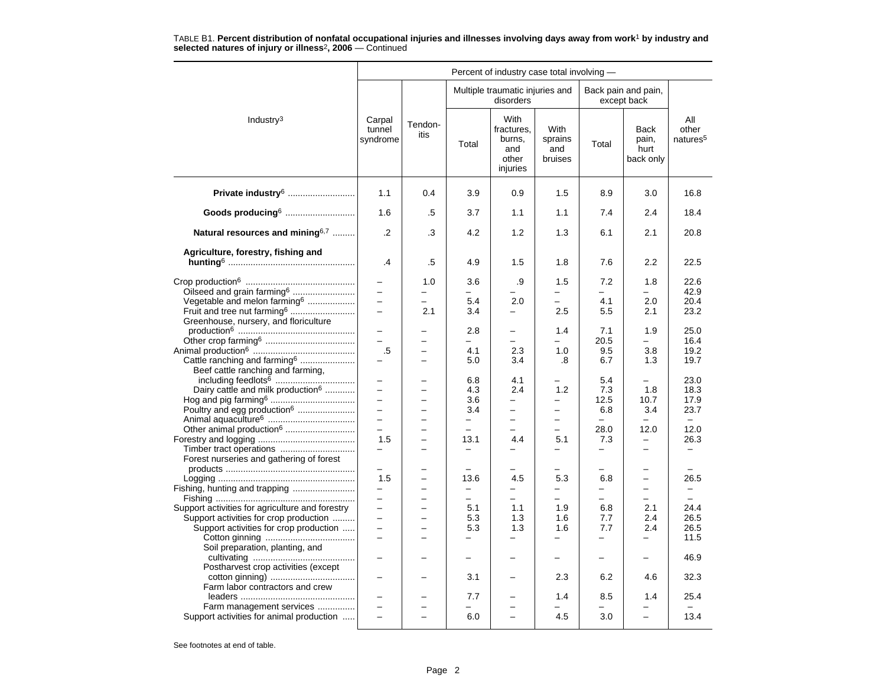|                                                 |                                 |                               |                                 | Percent of industry case total involving -                      |                                          |                          |                                           |                                      |
|-------------------------------------------------|---------------------------------|-------------------------------|---------------------------------|-----------------------------------------------------------------|------------------------------------------|--------------------------|-------------------------------------------|--------------------------------------|
|                                                 |                                 |                               |                                 | Multiple traumatic injuries and<br>disorders                    |                                          |                          | Back pain and pain,<br>except back        |                                      |
| Industry $3$                                    | Carpal<br>tunnel<br>syndrome    | Tendon-<br>itis               | Total                           | <b>With</b><br>fractures,<br>burns,<br>and<br>other<br>injuries | <b>With</b><br>sprains<br>and<br>bruises | Total                    | <b>Back</b><br>pain,<br>hurt<br>back only | All<br>other<br>natures <sup>5</sup> |
| Private industry <sup>6</sup>                   | 1.1                             | 0.4                           | 3.9                             | 0.9                                                             | 1.5                                      | 8.9                      | 3.0                                       | 16.8                                 |
| Goods producing6                                | 1.6                             | .5                            | 3.7                             | 1.1                                                             | 1.1                                      | 7.4                      | 2.4                                       | 18.4                                 |
| Natural resources and mining $6,7$              | $\cdot$ .2                      | .3                            | 4.2                             | 1.2                                                             | 1.3                                      | 6.1                      | 2.1                                       | 20.8                                 |
| Agriculture, forestry, fishing and              |                                 |                               |                                 |                                                                 |                                          |                          |                                           |                                      |
|                                                 | .4                              | .5                            | 4.9                             | 1.5                                                             | 1.8                                      | 7.6                      | 2.2                                       | 22.5                                 |
|                                                 |                                 | 1.0                           | 3.6                             | .9                                                              | 1.5                                      | 7.2                      | 1.8                                       | 22.6                                 |
| Oilseed and grain farming <sup>6</sup>          | $\equiv$                        | -                             | -                               |                                                                 | $\overline{\phantom{0}}$                 | —                        | -                                         | 42.9                                 |
| Vegetable and melon farming <sup>6</sup>        | $\equiv$                        | $\equiv$                      | 5.4                             | 2.0                                                             | $\equiv$                                 | 4.1                      | 2.0                                       | 20.4                                 |
| Fruit and tree nut farming <sup>6</sup>         | $\equiv$                        | 2.1                           | 3.4                             | $\equiv$                                                        | 2.5                                      | 5.5                      | 2.1                                       | 23.2                                 |
| Greenhouse, nursery, and floriculture           |                                 |                               | 2.8                             |                                                                 | 1.4                                      | 7.1                      | 1.9                                       | 25.0                                 |
|                                                 | $\overline{\phantom{0}}$        |                               | $\overline{\phantom{0}}$        | $\overline{\phantom{0}}$                                        | $\overline{\phantom{0}}$                 | 20.5                     | $\overline{\phantom{0}}$                  | 16.4                                 |
|                                                 | .5                              | -                             | 4.1                             | 2.3                                                             | 1.0                                      | 9.5                      | 3.8                                       | 19.2                                 |
| Cattle ranching and farming <sup>6</sup>        |                                 | $\overline{\phantom{0}}$      | 5.0                             | 3.4                                                             | .8                                       | 6.7                      | 1.3                                       | 19.7                                 |
| Beef cattle ranching and farming,               |                                 |                               |                                 |                                                                 |                                          |                          |                                           |                                      |
|                                                 |                                 |                               | 6.8                             | 4.1                                                             |                                          | 5.4                      |                                           | 23.0                                 |
| Dairy cattle and milk production <sup>6</sup>   | $\overline{\phantom{0}}$        | $\overline{\phantom{0}}$      | 4.3                             | 2.4                                                             | 1.2                                      | 7.3                      | 1.8                                       | 18.3                                 |
|                                                 | $\equiv$                        |                               | 3.6                             | $\overline{\phantom{0}}$                                        | $\overline{\phantom{0}}$                 | 12.5                     | 10.7                                      | 17.9                                 |
| Poultry and egg production <sup>6</sup>         | $\equiv$                        | $\overline{a}$                | 3.4                             | $\equiv$                                                        | $\equiv$                                 | 6.8                      | 3.4                                       | 23.7                                 |
|                                                 | $\equiv$                        | ÷                             | $\qquad \qquad -$               | $\overline{\phantom{0}}$                                        | $\equiv$                                 | -                        | -                                         | $-$                                  |
| Other animal production <sup>6</sup>            | $\equiv$                        | $\overline{\phantom{0}}$      | $\overline{\phantom{0}}$        |                                                                 | $\overline{\phantom{0}}$                 | 28.0                     | 12.0<br>$\equiv$                          | 12.0                                 |
|                                                 | 1.5<br>$\overline{\phantom{0}}$ | $\overline{\phantom{0}}$      | 13.1                            | 4.4                                                             | 5.1<br>$\overline{\phantom{0}}$          | 7.3<br>—                 | —                                         | 26.3<br>$\overline{\phantom{0}}$     |
| Forest nurseries and gathering of forest        |                                 |                               |                                 |                                                                 |                                          |                          |                                           |                                      |
|                                                 |                                 |                               |                                 |                                                                 |                                          |                          |                                           |                                      |
|                                                 | 1.5                             |                               | 13.6                            | 4.5                                                             | 5.3                                      | 6.8                      | $\overline{\phantom{0}}$                  | 26.5                                 |
| Fishing, hunting and trapping                   | $\overline{\phantom{0}}$        | $\overline{a}$                | $\overline{\phantom{0}}$        | $\overline{\phantom{0}}$                                        | $\overline{\phantom{0}}$                 | -                        | $\equiv$                                  |                                      |
|                                                 | $\equiv$                        | $\overline{\phantom{0}}$      | $\overline{\phantom{0}}$        | $\equiv$                                                        | $\equiv$                                 | $\overline{\phantom{0}}$ | $\equiv$                                  | $\equiv$                             |
| Support activities for agriculture and forestry | $\overline{\phantom{0}}$        |                               | 5.1                             | 1.1                                                             | 1.9                                      | 6.8                      | 2.1                                       | 24.4                                 |
| Support activities for crop production          | $\equiv$                        | -                             | 5.3                             | 1.3                                                             | 1.6                                      | 7.7                      | 2.4                                       | 26.5                                 |
| Support activities for crop production          | $\equiv$<br>$\equiv$            | $\overline{\phantom{0}}$<br>÷ | 5.3<br>$\overline{\phantom{0}}$ | 1.3                                                             | 1.6<br>$\overline{\phantom{0}}$          | 7.7<br>$\equiv$          | 2.4<br>-                                  | 26.5<br>11.5                         |
| Soil preparation, planting, and                 |                                 |                               |                                 |                                                                 |                                          |                          |                                           |                                      |
|                                                 |                                 |                               | -                               |                                                                 | $\qquad \qquad -$                        | -                        | -                                         | 46.9                                 |
| Postharvest crop activities (except             |                                 |                               | 3.1                             |                                                                 | 2.3                                      | 6.2                      | 4.6                                       | 32.3                                 |
| Farm labor contractors and crew                 |                                 |                               |                                 |                                                                 |                                          |                          |                                           |                                      |
|                                                 | $\equiv$                        |                               | 7.7                             |                                                                 | 1.4                                      | 8.5                      | 1.4                                       | 25.4                                 |
| Farm management services                        |                                 |                               |                                 |                                                                 |                                          |                          |                                           |                                      |
| Support activities for animal production        | $\overline{\phantom{0}}$        | $\overline{\phantom{a}}$      | 6.0                             | $\overline{\phantom{a}}$                                        | 4.5                                      | 3.0                      | $\overline{\phantom{0}}$                  | 13.4                                 |
|                                                 |                                 |                               |                                 |                                                                 |                                          |                          |                                           |                                      |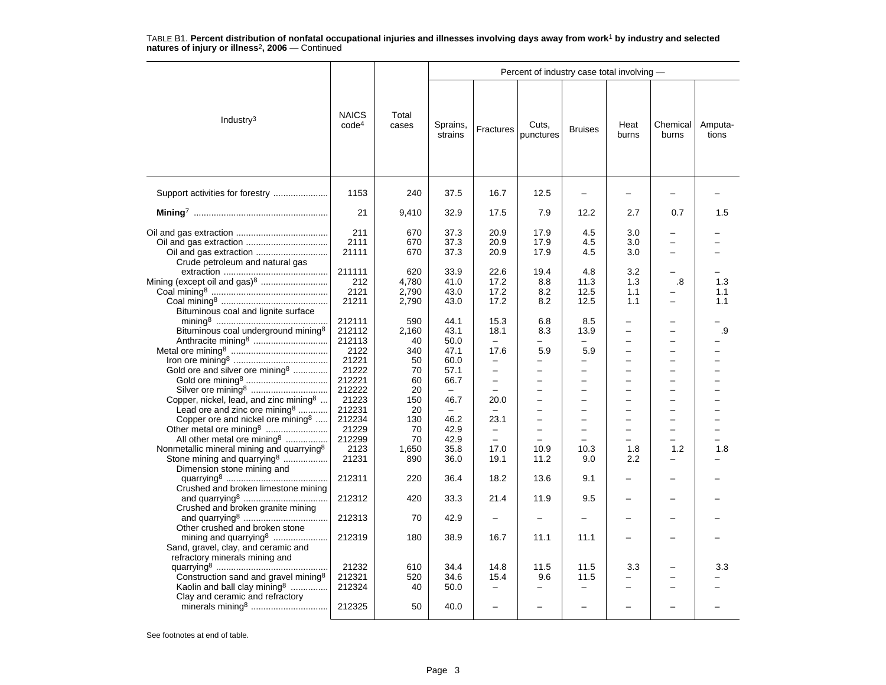|                                                                                                                                              |                                   |                                | Percent of industry case total involving - |                                  |                                                             |                                                                                         |                               |                                                                                       |                   |  |  |  |
|----------------------------------------------------------------------------------------------------------------------------------------------|-----------------------------------|--------------------------------|--------------------------------------------|----------------------------------|-------------------------------------------------------------|-----------------------------------------------------------------------------------------|-------------------------------|---------------------------------------------------------------------------------------|-------------------|--|--|--|
| Industry <sup>3</sup>                                                                                                                        | <b>NAICS</b><br>code <sup>4</sup> | Total<br>cases                 | Sprains,<br>strains                        | Fractures                        | Cuts,<br>punctures                                          | <b>Bruises</b>                                                                          | Heat<br>burns                 | Chemical<br>burns                                                                     | Amputa-<br>tions  |  |  |  |
| Support activities for forestry                                                                                                              | 1153                              | 240                            | 37.5                                       | 16.7                             | 12.5                                                        |                                                                                         |                               |                                                                                       |                   |  |  |  |
|                                                                                                                                              | 21                                | 9,410                          | 32.9                                       | 17.5                             | 7.9                                                         | 12.2                                                                                    | 2.7                           | 0.7                                                                                   | 1.5               |  |  |  |
| Oil and gas extraction<br>Crude petroleum and natural gas                                                                                    | 211<br>2111<br>21111              | 670<br>670<br>670              | 37.3<br>37.3<br>37.3                       | 20.9<br>20.9<br>20.9             | 17.9<br>17.9<br>17.9                                        | 4.5<br>4.5<br>4.5                                                                       | 3.0<br>3.0<br>3.0             | -<br>$\overline{\phantom{0}}$<br>$\overline{\phantom{0}}$                             |                   |  |  |  |
| Mining (except oil and gas) <sup>8</sup><br>Bituminous coal and lignite surface                                                              | 211111<br>212<br>2121<br>21211    | 620<br>4,780<br>2,790<br>2,790 | 33.9<br>41.0<br>43.0<br>43.0               | 22.6<br>17.2<br>17.2<br>17.2     | 19.4<br>8.8<br>8.2<br>8.2                                   | 4.8<br>11.3<br>12.5<br>12.5                                                             | 3.2<br>1.3<br>1.1<br>1.1      | -<br>.8<br>-                                                                          | 1.3<br>1.1<br>1.1 |  |  |  |
| Bituminous coal underground mining <sup>8</sup>                                                                                              | 212111<br>212112<br>212113        | 590<br>2,160<br>40             | 44.1<br>43.1<br>50.0                       | 15.3<br>18.1                     | 6.8<br>8.3                                                  | 8.5<br>13.9<br>$\overline{\phantom{0}}$                                                 | -                             | -<br>$\overline{\phantom{0}}$<br>$\overline{\phantom{0}}$                             | .9                |  |  |  |
| Gold ore and silver ore mining <sup>8</sup>                                                                                                  | 2122<br>21221<br>21222<br>212221  | 340<br>50<br>70<br>60          | 47.1<br>60.0<br>57.1<br>66.7               | 17.6<br>-<br>$\qquad \qquad -$   | 5.9<br>$\overline{\phantom{0}}$<br>$\overline{\phantom{0}}$ | 5.9<br>$\overline{\phantom{0}}$<br>$\overline{\phantom{0}}$<br>$\overline{\phantom{0}}$ | $\overline{\phantom{0}}$      | $\overline{\phantom{0}}$<br>$\overline{\phantom{0}}$<br>$\overline{\phantom{0}}$<br>- |                   |  |  |  |
| Silver ore mining <sup>8</sup><br>Copper, nickel, lead, and zinc mining <sup>8</sup><br>Lead ore and zinc ore mining <sup>8</sup>            | 212222<br>21223<br>212231         | 20<br>150<br>20                | 46.7<br>$\equiv$                           | 20.0<br>$\overline{\phantom{m}}$ | $\overline{\phantom{0}}$<br>$\overline{\phantom{0}}$        | $\equiv$<br>$\equiv$                                                                    | ۳<br>$\overline{\phantom{0}}$ | -<br>$\overline{\phantom{0}}$<br>$\equiv$                                             |                   |  |  |  |
| Copper ore and nickel ore mining <sup>8</sup><br>Other metal ore mining <sup>8</sup><br>All other metal ore mining <sup>8</sup>              | 212234<br>21229<br>212299         | 130<br>70<br>70                | 46.2<br>42.9<br>42.9                       | 23.1<br>$\overline{\phantom{0}}$ | $\overline{\phantom{0}}$<br>$\overline{\phantom{0}}$        | ÷<br>$\overline{\phantom{0}}$                                                           | L.<br>-                       | $\overline{\phantom{0}}$<br>$\overline{\phantom{0}}$<br>-                             |                   |  |  |  |
| Nonmetallic mineral mining and quarrying <sup>8</sup><br>Stone mining and quarrying <sup>8</sup><br>Dimension stone mining and               | 2123<br>21231<br>212311           | 1,650<br>890<br>220            | 35.8<br>36.0<br>36.4                       | 17.0<br>19.1<br>18.2             | 10.9<br>11.2<br>13.6                                        | 10.3<br>9.0<br>9.1                                                                      | 1.8<br>2.2                    | 1.2                                                                                   | 1.8               |  |  |  |
| Crushed and broken limestone mining                                                                                                          | 212312                            | 420                            | 33.3                                       | 21.4                             | 11.9                                                        | 9.5                                                                                     |                               | -                                                                                     |                   |  |  |  |
| Crushed and broken granite mining                                                                                                            | 212313                            | 70                             | 42.9                                       |                                  |                                                             |                                                                                         |                               |                                                                                       |                   |  |  |  |
| Other crushed and broken stone<br>mining and quarrying <sup>8</sup><br>Sand, gravel, clay, and ceramic and<br>refractory minerals mining and | 212319                            | 180                            | 38.9                                       | 16.7                             | 11.1                                                        | 11.1                                                                                    |                               |                                                                                       |                   |  |  |  |
| Construction sand and gravel mining <sup>8</sup><br>Kaolin and ball clay mining <sup>8</sup>                                                 | 21232<br>212321<br>212324         | 610<br>520<br>40               | 34.4<br>34.6<br>50.0                       | 14.8<br>15.4                     | 11.5<br>9.6<br>$\overline{\phantom{0}}$                     | 11.5<br>11.5                                                                            | 3.3                           | -                                                                                     | 3.3               |  |  |  |
| Clay and ceramic and refractory                                                                                                              | 212325                            | 50                             | 40.0                                       |                                  | $\overline{\phantom{0}}$                                    |                                                                                         |                               |                                                                                       |                   |  |  |  |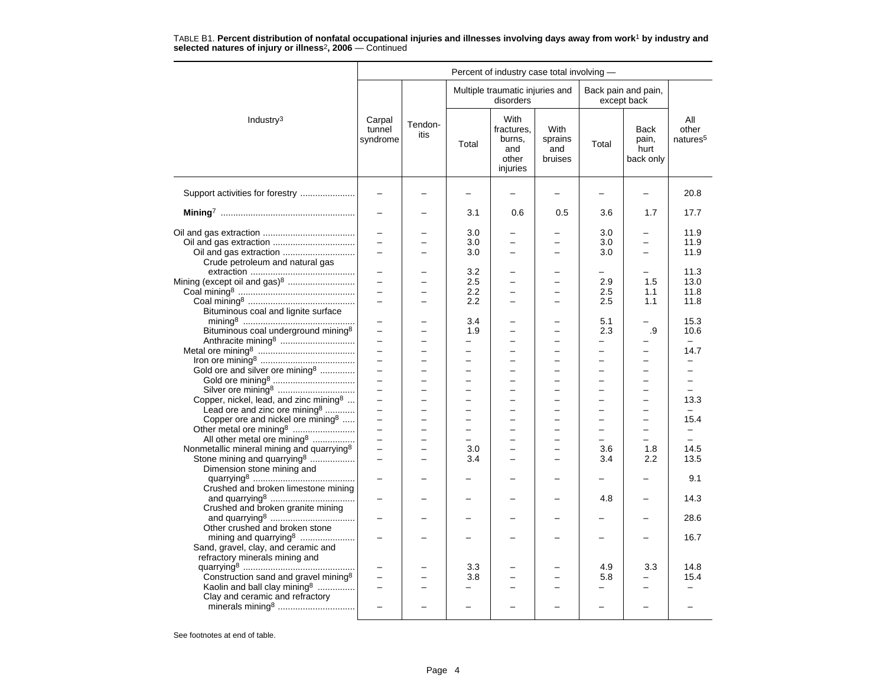|                                                                                                                                                  |                                                              |                                      |                                       | Percent of industry case total involving -               |                                                           |                                                                  |                                                      |                                          |
|--------------------------------------------------------------------------------------------------------------------------------------------------|--------------------------------------------------------------|--------------------------------------|---------------------------------------|----------------------------------------------------------|-----------------------------------------------------------|------------------------------------------------------------------|------------------------------------------------------|------------------------------------------|
|                                                                                                                                                  |                                                              |                                      |                                       | Multiple traumatic injuries and<br>disorders             |                                                           |                                                                  | Back pain and pain,<br>except back                   |                                          |
| Industry <sup>3</sup>                                                                                                                            | Carpal<br>tunnel<br>syndrome                                 | Tendon-<br>itis                      | Total                                 | With<br>fractures.<br>burns,<br>and<br>other<br>injuries | With<br>sprains<br>and<br>bruises                         | Total                                                            | Back<br>pain,<br>hurt<br>back only                   | ΑIΙ<br>other<br>natures <sup>5</sup>     |
| Support activities for forestry                                                                                                                  |                                                              |                                      |                                       |                                                          |                                                           |                                                                  | -                                                    | 20.8                                     |
|                                                                                                                                                  |                                                              |                                      | 3.1                                   | 0.6                                                      | 0.5                                                       | 3.6                                                              | 1.7                                                  | 17.7                                     |
| Oil and gas extraction<br>Crude petroleum and natural gas                                                                                        | $\overline{\phantom{0}}$<br>$\overline{a}$                   |                                      | 3.0<br>3.0<br>3.0                     | $\overline{a}$                                           | $\overline{a}$<br>$\equiv$                                | 3.0<br>3.0<br>3.0                                                | $\equiv$                                             | 11.9<br>11.9<br>11.9                     |
| Bituminous coal and lignite surface                                                                                                              | $\overline{\phantom{0}}$<br>$\overline{a}$<br>$\overline{a}$ |                                      | 3.2<br>2.5<br>2.2<br>$2.2\phantom{0}$ | $\overline{a}$<br>$\overline{\phantom{0}}$               | L.<br>-                                                   | 2.9<br>2.5<br>2.5                                                | 1.5<br>1.1<br>1.1                                    | 11.3<br>13.0<br>11.8<br>11.8             |
| Bituminous coal underground mining <sup>8</sup>                                                                                                  | $\overline{\phantom{0}}$<br>$\equiv$                         | $\overline{a}$                       | 3.4<br>1.9<br>-                       | -<br>$\overline{\phantom{0}}$                            | -<br>$\equiv$                                             | 5.1<br>2.3<br>-                                                  | .9                                                   | 15.3<br>10.6                             |
| Gold ore and silver ore mining <sup>8</sup>                                                                                                      | $\equiv$<br>$\equiv$                                         | $\overline{\phantom{0}}$<br>$\equiv$ | -<br>$\overline{\phantom{0}}$         | $\overline{\phantom{0}}$<br>$\overline{\phantom{0}}$     | -<br>$\overline{\phantom{0}}$<br>$\overline{\phantom{0}}$ | $\overline{\phantom{0}}$<br>$\equiv$<br>$\overline{\phantom{0}}$ | -<br>$\overline{a}$                                  | 14.7<br>÷                                |
|                                                                                                                                                  | $\overline{a}$<br>$\overline{\phantom{0}}$                   | $\overline{a}$                       | $\equiv$                              | $\overline{a}$                                           | $\equiv$<br>-                                             | $\overline{\phantom{0}}$                                         | $\overline{\phantom{0}}$                             | $\overline{\phantom{0}}$                 |
| Copper, nickel, lead, and zinc mining <sup>8</sup><br>Lead ore and zinc ore mining <sup>8</sup><br>Copper ore and nickel ore mining <sup>8</sup> | $\equiv$<br>$\equiv$<br>$\overline{\phantom{0}}$             | $\equiv$<br>$\overline{\phantom{0}}$ | $\overline{\phantom{0}}$<br>$\equiv$  | $\overline{\phantom{0}}$<br>$\overline{\phantom{0}}$     | $\equiv$<br>$\overline{\phantom{0}}$<br>-                 | $\equiv$<br>$\equiv$                                             | $\overline{a}$<br>$\overline{a}$                     | 13.3<br>$\overline{\phantom{0}}$<br>15.4 |
| All other metal ore mining <sup>8</sup>                                                                                                          | $\equiv$<br>$\overline{\phantom{0}}$                         | $\overline{a}$<br>÷                  | $\equiv$<br>$\equiv$                  | $\overline{a}$<br>$\overline{a}$                         | $\overline{\phantom{0}}$<br>$\overline{\phantom{0}}$      | $\overline{\phantom{0}}$<br>$\overline{\phantom{0}}$             | $\overline{\phantom{0}}$<br>$\overline{\phantom{0}}$ | $\equiv$<br>$\overline{\phantom{0}}$     |
| Nonmetallic mineral mining and quarrying <sup>8</sup><br>Stone mining and quarrying <sup>8</sup><br>Dimension stone mining and                   | $\overline{\phantom{0}}$<br>$=$                              |                                      | 3.0<br>3.4                            |                                                          | -<br>L.                                                   | 3.6<br>3.4                                                       | 1.8<br>2.2                                           | 14.5<br>13.5                             |
| Crushed and broken limestone mining                                                                                                              | $\overline{\phantom{0}}$                                     |                                      |                                       |                                                          |                                                           | 4.8                                                              | -                                                    | 9.1<br>14.3                              |
| Crushed and broken granite mining                                                                                                                | $\overline{\phantom{0}}$                                     |                                      |                                       |                                                          |                                                           |                                                                  | -                                                    | 28.6                                     |
| Other crushed and broken stone<br>mining and quarrying <sup>8</sup><br>Sand, gravel, clay, and ceramic and<br>refractory minerals mining and     |                                                              |                                      |                                       |                                                          |                                                           |                                                                  |                                                      | 16.7                                     |
| Construction sand and gravel mining <sup>8</sup><br>Kaolin and ball clay mining <sup>8</sup>                                                     | -                                                            |                                      | 3.3<br>3.8                            |                                                          |                                                           | 4.9<br>5.8                                                       | 3.3                                                  | 14.8<br>15.4                             |
| Clay and ceramic and refractory<br>minerals mining <sup>8</sup>                                                                                  | $\overline{\phantom{0}}$                                     |                                      |                                       |                                                          |                                                           | $\overline{\phantom{0}}$                                         | -                                                    |                                          |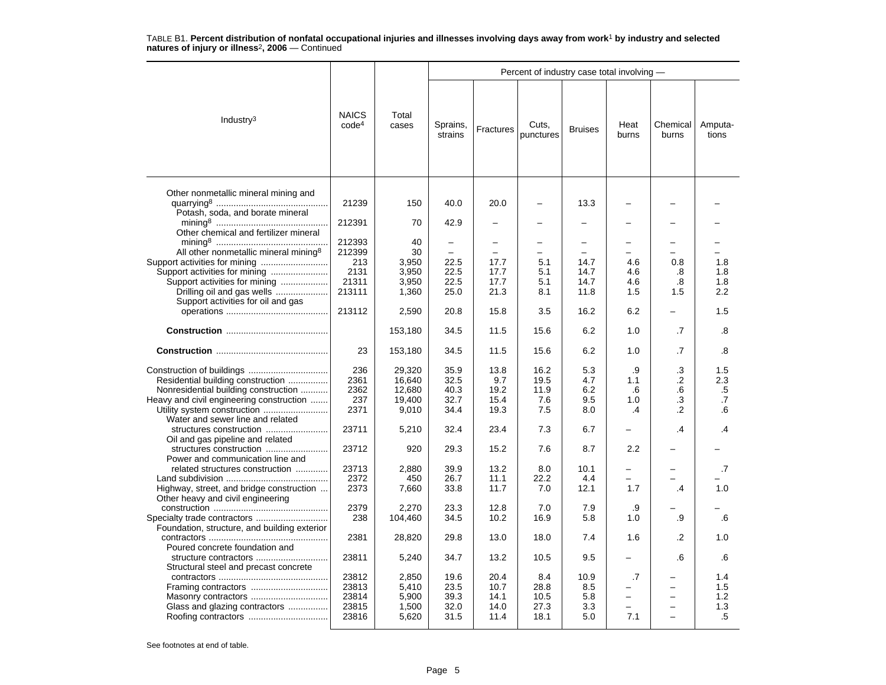|                                                                          |                                   |                | Percent of industry case total involving - |                          |                    |                               |                          |                          |                  |  |  |  |
|--------------------------------------------------------------------------|-----------------------------------|----------------|--------------------------------------------|--------------------------|--------------------|-------------------------------|--------------------------|--------------------------|------------------|--|--|--|
| Industry <sup>3</sup>                                                    | <b>NAICS</b><br>code <sup>4</sup> | Total<br>cases | Sprains,<br>strains                        | Fractures                | Cuts,<br>punctures | <b>Bruises</b>                | Heat<br>burns            | Chemical<br>burns        | Amputa-<br>tions |  |  |  |
| Other nonmetallic mineral mining and<br>Potash, soda, and borate mineral | 21239                             | 150            | 40.0                                       | 20.0                     | -                  | 13.3                          | -                        |                          |                  |  |  |  |
| Other chemical and fertilizer mineral                                    | 212391                            | 70             | 42.9                                       |                          |                    |                               |                          |                          |                  |  |  |  |
| All other nonmetallic mineral mining <sup>8</sup>                        | 212393<br>212399                  | 40<br>30       | -                                          | $\overline{\phantom{0}}$ | -                  | $\overline{\phantom{0}}$<br>- |                          |                          |                  |  |  |  |
|                                                                          | 213<br>2131                       | 3,950          | 22.5<br>22.5                               | 17.7                     | 5.1                | 14.7<br>14.7                  | 4.6                      | 0.8                      | 1.8              |  |  |  |
| Support activities for mining<br>Support activities for mining           | 21311                             | 3,950<br>3,950 | 22.5                                       | 17.7<br>17.7             | 5.1<br>5.1         | 14.7                          | 4.6<br>4.6               | .8<br>.8                 | 1.8<br>1.8       |  |  |  |
| Drilling oil and gas wells<br>Support activities for oil and gas         | 213111                            | 1,360          | 25.0                                       | 21.3                     | 8.1                | 11.8                          | 1.5                      | 1.5                      | 2.2              |  |  |  |
|                                                                          | 213112                            | 2,590          | 20.8                                       | 15.8                     | 3.5                | 16.2                          | 6.2                      |                          | 1.5              |  |  |  |
|                                                                          |                                   | 153,180        | 34.5                                       | 11.5                     | 15.6               | 6.2                           | 1.0                      | .7                       | .8               |  |  |  |
|                                                                          | 23                                | 153,180        | 34.5                                       | 11.5                     | 15.6               | 6.2                           | 1.0                      | .7                       | .8               |  |  |  |
|                                                                          | 236                               | 29,320         | 35.9                                       | 13.8                     | 16.2               | 5.3                           | .9                       | .3                       | 1.5              |  |  |  |
| Residential building construction                                        | 2361                              | 16,640         | 32.5                                       | 9.7                      | 19.5               | 4.7                           | 1.1                      | .2                       | 2.3              |  |  |  |
| Nonresidential building construction                                     | 2362                              | 12,680         | 40.3                                       | 19.2                     | 11.9               | 6.2                           | .6                       | .6                       | .5               |  |  |  |
| Heavy and civil engineering construction                                 | 237                               | 19,400         | 32.7                                       | 15.4                     | 7.6                | 9.5                           | 1.0                      | .3                       | .7               |  |  |  |
| Utility system construction                                              | 2371                              | 9,010          | 34.4                                       | 19.3                     | 7.5                | 8.0                           | .4                       | .2                       | .6               |  |  |  |
| Water and sewer line and related<br>structures construction              | 23711                             | 5,210          | 32.4                                       | 23.4                     | 7.3                | 6.7                           | $\overline{\phantom{0}}$ | $\overline{A}$           | .4               |  |  |  |
| Oil and gas pipeline and related                                         | 23712                             | 920            | 29.3                                       | 15.2                     | 7.6                | 8.7                           | 2.2                      |                          |                  |  |  |  |
| Power and communication line and                                         |                                   |                |                                            |                          |                    |                               |                          |                          |                  |  |  |  |
| related structures construction                                          | 23713                             | 2,880          | 39.9                                       | 13.2                     | 8.0                | 10.1                          |                          |                          | .7               |  |  |  |
|                                                                          | 2372                              | 450            | 26.7                                       | 11.1                     | 22.2               | 4.4                           | $\overline{\phantom{0}}$ |                          |                  |  |  |  |
| Highway, street, and bridge construction                                 | 2373                              | 7,660          | 33.8                                       | 11.7                     | 7.0                | 12.1                          | 1.7                      | .4                       | 1.0              |  |  |  |
| Other heavy and civil engineering                                        | 2379                              | 2,270          | 23.3                                       | 12.8                     | 7.0                | 7.9                           | .9                       |                          |                  |  |  |  |
| Specialty trade contractors                                              | 238                               | 104,460        | 34.5                                       | 10.2                     | 16.9               | 5.8                           | 1.0                      | .9                       | .6               |  |  |  |
| Foundation, structure, and building exterior                             |                                   |                |                                            |                          |                    |                               |                          |                          |                  |  |  |  |
| Poured concrete foundation and                                           | 2381                              | 28,820         | 29.8                                       | 13.0                     | 18.0               | 7.4                           | 1.6                      | .2                       | 1.0              |  |  |  |
| structure contractors<br>Structural steel and precast concrete           | 23811                             | 5,240          | 34.7                                       | 13.2                     | 10.5               | 9.5                           | $\overline{\phantom{0}}$ | .6                       | .6               |  |  |  |
|                                                                          | 23812                             | 2,850          | 19.6                                       | 20.4                     | 8.4                | 10.9                          | .7                       |                          | 1.4              |  |  |  |
|                                                                          | 23813                             | 5,410          | 23.5                                       | 10.7                     | 28.8               | 8.5                           | $\overline{\phantom{0}}$ | $\overline{\phantom{0}}$ | 1.5              |  |  |  |
| Masonry contractors                                                      | 23814                             | 5,900          | 39.3                                       | 14.1                     | 10.5               | 5.8                           | -                        | $\overline{\phantom{0}}$ | 1.2              |  |  |  |
| Glass and glazing contractors                                            | 23815                             | 1,500          | 32.0                                       | 14.0                     | 27.3               | 3.3                           |                          | $\overline{\phantom{0}}$ | 1.3              |  |  |  |
|                                                                          | 23816                             | 5,620          | 31.5                                       | 11.4                     | 18.1               | 5.0                           | 7.1                      |                          | .5               |  |  |  |
|                                                                          |                                   |                |                                            |                          |                    |                               |                          |                          |                  |  |  |  |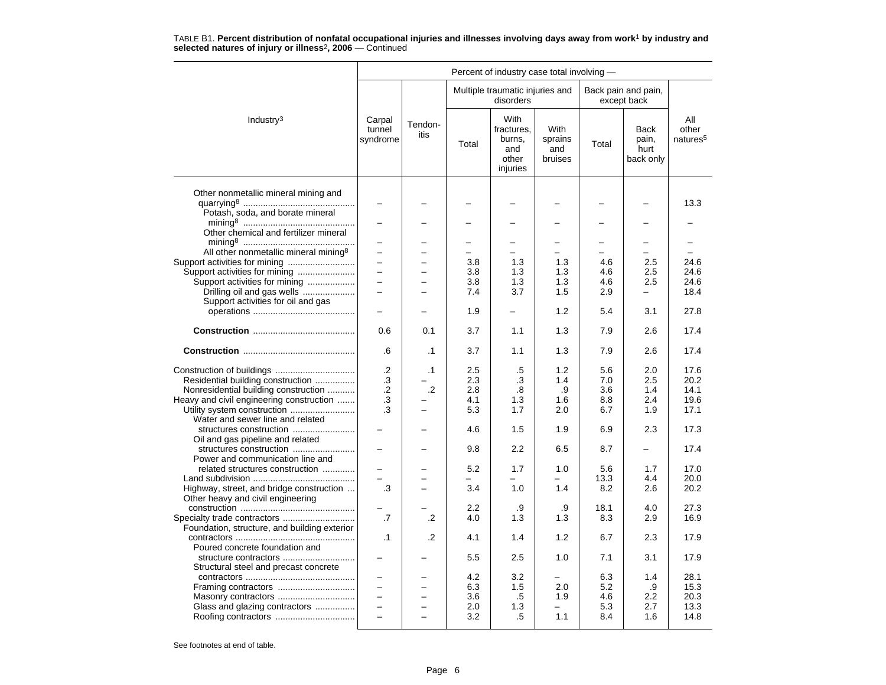|                                                                          | Percent of industry case total involving - |                          |                          |                                                          |                                          |          |                                           |                                      |  |  |  |
|--------------------------------------------------------------------------|--------------------------------------------|--------------------------|--------------------------|----------------------------------------------------------|------------------------------------------|----------|-------------------------------------------|--------------------------------------|--|--|--|
|                                                                          |                                            |                          |                          | Multiple traumatic injuries and<br>disorders             |                                          |          | Back pain and pain,<br>except back        |                                      |  |  |  |
| Industry <sup>3</sup>                                                    | Carpal<br>tunnel<br>syndrome               | Tendon-<br>itis          | Total                    | With<br>fractures.<br>burns,<br>and<br>other<br>injuries | <b>With</b><br>sprains<br>and<br>bruises | Total    | <b>Back</b><br>pain,<br>hurt<br>back only | All<br>other<br>natures <sup>5</sup> |  |  |  |
| Other nonmetallic mineral mining and<br>Potash, soda, and borate mineral |                                            |                          |                          |                                                          |                                          |          |                                           | 13.3                                 |  |  |  |
| Other chemical and fertilizer mineral                                    |                                            |                          |                          |                                                          |                                          |          |                                           |                                      |  |  |  |
|                                                                          | -                                          |                          | $\overline{\phantom{0}}$ | -                                                        | $\overline{\phantom{0}}$                 | $\equiv$ | $\overline{\phantom{0}}$                  |                                      |  |  |  |
| All other nonmetallic mineral mining <sup>8</sup>                        |                                            |                          |                          |                                                          |                                          |          |                                           |                                      |  |  |  |
|                                                                          | $\equiv$                                   |                          | 3.8                      | 1.3                                                      | 1.3                                      | 4.6      | 2.5                                       | 24.6                                 |  |  |  |
| Support activities for mining                                            | $\overline{\phantom{0}}$                   | $\overline{\phantom{0}}$ | 3.8                      | 1.3                                                      | 1.3                                      | 4.6      | 2.5                                       | 24.6                                 |  |  |  |
| Support activities for mining                                            | $\overline{a}$                             |                          | 3.8                      | 1.3                                                      | 1.3                                      | 4.6      | 2.5                                       | 24.6                                 |  |  |  |
| Drilling oil and gas wells                                               | $\overline{\phantom{0}}$                   |                          | 7.4                      | 3.7                                                      | 1.5                                      | 2.9      | $\equiv$                                  | 18.4                                 |  |  |  |
| Support activities for oil and gas                                       |                                            |                          | 1.9                      | $\overline{\phantom{0}}$                                 | 1.2                                      | 5.4      | 3.1                                       | 27.8                                 |  |  |  |
|                                                                          |                                            |                          |                          |                                                          |                                          |          |                                           |                                      |  |  |  |
|                                                                          | 0.6                                        | 0.1                      | 3.7                      | 1.1                                                      | 1.3                                      | 7.9      | 2.6                                       | 17.4                                 |  |  |  |
|                                                                          | .6                                         | $\cdot$ 1                | 3.7                      | 1.1                                                      | 1.3                                      | 7.9      | 2.6                                       | 17.4                                 |  |  |  |
|                                                                          | $\cdot$                                    | $\cdot$ 1                | 2.5                      | .5                                                       | 1.2                                      | 5.6      | 2.0                                       | 17.6                                 |  |  |  |
| Residential building construction                                        | $\cdot$ 3                                  |                          | 2.3                      | .3                                                       | 1.4                                      | 7.0      | 2.5                                       | 20.2                                 |  |  |  |
| Nonresidential building construction                                     | $\cdot$ .2                                 | .2                       | 2.8                      | .8                                                       | .9                                       | 3.6      | 1.4                                       | 14.1                                 |  |  |  |
| Heavy and civil engineering construction                                 | .3                                         |                          | 4.1                      | 1.3                                                      | 1.6                                      | 8.8      | 2.4                                       | 19.6                                 |  |  |  |
| Utility system construction<br>Water and sewer line and related          | .3                                         |                          | 5.3                      | 1.7                                                      | 2.0                                      | 6.7      | 1.9                                       | 17.1                                 |  |  |  |
| structures construction<br>Oil and gas pipeline and related              |                                            |                          | 4.6                      | 1.5                                                      | 1.9                                      | 6.9      | 2.3                                       | 17.3                                 |  |  |  |
| structures construction<br>Power and communication line and              |                                            |                          | 9.8                      | 2.2                                                      | 6.5                                      | 8.7      | —                                         | 17.4                                 |  |  |  |
| related structures construction                                          |                                            |                          | 5.2                      | 1.7                                                      | 1.0                                      | 5.6      | 1.7                                       | 17.0                                 |  |  |  |
|                                                                          |                                            |                          |                          |                                                          |                                          | 13.3     | 4.4                                       | 20.0                                 |  |  |  |
| Highway, street, and bridge construction                                 | .3                                         |                          | 3.4                      | 1.0                                                      | 1.4                                      | 8.2      | 2.6                                       | 20.2                                 |  |  |  |
| Other heavy and civil engineering                                        |                                            |                          |                          |                                                          |                                          |          |                                           |                                      |  |  |  |
|                                                                          |                                            |                          | 2.2                      | .9                                                       | .9                                       | 18.1     | 4.0                                       | 27.3                                 |  |  |  |
| Foundation, structure, and building exterior                             | .7                                         | $\cdot$                  | 4.0                      | 1.3                                                      | 1.3                                      | 8.3      | 2.9                                       | 16.9                                 |  |  |  |
| Poured concrete foundation and                                           | $\cdot$ 1                                  | $\cdot$                  | 4.1                      | 1.4                                                      | 1.2                                      | 6.7      | 2.3                                       | 17.9                                 |  |  |  |
| structure contractors<br>Structural steel and precast concrete           |                                            |                          | 5.5                      | 2.5                                                      | 1.0                                      | 7.1      | 3.1                                       | 17.9                                 |  |  |  |
|                                                                          | $\equiv$                                   | -                        | 4.2                      | 3.2                                                      | $\overline{\phantom{0}}$                 | 6.3      | 1.4                                       | 28.1                                 |  |  |  |
|                                                                          |                                            |                          | 6.3                      | 1.5                                                      | 2.0                                      | 5.2      | .9                                        | 15.3                                 |  |  |  |
|                                                                          | $\overline{a}$                             |                          | 3.6                      | .5                                                       | 1.9                                      | 4.6      | 2.2                                       | 20.3                                 |  |  |  |
| Glass and glazing contractors                                            | $\overline{\phantom{0}}$                   | $\overline{\phantom{0}}$ | 2.0                      | 1.3                                                      |                                          | 5.3      | 2.7                                       | 13.3                                 |  |  |  |
|                                                                          |                                            |                          | 3.2                      | .5                                                       | 1.1                                      | 8.4      | 1.6                                       | 14.8                                 |  |  |  |
|                                                                          |                                            |                          |                          |                                                          |                                          |          |                                           |                                      |  |  |  |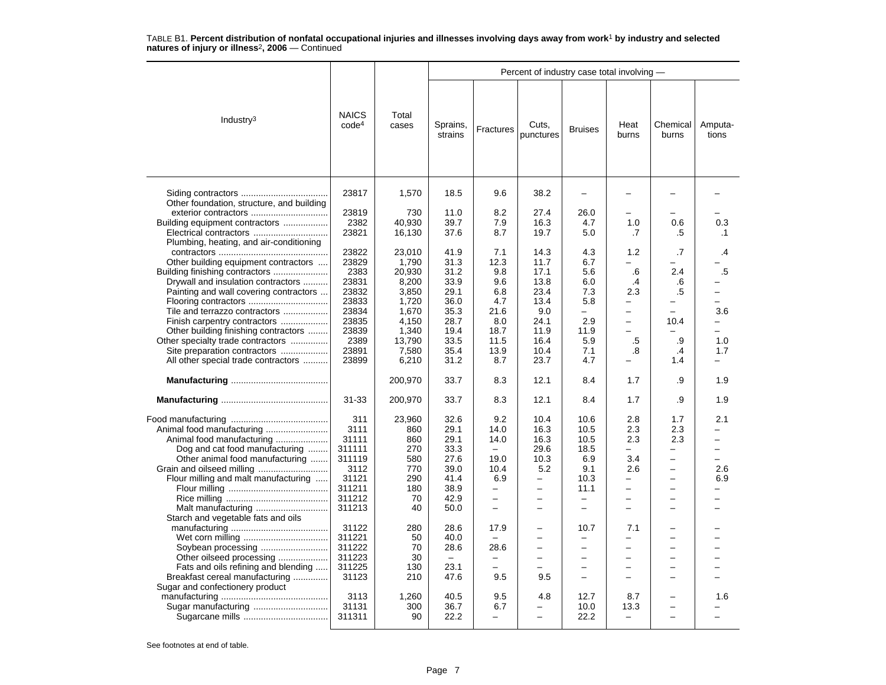|                                                                   |                                   |                | Percent of industry case total involving - |                          |                          |                          |                          |                          |                          |  |  |  |
|-------------------------------------------------------------------|-----------------------------------|----------------|--------------------------------------------|--------------------------|--------------------------|--------------------------|--------------------------|--------------------------|--------------------------|--|--|--|
| Industry $3$                                                      | <b>NAICS</b><br>code <sup>4</sup> | Total<br>cases | Sprains,<br>strains                        | Fractures                | Cuts,<br>punctures       | <b>Bruises</b>           | Heat<br>burns            | Chemical<br>burns        | Amputa-<br>tions         |  |  |  |
| Other foundation, structure, and building<br>exterior contractors | 23817<br>23819                    | 1,570<br>730   | 18.5<br>11.0                               | 9.6<br>8.2               | 38.2<br>27.4             | 26.0                     |                          |                          |                          |  |  |  |
| Building equipment contractors                                    | 2382                              | 40,930         | 39.7                                       | 7.9                      | 16.3                     | 4.7                      | 1.0                      | 0.6                      | 0.3                      |  |  |  |
|                                                                   | 23821                             | 16,130         | 37.6                                       | 8.7                      | 19.7                     | 5.0                      | .7                       | .5                       | .1                       |  |  |  |
| Plumbing, heating, and air-conditioning                           |                                   |                |                                            |                          |                          |                          |                          |                          |                          |  |  |  |
|                                                                   | 23822                             | 23,010         | 41.9                                       | 7.1                      | 14.3                     | 4.3                      | 1.2                      | .7                       | .4                       |  |  |  |
| Other building equipment contractors                              | 23829                             | 1,790          | 31.3                                       | 12.3                     | 11.7                     | 6.7                      |                          |                          |                          |  |  |  |
|                                                                   | 2383                              | 20,930         | 31.2                                       | 9.8                      | 17.1                     | 5.6                      | .6                       | 2.4                      | .5                       |  |  |  |
| Drywall and insulation contractors                                | 23831                             | 8,200          | 33.9                                       | 9.6                      | 13.8                     | 6.0                      | $\cdot$                  | .6                       |                          |  |  |  |
| Painting and wall covering contractors                            | 23832                             | 3,850          | 29.1                                       | 6.8                      | 23.4                     | 7.3                      | 2.3                      | .5                       |                          |  |  |  |
|                                                                   | 23833                             | 1,720          | 36.0                                       | 4.7                      | 13.4                     | 5.8                      | -                        |                          |                          |  |  |  |
| Tile and terrazzo contractors                                     | 23834                             | 1,670          | 35.3                                       | 21.6                     | 9.0                      | $\overline{\phantom{0}}$ | -                        | ÷                        | 3.6                      |  |  |  |
| Finish carpentry contractors                                      | 23835                             | 4,150          | 28.7                                       | 8.0                      | 24.1                     | 2.9                      | -                        | 10.4                     | -                        |  |  |  |
| Other building finishing contractors                              | 23839                             | 1,340          | 19.4                                       | 18.7                     | 11.9                     | 11.9                     |                          |                          |                          |  |  |  |
| Other specialty trade contractors                                 | 2389                              | 13,790         | 33.5                                       | 11.5                     | 16.4                     | 5.9                      | .5                       | .9                       | 1.0                      |  |  |  |
| Site preparation contractors                                      | 23891                             | 7,580          | 35.4                                       | 13.9                     | 10.4                     | 7.1                      | .8                       | .4                       | 1.7                      |  |  |  |
| All other special trade contractors                               | 23899                             | 6,210          | 31.2                                       | 8.7                      | 23.7                     | 4.7                      |                          | 1.4                      |                          |  |  |  |
|                                                                   |                                   | 200,970        | 33.7                                       | 8.3                      | 12.1                     | 8.4                      | 1.7                      | .9                       | 1.9                      |  |  |  |
|                                                                   | $31 - 33$                         | 200,970        | 33.7                                       | 8.3                      | 12.1                     | 8.4                      | 1.7                      | .9                       | 1.9                      |  |  |  |
|                                                                   | 311                               | 23,960         | 32.6                                       | 9.2                      | 10.4                     | 10.6                     | 2.8                      | 1.7                      | 2.1                      |  |  |  |
|                                                                   | 3111                              | 860            | 29.1                                       | 14.0                     | 16.3                     | 10.5                     | 2.3                      | 2.3                      |                          |  |  |  |
|                                                                   | 31111                             | 860            | 29.1                                       |                          |                          | 10.5                     |                          |                          |                          |  |  |  |
| Animal food manufacturing                                         |                                   |                |                                            | 14.0                     | 16.3                     |                          | 2.3                      | 2.3                      |                          |  |  |  |
| Dog and cat food manufacturing                                    | 311111                            | 270            | 33.3                                       |                          | 29.6                     | 18.5                     | -                        | $\overline{\phantom{0}}$ | $\overline{\phantom{0}}$ |  |  |  |
| Other animal food manufacturing                                   | 311119                            | 580            | 27.6                                       | 19.0                     | 10.3                     | 6.9                      | 3.4                      | $\overline{\phantom{0}}$ | $\equiv$                 |  |  |  |
|                                                                   | 3112                              | 770            | 39.0                                       | 10.4                     | 5.2                      | 9.1                      | 2.6                      | $\overline{\phantom{0}}$ | 2.6                      |  |  |  |
| Flour milling and malt manufacturing                              | 31121                             | 290            | 41.4                                       | 6.9                      |                          | 10.3                     | -                        | -                        | 6.9                      |  |  |  |
|                                                                   | 311211                            | 180            | 38.9                                       | $\qquad \qquad -$        | $\equiv$                 | 11.1                     | -                        | $\overline{\phantom{0}}$ |                          |  |  |  |
|                                                                   | 311212                            | 70             | 42.9                                       | $\qquad \qquad -$        | $\equiv$                 | $\overline{\phantom{0}}$ | $\overline{\phantom{0}}$ | $\equiv$                 |                          |  |  |  |
| Malt manufacturing                                                | 311213                            | 40             | 50.0                                       | $\sim$                   | $\equiv$                 | $\equiv$                 |                          | ÷                        |                          |  |  |  |
| Starch and vegetable fats and oils                                |                                   |                |                                            |                          |                          |                          |                          |                          |                          |  |  |  |
|                                                                   | 31122                             | 280            | 28.6                                       | 17.9                     | $\overline{\phantom{0}}$ | 10.7                     | 7.1                      | -                        |                          |  |  |  |
|                                                                   | 311221                            | 50             | 40.0                                       |                          |                          | $\overline{\phantom{0}}$ | $\overline{\phantom{0}}$ | L,                       |                          |  |  |  |
|                                                                   | 311222                            | 70             | 28.6                                       | 28.6                     |                          | $\overline{\phantom{0}}$ | -                        | -                        |                          |  |  |  |
| Other oilseed processing                                          | 311223                            | 30             | $\equiv$                                   |                          | $\equiv$                 | $\overline{\phantom{0}}$ | -                        | $\overline{\phantom{0}}$ |                          |  |  |  |
| Fats and oils refining and blending                               | 311225                            | 130            | 23.1                                       | $\overline{\phantom{0}}$ | $\overline{\phantom{0}}$ | $\overline{\phantom{0}}$ | $\overline{\phantom{0}}$ | -                        |                          |  |  |  |
| Breakfast cereal manufacturing                                    | 31123                             | 210            | 47.6                                       | 9.5                      | 9.5                      |                          |                          | $\overline{\phantom{0}}$ |                          |  |  |  |
| Sugar and confectionery product                                   |                                   |                |                                            |                          |                          |                          |                          |                          |                          |  |  |  |
|                                                                   | 3113                              | 1,260          | 40.5                                       | 9.5                      | 4.8                      | 12.7                     | 8.7                      | $\overline{\phantom{0}}$ | 1.6                      |  |  |  |
| Sugar manufacturing                                               | 31131                             | 300            | 36.7                                       | 6.7                      |                          | 10.0                     | 13.3                     | L,                       |                          |  |  |  |
|                                                                   | 311311                            | 90             | 22.2                                       | —                        | $\overline{\phantom{0}}$ | 22.2                     | $\overline{\phantom{0}}$ | L,                       |                          |  |  |  |
|                                                                   |                                   |                |                                            |                          |                          |                          |                          |                          |                          |  |  |  |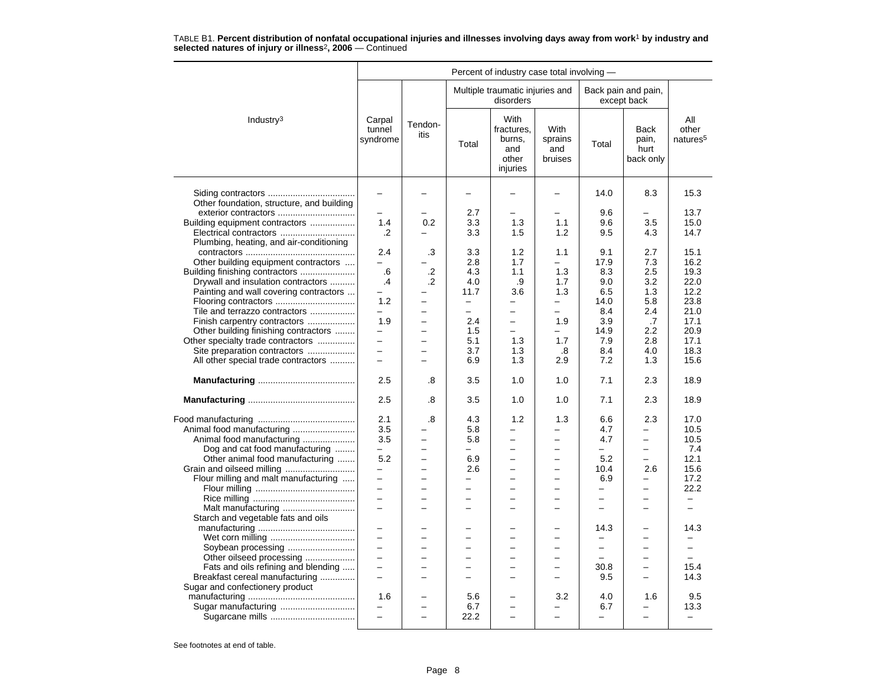| Percent of industry case total involving - |                              |                          |                          |                                                          |                                   |                          |                                           |                                      |  |  |
|--------------------------------------------|------------------------------|--------------------------|--------------------------|----------------------------------------------------------|-----------------------------------|--------------------------|-------------------------------------------|--------------------------------------|--|--|
|                                            |                              |                          |                          | Multiple traumatic injuries and<br>disorders             |                                   |                          | Back pain and pain,<br>except back        |                                      |  |  |
| Industry <sup>3</sup>                      | Carpal<br>tunnel<br>syndrome | Tendon-<br>itis          | Total                    | With<br>fractures.<br>burns,<br>and<br>other<br>injuries | With<br>sprains<br>and<br>bruises | Total                    | <b>Back</b><br>pain,<br>hurt<br>back only | All<br>other<br>natures <sup>5</sup> |  |  |
| Other foundation, structure, and building  | $\overline{\phantom{0}}$     |                          |                          |                                                          | ۳                                 | 14.0                     | 8.3                                       | 15.3                                 |  |  |
| exterior contractors                       |                              |                          | 2.7                      |                                                          |                                   | 9.6                      |                                           | 13.7                                 |  |  |
| Building equipment contractors             | 1.4                          | 0.2                      | 3.3                      | 1.3                                                      | 1.1                               | 9.6                      | 3.5                                       | 15.0                                 |  |  |
| Electrical contractors                     | .2                           |                          | 3.3                      | 1.5                                                      | 1.2                               | 9.5                      | 4.3                                       | 14.7                                 |  |  |
| Plumbing, heating, and air-conditioning    |                              |                          |                          |                                                          |                                   |                          |                                           |                                      |  |  |
|                                            | 2.4                          | .3                       | 3.3                      | 1.2                                                      | 1.1                               | 9.1                      | 2.7                                       | 15.1                                 |  |  |
| Other building equipment contractors       | $\overline{\phantom{0}}$     |                          | 2.8                      | 1.7                                                      | $\overline{\phantom{0}}$          | 17.9                     | 7.3                                       | 16.2                                 |  |  |
| Building finishing contractors             | .6                           | .2                       | 4.3                      | 1.1                                                      | 1.3                               | 8.3                      | 2.5                                       | 19.3                                 |  |  |
| Drywall and insulation contractors         | .4                           | .2                       | 4.0                      | .9                                                       | 1.7                               | 9.0                      | 3.2                                       | 22.0                                 |  |  |
| Painting and wall covering contractors     |                              |                          | 11.7                     | 3.6                                                      | 1.3                               | 6.5                      | 1.3                                       | 12.2                                 |  |  |
|                                            | 1.2                          |                          | $\overline{\phantom{0}}$ | -                                                        |                                   | 14.0                     | 5.8                                       | 23.8                                 |  |  |
| Tile and terrazzo contractors              | $\overline{\phantom{0}}$     |                          | L.                       | $\overline{\phantom{0}}$                                 | $\equiv$                          | 8.4                      | 2.4                                       | 21.0                                 |  |  |
| Finish carpentry contractors               | 1.9                          | -                        | 2.4                      | $\overline{\phantom{0}}$                                 | 1.9                               | 3.9                      | .7                                        | 17.1                                 |  |  |
| Other building finishing contractors       | -                            |                          | 1.5                      | $\overline{\phantom{0}}$                                 |                                   | 14.9                     | 2.2                                       | 20.9                                 |  |  |
| Other specialty trade contractors          | $\overline{\phantom{0}}$     |                          | 5.1                      | 1.3                                                      | 1.7                               | 7.9                      | 2.8                                       | 17.1                                 |  |  |
| Site preparation contractors               | $\overline{\phantom{0}}$     |                          | 3.7                      | 1.3                                                      | .8                                | 8.4                      | 4.0                                       | 18.3                                 |  |  |
| All other special trade contractors        | $\equiv$                     |                          | 6.9                      | 1.3                                                      | 2.9                               | 7.2                      | 1.3                                       | 15.6                                 |  |  |
|                                            | 2.5                          | .8                       | 3.5                      | 1.0                                                      | 1.0                               | 7.1                      | 2.3                                       | 18.9                                 |  |  |
|                                            | 2.5                          | .8                       | 3.5                      | 1.0                                                      | 1.0                               | 7.1                      | 2.3                                       | 18.9                                 |  |  |
|                                            | 2.1                          | .8                       | 4.3                      | 1.2                                                      | 1.3                               | 6.6                      | 2.3                                       | 17.0                                 |  |  |
| Animal food manufacturing                  | 3.5                          |                          | 5.8                      | -                                                        |                                   | 4.7                      | -                                         | 10.5                                 |  |  |
| Animal food manufacturing                  | 3.5                          |                          | 5.8                      | $\overline{\phantom{0}}$                                 | $\overline{\phantom{0}}$          | 4.7                      | $\overline{\phantom{0}}$                  | 10.5                                 |  |  |
| Dog and cat food manufacturing             | -                            |                          | $\overline{\phantom{0}}$ | $\overline{\phantom{0}}$                                 | $\overline{\phantom{0}}$          |                          | $\overline{\phantom{0}}$                  | 7.4                                  |  |  |
| Other animal food manufacturing            | 5.2                          | $\overline{a}$           | 6.9                      | $\equiv$                                                 | $\overline{\phantom{0}}$          | 5.2                      | $\overline{\phantom{0}}$                  | 12.1                                 |  |  |
| Grain and oilseed milling                  | -                            |                          | 2.6                      | $\overline{\phantom{0}}$                                 | $\overline{\phantom{0}}$          | 10.4                     | 2.6                                       | 15.6                                 |  |  |
| Flour milling and malt manufacturing       | $\overline{\phantom{0}}$     |                          |                          |                                                          |                                   | 6.9                      |                                           | 17.2                                 |  |  |
|                                            | $\equiv$                     | L.                       | ÷                        | $\overline{a}$                                           | $\equiv$                          | $\equiv$                 | $\equiv$                                  | 22.2                                 |  |  |
|                                            | $\overline{\phantom{0}}$     | $\overline{\phantom{0}}$ | $\equiv$                 | $\overline{\phantom{0}}$                                 | $\overline{\phantom{0}}$          | $\overline{\phantom{0}}$ | $\overline{\phantom{0}}$                  | $\overline{\phantom{0}}$             |  |  |
| Malt manufacturing                         | L.                           |                          |                          | L.                                                       | L.                                |                          |                                           | $\overline{\phantom{0}}$             |  |  |
| Starch and vegetable fats and oils         |                              |                          |                          |                                                          |                                   |                          |                                           |                                      |  |  |
|                                            | $\overline{\phantom{0}}$     |                          |                          |                                                          | -                                 | 14.3                     |                                           | 14.3                                 |  |  |
|                                            | $\overline{a}$               |                          | ÷                        | $\overline{\phantom{0}}$                                 | $\equiv$                          | $\overline{\phantom{0}}$ | ÷                                         |                                      |  |  |
| Soybean processing                         | $\overline{a}$               | $\equiv$                 | $\equiv$                 | $\equiv$                                                 | $\overline{\phantom{0}}$          | $\overline{\phantom{0}}$ | $\equiv$                                  | $\overline{\phantom{0}}$             |  |  |
| Other oilseed processing                   | $\overline{\phantom{0}}$     |                          |                          |                                                          |                                   |                          |                                           |                                      |  |  |
| Fats and oils refining and blending        | $\equiv$                     |                          |                          |                                                          |                                   | 30.8                     | $\equiv$                                  | 15.4                                 |  |  |
| Breakfast cereal manufacturing             | $\overline{a}$               |                          |                          |                                                          | $\overline{\phantom{0}}$          | 9.5                      |                                           | 14.3                                 |  |  |
| Sugar and confectionery product            |                              |                          |                          |                                                          |                                   |                          |                                           |                                      |  |  |
|                                            | 1.6                          |                          | 5.6                      | -                                                        | 3.2                               | 4.0                      | 1.6                                       | 9.5                                  |  |  |
| Sugar manufacturing                        | $\overline{\phantom{0}}$     |                          | 6.7                      |                                                          |                                   | 6.7                      |                                           | 13.3                                 |  |  |
|                                            | $\overline{a}$               |                          | 22.2                     | $\overline{a}$                                           | $\overline{\phantom{0}}$          |                          | $\overline{\phantom{0}}$                  | $\overline{\phantom{0}}$             |  |  |
|                                            |                              |                          |                          |                                                          |                                   |                          |                                           |                                      |  |  |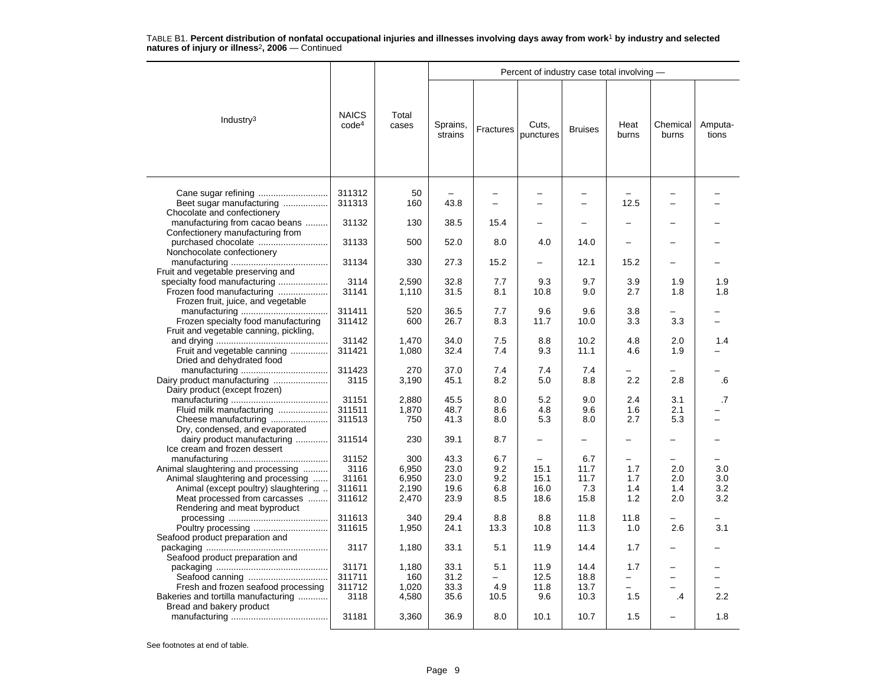|                                                                                                          |                                   |                       | Percent of industry case total involving - |                          |                               |                               |                   |                          |                  |  |  |
|----------------------------------------------------------------------------------------------------------|-----------------------------------|-----------------------|--------------------------------------------|--------------------------|-------------------------------|-------------------------------|-------------------|--------------------------|------------------|--|--|
| Industry $3$                                                                                             | <b>NAICS</b><br>code <sup>4</sup> | Total<br>cases        | Sprains,<br>strains                        | Fractures                | Cuts,<br>punctures            | <b>Bruises</b>                | Heat<br>burns     | Chemical<br>burns        | Amputa-<br>tions |  |  |
| Beet sugar manufacturing<br>Chocolate and confectionery                                                  | 311312<br>311313                  | 50<br>160             | 43.8                                       | $\overline{\phantom{0}}$ | ÷<br>$\overline{\phantom{0}}$ | ÷<br>$\overline{\phantom{0}}$ | 12.5              | $\overline{\phantom{0}}$ |                  |  |  |
| manufacturing from cacao beans                                                                           | 31132                             | 130                   | 38.5                                       | 15.4                     | $\overline{\phantom{0}}$      | $\overline{\phantom{0}}$      |                   |                          |                  |  |  |
| Confectionery manufacturing from<br>Nonchocolate confectionery                                           | 31133                             | 500                   | 52.0                                       | 8.0                      | 4.0                           | 14.0                          |                   |                          |                  |  |  |
|                                                                                                          | 31134                             | 330                   | 27.3                                       | 15.2                     |                               | 12.1                          | 15.2              |                          |                  |  |  |
| Fruit and vegetable preserving and<br>specialty food manufacturing<br>Frozen food manufacturing          | 3114<br>31141                     | 2,590<br>1,110        | 32.8<br>31.5                               | 7.7<br>8.1               | 9.3<br>10.8                   | 9.7<br>9.0                    | 3.9<br>2.7        | 1.9<br>1.8               | 1.9<br>1.8       |  |  |
| Frozen fruit, juice, and vegetable<br>Frozen specialty food manufacturing                                | 311411<br>311412                  | 520<br>600            | 36.5<br>26.7                               | 7.7<br>8.3               | 9.6<br>11.7                   | 9.6<br>10.0                   | 3.8<br>3.3        | 3.3                      |                  |  |  |
| Fruit and vegetable canning, pickling,                                                                   | 31142                             | 1,470                 | 34.0                                       | 7.5                      | 8.8                           | 10.2                          | 4.8               | 2.0                      | 1.4              |  |  |
| Fruit and vegetable canning<br>Dried and dehydrated food                                                 | 311421                            | 1,080                 | 32.4                                       | 7.4                      | 9.3                           | 11.1                          | 4.6               | 1.9                      |                  |  |  |
| Dairy product manufacturing<br>Dairy product (except frozen)                                             | 311423<br>3115                    | 270<br>3,190          | 37.0<br>45.1                               | 7.4<br>8.2               | 7.4<br>5.0                    | 7.4<br>8.8                    | 2.2               | 2.8                      | .6               |  |  |
| Fluid milk manufacturing<br>Cheese manufacturing                                                         | 31151<br>311511<br>311513         | 2,880<br>1,870<br>750 | 45.5<br>48.7<br>41.3                       | 8.0<br>8.6<br>8.0        | 5.2<br>4.8<br>5.3             | 9.0<br>9.6<br>8.0             | 2.4<br>1.6<br>2.7 | 3.1<br>2.1<br>5.3        | .7               |  |  |
| Dry, condensed, and evaporated<br>dairy product manufacturing                                            | 311514                            | 230                   | 39.1                                       | 8.7                      | $\overline{a}$                | $\overline{\phantom{0}}$      | L.                | $\equiv$                 |                  |  |  |
| Ice cream and frozen dessert<br>Animal slaughtering and processing<br>Animal slaughtering and processing | 31152<br>3116<br>31161            | 300<br>6,950<br>6,950 | 43.3<br>23.0<br>23.0                       | 6.7<br>9.2<br>9.2        | 15.1<br>15.1                  | 6.7<br>11.7<br>11.7           | 1.7<br>1.7        | 2.0<br>2.0               | 3.0<br>3.0       |  |  |
| Animal (except poultry) slaughtering.<br>Meat processed from carcasses<br>Rendering and meat byproduct   | 311611<br>311612                  | 2,190<br>2,470        | 19.6<br>23.9                               | 6.8<br>8.5               | 16.0<br>18.6                  | 7.3<br>15.8                   | 1.4<br>1.2        | 1.4<br>2.0               | 3.2<br>3.2       |  |  |
| Seafood product preparation and                                                                          | 311613<br>311615                  | 340<br>1,950          | 29.4<br>24.1                               | 8.8<br>13.3              | 8.8<br>10.8                   | 11.8<br>11.3                  | 11.8<br>1.0       | 2.6                      | 3.1              |  |  |
| Seafood product preparation and                                                                          | 3117                              | 1,180                 | 33.1                                       | 5.1                      | 11.9                          | 14.4                          | 1.7               | $\overline{\phantom{0}}$ |                  |  |  |
| Fresh and frozen seafood processing                                                                      | 31171<br>311711<br>311712         | 1,180<br>160<br>1,020 | 33.1<br>31.2<br>33.3                       | 5.1<br>4.9               | 11.9<br>12.5<br>11.8          | 14.4<br>18.8<br>13.7          | 1.7               | $\overline{\phantom{0}}$ |                  |  |  |
| Bakeries and tortilla manufacturing<br>Bread and bakery product                                          | 3118                              | 4,580                 | 35.6                                       | 10.5                     | 9.6                           | 10.3                          | 1.5               | .4                       | 2.2              |  |  |
|                                                                                                          | 31181                             | 3,360                 | 36.9                                       | 8.0                      | 10.1                          | 10.7                          | 1.5               |                          | 1.8              |  |  |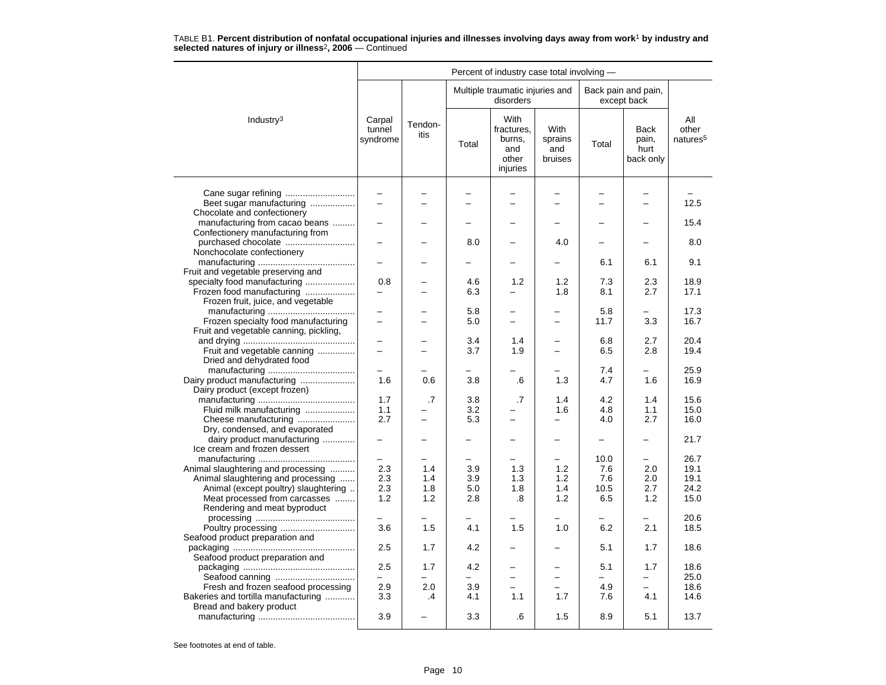|                                                                          | Percent of industry case total involving - |                 |       |                                                          |                                   |             |                                           |                                      |  |  |  |
|--------------------------------------------------------------------------|--------------------------------------------|-----------------|-------|----------------------------------------------------------|-----------------------------------|-------------|-------------------------------------------|--------------------------------------|--|--|--|
|                                                                          |                                            |                 |       | Multiple traumatic injuries and<br>disorders             |                                   |             | Back pain and pain,<br>except back        |                                      |  |  |  |
| Industry <sup>3</sup>                                                    | Carpal<br>tunnel<br>syndrome               | Tendon-<br>itis | Total | With<br>fractures,<br>burns,<br>and<br>other<br>injuries | With<br>sprains<br>and<br>bruises | Total       | <b>Back</b><br>pain,<br>hurt<br>back only | All<br>other<br>natures <sup>5</sup> |  |  |  |
|                                                                          |                                            |                 |       |                                                          |                                   |             |                                           |                                      |  |  |  |
| Beet sugar manufacturing                                                 | $\overline{\phantom{0}}$                   |                 |       | $\overline{a}$                                           |                                   |             | -<br>L.                                   | 12.5                                 |  |  |  |
| Chocolate and confectionery                                              |                                            |                 |       |                                                          |                                   |             |                                           |                                      |  |  |  |
| manufacturing from cacao beans                                           |                                            |                 |       |                                                          |                                   |             |                                           | 15.4                                 |  |  |  |
| Confectionery manufacturing from                                         |                                            |                 |       |                                                          |                                   |             |                                           |                                      |  |  |  |
| purchased chocolate                                                      |                                            |                 | 8.0   |                                                          | 4.0                               |             |                                           | 8.0                                  |  |  |  |
| Nonchocolate confectionery                                               |                                            |                 |       |                                                          |                                   |             |                                           |                                      |  |  |  |
|                                                                          |                                            |                 |       |                                                          |                                   | 6.1         | 6.1                                       | 9.1                                  |  |  |  |
| Fruit and vegetable preserving and                                       |                                            |                 |       |                                                          |                                   |             |                                           |                                      |  |  |  |
| specialty food manufacturing                                             | 0.8<br>$\equiv$                            |                 | 4.6   | 1.2<br>-                                                 | 1.2                               | 7.3         | 2.3                                       | 18.9                                 |  |  |  |
| Frozen food manufacturing<br>Frozen fruit, juice, and vegetable          |                                            |                 | 6.3   |                                                          | 1.8                               | 8.1         | 2.7                                       | 17.1                                 |  |  |  |
|                                                                          |                                            |                 | 5.8   |                                                          |                                   | 5.8         | $\overline{a}$                            | 17.3                                 |  |  |  |
| Frozen specialty food manufacturing                                      |                                            |                 | 5.0   | $\overline{\phantom{0}}$                                 |                                   | 11.7        | 3.3                                       | 16.7                                 |  |  |  |
| Fruit and vegetable canning, pickling,                                   |                                            |                 |       |                                                          |                                   |             |                                           |                                      |  |  |  |
|                                                                          | $\overline{\phantom{0}}$                   |                 | 3.4   | 1.4                                                      |                                   | 6.8         | 2.7                                       | 20.4                                 |  |  |  |
| Fruit and vegetable canning                                              |                                            |                 | 3.7   | 1.9                                                      |                                   | 6.5         | 2.8                                       | 19.4                                 |  |  |  |
| Dried and dehydrated food                                                |                                            |                 |       |                                                          |                                   |             |                                           |                                      |  |  |  |
|                                                                          |                                            |                 |       |                                                          |                                   | 7.4         | -                                         | 25.9                                 |  |  |  |
| Dairy product manufacturing<br>Dairy product (except frozen)             | 1.6                                        | 0.6             | 3.8   | .6                                                       | 1.3                               | 4.7         | 1.6                                       | 16.9                                 |  |  |  |
|                                                                          | 1.7                                        | $\cdot$ 7       | 3.8   | .7                                                       | 1.4                               | 4.2         | 1.4                                       | 15.6                                 |  |  |  |
| Fluid milk manufacturing                                                 | 1.1                                        |                 | 3.2   |                                                          | 1.6                               | 4.8         | 1.1                                       | 15.0                                 |  |  |  |
| Cheese manufacturing                                                     | 2.7                                        | ÷.              | 5.3   | -                                                        | —                                 | 4.0         | 2.7                                       | 16.0                                 |  |  |  |
| Dry, condensed, and evaporated                                           |                                            |                 |       |                                                          |                                   |             |                                           |                                      |  |  |  |
| dairy product manufacturing                                              |                                            |                 |       |                                                          | $\overline{\phantom{0}}$          | —           | $\overline{\phantom{0}}$                  | 21.7                                 |  |  |  |
| Ice cream and frozen dessert                                             |                                            |                 |       |                                                          |                                   |             |                                           |                                      |  |  |  |
|                                                                          | $\overline{\phantom{0}}$<br>2.3            | 1.4             | 3.9   | 1.3                                                      | 1.2                               | 10.0<br>7.6 | -<br>2.0                                  | 26.7<br>19.1                         |  |  |  |
| Animal slaughtering and processing<br>Animal slaughtering and processing | 2.3                                        | 1.4             | 3.9   | 1.3                                                      | 1.2                               | 7.6         | 2.0                                       | 19.1                                 |  |  |  |
| Animal (except poultry) slaughtering                                     | 2.3                                        | 1.8             | 5.0   | 1.8                                                      | 1.4                               | 10.5        | 2.7                                       | 24.2                                 |  |  |  |
| Meat processed from carcasses                                            | 1.2                                        | 1.2             | 2.8   | .8                                                       | 1.2                               | 6.5         | 1.2                                       | 15.0                                 |  |  |  |
| Rendering and meat byproduct                                             |                                            |                 |       |                                                          |                                   |             |                                           |                                      |  |  |  |
|                                                                          | ÷                                          |                 | -     |                                                          |                                   |             | -                                         | 20.6                                 |  |  |  |
| Poultry processing                                                       | 3.6                                        | 1.5             | 4.1   | 1.5                                                      | 1.0                               | 6.2         | 2.1                                       | 18.5                                 |  |  |  |
| Seafood product preparation and                                          |                                            |                 |       |                                                          |                                   |             |                                           |                                      |  |  |  |
| Seafood product preparation and                                          | 2.5                                        | 1.7             | 4.2   |                                                          |                                   | 5.1         | 1.7                                       | 18.6                                 |  |  |  |
|                                                                          | 2.5                                        | 1.7             | 4.2   |                                                          |                                   | 5.1         | 1.7                                       | 18.6                                 |  |  |  |
|                                                                          |                                            |                 |       | $\overline{\phantom{0}}$                                 |                                   |             |                                           | 25.0                                 |  |  |  |
| Fresh and frozen seafood processing                                      | 2.9                                        | 2.0             | 3.9   | $\overline{a}$                                           |                                   | 4.9         | $\overline{a}$                            | 18.6                                 |  |  |  |
| Bakeries and tortilla manufacturing                                      | 3.3                                        | .4              | 4.1   | 1.1                                                      | 1.7                               | 7.6         | 4.1                                       | 14.6                                 |  |  |  |
| Bread and bakery product                                                 |                                            |                 |       |                                                          |                                   |             |                                           |                                      |  |  |  |
|                                                                          | 3.9                                        |                 | 3.3   | .6                                                       | 1.5                               | 8.9         | 5.1                                       | 13.7                                 |  |  |  |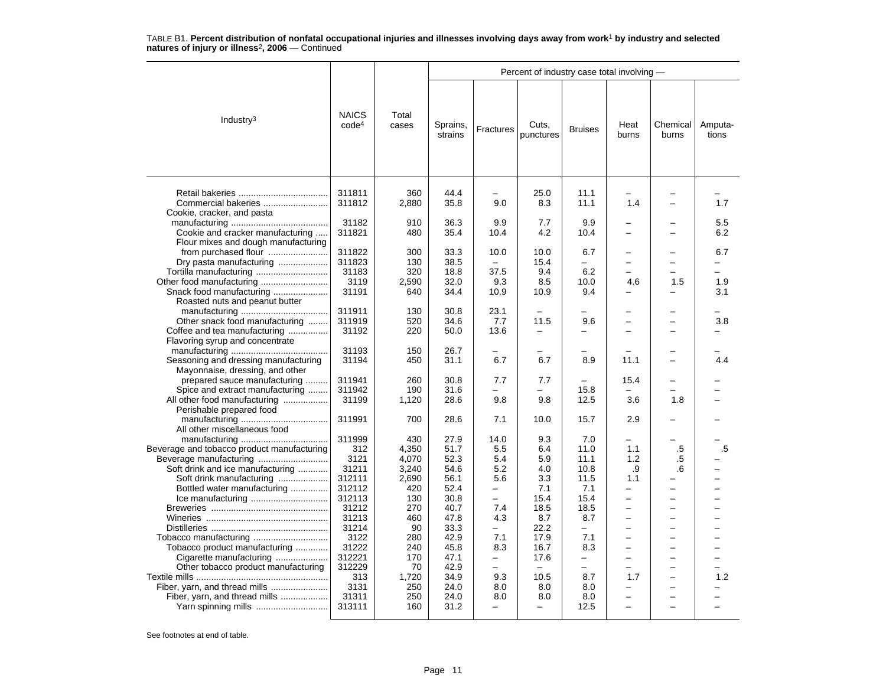|                                                                                                                                                                                                                                                                               |                                                                                                                                                                |                                                                                                                                    | Percent of industry case total involving -                                                                                                   |                                                                                                                    |                                                                                                                                                 |                                                                                                                                                                           |                                                                                                                                                                           |                                                                                                                                                                   |                   |  |  |
|-------------------------------------------------------------------------------------------------------------------------------------------------------------------------------------------------------------------------------------------------------------------------------|----------------------------------------------------------------------------------------------------------------------------------------------------------------|------------------------------------------------------------------------------------------------------------------------------------|----------------------------------------------------------------------------------------------------------------------------------------------|--------------------------------------------------------------------------------------------------------------------|-------------------------------------------------------------------------------------------------------------------------------------------------|---------------------------------------------------------------------------------------------------------------------------------------------------------------------------|---------------------------------------------------------------------------------------------------------------------------------------------------------------------------|-------------------------------------------------------------------------------------------------------------------------------------------------------------------|-------------------|--|--|
| Industry <sup>3</sup>                                                                                                                                                                                                                                                         | <b>NAICS</b><br>code <sup>4</sup>                                                                                                                              | Total<br>cases                                                                                                                     | Sprains,<br>strains                                                                                                                          | Fractures                                                                                                          | Cuts,<br>punctures                                                                                                                              | <b>Bruises</b>                                                                                                                                                            | Heat<br>burns                                                                                                                                                             | Chemical<br>burns                                                                                                                                                 | Amputa-<br>tions  |  |  |
| Commercial bakeries<br>Cookie, cracker, and pasta                                                                                                                                                                                                                             | 311811<br>311812                                                                                                                                               | 360<br>2,880                                                                                                                       | 44.4<br>35.8                                                                                                                                 | 9.0                                                                                                                | 25.0<br>8.3                                                                                                                                     | 11.1<br>11.1                                                                                                                                                              | 1.4                                                                                                                                                                       |                                                                                                                                                                   | 1.7               |  |  |
| Cookie and cracker manufacturing                                                                                                                                                                                                                                              | 31182<br>311821                                                                                                                                                | 910<br>480                                                                                                                         | 36.3<br>35.4                                                                                                                                 | 9.9<br>10.4                                                                                                        | 7.7<br>4.2                                                                                                                                      | 9.9<br>10.4                                                                                                                                                               |                                                                                                                                                                           |                                                                                                                                                                   | 5.5<br>6.2        |  |  |
| Flour mixes and dough manufacturing<br>from purchased flour<br>Dry pasta manufacturing                                                                                                                                                                                        | 311822<br>311823<br>31183<br>3119<br>31191                                                                                                                     | 300<br>130<br>320<br>2,590<br>640                                                                                                  | 33.3<br>38.5<br>18.8<br>32.0<br>34.4                                                                                                         | 10.0<br>37.5<br>9.3<br>10.9                                                                                        | 10.0<br>15.4<br>9.4<br>8.5<br>10.9                                                                                                              | 6.7<br>6.2<br>10.0<br>9.4                                                                                                                                                 | 4.6                                                                                                                                                                       | $\overline{\phantom{0}}$<br>-<br>1.5                                                                                                                              | 6.7<br>1.9<br>3.1 |  |  |
| Roasted nuts and peanut butter<br>Other snack food manufacturing<br>Coffee and tea manufacturing<br>Flavoring syrup and concentrate                                                                                                                                           | 311911<br>311919<br>31192                                                                                                                                      | 130<br>520<br>220                                                                                                                  | 30.8<br>34.6<br>50.0                                                                                                                         | 23.1<br>7.7<br>13.6                                                                                                | 11.5<br>$\overline{\phantom{0}}$                                                                                                                | 9.6<br>$\overline{\phantom{0}}$                                                                                                                                           | $\overline{\phantom{0}}$                                                                                                                                                  | $\overline{\phantom{0}}$<br>$\overline{\phantom{0}}$                                                                                                              | 3.8               |  |  |
| Seasoning and dressing manufacturing<br>Mayonnaise, dressing, and other                                                                                                                                                                                                       | 31193<br>31194                                                                                                                                                 | 150<br>450                                                                                                                         | 26.7<br>31.1                                                                                                                                 | 6.7                                                                                                                | 6.7                                                                                                                                             | 8.9                                                                                                                                                                       | 11.1                                                                                                                                                                      | $\equiv$                                                                                                                                                          | 4.4               |  |  |
| prepared sauce manufacturing<br>Spice and extract manufacturing<br>All other food manufacturing<br>Perishable prepared food                                                                                                                                                   | 311941<br>311942<br>31199                                                                                                                                      | 260<br>190<br>1,120                                                                                                                | 30.8<br>31.6<br>28.6                                                                                                                         | 7.7<br>9.8                                                                                                         | 7.7<br>9.8                                                                                                                                      | $\equiv$<br>15.8<br>12.5                                                                                                                                                  | 15.4<br>3.6                                                                                                                                                               | 1.8                                                                                                                                                               |                   |  |  |
| All other miscellaneous food                                                                                                                                                                                                                                                  | 311991                                                                                                                                                         | 700                                                                                                                                | 28.6                                                                                                                                         | 7.1                                                                                                                | 10.0                                                                                                                                            | 15.7                                                                                                                                                                      | 2.9                                                                                                                                                                       |                                                                                                                                                                   |                   |  |  |
| Beverage and tobacco product manufacturing<br>Soft drink and ice manufacturing<br>Soft drink manufacturing<br>Bottled water manufacturing<br>Tobacco product manufacturing<br>Cigarette manufacturing<br>Other tobacco product manufacturing<br>Fiber, yarn, and thread mills | 311999<br>312<br>3121<br>31211<br>312111<br>312112<br>312113<br>31212<br>31213<br>31214<br>3122<br>31222<br>312221<br>312229<br>313<br>3131<br>31311<br>313111 | 430<br>4,350<br>4.070<br>3,240<br>2,690<br>420<br>130<br>270<br>460<br>90<br>280<br>240<br>170<br>70<br>1,720<br>250<br>250<br>160 | 27.9<br>51.7<br>52.3<br>54.6<br>56.1<br>52.4<br>30.8<br>40.7<br>47.8<br>33.3<br>42.9<br>45.8<br>47.1<br>42.9<br>34.9<br>24.0<br>24.0<br>31.2 | 14.0<br>5.5<br>5.4<br>5.2<br>5.6<br>—<br>Ξ.<br>7.4<br>4.3<br>-<br>7.1<br>8.3<br>-<br>9.3<br>8.0<br>8.0<br>$\equiv$ | 9.3<br>6.4<br>5.9<br>4.0<br>3.3<br>7.1<br>15.4<br>18.5<br>8.7<br>22.2<br>17.9<br>16.7<br>17.6<br>10.5<br>8.0<br>8.0<br>$\overline{\phantom{0}}$ | 7.0<br>11.0<br>11.1<br>10.8<br>11.5<br>7.1<br>15.4<br>18.5<br>8.7<br>$\overline{\phantom{0}}$<br>7.1<br>8.3<br>-<br>$\overline{\phantom{0}}$<br>8.7<br>8.0<br>8.0<br>12.5 | 1.1<br>1.2<br>.9<br>1.1<br>-<br>-<br>$\overline{\phantom{0}}$<br>$\equiv$<br>÷<br>$\overline{\phantom{0}}$<br>$\overline{a}$<br>-<br>1.7<br>-<br>$\overline{\phantom{0}}$ | .5<br>.5<br>.6<br>$\overline{a}$<br>$\overline{\phantom{0}}$<br>$\overline{\phantom{0}}$<br>-<br>$\overline{\phantom{0}}$<br>$\overline{\phantom{0}}$<br>$\equiv$ | .5<br>1.2         |  |  |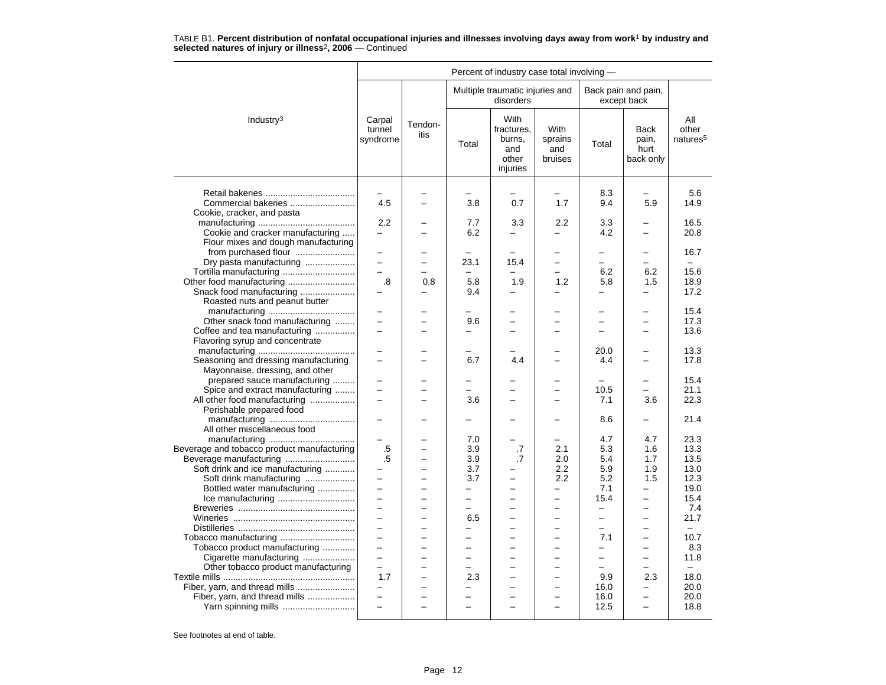|                                                                                                                          | Percent of industry case total involving -                                                            |                                                                                  |                                                                                          |                                                                                                    |                                                                        |                                                                          |                                                                                              |                                       |  |  |
|--------------------------------------------------------------------------------------------------------------------------|-------------------------------------------------------------------------------------------------------|----------------------------------------------------------------------------------|------------------------------------------------------------------------------------------|----------------------------------------------------------------------------------------------------|------------------------------------------------------------------------|--------------------------------------------------------------------------|----------------------------------------------------------------------------------------------|---------------------------------------|--|--|
|                                                                                                                          |                                                                                                       |                                                                                  |                                                                                          | Multiple traumatic injuries and<br>disorders                                                       |                                                                        |                                                                          | Back pain and pain,<br>except back                                                           |                                       |  |  |
| Industry <sup>3</sup>                                                                                                    | Carpal<br>tunnel<br>syndrome                                                                          | Tendon-<br>itis                                                                  | Total                                                                                    | With<br>fractures,<br>burns,<br>and<br>other<br>injuries                                           | With<br>sprains<br>and<br>bruises                                      | Total                                                                    | <b>Back</b><br>pain,<br>hurt<br>back only                                                    | All<br>other<br>natures <sup>5</sup>  |  |  |
| Commercial bakeries<br>Cookie, cracker, and pasta                                                                        | 4.5                                                                                                   |                                                                                  | 3.8                                                                                      | 0.7                                                                                                | 1.7                                                                    | 8.3<br>9.4                                                               | 5.9                                                                                          | 5.6<br>14.9                           |  |  |
| Cookie and cracker manufacturing<br>Flour mixes and dough manufacturing                                                  | 2.2<br>$\overline{\phantom{0}}$                                                                       |                                                                                  | 7.7<br>6.2                                                                               | 3.3                                                                                                | 2.2<br>$\overline{\phantom{0}}$                                        | 3.3<br>4.2                                                               |                                                                                              | 16.5<br>20.8                          |  |  |
| from purchased flour<br>Dry pasta manufacturing<br>Tortilla manufacturing                                                | $\overline{\phantom{0}}$<br>$\equiv$                                                                  | $\overline{\phantom{0}}$                                                         | 23.1                                                                                     | 15.4                                                                                               | $\overline{\phantom{0}}$                                               | $\equiv$<br>-<br>6.2                                                     | $\overline{\phantom{0}}$<br>$\overline{\phantom{0}}$<br>6.2                                  | 16.7<br>$\equiv$<br>15.6              |  |  |
| Snack food manufacturing<br>Roasted nuts and peanut butter                                                               | .8                                                                                                    | 0.8                                                                              | 5.8<br>9.4                                                                               | 1.9                                                                                                | 1.2<br>-                                                               | 5.8<br>-                                                                 | 1.5<br>$\overline{\phantom{0}}$                                                              | 18.9<br>17.2                          |  |  |
| Other snack food manufacturing<br>Coffee and tea manufacturing                                                           | $\equiv$                                                                                              |                                                                                  | 9.6                                                                                      | $\overline{\phantom{0}}$                                                                           | $\overline{\phantom{0}}$                                               | $\overline{a}$                                                           | $\overline{\phantom{0}}$<br>-                                                                | 15.4<br>17.3<br>13.6                  |  |  |
| Flavoring syrup and concentrate<br>Seasoning and dressing manufacturing                                                  | $\overline{\phantom{0}}$                                                                              |                                                                                  | 6.7                                                                                      | 4.4                                                                                                |                                                                        | 20.0<br>4.4                                                              |                                                                                              | 13.3<br>17.8                          |  |  |
| Mayonnaise, dressing, and other<br>prepared sauce manufacturing<br>Spice and extract manufacturing                       | $\equiv$                                                                                              |                                                                                  | $\overline{\phantom{0}}$                                                                 |                                                                                                    |                                                                        | $\equiv$<br>10.5                                                         | $\overline{\phantom{0}}$                                                                     | 15.4<br>21.1                          |  |  |
| All other food manufacturing<br>Perishable prepared food<br>All other miscellaneous food                                 | $\overline{\phantom{0}}$                                                                              |                                                                                  | 3.6                                                                                      | $\overline{a}$                                                                                     |                                                                        | 7.1<br>8.6                                                               | 3.6                                                                                          | 22.3<br>21.4                          |  |  |
| Beverage and tobacco product manufacturing<br>Soft drink and ice manufacturing<br>Soft drink manufacturing               | $\equiv$<br>.5<br>.5<br>$\equiv$                                                                      | -<br>$\overline{a}$<br>$\overline{\phantom{0}}$                                  | 7.0<br>3.9<br>3.9<br>3.7<br>3.7                                                          | $\equiv$<br>.7<br>.7                                                                               | $\equiv$<br>2.1<br>2.0<br>2.2<br>2.2                                   | 4.7<br>5.3<br>5.4<br>5.9<br>5.2                                          | 4.7<br>1.6<br>1.7<br>1.9<br>1.5                                                              | 23.3<br>13.3<br>13.5<br>13.0<br>12.3  |  |  |
| Bottled water manufacturing                                                                                              | $\overline{\phantom{0}}$<br>$\qquad \qquad -$<br>$\overline{\phantom{0}}$<br>$\overline{\phantom{a}}$ | $\overline{\phantom{0}}$<br>$\overline{a}$<br>-                                  | $\equiv$<br>$\equiv$<br>-<br>6.5<br>$\overline{\phantom{0}}$<br>$\overline{\phantom{a}}$ | $\overline{\phantom{0}}$<br>$\overline{\phantom{0}}$<br>$\overline{\phantom{0}}$<br>$\overline{a}$ | $\equiv$<br>$\overline{\phantom{0}}$<br>$\overline{a}$<br>$\equiv$     | 7.1<br>15.4<br>$\qquad \qquad -$<br>$\overline{\phantom{0}}$<br>$\equiv$ | $\equiv$<br>—<br>-<br>$\overline{\phantom{0}}$<br>$\overline{\phantom{0}}$<br>$\overline{a}$ | 19.0<br>15.4<br>7.4<br>21.7<br>$\sim$ |  |  |
| Tobacco manufacturing<br>Tobacco product manufacturing<br>Cigarette manufacturing<br>Other tobacco product manufacturing | $\equiv$<br>$\equiv$<br>1.7                                                                           | $\overline{\phantom{0}}$<br>$\overline{\phantom{0}}$<br>$\overline{\phantom{0}}$ | $\overline{a}$<br>$\overline{\phantom{0}}$<br>-<br>2.3                                   | $\overline{\phantom{0}}$<br>$\overline{\phantom{0}}$                                               | $\overline{\phantom{0}}$<br>$\overline{\phantom{0}}$<br>$\overline{a}$ | 7.1<br>$\equiv$<br>$\overline{\phantom{0}}$<br>9.9                       | $\overline{a}$<br>-<br>2.3                                                                   | 10.7<br>8.3<br>11.8<br>18.0           |  |  |
| Fiber, yarn, and thread mills<br>Fiber, yarn, and thread mills<br>Yarn spinning mills                                    | $\equiv$<br>$\equiv$                                                                                  | $\overline{\phantom{0}}$<br>÷                                                    | $\overline{\phantom{0}}$<br>$\overline{\phantom{0}}$                                     | $\overline{\phantom{0}}$<br>L.                                                                     | $\overline{\phantom{0}}$<br>$\overline{\phantom{0}}$                   | 16.0<br>16.0<br>12.5                                                     | -<br>$\equiv$<br>$\overline{a}$                                                              | 20.0<br>20.0<br>18.8                  |  |  |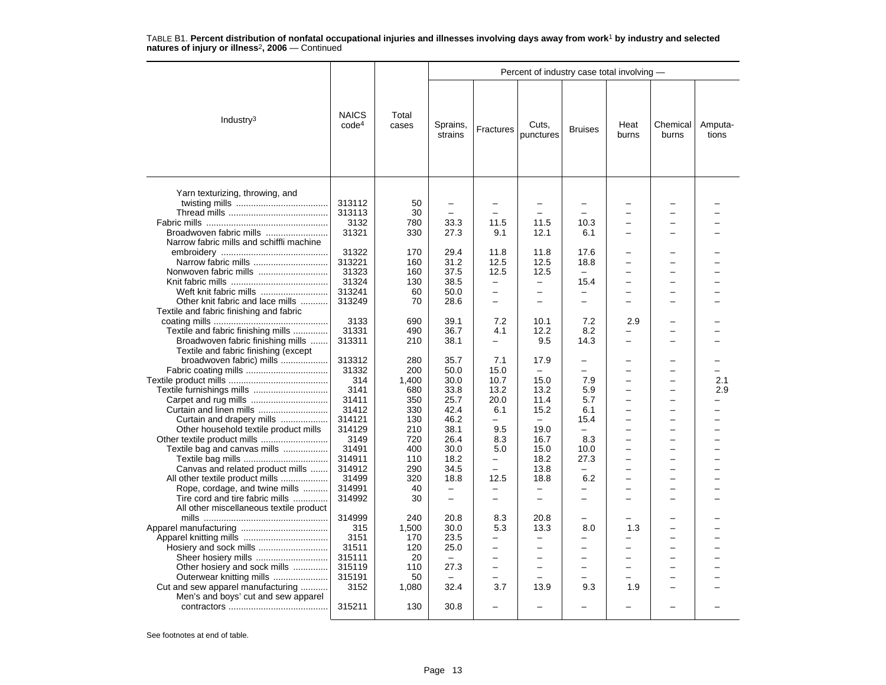|                                                                                                              |                                   |                            | Percent of industry case total involving -           |                                                  |                                                  |                                                             |                               |                                      |                  |  |  |
|--------------------------------------------------------------------------------------------------------------|-----------------------------------|----------------------------|------------------------------------------------------|--------------------------------------------------|--------------------------------------------------|-------------------------------------------------------------|-------------------------------|--------------------------------------|------------------|--|--|
| Industry $3$                                                                                                 | <b>NAICS</b><br>code <sup>4</sup> | Total<br>cases             | Sprains,<br>strains                                  | Fractures                                        | Cuts,<br>punctures                               | <b>Bruises</b>                                              | Heat<br>burns                 | Chemical<br>burns                    | Amputa-<br>tions |  |  |
| Yarn texturizing, throwing, and                                                                              | 313112<br>313113<br>3132          | 50<br>30<br>780            | 33.3                                                 | 11.5                                             | 11.5                                             | 10.3                                                        |                               |                                      |                  |  |  |
| Broadwoven fabric mills<br>Narrow fabric mills and schiffli machine                                          | 31321                             | 330                        | 27.3                                                 | 9.1                                              | 12.1                                             | 6.1                                                         | L.                            | $\equiv$                             |                  |  |  |
| Narrow fabric mills                                                                                          | 31322<br>313221<br>31323<br>31324 | 170<br>160<br>160<br>130   | 29.4<br>31.2<br>37.5<br>38.5                         | 11.8<br>12.5<br>12.5<br>$\overline{\phantom{0}}$ | 11.8<br>12.5<br>12.5<br>$\overline{\phantom{0}}$ | 17.6<br>18.8<br>$\overline{\phantom{0}}$<br>15.4            | L.                            | -                                    |                  |  |  |
| Weft knit fabric mills<br>Other knit fabric and lace mills<br>Textile and fabric finishing and fabric        | 313241<br>313249                  | 60<br>70                   | 50.0<br>28.6                                         | $\equiv$<br>$\equiv$                             | $\overline{\phantom{0}}$<br>-                    | $\equiv$<br>$\overline{\phantom{0}}$                        | ÷                             | -<br>-                               |                  |  |  |
| Textile and fabric finishing mills<br>Broadwoven fabric finishing mills                                      | 3133<br>31331<br>313311           | 690<br>490<br>210          | 39.1<br>36.7<br>38.1                                 | 7.2<br>4.1<br>—                                  | 10.1<br>12.2<br>9.5                              | 7.2<br>8.2<br>14.3                                          | 2.9<br>-                      | $\overline{\phantom{0}}$             |                  |  |  |
| Textile and fabric finishing (except<br>broadwoven fabric) mills                                             | 313312<br>31332<br>314            | 280<br>200<br>1,400        | 35.7<br>50.0<br>30.0                                 | 7.1<br>15.0<br>10.7                              | 17.9<br>$\overline{\phantom{m}}$<br>15.0         | $\overline{\phantom{0}}$<br>$\overline{\phantom{0}}$<br>7.9 | L.                            | $\equiv$                             | 2.1              |  |  |
| Curtain and linen mills                                                                                      | 3141<br>31411<br>31412            | 680<br>350<br>330          | 33.8<br>25.7<br>42.4                                 | 13.2<br>20.0<br>6.1                              | 13.2<br>11.4<br>15.2                             | 5.9<br>5.7<br>6.1                                           | L.<br>L.                      | $\equiv$<br>$\equiv$                 | 2.9              |  |  |
| Curtain and drapery mills<br>Other household textile product mills                                           | 314121<br>314129<br>3149<br>31491 | 130<br>210<br>720<br>400   | 46.2<br>38.1<br>26.4<br>30.0                         | 9.5<br>8.3<br>5.0                                | 19.0<br>16.7<br>15.0                             | 15.4<br>$\equiv$<br>8.3                                     | $\overline{\phantom{0}}$<br>L | $\overline{\phantom{0}}$<br>÷        |                  |  |  |
| Textile bag and canvas mills<br>Canvas and related product mills<br>All other textile product mills          | 314911<br>314912<br>31499         | 110<br>290<br>320          | 18.2<br>34.5<br>18.8                                 | $\equiv$<br>$\sim$<br>12.5                       | 18.2<br>13.8<br>18.8                             | 10.0<br>27.3<br>$\overline{\phantom{0}}$<br>6.2             | L.<br>L.                      | $\overline{\phantom{0}}$<br>$\equiv$ |                  |  |  |
| Rope, cordage, and twine mills<br>Tire cord and tire fabric mills<br>All other miscellaneous textile product | 314991<br>314992                  | 40<br>30                   | $\overline{\phantom{0}}$<br>$\overline{\phantom{m}}$ | $\overline{\phantom{m}}$<br>$\equiv$             | $\equiv$<br>$\overline{\phantom{0}}$             | $\overline{a}$<br>$\overline{\phantom{0}}$                  | -                             | -                                    |                  |  |  |
|                                                                                                              | 314999<br>315<br>3151<br>31511    | 240<br>1,500<br>170<br>120 | 20.8<br>30.0<br>23.5<br>25.0                         | 8.3<br>5.3<br>-<br>-                             | 20.8<br>13.3<br>$\equiv$<br>-                    | -<br>8.0<br>-<br>-                                          | 1.3                           | $\overline{\phantom{0}}$<br>-<br>-   |                  |  |  |
| Sheer hosiery mills<br>Other hosiery and sock mills<br>Outerwear knitting mills                              | 315111<br>315119<br>315191        | 20<br>110<br>50            | $\equiv$<br>27.3<br>$\overline{\phantom{m}}$         | $\equiv$<br>$\overline{\phantom{0}}$             | -                                                | $\overline{\phantom{0}}$<br>$\equiv$<br>-                   |                               | -<br>$\overline{\phantom{0}}$        |                  |  |  |
| Cut and sew apparel manufacturing<br>Men's and boys' cut and sew apparel                                     | 3152<br>315211                    | 1,080<br>130               | 32.4<br>30.8                                         | 3.7                                              | 13.9                                             | 9.3                                                         | 1.9                           |                                      |                  |  |  |
|                                                                                                              |                                   |                            |                                                      |                                                  |                                                  |                                                             |                               |                                      |                  |  |  |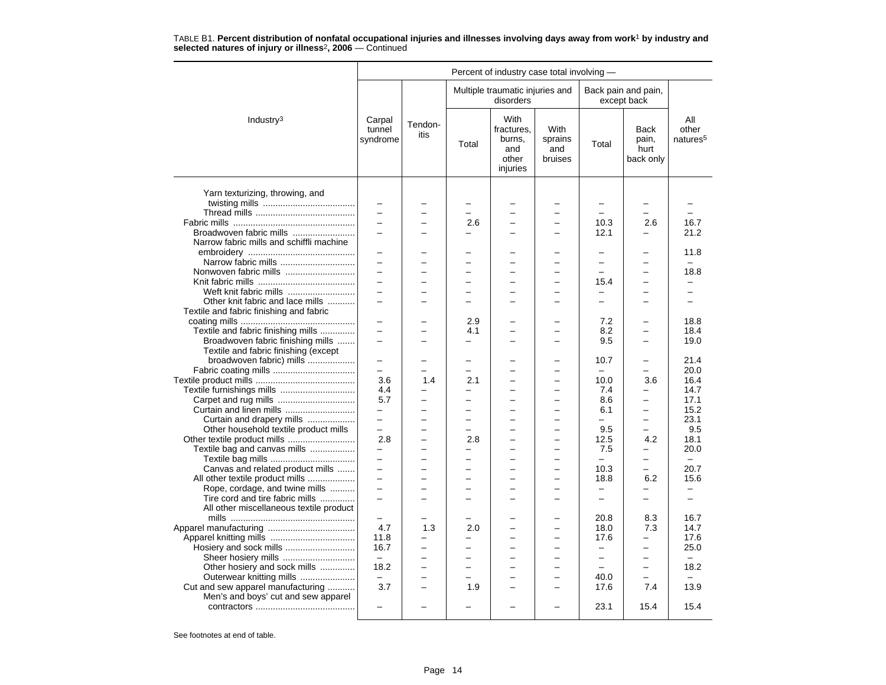|                                          |                              |                          |                          | Percent of industry case total involving -                      |                                   |                          |                                    |                                      |
|------------------------------------------|------------------------------|--------------------------|--------------------------|-----------------------------------------------------------------|-----------------------------------|--------------------------|------------------------------------|--------------------------------------|
|                                          |                              |                          |                          | Multiple traumatic injuries and<br>disorders                    |                                   |                          | Back pain and pain,<br>except back |                                      |
| Industry <sup>3</sup>                    | Carpal<br>tunnel<br>syndrome | Tendon-<br>itis          | Total                    | <b>With</b><br>fractures.<br>burns.<br>and<br>other<br>injuries | With<br>sprains<br>and<br>bruises | Total                    | Back<br>pain,<br>hurt<br>back only | All<br>other<br>natures <sup>5</sup> |
| Yarn texturizing, throwing, and          |                              |                          |                          |                                                                 |                                   | $\equiv$                 | $\equiv$                           |                                      |
|                                          | $\overline{\phantom{0}}$     |                          | $\overline{\phantom{0}}$ | $\overline{\phantom{0}}$                                        |                                   |                          | -                                  |                                      |
|                                          | $\equiv$                     |                          | 2.6                      | ÷                                                               |                                   | 10.3                     | 2.6                                | 16.7                                 |
| Broadwoven fabric mills                  | $\overline{\phantom{0}}$     |                          | $\overline{a}$           |                                                                 |                                   | 12.1                     | $\overline{a}$                     | 21.2                                 |
| Narrow fabric mills and schiffli machine |                              |                          |                          |                                                                 |                                   |                          |                                    |                                      |
|                                          |                              |                          |                          |                                                                 |                                   |                          |                                    | 11.8                                 |
| Narrow fabric mills                      | $\overline{\phantom{0}}$     |                          |                          |                                                                 |                                   | -                        |                                    | $\overline{\phantom{0}}$             |
| Nonwoven fabric mills                    |                              |                          |                          |                                                                 |                                   |                          |                                    | 18.8                                 |
|                                          | $\equiv$                     | $\equiv$                 | ÷                        | $\overline{\phantom{0}}$                                        | $\overline{\phantom{0}}$          | 15.4                     | $\overline{\phantom{0}}$           |                                      |
| Weft knit fabric mills                   | $\overline{\phantom{0}}$     |                          | -                        |                                                                 |                                   | -                        | -                                  | -                                    |
| Other knit fabric and lace mills         |                              |                          |                          |                                                                 |                                   |                          |                                    |                                      |
| Textile and fabric finishing and fabric  |                              |                          |                          |                                                                 |                                   |                          |                                    |                                      |
|                                          | $\overline{\phantom{0}}$     |                          | 2.9                      | $\overline{\phantom{0}}$                                        | $\equiv$                          | 7.2                      | $\overline{\phantom{0}}$           | 18.8                                 |
| Textile and fabric finishing mills       |                              |                          | 4.1                      |                                                                 |                                   | 8.2                      |                                    | 18.4                                 |
| Broadwoven fabric finishing mills        | $\overline{\phantom{0}}$     |                          | $\overline{a}$           | $\overline{\phantom{0}}$                                        | ۳                                 | 9.5                      | $\overline{\phantom{0}}$           | 19.0                                 |
|                                          |                              |                          |                          |                                                                 |                                   |                          |                                    |                                      |
| Textile and fabric finishing (except     |                              |                          |                          |                                                                 |                                   | 10.7                     |                                    | 21.4                                 |
| broadwoven fabric) mills                 | $\equiv$                     |                          | $\overline{\phantom{0}}$ |                                                                 |                                   | $\equiv$                 | $\overline{a}$                     | 20.0                                 |
|                                          |                              |                          |                          |                                                                 | $\overline{\phantom{0}}$          |                          |                                    |                                      |
|                                          | 3.6                          | 1.4                      | 2.1                      | $\overline{\phantom{0}}$                                        |                                   | 10.0                     | 3.6                                | 16.4                                 |
| Textile furnishings mills                | 4.4                          |                          |                          |                                                                 |                                   | 7.4                      |                                    | 14.7                                 |
| Carpet and rug mills                     | 5.7                          |                          | $\overline{a}$           |                                                                 |                                   | 8.6                      | $\overline{a}$                     | 17.1                                 |
| Curtain and linen mills                  | $\equiv$                     |                          | $\overline{\phantom{0}}$ | $\overline{\phantom{0}}$                                        | $\overline{\phantom{0}}$          | 6.1                      | -                                  | 15.2                                 |
| Curtain and drapery mills                |                              |                          | -                        |                                                                 |                                   |                          |                                    | 23.1                                 |
| Other household textile product mills    | $\equiv$                     | $\overline{\phantom{0}}$ | $\overline{\phantom{0}}$ | $\overline{\phantom{0}}$                                        | $\overline{a}$                    | 9.5                      | $\overline{a}$                     | 9.5                                  |
|                                          | 2.8                          | $\overline{\phantom{0}}$ | 2.8                      | $\overline{\phantom{0}}$                                        | $\overline{\phantom{0}}$          | 12.5                     | 4.2                                | 18.1                                 |
| Textile bag and canvas mills             | $\sim$                       |                          | ۳                        | ÷                                                               |                                   | 7.5                      | $\overline{\phantom{0}}$           | 20.0                                 |
|                                          | $\overline{\phantom{0}}$     |                          | -                        | $\overline{\phantom{0}}$                                        |                                   | $\equiv$                 | $\overline{\phantom{0}}$           | $\equiv$                             |
| Canvas and related product mills         | $\equiv$                     |                          | $\overline{\phantom{0}}$ | $\overline{\phantom{0}}$                                        |                                   | 10.3                     | $\equiv$                           | 20.7                                 |
| All other textile product mills          | $\equiv$                     |                          | $\overline{\phantom{0}}$ | $\equiv$                                                        | $\overline{\phantom{0}}$          | 18.8                     | 6.2                                | 15.6                                 |
| Rope, cordage, and twine mills           | $\overline{\phantom{0}}$     |                          |                          |                                                                 |                                   | $\qquad \qquad -$        | -                                  | $\overline{\phantom{0}}$             |
| Tire cord and tire fabric mills          | $\overline{\phantom{0}}$     |                          | $\overline{\phantom{0}}$ | $\overline{\phantom{0}}$                                        | $\overline{\phantom{0}}$          | $\overline{\phantom{0}}$ | $\overline{\phantom{0}}$           | $\overline{\phantom{0}}$             |
| All other miscellaneous textile product  |                              |                          |                          |                                                                 |                                   |                          |                                    |                                      |
|                                          | $\equiv$                     |                          | ÷                        |                                                                 | ۳                                 | 20.8                     | 8.3                                | 16.7                                 |
|                                          | 4.7                          | 1.3                      | 2.0                      |                                                                 |                                   | 18.0                     | 7.3                                | 14.7                                 |
|                                          | 11.8                         | $\overline{\phantom{0}}$ | $\overline{a}$           | $\overline{a}$                                                  | $\overline{a}$                    | 17.6                     | $\overline{a}$                     | 17.6                                 |
|                                          | 16.7                         | $\overline{\phantom{0}}$ | $\overline{\phantom{0}}$ | $\overline{\phantom{0}}$                                        |                                   | $\qquad \qquad -$        | —                                  | 25.0                                 |
| Sheer hosiery mills                      | $\overline{\phantom{m}}$     |                          |                          |                                                                 |                                   | $\overline{\phantom{0}}$ | —                                  | $\qquad \qquad -$                    |
| Other hosiery and sock mills             | 18.2                         | $\equiv$                 | $\overline{\phantom{0}}$ | ÷                                                               | $\overline{\phantom{0}}$          | $\equiv$                 | $\overline{a}$                     | 18.2                                 |
| Outerwear knitting mills                 | $\overline{\phantom{m}}$     | $\overline{\phantom{0}}$ | ÷                        | $\overline{\phantom{0}}$                                        | $\overline{\phantom{0}}$          | 40.0                     | $\overline{\phantom{0}}$           | $\equiv$                             |
| Cut and sew apparel manufacturing        | 3.7                          |                          | 1.9                      |                                                                 |                                   | 17.6                     | 7.4                                | 13.9                                 |
| Men's and boys' cut and sew apparel      |                              |                          |                          |                                                                 |                                   |                          |                                    |                                      |
|                                          | $\sim$                       | $\overline{\phantom{0}}$ | $\overline{\phantom{0}}$ | $\overline{\phantom{0}}$                                        | $\equiv$                          | 23.1                     | 15.4                               | 15.4                                 |
|                                          |                              |                          |                          |                                                                 |                                   |                          |                                    |                                      |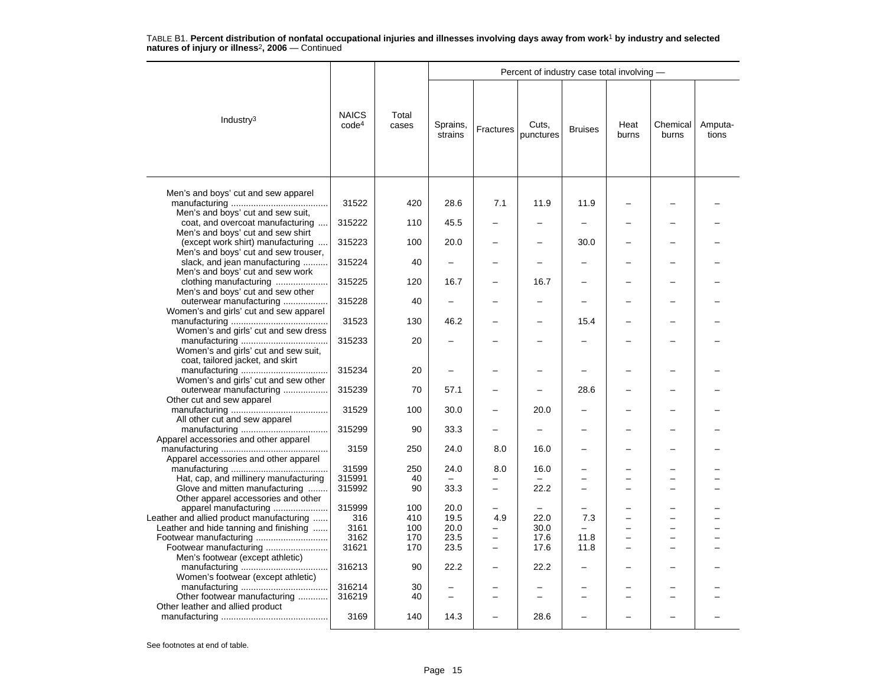|                                                                                                                |                                   |                |                     |                | Percent of industry case total involving - |                |               |                   |                  |
|----------------------------------------------------------------------------------------------------------------|-----------------------------------|----------------|---------------------|----------------|--------------------------------------------|----------------|---------------|-------------------|------------------|
| Industry <sup>3</sup>                                                                                          | <b>NAICS</b><br>code <sup>4</sup> | Total<br>cases | Sprains,<br>strains | Fractures      | Cuts,<br>punctures                         | <b>Bruises</b> | Heat<br>burns | Chemical<br>burns | Amputa-<br>tions |
| Men's and boys' cut and sew apparel<br>Men's and boys' cut and sew suit,                                       | 31522                             | 420            | 28.6                | 7.1            | 11.9                                       | 11.9           |               |                   |                  |
| coat, and overcoat manufacturing                                                                               | 315222                            | 110            | 45.5                |                |                                            |                |               |                   |                  |
| Men's and boys' cut and sew shirt<br>(except work shirt) manufacturing<br>Men's and boys' cut and sew trouser, | 315223                            | 100            | 20.0                |                |                                            | 30.0           |               |                   |                  |
| slack, and jean manufacturing<br>Men's and boys' cut and sew work                                              | 315224                            | 40             |                     |                |                                            |                |               |                   |                  |
| clothing manufacturing<br>Men's and boys' cut and sew other                                                    | 315225                            | 120            | 16.7                |                | 16.7                                       |                |               |                   |                  |
| outerwear manufacturing                                                                                        | 315228                            | 40             |                     |                |                                            |                |               |                   |                  |
| Women's and girls' cut and sew apparel<br>Women's and girls' cut and sew dress                                 | 31523                             | 130            | 46.2                |                |                                            | 15.4           |               |                   |                  |
| Women's and girls' cut and sew suit,                                                                           | 315233                            | 20             |                     |                |                                            |                |               |                   |                  |
| coat, tailored jacket, and skirt                                                                               | 315234                            | 20             |                     |                |                                            |                |               |                   |                  |
| Women's and girls' cut and sew other<br>outerwear manufacturing<br>Other cut and sew apparel                   | 315239                            | 70             | 57.1                |                |                                            | 28.6           |               |                   |                  |
| All other cut and sew apparel                                                                                  | 31529                             | 100            | 30.0                |                | 20.0                                       |                |               |                   |                  |
| Apparel accessories and other apparel                                                                          | 315299                            | 90             | 33.3                |                | $\overline{\phantom{0}}$                   |                |               |                   |                  |
| Apparel accessories and other apparel                                                                          | 3159                              | 250            | 24.0                | 8.0            | 16.0                                       |                |               |                   |                  |
|                                                                                                                | 31599                             | 250            | 24.0                | 8.0            | 16.0                                       |                |               |                   |                  |
| Hat, cap, and millinery manufacturing<br>Glove and mitten manufacturing                                        | 315991<br>315992                  | 40<br>90       | 33.3                | $\overline{a}$ | 22.2                                       |                |               |                   |                  |
| Other apparel accessories and other<br>apparel manufacturing                                                   | 315999                            | 100            | 20.0                |                |                                            |                |               |                   |                  |
| Leather and allied product manufacturing                                                                       | 316                               | 410            | 19.5                | 4.9            | 22.0                                       | 7.3            |               |                   |                  |
| Leather and hide tanning and finishing                                                                         | 3161                              | 100            | 20.0                | -              | 30.0                                       |                |               |                   |                  |
| Footwear manufacturing                                                                                         | 3162                              | 170            | 23.5                | -              | 17.6                                       | 11.8           |               |                   |                  |
| Footwear manufacturing<br>Men's footwear (except athletic)                                                     | 31621                             | 170            | 23.5                | $\overline{a}$ | 17.6                                       | 11.8           |               |                   |                  |
| Women's footwear (except athletic)                                                                             | 316213                            | 90             | 22.2                |                | 22.2                                       |                |               |                   |                  |
| Other footwear manufacturing                                                                                   | 316214<br>316219                  | 30<br>40       |                     |                |                                            |                |               |                   |                  |
| Other leather and allied product                                                                               | 3169                              | 140            | 14.3                |                | 28.6                                       |                |               |                   |                  |
|                                                                                                                |                                   |                |                     |                |                                            |                |               |                   |                  |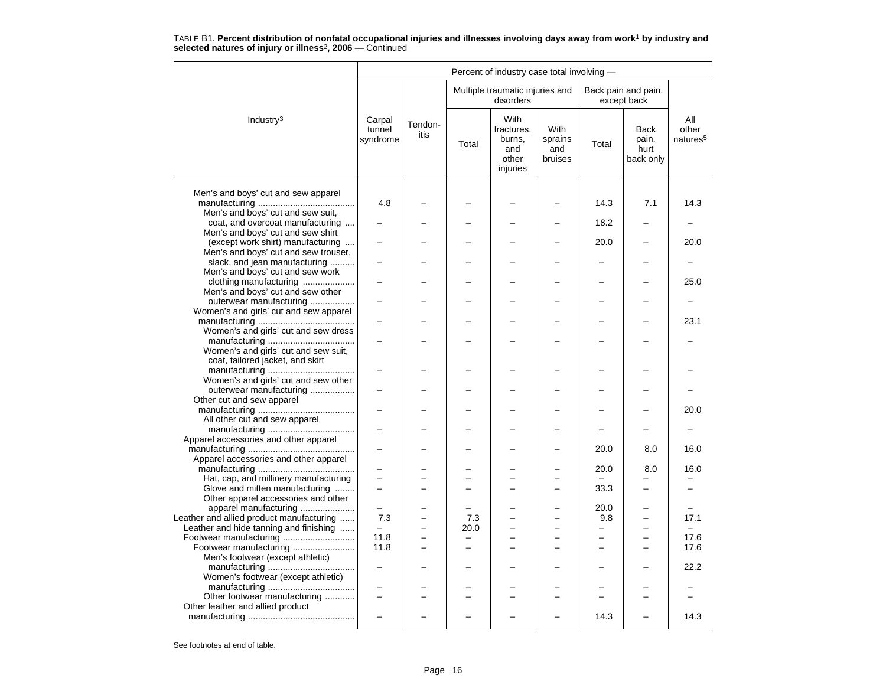|                                                                         |                              |                 |       | Percent of industry case total involving -               |                                          |                          |                                    |                                      |
|-------------------------------------------------------------------------|------------------------------|-----------------|-------|----------------------------------------------------------|------------------------------------------|--------------------------|------------------------------------|--------------------------------------|
|                                                                         |                              |                 |       | Multiple traumatic injuries and<br>disorders             |                                          |                          | Back pain and pain,<br>except back |                                      |
| Industry <sup>3</sup>                                                   | Carpal<br>tunnel<br>syndrome | Tendon-<br>itis | Total | With<br>fractures.<br>burns,<br>and<br>other<br>injuries | <b>With</b><br>sprains<br>and<br>bruises | Total                    | Back<br>pain,<br>hurt<br>back only | All<br>other<br>natures <sup>5</sup> |
|                                                                         |                              |                 |       |                                                          |                                          |                          |                                    |                                      |
| Men's and boys' cut and sew apparel                                     | 4.8                          |                 |       |                                                          |                                          | 14.3                     | 7.1                                | 14.3                                 |
| Men's and boys' cut and sew suit,                                       |                              |                 |       |                                                          |                                          |                          |                                    |                                      |
| coat, and overcoat manufacturing                                        |                              |                 |       |                                                          |                                          | 18.2                     |                                    |                                      |
| Men's and boys' cut and sew shirt                                       |                              |                 |       |                                                          |                                          |                          |                                    |                                      |
| (except work shirt) manufacturing                                       |                              |                 |       |                                                          |                                          | 20.0                     |                                    | 20.0                                 |
| Men's and boys' cut and sew trouser,                                    |                              |                 |       |                                                          |                                          |                          |                                    |                                      |
| slack, and jean manufacturing                                           |                              |                 |       |                                                          |                                          |                          |                                    |                                      |
| Men's and boys' cut and sew work                                        |                              |                 |       |                                                          |                                          |                          |                                    |                                      |
| clothing manufacturing                                                  |                              |                 |       |                                                          |                                          |                          |                                    | 25.0                                 |
| Men's and boys' cut and sew other<br>outerwear manufacturing            |                              |                 |       |                                                          |                                          |                          |                                    |                                      |
| Women's and girls' cut and sew apparel                                  |                              |                 |       |                                                          |                                          |                          |                                    |                                      |
|                                                                         |                              |                 |       |                                                          |                                          |                          |                                    | 23.1                                 |
| Women's and girls' cut and sew dress                                    |                              |                 |       |                                                          |                                          |                          |                                    |                                      |
|                                                                         | $\overline{\phantom{0}}$     |                 |       | -                                                        |                                          |                          |                                    |                                      |
| Women's and girls' cut and sew suit,                                    |                              |                 |       |                                                          |                                          |                          |                                    |                                      |
| coat, tailored jacket, and skirt                                        |                              |                 |       |                                                          |                                          |                          |                                    |                                      |
|                                                                         |                              |                 |       |                                                          |                                          |                          |                                    |                                      |
| Women's and girls' cut and sew other                                    | $\overline{\phantom{0}}$     |                 |       |                                                          |                                          |                          |                                    |                                      |
| outerwear manufacturing<br>Other cut and sew apparel                    |                              |                 |       |                                                          |                                          |                          |                                    |                                      |
|                                                                         |                              |                 |       |                                                          |                                          |                          |                                    | 20.0                                 |
| All other cut and sew apparel                                           |                              |                 |       |                                                          |                                          |                          |                                    |                                      |
|                                                                         |                              |                 |       |                                                          |                                          |                          |                                    |                                      |
| Apparel accessories and other apparel                                   |                              |                 |       |                                                          |                                          |                          |                                    |                                      |
|                                                                         |                              |                 |       |                                                          |                                          | 20.0                     | 8.0                                | 16.0                                 |
| Apparel accessories and other apparel                                   |                              |                 |       |                                                          |                                          |                          |                                    |                                      |
|                                                                         |                              |                 |       |                                                          |                                          | 20.0                     | 8.0                                | 16.0                                 |
| Hat, cap, and millinery manufacturing<br>Glove and mitten manufacturing | $\overline{a}$               |                 |       | $\overline{\phantom{0}}$                                 |                                          | 33.3                     | $\overline{a}$                     |                                      |
| Other apparel accessories and other                                     |                              |                 |       |                                                          |                                          |                          |                                    |                                      |
| apparel manufacturing                                                   | $\overline{\phantom{0}}$     |                 |       |                                                          |                                          | 20.0                     |                                    |                                      |
| Leather and allied product manufacturing                                | 7.3                          |                 | 7.3   | $\overline{\phantom{0}}$                                 | $\overline{\phantom{0}}$                 | 9.8                      | -                                  | 17.1                                 |
| Leather and hide tanning and finishing                                  | $\overline{\phantom{0}}$     |                 | 20.0  | $\overline{\phantom{0}}$                                 |                                          | $\overline{\phantom{0}}$ |                                    |                                      |
|                                                                         | 11.8                         |                 |       |                                                          |                                          |                          |                                    | 17.6                                 |
| Footwear manufacturing                                                  | 11.8                         |                 |       | $\overline{\phantom{0}}$                                 | $\overline{\phantom{0}}$                 |                          | -                                  | 17.6                                 |
| Men's footwear (except athletic)                                        |                              |                 |       |                                                          |                                          |                          |                                    |                                      |
|                                                                         |                              |                 |       |                                                          |                                          |                          |                                    | 22.2                                 |
| Women's footwear (except athletic)                                      |                              |                 |       |                                                          |                                          |                          |                                    |                                      |
| Other footwear manufacturing                                            | $\overline{\phantom{0}}$     |                 |       |                                                          |                                          |                          |                                    |                                      |
| Other leather and allied product                                        |                              |                 |       |                                                          |                                          |                          |                                    |                                      |
|                                                                         |                              |                 |       |                                                          |                                          | 14.3                     |                                    | 14.3                                 |
|                                                                         |                              |                 |       |                                                          |                                          |                          |                                    |                                      |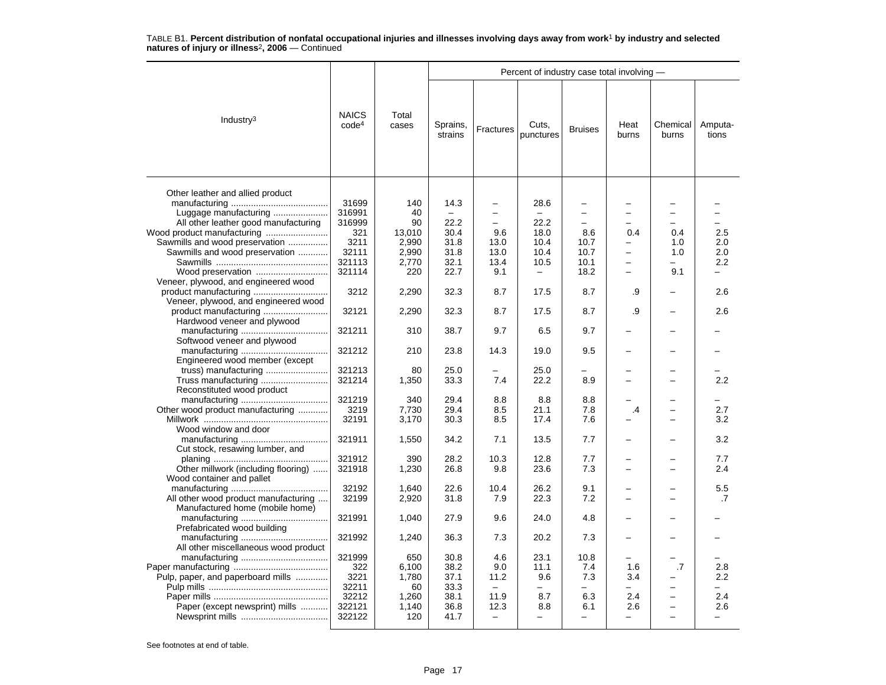|                                                                                                   |                                   |                           |                      |                                 | Percent of industry case total involving - |                                                        |                          |                   |                  |
|---------------------------------------------------------------------------------------------------|-----------------------------------|---------------------------|----------------------|---------------------------------|--------------------------------------------|--------------------------------------------------------|--------------------------|-------------------|------------------|
| Industry $3$                                                                                      | <b>NAICS</b><br>code <sup>4</sup> | Total<br>cases            | Sprains,<br>strains  | Fractures                       | Cuts,<br>punctures                         | <b>Bruises</b>                                         | Heat<br>burns            | Chemical<br>burns | Amputa-<br>tions |
| Other leather and allied product<br>Luggage manufacturing<br>All other leather good manufacturing | 31699<br>316991<br>316999<br>321  | 140<br>40<br>90<br>13,010 | 14.3<br>22.2<br>30.4 | -<br>-<br>$\overline{a}$<br>9.6 | 28.6<br>22.2<br>18.0                       | $\overline{\phantom{0}}$<br>—<br>$\overline{a}$<br>8.6 | 0.4                      | 0.4               | 2.5              |
| Sawmills and wood preservation                                                                    | 3211                              | 2,990                     | 31.8                 | 13.0                            | 10.4                                       | 10.7                                                   |                          | 1.0               | 2.0              |
| Sawmills and wood preservation                                                                    | 32111                             | 2,990                     | 31.8                 | 13.0                            | 10.4                                       | 10.7                                                   | $\overline{\phantom{0}}$ | 1.0               | 2.0              |
|                                                                                                   | 321113                            | 2,770                     | 32.1                 | 13.4                            | 10.5                                       | 10.1                                                   | L.                       | -                 | 2.2              |
| Wood preservation                                                                                 | 321114                            | 220                       | 22.7                 | 9.1                             | $\qquad \qquad -$                          | 18.2                                                   | $\overline{\phantom{0}}$ | 9.1               |                  |
| Veneer, plywood, and engineered wood                                                              |                                   |                           |                      |                                 |                                            |                                                        |                          |                   |                  |
| product manufacturing<br>Veneer, plywood, and engineered wood                                     | 3212                              | 2,290                     | 32.3                 | 8.7                             | 17.5                                       | 8.7                                                    | .9                       |                   | 2.6              |
| Hardwood veneer and plywood                                                                       | 32121                             | 2,290                     | 32.3                 | 8.7                             | 17.5                                       | 8.7                                                    | .9                       |                   | 2.6              |
| Softwood veneer and plywood                                                                       | 321211                            | 310                       | 38.7                 | 9.7                             | 6.5                                        | 9.7                                                    |                          |                   |                  |
| Engineered wood member (except                                                                    | 321212                            | 210                       | 23.8                 | 14.3                            | 19.0                                       | 9.5                                                    |                          |                   |                  |
|                                                                                                   | 321213                            | 80                        | 25.0                 |                                 | 25.0                                       |                                                        |                          |                   |                  |
| Truss manufacturing<br>Reconstituted wood product                                                 | 321214                            | 1,350                     | 33.3                 | 7.4                             | 22.2                                       | 8.9                                                    |                          |                   | 2.2              |
|                                                                                                   | 321219                            | 340                       | 29.4                 | 8.8                             | 8.8                                        | 8.8                                                    |                          |                   |                  |
| Other wood product manufacturing                                                                  | 3219                              | 7,730                     | 29.4                 | 8.5                             | 21.1                                       | 7.8                                                    | .4                       |                   | 2.7              |
| Wood window and door                                                                              | 32191                             | 3,170                     | 30.3                 | 8.5                             | 17.4                                       | 7.6                                                    |                          |                   | 3.2              |
| Cut stock, resawing lumber, and                                                                   | 321911                            | 1,550                     | 34.2                 | 7.1                             | 13.5                                       | 7.7                                                    |                          |                   | 3.2              |
|                                                                                                   | 321912                            | 390                       | 28.2                 | 10.3                            | 12.8                                       | 7.7                                                    |                          |                   | 7.7              |
| Other millwork (including flooring)<br>Wood container and pallet                                  | 321918                            | 1,230                     | 26.8                 | 9.8                             | 23.6                                       | 7.3                                                    |                          |                   | 2.4              |
|                                                                                                   | 32192                             | 1.640                     | 22.6                 | 10.4                            | 26.2                                       | 9.1                                                    |                          |                   | 5.5              |
| All other wood product manufacturing<br>Manufactured home (mobile home)                           | 32199                             | 2,920                     | 31.8                 | 7.9                             | 22.3                                       | 7.2                                                    | $\overline{\phantom{0}}$ | $=$               | .7               |
| Prefabricated wood building                                                                       | 321991                            | 1,040                     | 27.9                 | 9.6                             | 24.0                                       | 4.8                                                    |                          |                   |                  |
| All other miscellaneous wood product                                                              | 321992                            | 1,240                     | 36.3                 | 7.3                             | 20.2                                       | 7.3                                                    |                          |                   |                  |
|                                                                                                   | 321999                            | 650                       | 30.8                 | 4.6                             | 23.1                                       | 10.8                                                   |                          |                   |                  |
|                                                                                                   | 322                               | 6,100                     | 38.2                 | 9.0                             | 11.1                                       | 7.4                                                    | 1.6                      | .7                | 2.8              |
| Pulp, paper, and paperboard mills                                                                 | 3221                              | 1,780                     | 37.1                 | 11.2                            | 9.6                                        | 7.3                                                    | 3.4                      |                   | $2.2\,$          |
|                                                                                                   | 32211                             | 60                        | 33.3                 | $\equiv$                        |                                            |                                                        |                          |                   |                  |
|                                                                                                   | 32212                             | 1,260                     | 38.1                 | 11.9                            | 8.7                                        | 6.3                                                    | 2.4                      | -                 | 2.4              |
| Paper (except newsprint) mills                                                                    | 322121                            | 1,140                     | 36.8                 | 12.3                            | 8.8                                        | 6.1                                                    | 2.6                      |                   | 2.6              |
|                                                                                                   | 322122                            | 120                       | 41.7                 | $\equiv$                        | $\overline{a}$                             | $\overline{\phantom{0}}$                               | $\overline{a}$           |                   |                  |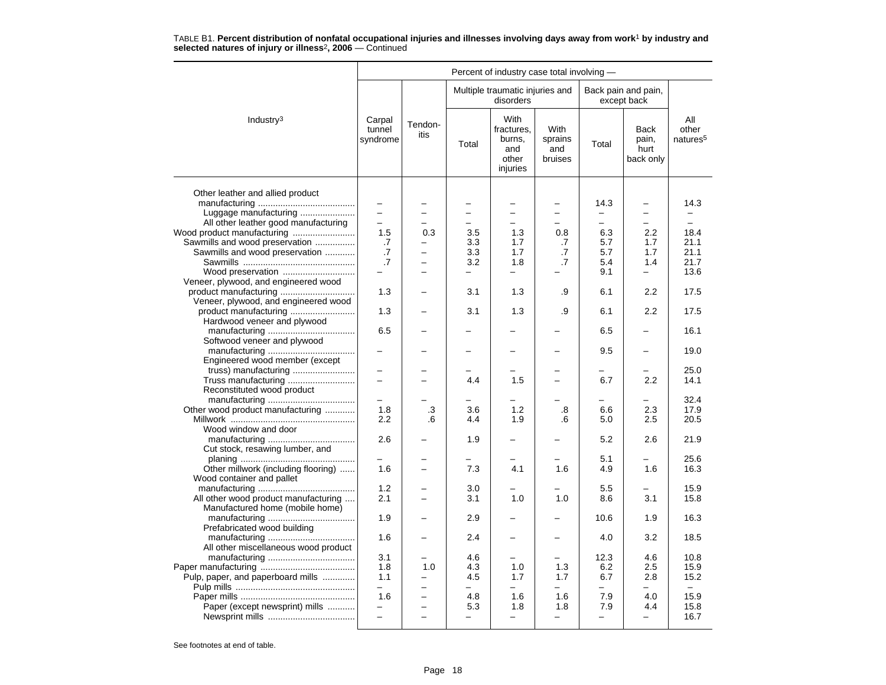|                                                               |                                      |                          |                                 | Percent of industry case total involving -               |                                   |                                  |                                           |                                      |
|---------------------------------------------------------------|--------------------------------------|--------------------------|---------------------------------|----------------------------------------------------------|-----------------------------------|----------------------------------|-------------------------------------------|--------------------------------------|
|                                                               |                                      |                          |                                 | Multiple traumatic injuries and<br>disorders             |                                   |                                  | Back pain and pain,<br>except back        |                                      |
| Industry <sup>3</sup>                                         | Carpal<br>tunnel<br>syndrome         | Tendon-<br>itis          | Total                           | With<br>fractures.<br>burns,<br>and<br>other<br>injuries | With<br>sprains<br>and<br>bruises | Total                            | <b>Back</b><br>pain,<br>hurt<br>back only | All<br>other<br>natures <sup>5</sup> |
| Other leather and allied product                              |                                      |                          |                                 |                                                          |                                   |                                  |                                           |                                      |
| Luggage manufacturing<br>All other leather good manufacturing | $\overline{\phantom{0}}$<br>$\equiv$ | $\equiv$                 | $\overline{\phantom{0}}$        | $\overline{\phantom{0}}$                                 | $\equiv$                          | 14.3<br>$\overline{\phantom{0}}$ | -<br>$\equiv$                             | 14.3                                 |
|                                                               | 1.5                                  | 0.3                      | 3.5                             | 1.3                                                      | 0.8                               | 6.3                              | 2.2                                       | 18.4                                 |
| Sawmills and wood preservation                                | .7                                   | L,                       | 3.3                             | 1.7                                                      | .7                                | 5.7                              | 1.7                                       | 21.1                                 |
| Sawmills and wood preservation                                | .7                                   | L.                       | 3.3                             | 1.7                                                      | .7                                | 5.7                              | 1.7                                       | 21.1                                 |
|                                                               | $\cdot$ 7                            | $\overline{\phantom{0}}$ | 3.2                             | 1.8                                                      | .7                                | 5.4                              | 1.4                                       | 21.7                                 |
| Wood preservation                                             |                                      |                          |                                 | $\overline{\phantom{0}}$                                 |                                   | 9.1                              | -                                         | 13.6                                 |
| Veneer, plywood, and engineered wood                          |                                      |                          |                                 |                                                          |                                   |                                  |                                           |                                      |
| product manufacturing<br>Veneer, plywood, and engineered wood | 1.3                                  |                          | 3.1                             | 1.3                                                      | .9                                | 6.1                              | 2.2                                       | 17.5                                 |
| product manufacturing<br>Hardwood veneer and plywood          | 1.3                                  |                          | 3.1                             | 1.3                                                      | .9                                | 6.1                              | 2.2                                       | 17.5                                 |
| Softwood veneer and plywood                                   | 6.5                                  |                          |                                 |                                                          |                                   | 6.5                              |                                           | 16.1                                 |
| Engineered wood member (except                                |                                      |                          |                                 |                                                          |                                   | 9.5                              |                                           | 19.0                                 |
| truss) manufacturing                                          |                                      |                          |                                 |                                                          |                                   |                                  |                                           | 25.0                                 |
| Truss manufacturing                                           | $\overline{\phantom{0}}$             | $=$                      | 4.4                             | 1.5                                                      |                                   | 6.7                              | 2.2                                       | 14.1                                 |
| Reconstituted wood product                                    |                                      |                          |                                 |                                                          |                                   |                                  |                                           |                                      |
|                                                               | 1.8                                  | .3                       | 3.6                             | 1.2                                                      | .8                                | 6.6                              | 2.3                                       | 32.4<br>17.9                         |
| Other wood product manufacturing                              | 2.2                                  | .6                       | 4.4                             | 1.9                                                      | .6                                | 5.0                              | 2.5                                       | 20.5                                 |
| Wood window and door                                          |                                      |                          |                                 |                                                          |                                   |                                  |                                           |                                      |
|                                                               | 2.6                                  |                          | 1.9                             |                                                          |                                   | 5.2                              | 2.6                                       | 21.9                                 |
| Cut stock, resawing lumber, and                               |                                      |                          |                                 |                                                          |                                   |                                  |                                           |                                      |
| Other millwork (including flooring)                           | 1.6                                  | -                        | 7.3                             | 4.1                                                      | 1.6                               | 5.1<br>4.9                       | 1.6                                       | 25.6<br>16.3                         |
| Wood container and pallet                                     |                                      |                          |                                 |                                                          |                                   |                                  |                                           |                                      |
|                                                               | 1.2                                  |                          | 3.0                             |                                                          |                                   | 5.5                              |                                           | 15.9                                 |
| All other wood product manufacturing                          | 2.1                                  |                          | 3.1                             | 1.0                                                      | 1.0                               | 8.6                              | 3.1                                       | 15.8                                 |
| Manufactured home (mobile home)                               |                                      |                          |                                 |                                                          |                                   |                                  |                                           |                                      |
|                                                               | 1.9                                  |                          | 2.9                             |                                                          |                                   | 10.6                             | 1.9                                       | 16.3                                 |
| Prefabricated wood building                                   | 1.6                                  |                          | 2.4                             |                                                          |                                   | 4.0                              | 3.2                                       | 18.5                                 |
| All other miscellaneous wood product                          |                                      |                          |                                 |                                                          |                                   |                                  |                                           |                                      |
|                                                               | 3.1                                  |                          | 4.6                             |                                                          |                                   | 12.3                             | 4.6                                       | 10.8                                 |
|                                                               | 1.8                                  | 1.0                      | 4.3                             | 1.0                                                      | 1.3                               | 6.2                              | 2.5                                       | 15.9                                 |
| Pulp, paper, and paperboard mills                             | 1.1                                  |                          | 4.5                             | 1.7                                                      | 1.7                               | 6.7                              | 2.8                                       | 15.2                                 |
|                                                               | $\equiv$                             | $\overline{\phantom{0}}$ | $\overline{\phantom{0}}$        | $\overline{\phantom{0}}$                                 | ÷.                                | ÷                                | $\overline{\phantom{0}}$                  | $\equiv$                             |
|                                                               | 1.6                                  | -                        | 4.8                             | 1.6                                                      | 1.6                               | 7.9                              | 4.0                                       | 15.9                                 |
| Paper (except newsprint) mills                                | $\overline{\phantom{0}}$             | $\equiv$                 | 5.3<br>$\overline{\phantom{0}}$ | 1.8<br>$\overline{\phantom{0}}$                          | 1.8<br>-                          | 7.9<br>$\overline{\phantom{0}}$  | 4.4<br>-                                  | 15.8<br>16.7                         |
|                                                               |                                      |                          |                                 |                                                          |                                   |                                  |                                           |                                      |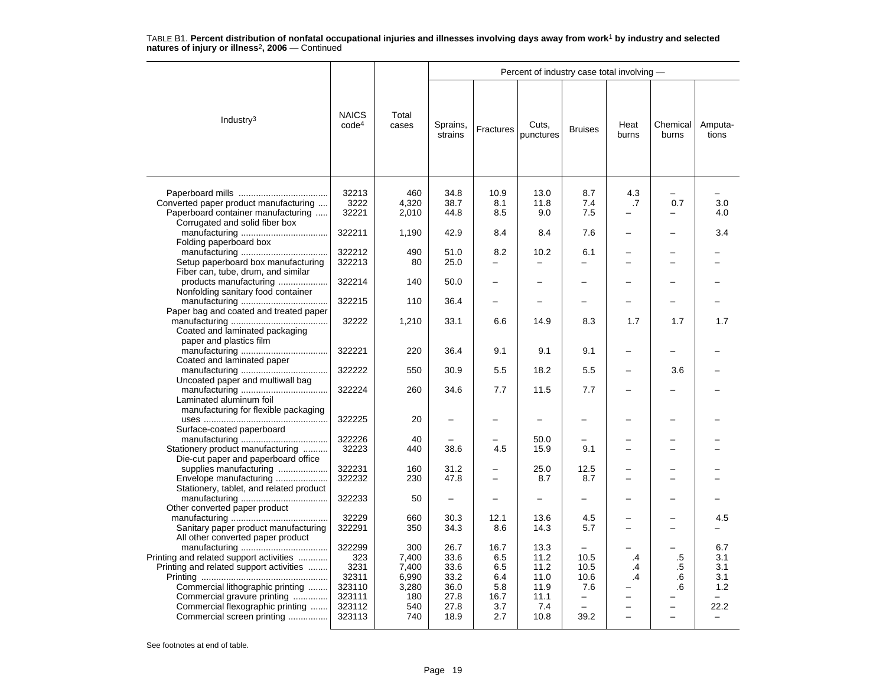|                                                                                                                        |                                          |                                         |                                      |                                  | Percent of industry case total involving - |                                 |                          |                          |                                 |
|------------------------------------------------------------------------------------------------------------------------|------------------------------------------|-----------------------------------------|--------------------------------------|----------------------------------|--------------------------------------------|---------------------------------|--------------------------|--------------------------|---------------------------------|
| Industry <sup>3</sup>                                                                                                  | <b>NAICS</b><br>code <sup>4</sup>        | Total<br>cases                          | Sprains,<br>strains                  | Fractures                        | Cuts,<br>punctures                         | <b>Bruises</b>                  | Heat<br>burns            | Chemical<br>burns        | Amputa-<br>tions                |
| Converted paper product manufacturing<br>Paperboard container manufacturing<br>Corrugated and solid fiber box          | 32213<br>3222<br>32221                   | 460<br>4,320<br>2,010                   | 34.8<br>38.7<br>44.8                 | 10.9<br>8.1<br>8.5               | 13.0<br>11.8<br>9.0                        | 8.7<br>7.4<br>7.5               | 4.3<br>.7                | 0.7                      | 3.0<br>4.0                      |
| Folding paperboard box                                                                                                 | 322211                                   | 1,190                                   | 42.9                                 | 8.4                              | 8.4                                        | 7.6                             |                          |                          | 3.4                             |
| Setup paperboard box manufacturing<br>Fiber can, tube, drum, and similar                                               | 322212<br>322213                         | 490<br>80                               | 51.0<br>25.0                         | 8.2                              | 10.2                                       | 6.1<br>$\overline{\phantom{0}}$ |                          |                          |                                 |
| products manufacturing<br>Nonfolding sanitary food container                                                           | 322214                                   | 140                                     | 50.0                                 |                                  |                                            |                                 |                          |                          |                                 |
| Paper bag and coated and treated paper                                                                                 | 322215                                   | 110                                     | 36.4                                 |                                  |                                            |                                 |                          |                          |                                 |
| Coated and laminated packaging<br>paper and plastics film                                                              | 32222                                    | 1,210                                   | 33.1                                 | 6.6                              | 14.9                                       | 8.3                             | 1.7                      | 1.7                      | 1.7                             |
| Coated and laminated paper                                                                                             | 322221                                   | 220                                     | 36.4                                 | 9.1                              | 9.1                                        | 9.1                             | $\overline{\phantom{0}}$ |                          |                                 |
| Uncoated paper and multiwall bag                                                                                       | 322222                                   | 550                                     | 30.9                                 | 5.5                              | 18.2                                       | 5.5                             |                          | 3.6                      |                                 |
| Laminated aluminum foil<br>manufacturing for flexible packaging                                                        | 322224                                   | 260                                     | 34.6                                 | 7.7                              | 11.5                                       | 7.7                             |                          |                          |                                 |
| Surface-coated paperboard                                                                                              | 322225                                   | 20                                      |                                      |                                  |                                            |                                 |                          |                          |                                 |
| Stationery product manufacturing                                                                                       | 322226<br>32223                          | 40<br>440                               | 38.6                                 | 4.5                              | 50.0<br>15.9                               | 9.1                             |                          | -                        |                                 |
| Die-cut paper and paperboard office<br>supplies manufacturing                                                          | 322231                                   | 160                                     | 31.2                                 |                                  | 25.0                                       | 12.5                            |                          |                          |                                 |
| Envelope manufacturing<br>Stationery, tablet, and related product                                                      | 322232                                   | 230                                     | 47.8                                 |                                  | 8.7                                        | 8.7                             |                          |                          |                                 |
| Other converted paper product                                                                                          | 322233                                   | 50                                      | $\overline{\phantom{0}}$             |                                  | -                                          | -                               |                          |                          |                                 |
| Sanitary paper product manufacturing<br>All other converted paper product                                              | 32229<br>322291                          | 660<br>350                              | 30.3<br>34.3                         | 12.1<br>8.6                      | 13.6<br>14.3                               | 4.5<br>5.7                      |                          | $\overline{\phantom{0}}$ | 4.5                             |
| Printing and related support activities<br>Printing and related support activities<br>Commercial lithographic printing | 322299<br>323<br>3231<br>32311<br>323110 | 300<br>7,400<br>7,400<br>6,990<br>3,280 | 26.7<br>33.6<br>33.6<br>33.2<br>36.0 | 16.7<br>6.5<br>6.5<br>6.4<br>5.8 | 13.3<br>11.2<br>11.2<br>11.0<br>11.9       | 10.5<br>10.5<br>10.6<br>7.6     | .4<br>.4<br>.4           | .5<br>.5<br>.6<br>.6     | 6.7<br>3.1<br>3.1<br>3.1<br>1.2 |
| Commercial gravure printing<br>Commercial flexographic printing<br>Commercial screen printing                          | 323111<br>323112<br>323113               | 180<br>540<br>740                       | 27.8<br>27.8<br>18.9                 | 16.7<br>3.7<br>2.7               | 11.1<br>7.4<br>10.8                        | -<br>39.2                       | L.                       | $\overline{a}$           | 22.2                            |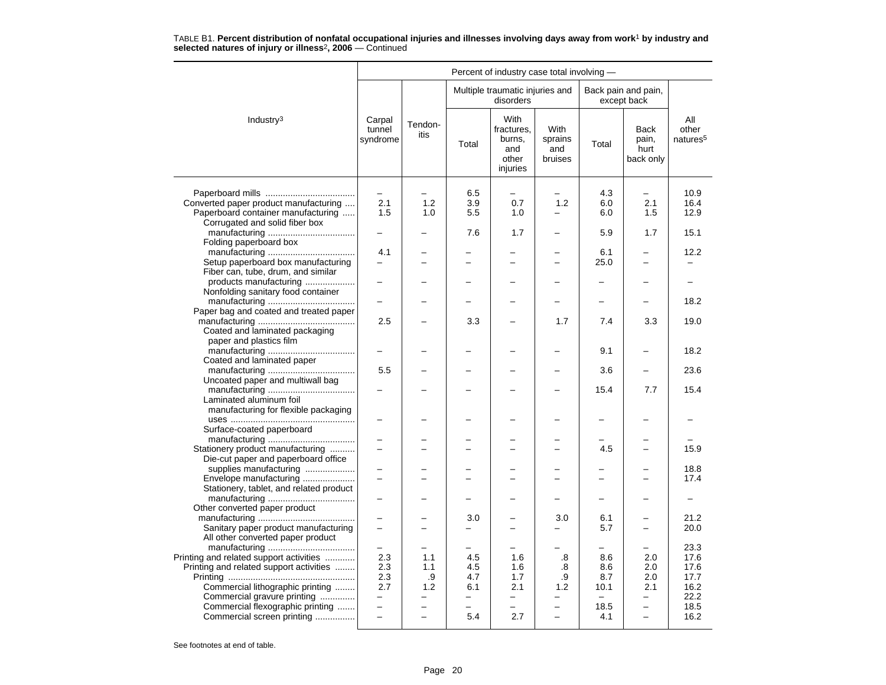|                                                                      |                              |                 |                          | Percent of industry case total involving -               |                                   |                          |                                    |                                      |
|----------------------------------------------------------------------|------------------------------|-----------------|--------------------------|----------------------------------------------------------|-----------------------------------|--------------------------|------------------------------------|--------------------------------------|
|                                                                      |                              |                 |                          | Multiple traumatic injuries and<br>disorders             |                                   |                          | Back pain and pain,<br>except back |                                      |
| Industry <sup>3</sup>                                                | Carpal<br>tunnel<br>syndrome | Tendon-<br>itis | Total                    | With<br>fractures,<br>burns,<br>and<br>other<br>injuries | With<br>sprains<br>and<br>bruises | Total                    | Back<br>pain,<br>hurt<br>back only | All<br>other<br>natures <sup>5</sup> |
|                                                                      |                              |                 |                          |                                                          |                                   |                          |                                    |                                      |
|                                                                      |                              |                 | 6.5                      |                                                          |                                   | 4.3                      |                                    | 10.9                                 |
| Converted paper product manufacturing                                | 2.1                          | 1.2             | 3.9                      | 0.7                                                      | 1.2                               | 6.0                      | 2.1                                | 16.4                                 |
| Paperboard container manufacturing<br>Corrugated and solid fiber box | 1.5                          | 1.0             | 5.5                      | 1.0                                                      | —                                 | 6.0                      | 1.5                                | 12.9                                 |
|                                                                      |                              |                 | 7.6                      | 1.7                                                      |                                   | 5.9                      | 1.7                                | 15.1                                 |
| Folding paperboard box                                               |                              |                 |                          |                                                          |                                   |                          |                                    |                                      |
|                                                                      | 4.1                          |                 |                          |                                                          |                                   | 6.1                      |                                    | 12.2                                 |
| Setup paperboard box manufacturing                                   | $\overline{\phantom{0}}$     |                 | $\equiv$                 | $\overline{\phantom{0}}$                                 | $\overline{\phantom{0}}$          | 25.0                     | $\overline{\phantom{0}}$           | $\overline{\phantom{0}}$             |
| Fiber can, tube, drum, and similar                                   |                              |                 |                          |                                                          |                                   |                          |                                    |                                      |
| products manufacturing                                               |                              |                 |                          |                                                          |                                   |                          |                                    |                                      |
| Nonfolding sanitary food container                                   |                              |                 |                          |                                                          |                                   |                          |                                    |                                      |
|                                                                      |                              |                 |                          |                                                          |                                   |                          |                                    | 18.2                                 |
| Paper bag and coated and treated paper                               |                              |                 |                          |                                                          |                                   |                          |                                    |                                      |
|                                                                      | 2.5                          |                 | 3.3                      |                                                          | 1.7                               | 7.4                      | 3.3                                | 19.0                                 |
| Coated and laminated packaging                                       |                              |                 |                          |                                                          |                                   |                          |                                    |                                      |
| paper and plastics film                                              |                              |                 |                          |                                                          |                                   | 9.1                      |                                    | 18.2                                 |
| Coated and laminated paper                                           |                              |                 |                          |                                                          |                                   |                          |                                    |                                      |
|                                                                      | 5.5                          |                 |                          |                                                          |                                   | 3.6                      |                                    | 23.6                                 |
| Uncoated paper and multiwall bag                                     |                              |                 |                          |                                                          |                                   |                          |                                    |                                      |
|                                                                      |                              |                 |                          |                                                          |                                   | 15.4                     | 7.7                                | 15.4                                 |
| Laminated aluminum foil                                              |                              |                 |                          |                                                          |                                   |                          |                                    |                                      |
| manufacturing for flexible packaging                                 |                              |                 |                          |                                                          |                                   |                          |                                    |                                      |
|                                                                      |                              |                 |                          |                                                          |                                   |                          |                                    |                                      |
| Surface-coated paperboard                                            |                              |                 |                          |                                                          |                                   |                          |                                    |                                      |
| Stationery product manufacturing                                     |                              |                 |                          |                                                          |                                   | 4.5                      |                                    | 15.9                                 |
| Die-cut paper and paperboard office                                  |                              |                 |                          |                                                          |                                   |                          |                                    |                                      |
| supplies manufacturing                                               |                              |                 |                          |                                                          |                                   |                          |                                    | 18.8                                 |
| Envelope manufacturing                                               |                              |                 |                          |                                                          |                                   |                          |                                    | 17.4                                 |
| Stationery, tablet, and related product                              |                              |                 |                          |                                                          |                                   |                          |                                    |                                      |
|                                                                      |                              |                 |                          |                                                          |                                   |                          |                                    | $\overline{\phantom{0}}$             |
| Other converted paper product                                        |                              |                 |                          |                                                          |                                   |                          |                                    |                                      |
|                                                                      |                              |                 | 3.0                      |                                                          | 3.0                               | 6.1                      |                                    | 21.2                                 |
| Sanitary paper product manufacturing                                 |                              |                 |                          |                                                          |                                   | 5.7                      | -                                  | 20.0                                 |
| All other converted paper product                                    |                              |                 |                          |                                                          |                                   |                          |                                    | 23.3                                 |
| Printing and related support activities                              | 2.3                          | 1.1             | 4.5                      | 1.6                                                      | .8                                | 8.6                      | 2.0                                | 17.6                                 |
| Printing and related support activities                              | 2.3                          | 1.1             | 4.5                      | 1.6                                                      | .8                                | 8.6                      | 2.0                                | 17.6                                 |
|                                                                      | 2.3                          | .9              | 4.7                      | 1.7                                                      | .9                                | 8.7                      | 2.0                                | 17.7                                 |
| Commercial lithographic printing                                     | 2.7                          | 1.2             | 6.1                      | 2.1                                                      | 1.2                               | 10.1                     | 2.1                                | 16.2                                 |
| Commercial gravure printing                                          | -                            |                 | $\overline{\phantom{0}}$ | $\overline{\phantom{0}}$                                 |                                   | $\overline{\phantom{0}}$ | -                                  | 22.2                                 |
| Commercial flexographic printing                                     | ÷                            |                 |                          | L.                                                       | $\overline{\phantom{0}}$          | 18.5                     | $\equiv$                           | 18.5                                 |
| Commercial screen printing                                           | $\overline{\phantom{0}}$     | $\equiv$        | 5.4                      | 2.7                                                      | $\overline{\phantom{0}}$          | 4.1                      | $\overline{\phantom{0}}$           | 16.2                                 |
|                                                                      |                              |                 |                          |                                                          |                                   |                          |                                    |                                      |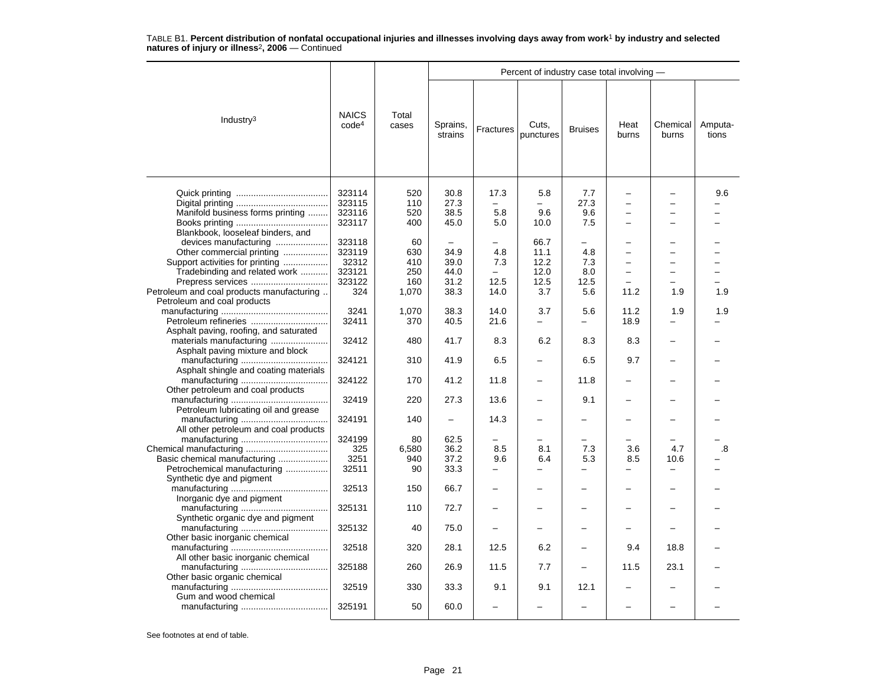|                                                                                                                                                                                                                               |                                                      |                                         |                                                                  |                                                        | Percent of industry case total involving -  |                                        |                                                                                  |                                                                                         |                  |  |  |
|-------------------------------------------------------------------------------------------------------------------------------------------------------------------------------------------------------------------------------|------------------------------------------------------|-----------------------------------------|------------------------------------------------------------------|--------------------------------------------------------|---------------------------------------------|----------------------------------------|----------------------------------------------------------------------------------|-----------------------------------------------------------------------------------------|------------------|--|--|
| Industry <sup>3</sup>                                                                                                                                                                                                         | <b>NAICS</b><br>code <sup>4</sup>                    | Total<br>cases                          | Sprains,<br>strains                                              | Fractures                                              | Cuts,<br>punctures                          | <b>Bruises</b>                         | Heat<br>burns                                                                    | Chemical<br>burns                                                                       | Amputa-<br>tions |  |  |
| Manifold business forms printing                                                                                                                                                                                              | 323114<br>323115<br>323116<br>323117                 | 520<br>110<br>520<br>400                | 30.8<br>27.3<br>38.5<br>45.0                                     | 17.3<br>5.8<br>5.0                                     | 5.8<br>9.6<br>10.0                          | 7.7<br>27.3<br>9.6<br>7.5              | $\overline{\phantom{0}}$<br>$\overline{\phantom{0}}$<br>$\overline{\phantom{0}}$ | $\overline{\phantom{0}}$<br>÷                                                           | 9.6              |  |  |
| Blankbook, looseleaf binders, and<br>devices manufacturing<br>Other commercial printing<br>Support activities for printing<br>Tradebinding and related work<br>Prepress services<br>Petroleum and coal products manufacturing | 323118<br>323119<br>32312<br>323121<br>323122<br>324 | 60<br>630<br>410<br>250<br>160<br>1,070 | $\overline{\phantom{0}}$<br>34.9<br>39.0<br>44.0<br>31.2<br>38.3 | 4.8<br>7.3<br>$\overline{\phantom{0}}$<br>12.5<br>14.0 | 66.7<br>11.1<br>12.2<br>12.0<br>12.5<br>3.7 | -<br>4.8<br>7.3<br>8.0<br>12.5<br>5.6  | $\overline{\phantom{0}}$<br>L.<br>-<br>11.2                                      | $\overline{\phantom{0}}$<br>$\overline{\phantom{0}}$<br>$\overline{\phantom{0}}$<br>1.9 | 1.9              |  |  |
| Petroleum and coal products<br>Asphalt paving, roofing, and saturated                                                                                                                                                         | 3241<br>32411                                        | 1,070<br>370                            | 38.3<br>40.5                                                     | 14.0<br>21.6                                           | 3.7                                         | 5.6                                    | 11.2<br>18.9                                                                     | 1.9                                                                                     | 1.9              |  |  |
| materials manufacturing<br>Asphalt paving mixture and block                                                                                                                                                                   | 32412                                                | 480                                     | 41.7                                                             | 8.3                                                    | 6.2                                         | 8.3                                    | 8.3                                                                              |                                                                                         |                  |  |  |
| Asphalt shingle and coating materials                                                                                                                                                                                         | 324121<br>324122                                     | 310<br>170                              | 41.9<br>41.2                                                     | 6.5<br>11.8                                            |                                             | 6.5<br>11.8                            | 9.7                                                                              |                                                                                         |                  |  |  |
| Other petroleum and coal products                                                                                                                                                                                             | 32419                                                | 220                                     | 27.3                                                             | 13.6                                                   |                                             | 9.1                                    |                                                                                  |                                                                                         |                  |  |  |
| Petroleum lubricating oil and grease                                                                                                                                                                                          | 324191                                               | 140                                     |                                                                  | 14.3                                                   |                                             | —                                      |                                                                                  |                                                                                         |                  |  |  |
| All other petroleum and coal products<br>Basic chemical manufacturing<br>Petrochemical manufacturing<br>Synthetic dye and pigment                                                                                             | 324199<br>325<br>3251<br>32511                       | 80<br>6,580<br>940<br>90                | 62.5<br>36.2<br>37.2<br>33.3                                     | 8.5<br>9.6<br>-                                        | 8.1<br>6.4<br>-                             | 7.3<br>5.3<br>$\overline{\phantom{0}}$ | 3.6<br>8.5<br>-                                                                  | 4.7<br>10.6<br>—                                                                        | .8               |  |  |
| Inorganic dye and pigment                                                                                                                                                                                                     | 32513                                                | 150                                     | 66.7                                                             |                                                        |                                             |                                        |                                                                                  |                                                                                         |                  |  |  |
| Synthetic organic dye and pigment                                                                                                                                                                                             | 325131<br>325132                                     | 110<br>40                               | 72.7<br>75.0                                                     | $\overline{\phantom{0}}$                               | -                                           | -                                      | $\overline{\phantom{0}}$                                                         | -                                                                                       |                  |  |  |
| Other basic inorganic chemical                                                                                                                                                                                                | 32518                                                | 320                                     | 28.1                                                             | 12.5                                                   | 6.2                                         |                                        | 9.4                                                                              | 18.8                                                                                    |                  |  |  |
| All other basic inorganic chemical                                                                                                                                                                                            | 325188                                               | 260                                     | 26.9                                                             | 11.5                                                   | 7.7                                         |                                        | 11.5                                                                             | 23.1                                                                                    |                  |  |  |
| Other basic organic chemical<br>Gum and wood chemical                                                                                                                                                                         | 32519                                                | 330                                     | 33.3                                                             | 9.1                                                    | 9.1                                         | 12.1                                   |                                                                                  |                                                                                         |                  |  |  |
|                                                                                                                                                                                                                               | 325191                                               | 50                                      | 60.0                                                             |                                                        |                                             |                                        |                                                                                  |                                                                                         |                  |  |  |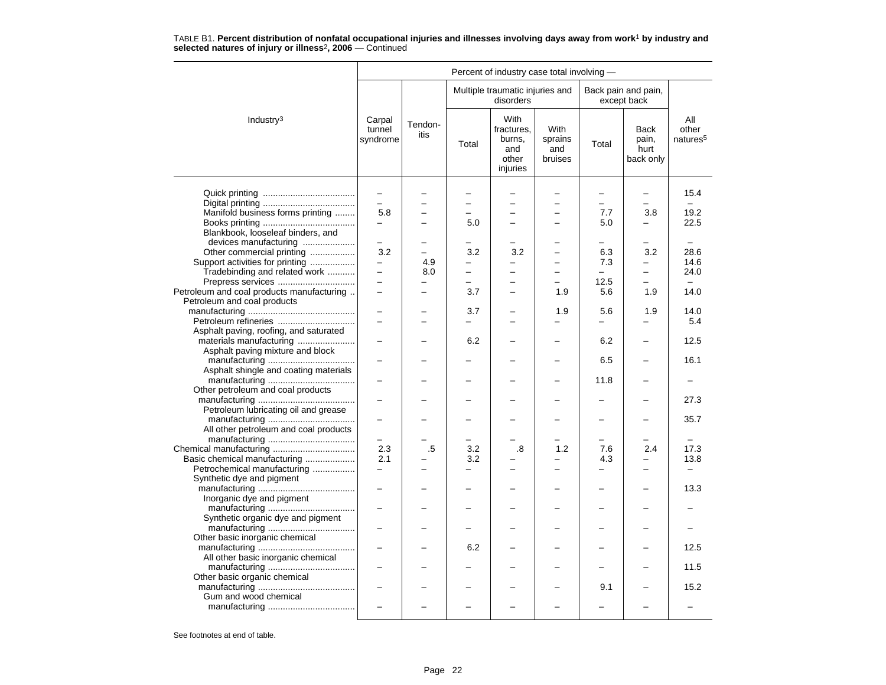|                                           |                              |                 |          | Percent of industry case total involving -               |                                          |                          |                                           |                                      |
|-------------------------------------------|------------------------------|-----------------|----------|----------------------------------------------------------|------------------------------------------|--------------------------|-------------------------------------------|--------------------------------------|
|                                           |                              |                 |          | Multiple traumatic injuries and<br>disorders             |                                          |                          | Back pain and pain,<br>except back        |                                      |
| Industry <sup>3</sup>                     | Carpal<br>tunnel<br>syndrome | Tendon-<br>itis | Total    | With<br>fractures.<br>burns,<br>and<br>other<br>injuries | <b>With</b><br>sprains<br>and<br>bruises | Total                    | <b>Back</b><br>pain,<br>hurt<br>back only | All<br>other<br>natures <sup>5</sup> |
|                                           | $\qquad \qquad -$            |                 |          |                                                          |                                          | $\overline{\phantom{0}}$ | $\equiv$                                  | 15.4                                 |
|                                           |                              |                 |          |                                                          |                                          |                          |                                           | $\equiv$                             |
| Manifold business forms printing          | 5.8                          |                 |          | $\overline{\phantom{0}}$                                 | $\overline{\phantom{0}}$                 | 7.7                      | 3.8                                       | 19.2                                 |
|                                           | $\overline{\phantom{0}}$     |                 | 5.0      | ÷                                                        | -                                        | 5.0                      | $\overline{\phantom{0}}$                  | 22.5                                 |
| Blankbook, looseleaf binders, and         |                              |                 |          |                                                          |                                          |                          |                                           |                                      |
|                                           |                              |                 |          |                                                          |                                          |                          |                                           |                                      |
| devices manufacturing                     |                              |                 |          |                                                          |                                          |                          |                                           |                                      |
| Other commercial printing                 | 3.2                          | $\equiv$        | 3.2      | 3.2                                                      | -                                        | 6.3                      | 3.2                                       | 28.6                                 |
| Support activities for printing           | $\overline{\phantom{0}}$     | 4.9             | -        | -                                                        | -                                        | 7.3                      | -                                         | 14.6                                 |
| Tradebinding and related work             | $\overline{\phantom{0}}$     | 8.0             |          | $\overline{\phantom{0}}$                                 | $\overline{a}$                           |                          | $\overline{\phantom{0}}$                  | 24.0                                 |
| Prepress services                         | L.                           |                 | $\equiv$ | $\equiv$                                                 | -                                        | 12.5                     | $\equiv$                                  |                                      |
| Petroleum and coal products manufacturing | $\overline{\phantom{0}}$     |                 | 3.7      | $\overline{\phantom{0}}$                                 | 1.9                                      | 5.6                      | 1.9                                       | 14.0                                 |
| Petroleum and coal products               |                              |                 |          |                                                          |                                          |                          |                                           |                                      |
|                                           |                              |                 | 3.7      |                                                          | 1.9                                      | 5.6                      | 1.9                                       | 14.0                                 |
| Petroleum refineries                      |                              |                 |          | -                                                        |                                          | $\overline{\phantom{0}}$ |                                           | 5.4                                  |
| Asphalt paving, roofing, and saturated    |                              |                 |          |                                                          |                                          |                          |                                           |                                      |
| materials manufacturing                   |                              |                 | 6.2      |                                                          |                                          | 6.2                      | $\overline{\phantom{0}}$                  | 12.5                                 |
| Asphalt paving mixture and block          |                              |                 |          |                                                          |                                          |                          |                                           |                                      |
|                                           |                              |                 |          |                                                          |                                          | 6.5                      |                                           | 16.1                                 |
| Asphalt shingle and coating materials     |                              |                 |          |                                                          |                                          |                          |                                           |                                      |
|                                           |                              |                 |          |                                                          |                                          | 11.8                     | -                                         |                                      |
| Other petroleum and coal products         |                              |                 |          |                                                          |                                          |                          |                                           |                                      |
|                                           |                              |                 |          |                                                          |                                          |                          |                                           | 27.3                                 |
| Petroleum lubricating oil and grease      |                              |                 |          |                                                          |                                          |                          |                                           |                                      |
|                                           |                              |                 |          |                                                          |                                          |                          |                                           | 35.7                                 |
| All other petroleum and coal products     |                              |                 |          |                                                          |                                          |                          |                                           |                                      |
|                                           | $\overline{\phantom{0}}$     |                 |          | -                                                        | -                                        | $\equiv$                 | -                                         | $\overline{\phantom{0}}$             |
| Chemical manufacturing                    | 2.3                          | .5              | 3.2      | .8                                                       | 1.2                                      | 7.6                      | 2.4                                       | 17.3                                 |
| Basic chemical manufacturing              | 2.1                          |                 | 3.2      |                                                          |                                          | 4.3                      | $\overline{a}$                            | 13.8                                 |
| Petrochemical manufacturing               | -                            |                 |          | -                                                        | -                                        | $\overline{\phantom{0}}$ | $\equiv$                                  | $\overline{\phantom{0}}$             |
| Synthetic dye and pigment                 |                              |                 |          |                                                          |                                          |                          |                                           |                                      |
|                                           | $\overline{a}$               |                 |          |                                                          |                                          |                          | $\overline{a}$                            | 13.3                                 |
|                                           |                              |                 |          |                                                          |                                          |                          |                                           |                                      |
| Inorganic dye and pigment                 |                              |                 |          |                                                          |                                          |                          |                                           |                                      |
|                                           |                              |                 |          |                                                          |                                          |                          |                                           |                                      |
| Synthetic organic dye and pigment         |                              |                 |          |                                                          |                                          |                          |                                           |                                      |
|                                           | $\overline{\phantom{0}}$     |                 |          |                                                          |                                          |                          |                                           |                                      |
| Other basic inorganic chemical            |                              |                 |          |                                                          |                                          |                          |                                           |                                      |
|                                           |                              |                 | 6.2      |                                                          |                                          |                          |                                           | 12.5                                 |
| All other basic inorganic chemical        |                              |                 |          |                                                          |                                          |                          |                                           |                                      |
|                                           |                              |                 |          |                                                          |                                          |                          |                                           | 11.5                                 |
| Other basic organic chemical              |                              |                 |          |                                                          |                                          |                          |                                           |                                      |
|                                           | $\overline{\phantom{0}}$     |                 |          |                                                          |                                          | 9.1                      |                                           | 15.2                                 |
| Gum and wood chemical                     |                              |                 |          |                                                          |                                          |                          |                                           |                                      |
|                                           |                              |                 |          |                                                          |                                          |                          |                                           |                                      |
|                                           |                              |                 |          |                                                          |                                          |                          |                                           |                                      |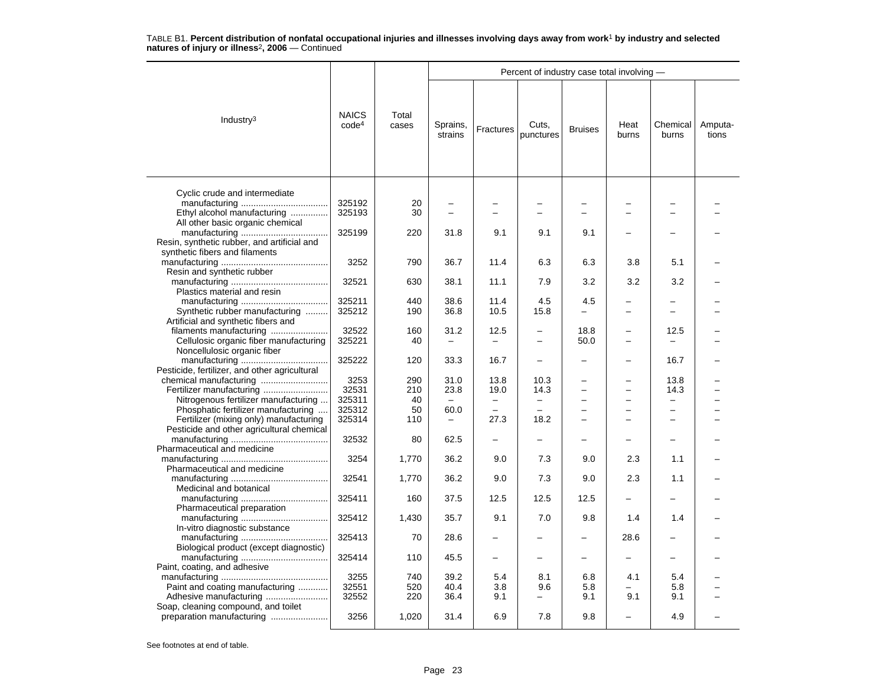|                                                                 |                                   |                |                          |                          | Percent of industry case total involving - |                          |                          |                   |                  |
|-----------------------------------------------------------------|-----------------------------------|----------------|--------------------------|--------------------------|--------------------------------------------|--------------------------|--------------------------|-------------------|------------------|
| Industry <sup>3</sup>                                           | <b>NAICS</b><br>code <sup>4</sup> | Total<br>cases | Sprains,<br>strains      | <b>Fractures</b>         | Cuts,<br>punctures                         | <b>Bruises</b>           | Heat<br>burns            | Chemical<br>burns | Amputa-<br>tions |
|                                                                 |                                   |                |                          |                          |                                            |                          |                          |                   |                  |
| Cyclic crude and intermediate                                   |                                   |                |                          |                          |                                            |                          |                          |                   |                  |
|                                                                 | 325192                            | 20             |                          |                          |                                            |                          |                          |                   |                  |
| Ethyl alcohol manufacturing<br>All other basic organic chemical | 325193                            | 30             |                          |                          |                                            |                          |                          |                   |                  |
|                                                                 | 325199                            | 220            | 31.8                     | 9.1                      | 9.1                                        | 9.1                      |                          |                   |                  |
| Resin, synthetic rubber, and artificial and                     |                                   |                |                          |                          |                                            |                          |                          |                   |                  |
| synthetic fibers and filaments                                  |                                   |                |                          |                          |                                            |                          |                          |                   |                  |
|                                                                 | 3252                              | 790            | 36.7                     | 11.4                     | 6.3                                        | 6.3                      | 3.8                      | 5.1               |                  |
| Resin and synthetic rubber                                      |                                   |                |                          |                          |                                            |                          |                          |                   |                  |
|                                                                 |                                   | 630            | 38.1                     | 11.1                     | 7.9                                        | 3.2                      | 3.2                      | 3.2               |                  |
|                                                                 | 32521                             |                |                          |                          |                                            |                          |                          |                   |                  |
| Plastics material and resin                                     |                                   |                |                          |                          |                                            |                          |                          |                   |                  |
|                                                                 | 325211                            | 440            | 38.6                     | 11.4                     | 4.5                                        | 4.5                      |                          |                   |                  |
| Synthetic rubber manufacturing                                  | 325212                            | 190            | 36.8                     | 10.5                     | 15.8                                       |                          |                          |                   |                  |
| Artificial and synthetic fibers and                             |                                   |                |                          |                          |                                            |                          |                          |                   |                  |
| filaments manufacturing                                         | 32522                             | 160            | 31.2                     | 12.5                     |                                            | 18.8                     |                          | 12.5              |                  |
| Cellulosic organic fiber manufacturing                          | 325221                            | 40             |                          |                          | ÷                                          | 50.0                     | -                        |                   |                  |
| Noncellulosic organic fiber                                     |                                   |                |                          |                          |                                            |                          |                          |                   |                  |
|                                                                 | 325222                            | 120            | 33.3                     | 16.7                     |                                            |                          |                          | 16.7              |                  |
| Pesticide, fertilizer, and other agricultural                   |                                   |                |                          |                          |                                            |                          |                          |                   |                  |
|                                                                 | 3253                              | 290            | 31.0                     | 13.8                     | 10.3                                       |                          |                          | 13.8              |                  |
|                                                                 | 32531                             | 210            | 23.8                     | 19.0                     | 14.3                                       | $\overline{a}$           | <u>.</u>                 | 14.3              |                  |
| Nitrogenous fertilizer manufacturing                            | 325311                            | 40             | $\overline{\phantom{m}}$ | $\overline{\phantom{m}}$ |                                            | $\overline{\phantom{0}}$ | $\overline{\phantom{0}}$ |                   |                  |
|                                                                 |                                   |                |                          |                          | $\overline{\phantom{m}}$                   |                          |                          | $\qquad \qquad -$ |                  |
| Phosphatic fertilizer manufacturing                             | 325312                            | 50             | 60.0                     |                          |                                            |                          |                          |                   |                  |
| Fertilizer (mixing only) manufacturing                          | 325314                            | 110            |                          | 27.3                     | 18.2                                       |                          |                          |                   |                  |
| Pesticide and other agricultural chemical                       |                                   |                |                          |                          |                                            |                          |                          |                   |                  |
|                                                                 | 32532                             | 80             | 62.5                     |                          |                                            |                          |                          |                   |                  |
| Pharmaceutical and medicine                                     |                                   |                |                          |                          |                                            |                          |                          |                   |                  |
|                                                                 | 3254                              | 1,770          | 36.2                     | 9.0                      | 7.3                                        | 9.0                      | 2.3                      | 1.1               |                  |
| Pharmaceutical and medicine                                     |                                   |                |                          |                          |                                            |                          |                          |                   |                  |
|                                                                 | 32541                             | 1,770          | 36.2                     | 9.0                      | 7.3                                        | 9.0                      | 2.3                      | 1.1               |                  |
| Medicinal and botanical                                         |                                   |                |                          |                          |                                            |                          |                          |                   |                  |
|                                                                 | 325411                            | 160            | 37.5                     | 12.5                     | 12.5                                       | 12.5                     |                          |                   |                  |
| Pharmaceutical preparation                                      |                                   |                |                          |                          |                                            |                          |                          |                   |                  |
|                                                                 | 325412                            | 1,430          | 35.7                     | 9.1                      | 7.0                                        | 9.8                      | 1.4                      | 1.4               |                  |
| In-vitro diagnostic substance                                   |                                   |                |                          |                          |                                            |                          |                          |                   |                  |
|                                                                 | 325413                            | 70             | 28.6                     |                          |                                            |                          | 28.6                     |                   |                  |
|                                                                 |                                   |                |                          |                          |                                            |                          |                          |                   |                  |
| Biological product (except diagnostic)                          |                                   |                |                          |                          |                                            |                          |                          |                   |                  |
|                                                                 | 325414                            | 110            | 45.5                     |                          |                                            |                          |                          |                   |                  |
| Paint, coating, and adhesive                                    |                                   |                |                          |                          |                                            |                          |                          |                   |                  |
|                                                                 | 3255                              | 740            | 39.2                     | 5.4                      | 8.1                                        | 6.8                      | 4.1                      | 5.4               |                  |
| Paint and coating manufacturing                                 | 32551                             | 520            | 40.4                     | 3.8                      | 9.6                                        | 5.8                      |                          | 5.8               |                  |
|                                                                 | 32552                             | 220            | 36.4                     | 9.1                      | —                                          | 9.1                      | 9.1                      | 9.1               |                  |
| Soap, cleaning compound, and toilet                             |                                   |                |                          |                          |                                            |                          |                          |                   |                  |
| preparation manufacturing                                       | 3256                              | 1,020          | 31.4                     | 6.9                      | 7.8                                        | 9.8                      |                          | 4.9               |                  |
|                                                                 |                                   |                |                          |                          |                                            |                          |                          |                   |                  |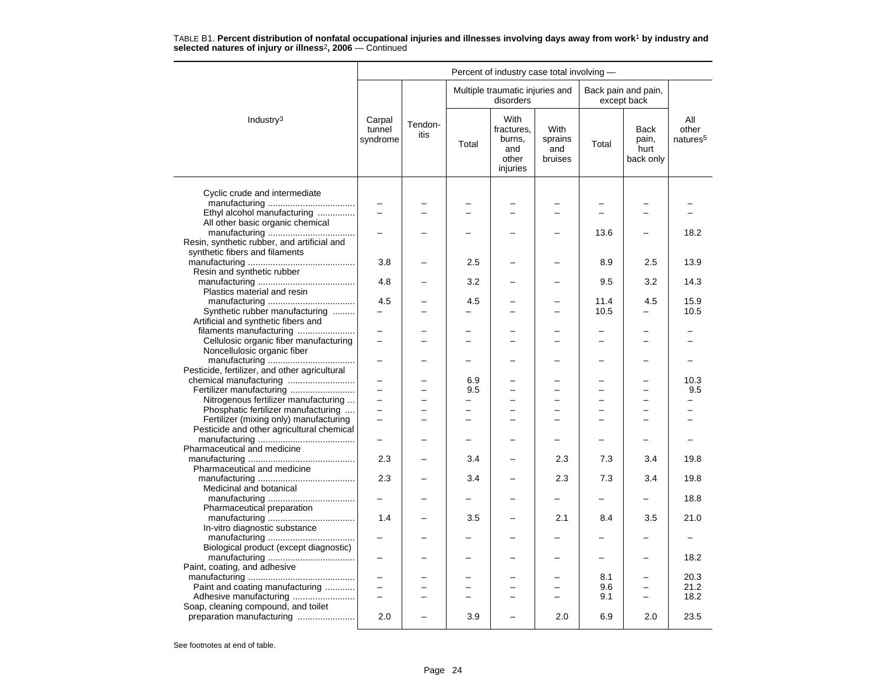|                                               |                              |                 |                | Percent of industry case total involving -               |                                   |          |                                           |                                      |
|-----------------------------------------------|------------------------------|-----------------|----------------|----------------------------------------------------------|-----------------------------------|----------|-------------------------------------------|--------------------------------------|
|                                               |                              |                 |                | Multiple traumatic injuries and<br>disorders             |                                   |          | Back pain and pain,<br>except back        |                                      |
| Industry <sup>3</sup>                         | Carpal<br>tunnel<br>syndrome | Tendon-<br>itis | Total          | With<br>fractures.<br>burns,<br>and<br>other<br>injuries | With<br>sprains<br>and<br>bruises | Total    | <b>Back</b><br>pain,<br>hurt<br>back only | All<br>other<br>natures <sup>5</sup> |
|                                               |                              |                 |                |                                                          |                                   |          |                                           |                                      |
| Cyclic crude and intermediate                 |                              |                 |                |                                                          |                                   |          |                                           |                                      |
| Ethyl alcohol manufacturing                   |                              |                 |                |                                                          |                                   |          |                                           |                                      |
| All other basic organic chemical              |                              |                 |                |                                                          |                                   |          |                                           |                                      |
|                                               |                              |                 |                |                                                          |                                   | 13.6     |                                           | 18.2                                 |
| Resin, synthetic rubber, and artificial and   |                              |                 |                |                                                          |                                   |          |                                           |                                      |
| synthetic fibers and filaments                |                              |                 |                |                                                          |                                   |          |                                           |                                      |
|                                               | 3.8                          |                 | 2.5            |                                                          |                                   | 8.9      | 2.5                                       | 13.9                                 |
| Resin and synthetic rubber                    | 4.8                          |                 | 3.2            |                                                          |                                   | 9.5      | 3.2                                       | 14.3                                 |
| Plastics material and resin                   |                              |                 |                |                                                          |                                   |          |                                           |                                      |
|                                               | 4.5                          |                 | 4.5            |                                                          |                                   | 11.4     | 4.5                                       | 15.9                                 |
| Synthetic rubber manufacturing                |                              |                 |                |                                                          |                                   | 10.5     |                                           | 10.5                                 |
| Artificial and synthetic fibers and           |                              |                 |                |                                                          |                                   |          |                                           |                                      |
| filaments manufacturing                       |                              |                 |                |                                                          |                                   |          |                                           |                                      |
| Cellulosic organic fiber manufacturing        |                              |                 |                |                                                          |                                   |          |                                           |                                      |
| Noncellulosic organic fiber                   |                              |                 |                |                                                          |                                   |          |                                           |                                      |
| Pesticide, fertilizer, and other agricultural |                              |                 |                |                                                          |                                   |          |                                           |                                      |
| chemical manufacturing                        |                              |                 | 6.9            |                                                          |                                   |          |                                           | 10.3                                 |
| Fertilizer manufacturing                      |                              |                 | 9.5            |                                                          |                                   |          | $\overline{\phantom{0}}$                  | 9.5                                  |
| Nitrogenous fertilizer manufacturing          | $\overline{\phantom{0}}$     |                 | -              | -                                                        |                                   | -        | -                                         |                                      |
| Phosphatic fertilizer manufacturing           |                              |                 | $\overline{a}$ |                                                          |                                   |          |                                           |                                      |
| Fertilizer (mixing only) manufacturing        |                              |                 |                |                                                          |                                   |          |                                           |                                      |
| Pesticide and other agricultural chemical     |                              |                 |                |                                                          |                                   |          |                                           |                                      |
|                                               |                              |                 |                |                                                          |                                   |          |                                           |                                      |
| Pharmaceutical and medicine                   | 2.3                          |                 |                |                                                          |                                   |          |                                           |                                      |
| Pharmaceutical and medicine                   |                              |                 | 3.4            |                                                          | 2.3                               | 7.3      | 3.4                                       | 19.8                                 |
|                                               | 2.3                          |                 | 3.4            |                                                          | 2.3                               | 7.3      | 3.4                                       | 19.8                                 |
| Medicinal and botanical                       |                              |                 |                |                                                          |                                   |          |                                           |                                      |
|                                               |                              |                 |                |                                                          |                                   | <u>.</u> |                                           | 18.8                                 |
| Pharmaceutical preparation                    |                              |                 |                |                                                          |                                   |          |                                           |                                      |
|                                               | 1.4                          |                 | 3.5            |                                                          | 2.1                               | 8.4      | 3.5                                       | 21.0                                 |
| In-vitro diagnostic substance                 |                              |                 |                |                                                          |                                   |          |                                           |                                      |
| Biological product (except diagnostic)        |                              |                 |                |                                                          |                                   |          |                                           |                                      |
|                                               |                              |                 |                |                                                          |                                   |          |                                           | 18.2                                 |
| Paint, coating, and adhesive                  |                              |                 |                |                                                          |                                   |          |                                           |                                      |
|                                               | $\equiv$                     |                 | -              | -                                                        | -                                 | 8.1      | -                                         | 20.3                                 |
| Paint and coating manufacturing               | $\overline{\phantom{0}}$     |                 |                |                                                          |                                   | 9.6      | -                                         | 21.2                                 |
| Adhesive manufacturing                        | $\equiv$                     |                 |                |                                                          |                                   | 9.1      | $\overline{\phantom{0}}$                  | 18.2                                 |
| Soap, cleaning compound, and toilet           |                              |                 |                |                                                          |                                   |          |                                           |                                      |
| preparation manufacturing                     | 2.0                          |                 | 3.9            |                                                          | 2.0                               | 6.9      | 2.0                                       | 23.5                                 |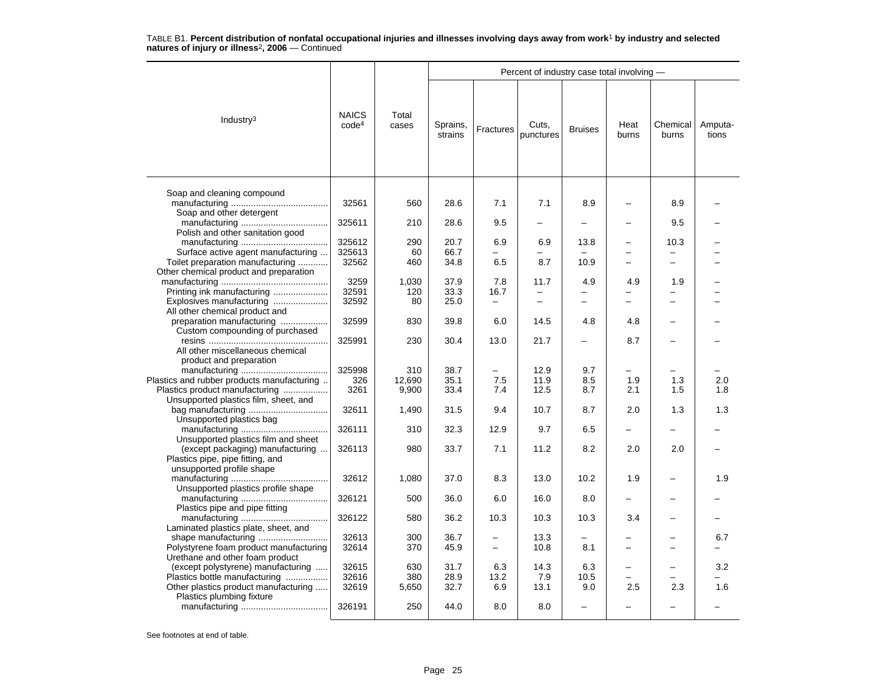| <b>NAICS</b><br>Total<br>Industry $3$<br>code <sup>4</sup><br>Sprains,<br>Cuts,<br>cases<br>Fractures<br><b>Bruises</b><br>punctures<br>strains | Heat<br>burns | Chemical<br>burns | Amputa-<br>tions |  |
|-------------------------------------------------------------------------------------------------------------------------------------------------|---------------|-------------------|------------------|--|
| Soap and cleaning compound                                                                                                                      |               |                   |                  |  |
| 32561<br>28.6<br>7.1<br>7.1<br>8.9<br>560<br>Soap and other detergent                                                                           |               | 8.9               |                  |  |
| 325611<br>210<br>28.6<br>9.5                                                                                                                    |               | 9.5               |                  |  |
| Polish and other sanitation good                                                                                                                |               |                   |                  |  |
| 325612<br>290<br>20.7<br>6.9<br>6.9<br>13.8                                                                                                     |               | 10.3              |                  |  |
| Surface active agent manufacturing<br>325613<br>66.7<br>60                                                                                      |               |                   |                  |  |
| Toilet preparation manufacturing<br>32562<br>460<br>34.8<br>6.5<br>8.7<br>10.9                                                                  |               |                   |                  |  |
| Other chemical product and preparation                                                                                                          |               |                   |                  |  |
| 3259<br>37.9<br>1,030<br>7.8<br>11.7<br>4.9                                                                                                     | 4.9           | 1.9               |                  |  |
| Printing ink manufacturing<br>32591<br>120<br>33.3<br>16.7                                                                                      |               |                   |                  |  |
| Explosives manufacturing<br>32592<br>25.0<br>80<br>$\overline{\phantom{0}}$<br>$\overline{\phantom{0}}$<br>$\overline{\phantom{0}}$             | -             | -                 |                  |  |
| All other chemical product and                                                                                                                  |               |                   |                  |  |
| preparation manufacturing<br>32599<br>830<br>39.8<br>6.0<br>14.5<br>4.8                                                                         | 4.8           |                   |                  |  |
| Custom compounding of purchased                                                                                                                 |               |                   |                  |  |
| 325991<br>230<br>30.4<br>13.0<br>21.7                                                                                                           | 8.7           |                   |                  |  |
| All other miscellaneous chemical                                                                                                                |               |                   |                  |  |
| product and preparation                                                                                                                         |               |                   |                  |  |
| 325998<br>310<br>38.7<br>12.9<br>9.7                                                                                                            |               |                   |                  |  |
| Plastics and rubber products manufacturing<br>12.690<br>326<br>35.1<br>7.5<br>11.9<br>8.5                                                       | 1.9           | 1.3               | 2.0              |  |
| Plastics product manufacturing<br>3261<br>9,900<br>33.4<br>7.4<br>12.5<br>8.7                                                                   | 2.1           | 1.5               | 1.8              |  |
| Unsupported plastics film, sheet, and                                                                                                           |               |                   |                  |  |
| 32611<br>1,490<br>31.5<br>9.4<br>10.7<br>8.7                                                                                                    | 2.0           | 1.3               | 1.3              |  |
| Unsupported plastics bag                                                                                                                        |               |                   |                  |  |
| 326111<br>310<br>32.3<br>12.9<br>9.7<br>6.5                                                                                                     |               |                   |                  |  |
| Unsupported plastics film and sheet                                                                                                             |               |                   |                  |  |
| 326113<br>33.7<br>7.1<br>(except packaging) manufacturing<br>980<br>11.2<br>8.2                                                                 | 2.0           | 2.0               |                  |  |
| Plastics pipe, pipe fitting, and                                                                                                                |               |                   |                  |  |
| unsupported profile shape                                                                                                                       |               |                   |                  |  |
| 32612<br>37.0<br>8.3<br>13.0<br>10.2<br>1,080                                                                                                   | 1.9           |                   | 1.9              |  |
| Unsupported plastics profile shape                                                                                                              |               |                   |                  |  |
| 326121<br>500<br>36.0<br>6.0<br>16.0<br>8.0                                                                                                     | -             |                   |                  |  |
| Plastics pipe and pipe fitting                                                                                                                  |               |                   |                  |  |
| 326122<br>580<br>36.2<br>10.3<br>10.3<br>10.3                                                                                                   | 3.4           |                   |                  |  |
| Laminated plastics plate, sheet, and                                                                                                            |               |                   |                  |  |
| 32613<br>300<br>36.7<br>13.3<br>$\overline{\phantom{0}}$                                                                                        |               |                   | 6.7              |  |
| Polystyrene foam product manufacturing<br>32614<br>370<br>45.9<br>10.8<br>8.1<br>$\overline{\phantom{0}}$                                       |               |                   |                  |  |
| Urethane and other foam product                                                                                                                 |               |                   |                  |  |
| (except polystyrene) manufacturing<br>32615<br>630<br>31.7<br>6.3<br>14.3<br>6.3<br>Plastics bottle manufacturing                               |               |                   | 3.2              |  |
| 32616<br>380<br>28.9<br>7.9<br>13.2<br>10.5                                                                                                     |               | 2.3               |                  |  |
| Other plastics product manufacturing<br>32619<br>5,650<br>32.7<br>6.9<br>13.1<br>9.0                                                            | 2.5           |                   | 1.6              |  |
| Plastics plumbing fixture<br>326191<br>250<br>44.0<br>8.0<br>8.0<br>$\overline{\phantom{0}}$                                                    |               |                   |                  |  |
|                                                                                                                                                 |               |                   |                  |  |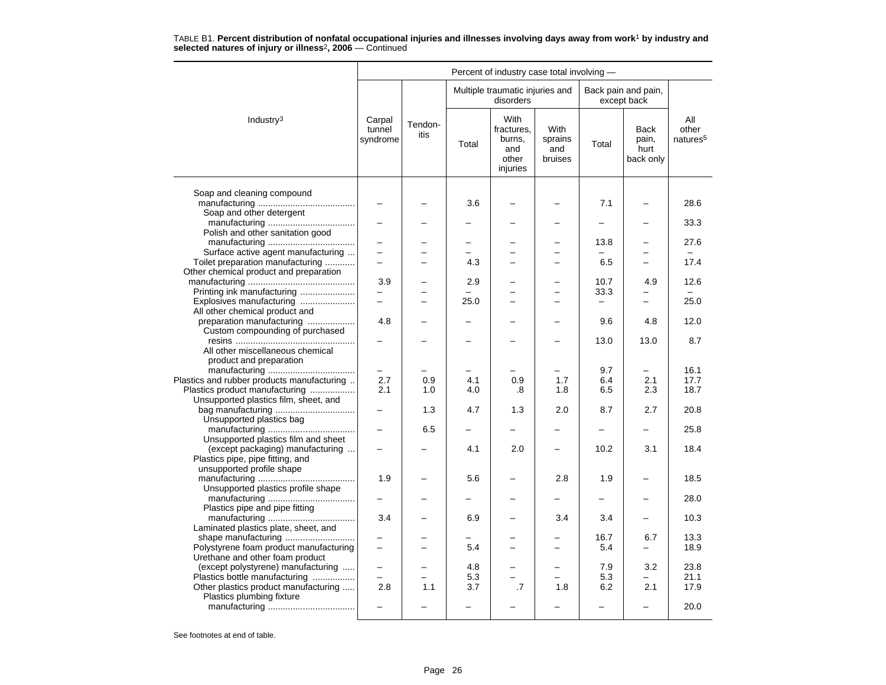|                                                                              |                              |                 |            | Percent of industry case total involving -               |                                          |                          |                                           |                                      |
|------------------------------------------------------------------------------|------------------------------|-----------------|------------|----------------------------------------------------------|------------------------------------------|--------------------------|-------------------------------------------|--------------------------------------|
|                                                                              |                              |                 |            | Multiple traumatic injuries and<br>disorders             |                                          |                          | Back pain and pain,<br>except back        |                                      |
| Industry <sup>3</sup>                                                        | Carpal<br>tunnel<br>syndrome | Tendon-<br>itis | Total      | With<br>fractures.<br>burns,<br>and<br>other<br>injuries | <b>With</b><br>sprains<br>and<br>bruises | Total                    | <b>Back</b><br>pain,<br>hurt<br>back only | All<br>other<br>natures <sup>5</sup> |
| Soap and cleaning compound                                                   |                              |                 |            |                                                          |                                          |                          |                                           |                                      |
|                                                                              | $\equiv$                     |                 | 3.6        |                                                          |                                          | 7.1                      |                                           | 28.6                                 |
| Soap and other detergent                                                     |                              |                 |            |                                                          |                                          |                          |                                           |                                      |
|                                                                              |                              |                 |            |                                                          |                                          |                          |                                           | 33.3                                 |
| Polish and other sanitation good                                             |                              |                 |            |                                                          |                                          |                          |                                           |                                      |
|                                                                              | $\overline{\phantom{0}}$     |                 |            |                                                          |                                          | 13.8                     |                                           | 27.6                                 |
| Surface active agent manufacturing                                           | $\overline{\phantom{0}}$     | $\equiv$        | 4.3        |                                                          | $\overline{\phantom{0}}$<br>-            | 6.5                      | $\overline{\phantom{0}}$                  | 17.4                                 |
| Toilet preparation manufacturing<br>Other chemical product and preparation   |                              |                 |            |                                                          |                                          |                          |                                           |                                      |
|                                                                              | 3.9                          |                 | 2.9        |                                                          |                                          | 10.7                     | 4.9                                       | 12.6                                 |
| Printing ink manufacturing                                                   | $\qquad \qquad -$            |                 |            |                                                          | $\overline{\phantom{0}}$                 | 33.3                     |                                           |                                      |
| Explosives manufacturing                                                     |                              |                 | 25.0       |                                                          |                                          | $\overline{\phantom{0}}$ | $\equiv$                                  | 25.0                                 |
| All other chemical product and                                               |                              |                 |            |                                                          |                                          |                          |                                           |                                      |
| preparation manufacturing                                                    | 4.8                          |                 |            |                                                          |                                          | 9.6                      | 4.8                                       | 12.0                                 |
| Custom compounding of purchased                                              |                              |                 |            |                                                          |                                          |                          |                                           |                                      |
|                                                                              |                              |                 |            |                                                          |                                          | 13.0                     | 13.0                                      | 8.7                                  |
| All other miscellaneous chemical                                             |                              |                 |            |                                                          |                                          |                          |                                           |                                      |
| product and preparation                                                      |                              |                 |            |                                                          |                                          |                          |                                           |                                      |
|                                                                              |                              |                 |            |                                                          |                                          | 9.7                      | $\equiv$                                  | 16.1                                 |
| Plastics and rubber products manufacturing<br>Plastics product manufacturing | 2.7<br>2.1                   | 0.9<br>1.0      | 4.1<br>4.0 | 0.9<br>.8                                                | 1.7<br>1.8                               | 6.4<br>6.5               | 2.1<br>2.3                                | 17.7<br>18.7                         |
| Unsupported plastics film, sheet, and                                        |                              |                 |            |                                                          |                                          |                          |                                           |                                      |
| bag manufacturing                                                            |                              | 1.3             | 4.7        | 1.3                                                      | 2.0                                      | 8.7                      | 2.7                                       | 20.8                                 |
| Unsupported plastics bag                                                     |                              |                 |            |                                                          |                                          |                          |                                           |                                      |
|                                                                              |                              | 6.5             |            |                                                          |                                          |                          |                                           | 25.8                                 |
| Unsupported plastics film and sheet                                          |                              |                 |            |                                                          |                                          |                          |                                           |                                      |
| (except packaging) manufacturing                                             |                              |                 | 4.1        | 2.0                                                      |                                          | 10.2                     | 3.1                                       | 18.4                                 |
| Plastics pipe, pipe fitting, and                                             |                              |                 |            |                                                          |                                          |                          |                                           |                                      |
| unsupported profile shape                                                    |                              |                 |            |                                                          |                                          |                          |                                           |                                      |
|                                                                              | 1.9                          |                 | 5.6        |                                                          | 2.8                                      | 1.9                      | -                                         | 18.5                                 |
| Unsupported plastics profile shape                                           |                              |                 |            |                                                          |                                          |                          |                                           |                                      |
| Plastics pipe and pipe fitting                                               | -                            |                 |            |                                                          | $\overline{\phantom{0}}$                 | —                        | -                                         | 28.0                                 |
|                                                                              | 3.4                          |                 | 6.9        |                                                          | 3.4                                      | 3.4                      | $\overline{a}$                            | 10.3                                 |
| Laminated plastics plate, sheet, and                                         |                              |                 |            |                                                          |                                          |                          |                                           |                                      |
| shape manufacturing                                                          |                              |                 |            |                                                          |                                          | 16.7                     | 6.7                                       | 13.3                                 |
| Polystyrene foam product manufacturing                                       |                              |                 | 5.4        |                                                          |                                          | 5.4                      | $\overline{\phantom{0}}$                  | 18.9                                 |
| Urethane and other foam product                                              |                              |                 |            |                                                          |                                          |                          |                                           |                                      |
| (except polystyrene) manufacturing                                           |                              |                 | 4.8        |                                                          |                                          | 7.9                      | 3.2                                       | 23.8                                 |
| Plastics bottle manufacturing                                                |                              |                 | 5.3        |                                                          |                                          | 5.3                      |                                           | 21.1                                 |
| Other plastics product manufacturing                                         | 2.8                          | 1.1             | 3.7        | .7                                                       | 1.8                                      | 6.2                      | 2.1                                       | 17.9                                 |
| Plastics plumbing fixture                                                    |                              |                 |            |                                                          |                                          |                          |                                           | 20.0                                 |
|                                                                              |                              |                 |            |                                                          |                                          |                          |                                           |                                      |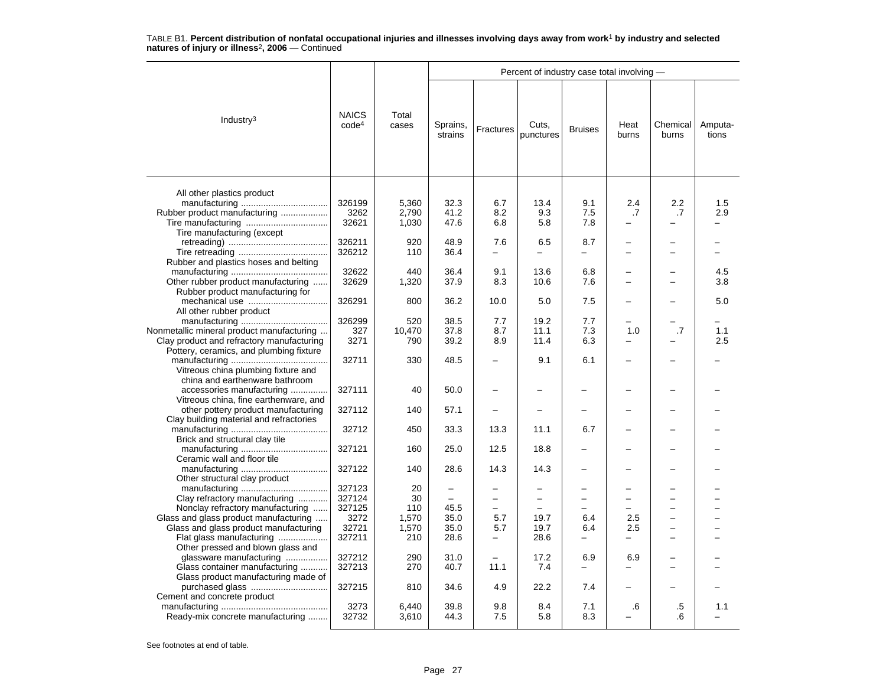|                                           |                                   |                |                          |                | Percent of industry case total involving - |                          |               |                          |                  |
|-------------------------------------------|-----------------------------------|----------------|--------------------------|----------------|--------------------------------------------|--------------------------|---------------|--------------------------|------------------|
| Industry <sup>3</sup>                     | <b>NAICS</b><br>code <sup>4</sup> | Total<br>cases | Sprains,<br>strains      | Fractures      | Cuts,<br>punctures                         | <b>Bruises</b>           | Heat<br>burns | Chemical<br>burns        | Amputa-<br>tions |
|                                           |                                   |                |                          |                |                                            |                          |               |                          |                  |
| All other plastics product                |                                   |                |                          |                |                                            |                          |               |                          |                  |
|                                           | 326199                            | 5,360          | 32.3                     | 6.7            | 13.4                                       | 9.1                      | 2.4           | $2.2\,$                  | 1.5              |
| Rubber product manufacturing              | 3262                              | 2,790          | 41.2                     | 8.2            | 9.3                                        | 7.5                      | .7            | .7                       | 2.9              |
|                                           | 32621                             | 1,030          | 47.6                     | 6.8            | 5.8                                        | 7.8                      |               |                          |                  |
| Tire manufacturing (except                |                                   |                |                          |                |                                            |                          |               |                          |                  |
|                                           | 326211                            | 920            | 48.9                     | 7.6            | 6.5                                        | 8.7                      |               |                          |                  |
|                                           | 326212                            | 110            | 36.4                     | -              | $\equiv$                                   | $\overline{\phantom{0}}$ | ÷             | $\equiv$                 |                  |
| Rubber and plastics hoses and belting     |                                   |                |                          |                |                                            |                          |               |                          |                  |
|                                           | 32622                             | 440            | 36.4                     | 9.1            | 13.6                                       | 6.8                      |               |                          | 4.5              |
| Other rubber product manufacturing        | 32629                             | 1,320          | 37.9                     | 8.3            | 10.6                                       | 7.6                      |               |                          | 3.8              |
| Rubber product manufacturing for          |                                   |                |                          |                |                                            |                          |               |                          |                  |
|                                           | 326291                            | 800            | 36.2                     | 10.0           | 5.0                                        | 7.5                      |               |                          | 5.0              |
| All other rubber product                  |                                   |                |                          |                |                                            |                          |               |                          |                  |
|                                           | 326299                            | 520            | 38.5                     | 7.7            | 19.2                                       | 7.7                      |               |                          |                  |
| Nonmetallic mineral product manufacturing | 327                               | 10,470         | 37.8                     | 8.7            | 11.1                                       | 7.3                      | 1.0           | .7                       | 1.1              |
| Clay product and refractory manufacturing | 3271                              | 790            | 39.2                     | 8.9            | 11.4                                       | 6.3                      |               |                          | 2.5              |
| Pottery, ceramics, and plumbing fixture   |                                   |                |                          |                |                                            |                          |               |                          |                  |
|                                           | 32711                             | 330            | 48.5                     |                | 9.1                                        | 6.1                      |               |                          |                  |
|                                           |                                   |                |                          |                |                                            |                          |               |                          |                  |
| Vitreous china plumbing fixture and       |                                   |                |                          |                |                                            |                          |               |                          |                  |
| china and earthenware bathroom            |                                   |                |                          |                |                                            |                          |               |                          |                  |
| accessories manufacturing                 | 327111                            | 40             | 50.0                     |                |                                            |                          |               |                          |                  |
| Vitreous china, fine earthenware, and     |                                   |                |                          |                |                                            |                          |               |                          |                  |
| other pottery product manufacturing       | 327112                            | 140            | 57.1                     |                |                                            |                          |               |                          |                  |
| Clay building material and refractories   |                                   |                |                          |                |                                            |                          |               |                          |                  |
|                                           | 32712                             | 450            | 33.3                     | 13.3           | 11.1                                       | 6.7                      |               |                          |                  |
| Brick and structural clay tile            |                                   |                |                          |                |                                            |                          |               |                          |                  |
|                                           | 327121                            | 160            | 25.0                     | 12.5           | 18.8                                       |                          |               |                          |                  |
| Ceramic wall and floor tile               |                                   |                |                          |                |                                            |                          |               |                          |                  |
|                                           | 327122                            | 140            | 28.6                     | 14.3           | 14.3                                       |                          |               |                          |                  |
| Other structural clay product             |                                   |                |                          |                |                                            |                          |               |                          |                  |
|                                           | 327123                            | 20             |                          |                |                                            |                          |               |                          |                  |
| Clay refractory manufacturing             | 327124                            | 30             | $\overline{\phantom{0}}$ | $\overline{a}$ | $\equiv$                                   | $\overline{\phantom{0}}$ |               |                          |                  |
| Nonclay refractory manufacturing          | 327125                            | 110            | 45.5                     |                |                                            |                          |               |                          |                  |
| Glass and glass product manufacturing     | 3272                              | 1,570          | 35.0                     | 5.7            | 19.7                                       | 6.4                      | 2.5           | $\overline{\phantom{0}}$ |                  |
| Glass and glass product manufacturing     | 32721                             | 1,570          | 35.0                     | 5.7            | 19.7                                       | 6.4                      | 2.5           | $\overline{\phantom{0}}$ |                  |
| Flat glass manufacturing                  | 327211                            | 210            | 28.6                     |                | 28.6                                       |                          |               |                          |                  |
| Other pressed and blown glass and         |                                   |                |                          |                |                                            |                          |               |                          |                  |
| glassware manufacturing                   | 327212                            | 290            | 31.0                     |                | 17.2                                       | 6.9                      | 6.9           |                          |                  |
| Glass container manufacturing             | 327213                            | 270            | 40.7                     | 11.1           | 7.4                                        |                          |               |                          |                  |
| Glass product manufacturing made of       |                                   |                |                          |                |                                            |                          |               |                          |                  |
|                                           | 327215                            | 810            | 34.6                     | 4.9            | 22.2                                       | 7.4                      |               |                          |                  |
| Cement and concrete product               |                                   |                |                          |                |                                            |                          |               |                          |                  |
|                                           | 3273                              | 6,440          | 39.8                     | 9.8            | 8.4                                        | 7.1                      | .6            | .5                       | 1.1              |
| Ready-mix concrete manufacturing          | 32732                             | 3,610          | 44.3                     | 7.5            | 5.8                                        | 8.3                      |               | .6                       |                  |
|                                           |                                   |                |                          |                |                                            |                          |               |                          |                  |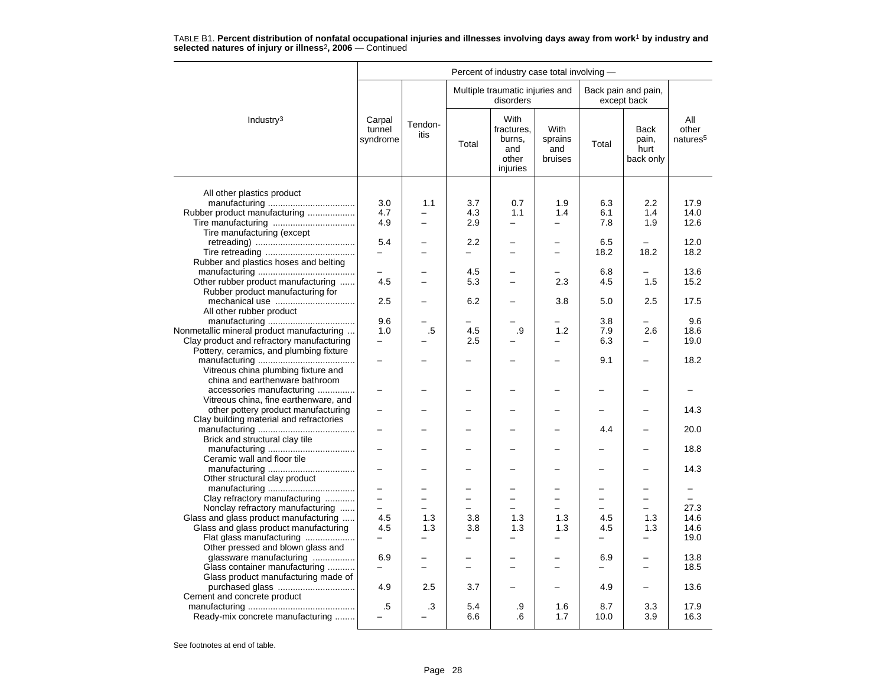|                                                                                                      |                              |                                 |                          | Percent of industry case total involving -               |                                   |             |                                    |                                      |
|------------------------------------------------------------------------------------------------------|------------------------------|---------------------------------|--------------------------|----------------------------------------------------------|-----------------------------------|-------------|------------------------------------|--------------------------------------|
|                                                                                                      |                              |                                 |                          | Multiple traumatic injuries and<br>disorders             |                                   |             | Back pain and pain,<br>except back |                                      |
| Industry <sup>3</sup>                                                                                | Carpal<br>tunnel<br>syndrome | Tendon-<br>itis                 | Total                    | With<br>fractures.<br>burns,<br>and<br>other<br>injuries | With<br>sprains<br>and<br>bruises | Total       | Back<br>pain,<br>hurt<br>back only | All<br>other<br>natures <sup>5</sup> |
|                                                                                                      |                              |                                 |                          |                                                          |                                   |             |                                    |                                      |
| All other plastics product<br>Rubber product manufacturing                                           | 3.0<br>4.7                   | 1.1<br>$\overline{\phantom{0}}$ | 3.7<br>4.3               | 0.7<br>1.1                                               | 1.9<br>1.4                        | 6.3<br>6.1  | 2.2<br>1.4                         | 17.9<br>14.0                         |
| Tire manufacturing (except                                                                           | 4.9                          | $\equiv$                        | 2.9                      | $\equiv$                                                 |                                   | 7.8         | 1.9                                | 12.6                                 |
|                                                                                                      | 5.4                          |                                 | 2.2                      | -                                                        | $\equiv$                          | 6.5<br>18.2 | 18.2                               | 12.0<br>18.2                         |
| Rubber and plastics hoses and belting                                                                |                              |                                 | 4.5                      |                                                          |                                   | 6.8         |                                    | 13.6                                 |
| Other rubber product manufacturing<br>Rubber product manufacturing for                               | 4.5                          |                                 | 5.3                      | $\overline{\phantom{0}}$                                 | 2.3                               | 4.5         | 1.5                                | 15.2                                 |
| mechanical use<br>All other rubber product                                                           | 2.5<br>9.6                   |                                 | 6.2                      |                                                          | 3.8                               | 5.0<br>3.8  | 2.5                                | 17.5<br>9.6                          |
| Nonmetallic mineral product manufacturing<br>Clay product and refractory manufacturing               | 1.0                          | .5                              | 4.5<br>2.5               | .9                                                       | 1.2                               | 7.9<br>6.3  | 2.6                                | 18.6<br>19.0                         |
| Pottery, ceramics, and plumbing fixture<br>Vitreous china plumbing fixture and                       |                              |                                 |                          |                                                          |                                   | 9.1         |                                    | 18.2                                 |
| china and earthenware bathroom<br>accessories manufacturing<br>Vitreous china, fine earthenware, and |                              |                                 |                          |                                                          |                                   |             |                                    |                                      |
| other pottery product manufacturing<br>Clay building material and refractories                       |                              |                                 |                          |                                                          |                                   |             |                                    | 14.3                                 |
| Brick and structural clay tile                                                                       |                              |                                 |                          |                                                          |                                   | 4.4         |                                    | 20.0                                 |
| Ceramic wall and floor tile                                                                          |                              |                                 |                          |                                                          |                                   |             |                                    | 18.8                                 |
| Other structural clay product                                                                        |                              |                                 |                          |                                                          |                                   |             |                                    | 14.3                                 |
| Clay refractory manufacturing                                                                        | -                            |                                 |                          | -                                                        |                                   | -           | $\overline{\phantom{0}}$           | $\overline{\phantom{0}}$             |
| Nonclay refractory manufacturing                                                                     | $\overline{\phantom{0}}$     |                                 | $\overline{\phantom{0}}$ | $\overline{\phantom{0}}$                                 |                                   |             |                                    | 27.3                                 |
| Glass and glass product manufacturing                                                                | 4.5                          | 1.3                             | 3.8                      | 1.3                                                      | 1.3                               | 4.5         | 1.3                                | 14.6                                 |
| Glass and glass product manufacturing                                                                | 4.5                          | 1.3                             | 3.8                      | 1.3                                                      | 1.3                               | 4.5         | 1.3                                | 14.6                                 |
| Flat glass manufacturing                                                                             | -                            |                                 | -                        | -                                                        | $\overline{\phantom{0}}$          | —           | -                                  | 19.0                                 |
| Other pressed and blown glass and                                                                    |                              |                                 |                          |                                                          |                                   |             |                                    |                                      |
| glassware manufacturing                                                                              | 6.9                          |                                 |                          |                                                          |                                   | 6.9         |                                    | 13.8                                 |
| Glass container manufacturing<br>Glass product manufacturing made of                                 |                              | $\overline{\phantom{0}}$        | $\overline{\phantom{0}}$ | $\overline{\phantom{0}}$                                 | $\overline{\phantom{0}}$          |             | $\overline{\phantom{0}}$           | 18.5                                 |
| purchased glass                                                                                      | 4.9                          | 2.5                             | 3.7                      |                                                          |                                   | 4.9         | $\overline{\phantom{0}}$           | 13.6                                 |
| Cement and concrete product                                                                          |                              |                                 |                          |                                                          |                                   |             |                                    |                                      |
| Ready-mix concrete manufacturing                                                                     | .5                           | .3                              | 5.4<br>6.6               | .9<br>.6                                                 | 1.6<br>1.7                        | 8.7<br>10.0 | 3.3<br>3.9                         | 17.9<br>16.3                         |
|                                                                                                      |                              |                                 |                          |                                                          |                                   |             |                                    |                                      |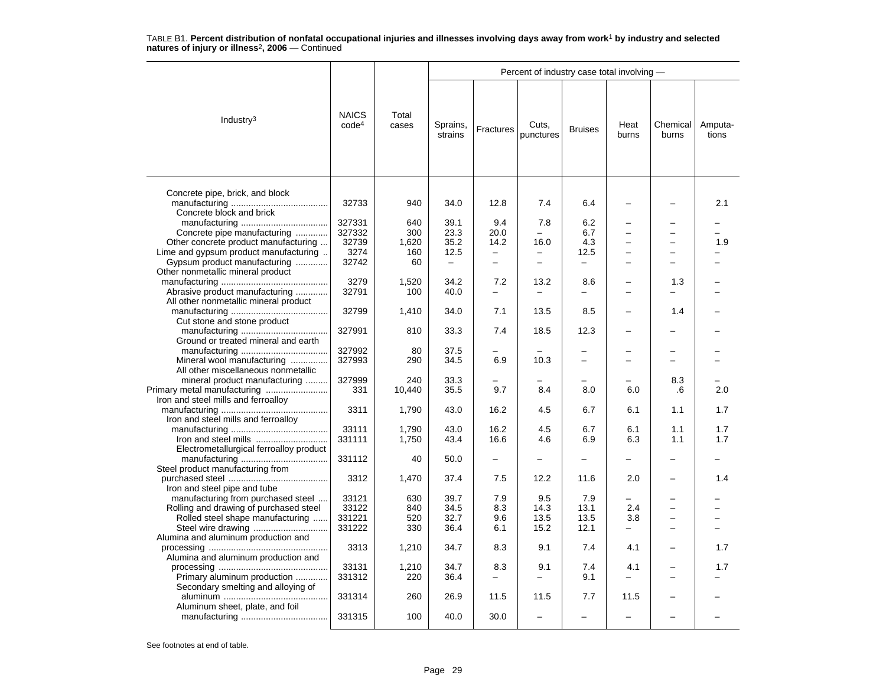|                                                                    |                                   |                |                          |           | Percent of industry case total involving - |                          |                          |                          |                  |
|--------------------------------------------------------------------|-----------------------------------|----------------|--------------------------|-----------|--------------------------------------------|--------------------------|--------------------------|--------------------------|------------------|
| Industry <sup>3</sup>                                              | <b>NAICS</b><br>code <sup>4</sup> | Total<br>cases | Sprains,<br>strains      | Fractures | Cuts,<br>punctures                         | <b>Bruises</b>           | Heat<br>burns            | Chemical<br>burns        | Amputa-<br>tions |
| Concrete pipe, brick, and block<br>Concrete block and brick        | 32733                             | 940            | 34.0                     | 12.8      | 7.4                                        | 6.4                      |                          |                          | 2.1              |
|                                                                    | 327331                            | 640            | 39.1                     | 9.4       | 7.8                                        | 6.2                      |                          |                          |                  |
| Concrete pipe manufacturing                                        | 327332                            | 300            | 23.3                     | 20.0      |                                            | 6.7                      |                          | -                        |                  |
| Other concrete product manufacturing                               | 32739                             | 1,620          | 35.2                     | 14.2      | 16.0                                       | 4.3                      |                          |                          | 1.9              |
| Lime and gypsum product manufacturing                              | 3274                              | 160            | 12.5                     | -         | -                                          | 12.5                     |                          | -                        |                  |
| Gypsum product manufacturing                                       | 32742                             | 60             | $\overline{\phantom{0}}$ | $\equiv$  | $\overline{\phantom{0}}$                   | $\overline{\phantom{0}}$ |                          | L                        |                  |
| Other nonmetallic mineral product                                  |                                   |                |                          |           |                                            |                          |                          |                          |                  |
|                                                                    | 3279                              | 1,520          | 34.2                     | 7.2       | 13.2                                       | 8.6                      |                          | 1.3                      |                  |
| Abrasive product manufacturing                                     | 32791                             | 100            | 40.0                     |           | $\equiv$                                   | $\overline{\phantom{0}}$ | -                        |                          |                  |
| All other nonmetallic mineral product                              |                                   |                |                          |           |                                            |                          |                          |                          |                  |
|                                                                    | 32799                             | 1,410          | 34.0                     | 7.1       | 13.5                                       | 8.5                      |                          | 1.4                      |                  |
| Cut stone and stone product                                        |                                   |                |                          |           |                                            |                          |                          |                          |                  |
|                                                                    | 327991                            | 810            | 33.3                     | 7.4       | 18.5                                       | 12.3                     |                          |                          |                  |
| Ground or treated mineral and earth                                |                                   |                |                          |           |                                            |                          |                          |                          |                  |
|                                                                    | 327992                            | 80             | 37.5                     |           |                                            | $\overline{\phantom{0}}$ |                          | $\overline{\phantom{0}}$ |                  |
| Mineral wool manufacturing                                         | 327993                            | 290            | 34.5                     | 6.9       | 10.3                                       | $\equiv$                 |                          | $\overline{\phantom{0}}$ |                  |
| All other miscellaneous nonmetallic                                |                                   |                |                          |           |                                            |                          |                          |                          |                  |
| mineral product manufacturing                                      | 327999<br>331                     | 240            | 33.3                     | 9.7       | 8.4                                        | 8.0                      | 6.0                      | 8.3                      | 2.0              |
| Primary metal manufacturing<br>Iron and steel mills and ferroalloy |                                   | 10,440         | 35.5                     |           |                                            |                          |                          | .6                       |                  |
|                                                                    | 3311                              | 1,790          | 43.0                     | 16.2      | 4.5                                        | 6.7                      | 6.1                      | 1.1                      | 1.7              |
| Iron and steel mills and ferroalloy                                |                                   |                |                          |           |                                            |                          |                          |                          |                  |
|                                                                    | 33111                             | 1,790          | 43.0                     | 16.2      | 4.5                                        | 6.7                      | 6.1                      | 1.1                      | 1.7              |
| Iron and steel mills                                               | 331111                            | 1,750          | 43.4                     | 16.6      | 4.6                                        | 6.9                      | 6.3                      | 1.1                      | 1.7              |
| Electrometallurgical ferroalloy product                            |                                   |                |                          |           |                                            |                          |                          |                          |                  |
|                                                                    | 331112                            | 40             | 50.0                     |           |                                            |                          |                          |                          |                  |
| Steel product manufacturing from                                   |                                   |                |                          |           |                                            |                          |                          |                          |                  |
|                                                                    | 3312                              | 1,470          | 37.4                     | 7.5       | 12.2                                       | 11.6                     | 2.0                      |                          | 1.4              |
| Iron and steel pipe and tube                                       |                                   |                |                          |           |                                            |                          |                          |                          |                  |
| manufacturing from purchased steel                                 | 33121                             | 630            | 39.7                     | 7.9       | 9.5                                        | 7.9                      |                          |                          |                  |
| Rolling and drawing of purchased steel                             | 33122                             | 840            | 34.5                     | 8.3       | 14.3                                       | 13.1                     | 2.4                      |                          |                  |
| Rolled steel shape manufacturing                                   | 331221                            | 520            | 32.7                     | 9.6       | 13.5                                       | 13.5                     | 3.8                      | -                        |                  |
|                                                                    | 331222                            | 330            | 36.4                     | 6.1       | 15.2                                       | 12.1                     | $\overline{\phantom{m}}$ | $\overline{\phantom{0}}$ |                  |
| Alumina and aluminum production and                                |                                   |                |                          |           |                                            |                          |                          |                          |                  |
|                                                                    | 3313                              | 1,210          | 34.7                     | 8.3       | 9.1                                        | 7.4                      | 4.1                      |                          | 1.7              |
| Alumina and aluminum production and                                |                                   |                |                          |           |                                            |                          |                          |                          |                  |
|                                                                    | 33131                             | 1,210          | 34.7                     | 8.3       | 9.1                                        | 7.4                      | 4.1                      |                          | 1.7              |
| Primary aluminum production                                        | 331312                            | 220            | 36.4                     |           | $\overline{\phantom{0}}$                   | 9.1                      |                          | -                        |                  |
| Secondary smelting and alloying of                                 | 331314                            | 260            | 26.9                     | 11.5      | 11.5                                       | 7.7                      | 11.5                     |                          |                  |
|                                                                    |                                   |                |                          |           |                                            |                          |                          |                          |                  |
| Aluminum sheet, plate, and foil                                    | 331315                            | 100            | 40.0                     | 30.0      |                                            |                          |                          |                          |                  |
|                                                                    |                                   |                |                          |           |                                            |                          |                          |                          |                  |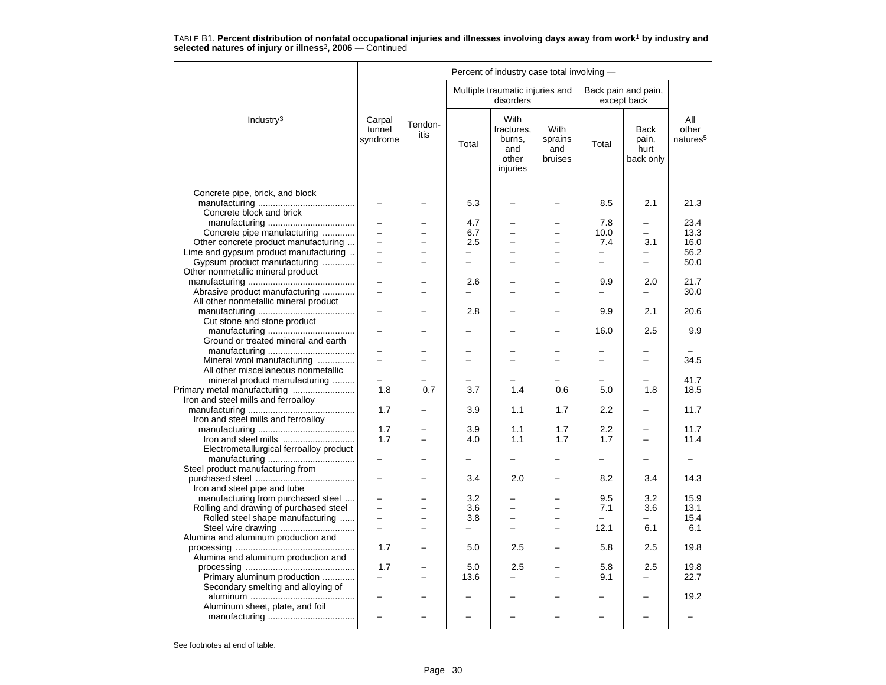|                                         |                              |                 |                          |                                                          |                                   | Percent of industry case total involving - |                                           |                                      |  |  |  |  |
|-----------------------------------------|------------------------------|-----------------|--------------------------|----------------------------------------------------------|-----------------------------------|--------------------------------------------|-------------------------------------------|--------------------------------------|--|--|--|--|
|                                         |                              |                 |                          | Multiple traumatic injuries and<br>disorders             |                                   |                                            | Back pain and pain,<br>except back        |                                      |  |  |  |  |
| Industry <sup>3</sup>                   | Carpal<br>tunnel<br>syndrome | Tendon-<br>itis | Total                    | With<br>fractures,<br>burns,<br>and<br>other<br>injuries | With<br>sprains<br>and<br>bruises | Total                                      | <b>Back</b><br>pain,<br>hurt<br>back only | All<br>other<br>natures <sup>5</sup> |  |  |  |  |
| Concrete pipe, brick, and block         |                              |                 |                          |                                                          |                                   |                                            |                                           |                                      |  |  |  |  |
| Concrete block and brick                |                              |                 | 5.3                      |                                                          |                                   | 8.5                                        | 2.1                                       | 21.3                                 |  |  |  |  |
|                                         |                              |                 | 4.7                      |                                                          |                                   | 7.8                                        |                                           | 23.4                                 |  |  |  |  |
| Concrete pipe manufacturing             | $\overline{\phantom{0}}$     |                 | 6.7                      | $\overline{a}$                                           |                                   | 10.0                                       | $\equiv$                                  | 13.3                                 |  |  |  |  |
| Other concrete product manufacturing    | ÷                            |                 | 2.5                      | $\equiv$                                                 | -                                 | 7.4                                        | 3.1                                       | 16.0                                 |  |  |  |  |
| Lime and gypsum product manufacturing   |                              |                 |                          |                                                          |                                   |                                            |                                           | 56.2                                 |  |  |  |  |
| Gypsum product manufacturing            | $\overline{\phantom{0}}$     |                 | $\equiv$                 | -                                                        |                                   | $\qquad \qquad -$                          | $\overline{\phantom{0}}$                  | 50.0                                 |  |  |  |  |
| Other nonmetallic mineral product       |                              |                 |                          |                                                          |                                   |                                            |                                           |                                      |  |  |  |  |
|                                         |                              |                 | 2.6                      |                                                          |                                   | 9.9                                        | 2.0                                       | 21.7                                 |  |  |  |  |
|                                         | $\overline{\phantom{0}}$     |                 | $\equiv$                 | L                                                        | L.                                | $\equiv$                                   | $\overline{\phantom{0}}$                  | 30.0                                 |  |  |  |  |
| Abrasive product manufacturing          |                              |                 |                          |                                                          |                                   |                                            |                                           |                                      |  |  |  |  |
| All other nonmetallic mineral product   |                              |                 |                          |                                                          |                                   |                                            |                                           |                                      |  |  |  |  |
|                                         |                              |                 | 2.8                      |                                                          |                                   | 9.9                                        | 2.1                                       | 20.6                                 |  |  |  |  |
| Cut stone and stone product             |                              |                 |                          |                                                          |                                   |                                            |                                           |                                      |  |  |  |  |
|                                         |                              |                 |                          |                                                          |                                   | 16.0                                       | 2.5                                       | 9.9                                  |  |  |  |  |
| Ground or treated mineral and earth     |                              |                 |                          |                                                          |                                   |                                            |                                           |                                      |  |  |  |  |
|                                         |                              |                 |                          |                                                          |                                   |                                            |                                           |                                      |  |  |  |  |
| Mineral wool manufacturing              |                              |                 |                          |                                                          |                                   |                                            | $\overline{a}$                            | 34.5                                 |  |  |  |  |
| All other miscellaneous nonmetallic     |                              |                 |                          |                                                          |                                   |                                            |                                           |                                      |  |  |  |  |
| mineral product manufacturing           |                              |                 |                          |                                                          |                                   |                                            |                                           | 41.7                                 |  |  |  |  |
| Primary metal manufacturing             | 1.8                          | 0.7             | 3.7                      | 1.4                                                      | 0.6                               | 5.0                                        | 1.8                                       | 18.5                                 |  |  |  |  |
| Iron and steel mills and ferroalloy     |                              |                 |                          |                                                          |                                   |                                            |                                           |                                      |  |  |  |  |
|                                         | 1.7                          |                 | 3.9                      | 1.1                                                      | 1.7                               | 2.2                                        | ÷                                         | 11.7                                 |  |  |  |  |
|                                         |                              |                 |                          |                                                          |                                   |                                            |                                           |                                      |  |  |  |  |
| Iron and steel mills and ferroalloy     |                              |                 |                          |                                                          |                                   |                                            |                                           |                                      |  |  |  |  |
|                                         | 1.7                          |                 | 3.9                      | 1.1                                                      | 1.7                               | 2.2                                        |                                           | 11.7                                 |  |  |  |  |
|                                         | 1.7                          |                 | 4.0                      | 1.1                                                      | 1.7                               | 1.7                                        |                                           | 11.4                                 |  |  |  |  |
| Electrometallurgical ferroalloy product |                              |                 |                          |                                                          |                                   |                                            |                                           |                                      |  |  |  |  |
|                                         |                              |                 |                          |                                                          |                                   | -                                          |                                           |                                      |  |  |  |  |
| Steel product manufacturing from        |                              |                 |                          |                                                          |                                   |                                            |                                           |                                      |  |  |  |  |
|                                         |                              |                 | 3.4                      | 2.0                                                      |                                   | 8.2                                        | 3.4                                       | 14.3                                 |  |  |  |  |
| Iron and steel pipe and tube            |                              |                 |                          |                                                          |                                   |                                            |                                           |                                      |  |  |  |  |
| manufacturing from purchased steel      | $\overline{\phantom{0}}$     |                 | 3.2                      |                                                          |                                   | 9.5                                        | 3.2                                       | 15.9                                 |  |  |  |  |
| Rolling and drawing of purchased steel  |                              |                 | 3.6                      | $\overline{\phantom{0}}$                                 |                                   | 7.1                                        | 3.6                                       | 13.1                                 |  |  |  |  |
| Rolled steel shape manufacturing        | ▃                            |                 | 3.8                      | $\equiv$                                                 | $\overline{\phantom{0}}$          | $\equiv$                                   | -                                         | 15.4                                 |  |  |  |  |
|                                         | $\overline{a}$               |                 | $\overline{\phantom{0}}$ | $\overline{\phantom{0}}$                                 |                                   | 12.1                                       | 6.1                                       | 6.1                                  |  |  |  |  |
| Alumina and aluminum production and     |                              |                 |                          |                                                          |                                   |                                            |                                           |                                      |  |  |  |  |
|                                         | 1.7                          |                 | 5.0                      | 2.5                                                      |                                   | 5.8                                        |                                           | 19.8                                 |  |  |  |  |
|                                         |                              |                 |                          |                                                          |                                   |                                            | 2.5                                       |                                      |  |  |  |  |
| Alumina and aluminum production and     |                              |                 |                          |                                                          |                                   |                                            |                                           |                                      |  |  |  |  |
|                                         | 1.7                          |                 | 5.0                      | 2.5                                                      |                                   | 5.8                                        | 2.5                                       | 19.8                                 |  |  |  |  |
| Primary aluminum production             |                              |                 | 13.6                     | -                                                        |                                   | 9.1                                        |                                           | 22.7                                 |  |  |  |  |
| Secondary smelting and alloying of      |                              |                 |                          |                                                          |                                   |                                            |                                           |                                      |  |  |  |  |
|                                         | -                            |                 |                          |                                                          |                                   |                                            |                                           | 19.2                                 |  |  |  |  |
| Aluminum sheet, plate, and foil         |                              |                 |                          |                                                          |                                   |                                            |                                           |                                      |  |  |  |  |
|                                         |                              |                 |                          |                                                          |                                   |                                            |                                           |                                      |  |  |  |  |
|                                         |                              |                 |                          |                                                          |                                   |                                            |                                           |                                      |  |  |  |  |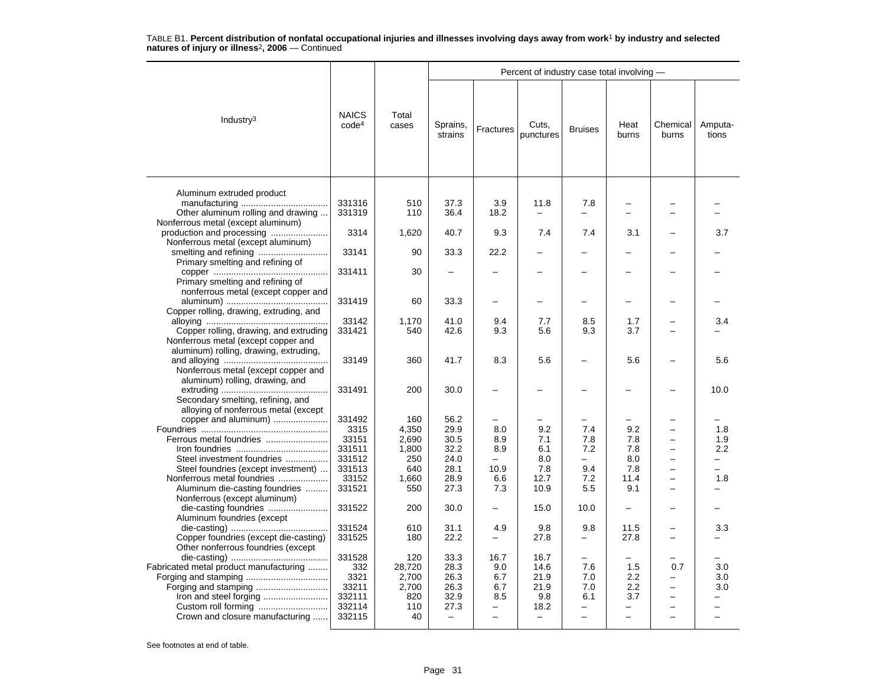|                                                                                                                  |                                   |                |                          |                | Percent of industry case total involving - |                          |                |                          |                  |
|------------------------------------------------------------------------------------------------------------------|-----------------------------------|----------------|--------------------------|----------------|--------------------------------------------|--------------------------|----------------|--------------------------|------------------|
| Industry $3$                                                                                                     | <b>NAICS</b><br>code <sup>4</sup> | Total<br>cases | Sprains,<br>strains      | Fractures      | Cuts,<br>punctures                         | <b>Bruises</b>           | Heat<br>burns  | Chemical<br>burns        | Amputa-<br>tions |
| Aluminum extruded product<br>Other aluminum rolling and drawing                                                  | 331316<br>331319                  | 510<br>110     | 37.3<br>36.4             | 3.9<br>18.2    | 11.8                                       | 7.8                      |                | $\overline{\phantom{0}}$ |                  |
| Nonferrous metal (except aluminum)<br>production and processing                                                  | 3314                              | 1,620          | 40.7                     | 9.3            | 7.4                                        | 7.4                      | 3.1            |                          | 3.7              |
| Nonferrous metal (except aluminum)<br>Primary smelting and refining of                                           | 33141                             | 90             | 33.3                     | 22.2           |                                            |                          |                |                          |                  |
| Primary smelting and refining of<br>nonferrous metal (except copper and                                          | 331411                            | 30             |                          |                |                                            |                          |                |                          |                  |
| Copper rolling, drawing, extruding, and                                                                          | 331419                            | 60             | 33.3                     |                |                                            | -                        |                |                          |                  |
|                                                                                                                  | 33142                             | 1,170          | 41.0                     | 9.4            | 7.7                                        | 8.5                      | 1.7            |                          | 3.4              |
| Copper rolling, drawing, and extruding<br>Nonferrous metal (except copper and                                    | 331421                            | 540            | 42.6                     | 9.3            | 5.6                                        | 9.3                      | 3.7            |                          |                  |
| aluminum) rolling, drawing, extruding,<br>Nonferrous metal (except copper and<br>aluminum) rolling, drawing, and | 33149                             | 360            | 41.7                     | 8.3            | 5.6                                        |                          | 5.6            |                          | 5.6              |
| Secondary smelting, refining, and<br>alloying of nonferrous metal (except                                        | 331491                            | 200            | 30.0                     |                |                                            |                          |                |                          | 10.0             |
| copper and aluminum)                                                                                             | 331492                            | 160            | 56.2                     |                |                                            |                          |                |                          |                  |
|                                                                                                                  | 3315                              | 4,350          | 29.9                     | 8.0            | 9.2                                        | 7.4                      | 9.2            |                          | 1.8              |
| Ferrous metal foundries                                                                                          | 33151                             | 2,690          | 30.5                     | 8.9            | 7.1                                        | 7.8                      | 7.8            | $\overline{\phantom{0}}$ | 1.9              |
|                                                                                                                  | 331511                            | 1,800          | 32.2                     | 8.9            | 6.1                                        | 7.2                      | 7.8            | $\overline{\phantom{0}}$ | 2.2              |
| Steel investment foundries                                                                                       | 331512                            | 250            | 24.0                     | $\equiv$       | 8.0                                        | $\overline{\phantom{0}}$ | 8.0            |                          |                  |
| Steel foundries (except investment)                                                                              | 331513                            | 640            | 28.1                     | 10.9           | 7.8                                        | 9.4                      | 7.8            |                          |                  |
| Nonferrous metal foundries                                                                                       | 33152                             | 1,660          | 28.9                     | 6.6            | 12.7                                       | 7.2                      | 11.4           | $\overline{\phantom{0}}$ | 1.8              |
| Aluminum die-casting foundries                                                                                   | 331521                            | 550            | 27.3                     | 7.3            | 10.9                                       | 5.5                      | 9.1            | $\overline{\phantom{0}}$ |                  |
| Nonferrous (except aluminum)                                                                                     | 331522                            | 200            | 30.0                     |                | 15.0                                       | 10.0                     |                |                          |                  |
| Aluminum foundries (except                                                                                       | 331524                            | 610            | 31.1                     | 4.9            | 9.8                                        | 9.8                      | 11.5           |                          | 3.3              |
| Copper foundries (except die-casting)<br>Other nonferrous foundries (except                                      | 331525                            | 180            | 22.2                     |                | 27.8                                       | $\overline{\phantom{0}}$ | 27.8           |                          |                  |
|                                                                                                                  | 331528                            | 120            | 33.3                     | 16.7           | 16.7                                       |                          |                |                          |                  |
| Fabricated metal product manufacturing                                                                           | 332                               | 28,720         | 28.3                     | 9.0            | 14.6                                       | 7.6                      | 1.5            | 0.7                      | 3.0              |
|                                                                                                                  | 3321                              | 2,700          | 26.3                     | 6.7            | 21.9                                       | 7.0                      | 2.2            |                          | 3.0              |
|                                                                                                                  | 33211                             | 2,700          | 26.3                     | 6.7            | 21.9                                       | 7.0                      | 2.2            | $\overline{\phantom{0}}$ | 3.0              |
|                                                                                                                  | 332111                            | 820            | 32.9                     | 8.5            | 9.8                                        | 6.1                      | 3.7            | $\overline{\phantom{0}}$ |                  |
| Custom roll forming                                                                                              | 332114                            | 110            | 27.3                     |                | 18.2                                       |                          |                |                          |                  |
| Crown and closure manufacturing                                                                                  | 332115                            | 40             | $\overline{\phantom{m}}$ | $\overline{a}$ | $\qquad \qquad -$                          | $\overline{a}$           | $\overline{a}$ |                          |                  |
|                                                                                                                  |                                   |                |                          |                |                                            |                          |                |                          |                  |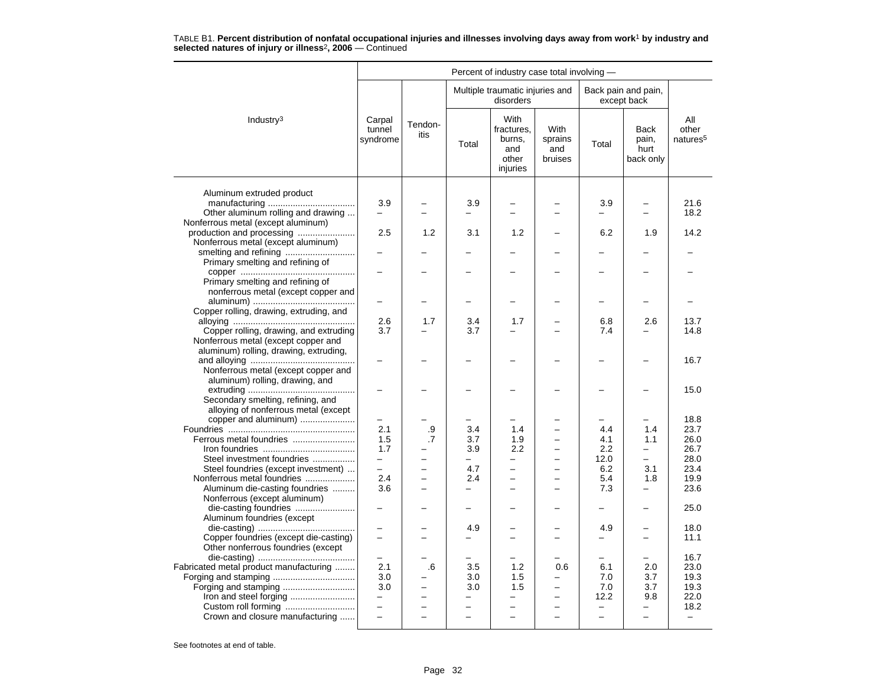|                                                                           |                               |                 |                               | Percent of industry case total involving -               |                                   |                          |                                           |                                      |
|---------------------------------------------------------------------------|-------------------------------|-----------------|-------------------------------|----------------------------------------------------------|-----------------------------------|--------------------------|-------------------------------------------|--------------------------------------|
|                                                                           |                               |                 |                               | Multiple traumatic injuries and<br>disorders             |                                   |                          | Back pain and pain,<br>except back        |                                      |
| Industry $3$                                                              | Carpal<br>tunnel<br>syndrome  | Tendon-<br>itis | Total                         | With<br>fractures.<br>burns,<br>and<br>other<br>injuries | With<br>sprains<br>and<br>bruises | Total                    | <b>Back</b><br>pain,<br>hurt<br>back only | All<br>other<br>natures <sup>5</sup> |
|                                                                           |                               |                 |                               |                                                          |                                   |                          |                                           |                                      |
| Aluminum extruded product                                                 |                               |                 |                               |                                                          |                                   |                          |                                           |                                      |
| Other aluminum rolling and drawing                                        | 3.9                           |                 | 3.9<br>-                      | $\equiv$                                                 | $\overline{\phantom{0}}$          | 3.9                      | $\overline{\phantom{0}}$                  | 21.6<br>18.2                         |
| Nonferrous metal (except aluminum)                                        |                               |                 |                               |                                                          |                                   |                          |                                           |                                      |
| production and processing                                                 | 2.5                           | 1.2             | 3.1                           | 1.2                                                      |                                   | 6.2                      | 1.9                                       | 14.2                                 |
| Nonferrous metal (except aluminum)                                        |                               |                 |                               |                                                          |                                   |                          |                                           |                                      |
|                                                                           |                               |                 |                               |                                                          |                                   |                          |                                           |                                      |
| Primary smelting and refining of                                          |                               |                 |                               |                                                          |                                   |                          |                                           |                                      |
|                                                                           |                               |                 |                               |                                                          |                                   |                          |                                           |                                      |
| Primary smelting and refining of                                          |                               |                 |                               |                                                          |                                   |                          |                                           |                                      |
| nonferrous metal (except copper and                                       |                               |                 |                               |                                                          |                                   |                          |                                           |                                      |
| Copper rolling, drawing, extruding, and                                   |                               |                 |                               |                                                          |                                   | -                        |                                           |                                      |
|                                                                           | 2.6                           | 1.7             | 3.4                           | 1.7                                                      |                                   | 6.8                      | 2.6                                       | 13.7                                 |
| Copper rolling, drawing, and extruding                                    | 3.7                           |                 | 3.7                           |                                                          |                                   | 7.4                      |                                           | 14.8                                 |
| Nonferrous metal (except copper and                                       |                               |                 |                               |                                                          |                                   |                          |                                           |                                      |
| aluminum) rolling, drawing, extruding,                                    |                               |                 |                               |                                                          |                                   |                          |                                           |                                      |
|                                                                           |                               |                 |                               |                                                          |                                   |                          |                                           | 16.7                                 |
| Nonferrous metal (except copper and                                       |                               |                 |                               |                                                          |                                   |                          |                                           |                                      |
| aluminum) rolling, drawing, and                                           |                               |                 |                               |                                                          |                                   |                          |                                           |                                      |
|                                                                           |                               |                 |                               |                                                          |                                   |                          |                                           | 15.0                                 |
| Secondary smelting, refining, and<br>alloying of nonferrous metal (except |                               |                 |                               |                                                          |                                   |                          |                                           |                                      |
| copper and aluminum)                                                      |                               |                 |                               |                                                          |                                   |                          |                                           | 18.8                                 |
|                                                                           | 2.1                           | .9              | 3.4                           | 1.4                                                      |                                   | 4.4                      | 1.4                                       | 23.7                                 |
| Ferrous metal foundries                                                   | 1.5                           | .7              | 3.7                           | 1.9                                                      | $\overline{\phantom{0}}$          | 4.1                      | 1.1                                       | 26.0                                 |
|                                                                           | 1.7                           |                 | 3.9                           | 2.2                                                      | ÷                                 | 2.2                      | $\overline{\phantom{0}}$                  | 26.7                                 |
| Steel investment foundries                                                | Ξ.                            |                 | $\overline{\phantom{0}}$      | $\overline{\phantom{0}}$                                 | $\overline{\phantom{0}}$          | 12.0                     | $\overline{\phantom{0}}$                  | 28.0                                 |
| Steel foundries (except investment)                                       | $\equiv$                      |                 | 4.7                           | $\overline{\phantom{0}}$                                 |                                   | 6.2                      | 3.1                                       | 23.4                                 |
| Nonferrous metal foundries                                                | 2.4                           | $\overline{a}$  | 2.4                           | $\overline{\phantom{0}}$                                 | $\overline{\phantom{0}}$          | 5.4                      | 1.8                                       | 19.9                                 |
| Aluminum die-casting foundries                                            | 3.6                           | -               | —                             | $\overline{\phantom{0}}$                                 | $\overline{\phantom{0}}$          | 7.3                      | $\overline{\phantom{0}}$                  | 23.6                                 |
| Nonferrous (except aluminum)                                              |                               |                 | $\overline{\phantom{0}}$      |                                                          |                                   | $\overline{\phantom{0}}$ | $\overline{\phantom{0}}$                  |                                      |
| die-casting foundries<br>Aluminum foundries (except                       |                               |                 |                               |                                                          |                                   |                          |                                           | 25.0                                 |
|                                                                           |                               |                 | 4.9                           |                                                          |                                   | 4.9                      | $\overline{\phantom{0}}$                  | 18.0                                 |
| Copper foundries (except die-casting)                                     | $\overline{\phantom{0}}$      |                 | -                             | $\equiv$                                                 | $\overline{\phantom{0}}$          | <u>.</u>                 | $\overline{\phantom{0}}$                  | 11.1                                 |
| Other nonferrous foundries (except                                        |                               |                 |                               |                                                          |                                   |                          |                                           |                                      |
|                                                                           |                               |                 |                               |                                                          |                                   |                          |                                           | 16.7                                 |
| Fabricated metal product manufacturing                                    | 2.1                           | .6              | 3.5                           | 1.2                                                      | 0.6                               | 6.1                      | 2.0                                       | 23.0                                 |
|                                                                           | 3.0                           |                 | 3.0                           | 1.5                                                      | $\overline{\phantom{0}}$          | 7.0                      | 3.7                                       | 19.3                                 |
| Forging and stamping                                                      | 3.0                           |                 | 3.0                           | 1.5                                                      | $\overline{\phantom{0}}$          | 7.0                      | 3.7                                       | 19.3                                 |
| Iron and steel forging                                                    | -<br>$\overline{\phantom{0}}$ |                 | -<br>$\overline{\phantom{0}}$ |                                                          |                                   | 12.2<br>$\overline{a}$   | 9.8                                       | 22.0                                 |
| Crown and closure manufacturing                                           |                               |                 | $\overline{\phantom{0}}$      | $\overline{\phantom{0}}$                                 |                                   | $\equiv$                 | $\overline{\phantom{0}}$                  | 18.2<br>$\overline{\phantom{m}}$     |
|                                                                           |                               |                 |                               |                                                          |                                   |                          |                                           |                                      |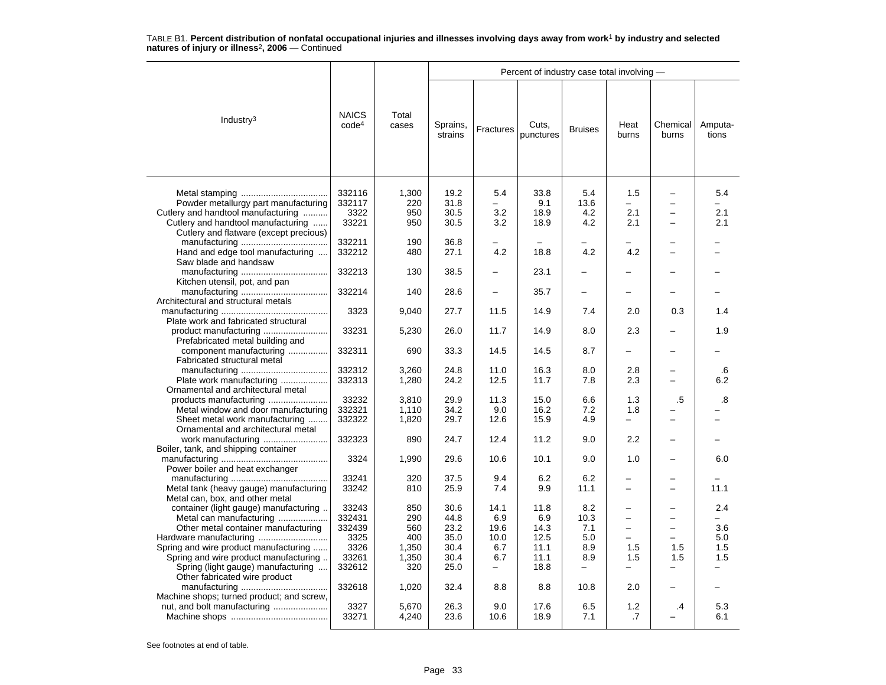|                                           |                                   |                |                     |                          | Percent of industry case total involving - |                          |                          |                          |                  |
|-------------------------------------------|-----------------------------------|----------------|---------------------|--------------------------|--------------------------------------------|--------------------------|--------------------------|--------------------------|------------------|
| Industry $3$                              | <b>NAICS</b><br>code <sup>4</sup> | Total<br>cases | Sprains,<br>strains | <b>Fractures</b>         | Cuts,<br>punctures                         | <b>Bruises</b>           | Heat<br>burns            | Chemical<br>burns        | Amputa-<br>tions |
|                                           |                                   |                |                     |                          |                                            |                          |                          |                          |                  |
|                                           | 332116                            | 1,300          | 19.2                | 5.4                      | 33.8                                       | 5.4                      | 1.5                      |                          | 5.4              |
| Powder metallurgy part manufacturing      | 332117                            | 220            | 31.8                | -                        | 9.1                                        | 13.6                     | Ξ.                       | -                        |                  |
| Cutlery and handtool manufacturing        | 3322                              | 950            | 30.5                | 3.2                      | 18.9                                       | 4.2                      | 2.1                      | $\equiv$                 | 2.1              |
| Cutlery and handtool manufacturing        | 33221                             | 950            | 30.5                | 3.2                      | 18.9                                       | 4.2                      | 2.1                      | -                        | 2.1              |
| Cutlery and flatware (except precious)    |                                   |                |                     |                          |                                            |                          |                          |                          |                  |
|                                           | 332211                            | 190            | 36.8                |                          |                                            |                          |                          |                          |                  |
| Hand and edge tool manufacturing          | 332212                            | 480            | 27.1                | 4.2                      | 18.8                                       | 4.2                      | 4.2                      |                          |                  |
| Saw blade and handsaw                     |                                   |                |                     |                          |                                            |                          |                          |                          |                  |
|                                           | 332213                            | 130            | 38.5                |                          | 23.1                                       |                          |                          |                          |                  |
| Kitchen utensil, pot, and pan             |                                   |                |                     |                          |                                            |                          |                          |                          |                  |
|                                           | 332214                            | 140            | 28.6                |                          | 35.7                                       | $\overline{\phantom{0}}$ |                          |                          |                  |
| Architectural and structural metals       |                                   |                |                     |                          |                                            |                          |                          |                          |                  |
|                                           | 3323                              | 9,040          | 27.7                | 11.5                     | 14.9                                       | 7.4                      | 2.0                      | 0.3                      | 1.4              |
| Plate work and fabricated structural      |                                   |                |                     |                          |                                            |                          |                          |                          |                  |
| product manufacturing                     | 33231                             | 5,230          | 26.0                | 11.7                     | 14.9                                       | 8.0                      | 2.3                      |                          | 1.9              |
| Prefabricated metal building and          |                                   |                |                     |                          |                                            |                          |                          |                          |                  |
| component manufacturing                   | 332311                            | 690            | 33.3                | 14.5                     | 14.5                                       | 8.7                      | -                        | -                        |                  |
| Fabricated structural metal               |                                   |                |                     |                          |                                            |                          |                          |                          |                  |
|                                           | 332312                            | 3,260          | 24.8                | 11.0                     | 16.3                                       | 8.0                      | 2.8                      | -                        | .6               |
| Plate work manufacturing                  | 332313                            | 1,280          | 24.2                | 12.5                     | 11.7                                       | 7.8                      | 2.3                      |                          | 6.2              |
| Ornamental and architectural metal        |                                   |                |                     |                          |                                            |                          |                          |                          |                  |
| products manufacturing                    | 33232                             | 3.810          | 29.9                | 11.3                     | 15.0                                       | 6.6                      | 1.3                      | .5                       | .8               |
| Metal window and door manufacturing       | 332321                            | 1,110          | 34.2                | 9.0                      | 16.2                                       | 7.2                      | 1.8                      |                          |                  |
| Sheet metal work manufacturing            | 332322                            | 1,820          | 29.7                | 12.6                     | 15.9                                       | 4.9                      | $\overline{\phantom{0}}$ |                          |                  |
| Ornamental and architectural metal        |                                   |                |                     |                          |                                            |                          |                          |                          |                  |
| work manufacturing                        | 332323                            | 890            | 24.7                | 12.4                     | 11.2                                       | 9.0                      | 2.2                      |                          |                  |
| Boiler, tank, and shipping container      |                                   |                |                     |                          |                                            |                          |                          |                          |                  |
|                                           | 3324                              | 1,990          | 29.6                | 10.6                     | 10.1                                       | 9.0                      | 1.0                      |                          | 6.0              |
| Power boiler and heat exchanger           |                                   |                |                     |                          |                                            |                          |                          |                          |                  |
|                                           | 33241                             | 320            | 37.5                | 9.4                      | 6.2                                        | 6.2                      |                          |                          |                  |
| Metal tank (heavy gauge) manufacturing    | 33242                             | 810            | 25.9                | 7.4                      | 9.9                                        | 11.1                     | -                        | -                        | 11.1             |
| Metal can, box, and other metal           |                                   |                |                     |                          |                                            |                          |                          |                          |                  |
| container (light gauge) manufacturing     | 33243                             | 850            | 30.6                | 14.1                     | 11.8                                       | 8.2                      |                          |                          | 2.4              |
| Metal can manufacturing                   | 332431                            | 290            | 44.8                | 6.9                      | 6.9                                        | 10.3                     | $\overline{\phantom{0}}$ | $\overline{\phantom{0}}$ |                  |
|                                           | 332439                            | 560            | 23.2                | 19.6                     | 14.3                                       | 7.1                      | $\overline{\phantom{0}}$ | $\overline{\phantom{0}}$ | 3.6              |
| Other metal container manufacturing       | 3325                              | 400            | 35.0                | 10.0                     | 12.5                                       | 5.0                      | ÷                        | $\equiv$                 | 5.0              |
|                                           |                                   |                |                     |                          |                                            |                          |                          |                          |                  |
| Spring and wire product manufacturing     | 3326                              | 1,350          | 30.4                | 6.7                      | 11.1                                       | 8.9                      | 1.5                      | 1.5                      | 1.5              |
| Spring and wire product manufacturing     | 33261                             | 1,350          | 30.4                | 6.7                      | 11.1                                       | 8.9                      | 1.5                      | 1.5                      | 1.5              |
| Spring (light gauge) manufacturing        | 332612                            | 320            | 25.0                | $\overline{\phantom{0}}$ | 18.8                                       | $\overline{\phantom{0}}$ | $\overline{\phantom{0}}$ | L.                       |                  |
| Other fabricated wire product             |                                   |                |                     |                          |                                            |                          |                          |                          |                  |
|                                           | 332618                            | 1,020          | 32.4                | 8.8                      | 8.8                                        | 10.8                     | 2.0                      |                          |                  |
| Machine shops; turned product; and screw, |                                   |                |                     |                          |                                            |                          |                          |                          |                  |
| nut, and bolt manufacturing               | 3327                              | 5,670          | 26.3                | 9.0                      | 17.6                                       | 6.5                      | 1.2                      | .4                       | 5.3              |
|                                           | 33271                             | 4,240          | 23.6                | 10.6                     | 18.9                                       | 7.1                      | .7                       |                          | 6.1              |
|                                           |                                   |                |                     |                          |                                            |                          |                          |                          |                  |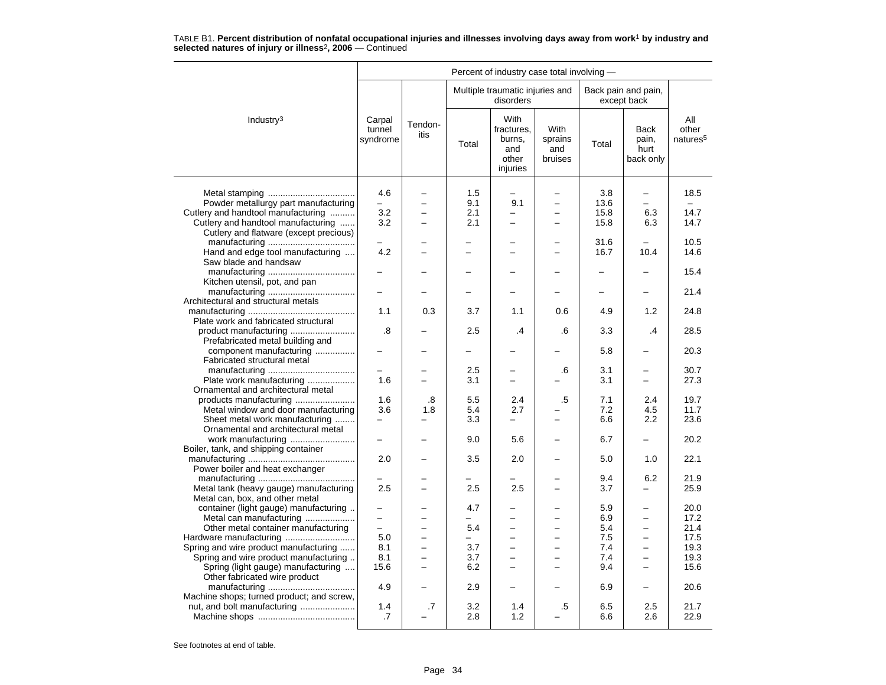|                                                                          |                                 |                 |            |                                                          |                                          | Percent of industry case total involving - |                                           |                                      |  |  |  |  |
|--------------------------------------------------------------------------|---------------------------------|-----------------|------------|----------------------------------------------------------|------------------------------------------|--------------------------------------------|-------------------------------------------|--------------------------------------|--|--|--|--|
|                                                                          |                                 |                 |            | Multiple traumatic injuries and<br>disorders             |                                          |                                            | Back pain and pain,<br>except back        |                                      |  |  |  |  |
| Industry <sup>3</sup>                                                    | Carpal<br>tunnel<br>syndrome    | Tendon-<br>itis | Total      | With<br>fractures.<br>burns,<br>and<br>other<br>injuries | <b>With</b><br>sprains<br>and<br>bruises | Total                                      | <b>Back</b><br>pain,<br>hurt<br>back only | All<br>other<br>natures <sup>5</sup> |  |  |  |  |
|                                                                          |                                 |                 | 1.5        |                                                          |                                          |                                            |                                           |                                      |  |  |  |  |
| Powder metallurgy part manufacturing                                     | 4.6<br>$\overline{\phantom{0}}$ |                 | 9.1        | 9.1                                                      | $\equiv$                                 | 3.8<br>13.6                                | -                                         | 18.5                                 |  |  |  |  |
|                                                                          |                                 |                 |            | -                                                        | $\overline{\phantom{0}}$                 |                                            |                                           | 14.7                                 |  |  |  |  |
| Cutlery and handtool manufacturing<br>Cutlery and handtool manufacturing | 3.2<br>3.2                      |                 | 2.1<br>2.1 | $\overline{a}$                                           | $\equiv$                                 | 15.8<br>15.8                               | 6.3<br>6.3                                | 14.7                                 |  |  |  |  |
| Cutlery and flatware (except precious)                                   |                                 |                 |            |                                                          |                                          |                                            |                                           |                                      |  |  |  |  |
|                                                                          |                                 |                 |            |                                                          |                                          | 31.6                                       |                                           | 10.5                                 |  |  |  |  |
| Hand and edge tool manufacturing                                         | 4.2                             |                 |            | -                                                        | -                                        | 16.7                                       | 10.4                                      | 14.6                                 |  |  |  |  |
| Saw blade and handsaw                                                    |                                 |                 |            |                                                          |                                          |                                            |                                           |                                      |  |  |  |  |
|                                                                          |                                 |                 |            |                                                          |                                          |                                            |                                           | 15.4                                 |  |  |  |  |
| Kitchen utensil, pot, and pan                                            |                                 |                 |            |                                                          |                                          |                                            |                                           |                                      |  |  |  |  |
|                                                                          |                                 |                 |            |                                                          |                                          |                                            |                                           | 21.4                                 |  |  |  |  |
| Architectural and structural metals                                      |                                 |                 |            |                                                          |                                          |                                            |                                           |                                      |  |  |  |  |
|                                                                          | 1.1                             | 0.3             | 3.7        | 1.1                                                      | 0.6                                      | 4.9                                        | 1.2                                       | 24.8                                 |  |  |  |  |
| Plate work and fabricated structural                                     |                                 |                 |            |                                                          |                                          |                                            |                                           |                                      |  |  |  |  |
| product manufacturing                                                    | .8                              |                 | 2.5        | .4                                                       | .6                                       | 3.3                                        | .4                                        | 28.5                                 |  |  |  |  |
| Prefabricated metal building and                                         |                                 |                 |            |                                                          |                                          |                                            |                                           |                                      |  |  |  |  |
| component manufacturing                                                  |                                 |                 |            |                                                          |                                          | 5.8                                        |                                           | 20.3                                 |  |  |  |  |
| Fabricated structural metal                                              |                                 |                 |            |                                                          |                                          |                                            |                                           |                                      |  |  |  |  |
|                                                                          |                                 |                 | 2.5        |                                                          | .6                                       | 3.1                                        | $\overline{\phantom{0}}$                  | 30.7                                 |  |  |  |  |
| Plate work manufacturing                                                 | 1.6                             |                 | 3.1        | $\overline{\phantom{0}}$                                 |                                          | 3.1                                        | $\equiv$                                  | 27.3                                 |  |  |  |  |
| Ornamental and architectural metal                                       |                                 |                 |            |                                                          |                                          |                                            |                                           |                                      |  |  |  |  |
|                                                                          | 1.6                             | .8              | 5.5        | 2.4                                                      | .5                                       | 7.1                                        | 2.4                                       | 19.7                                 |  |  |  |  |
| Metal window and door manufacturing                                      | 3.6                             | 1.8             | 5.4        | 2.7                                                      |                                          | 7.2                                        | 4.5                                       | 11.7                                 |  |  |  |  |
| Sheet metal work manufacturing                                           | -                               |                 | 3.3        | $\overline{\phantom{0}}$                                 | $\overline{\phantom{0}}$                 | 6.6                                        | 2.2                                       | 23.6                                 |  |  |  |  |
| Ornamental and architectural metal                                       |                                 |                 |            |                                                          |                                          |                                            |                                           |                                      |  |  |  |  |
|                                                                          | -                               |                 | 9.0        | 5.6                                                      |                                          | 6.7                                        | -                                         | 20.2                                 |  |  |  |  |
| Boiler, tank, and shipping container                                     |                                 |                 |            |                                                          |                                          |                                            |                                           |                                      |  |  |  |  |
|                                                                          | 2.0                             |                 | 3.5        | 2.0                                                      |                                          | 5.0                                        | 1.0                                       | 22.1                                 |  |  |  |  |
| Power boiler and heat exchanger                                          |                                 |                 |            |                                                          |                                          |                                            |                                           |                                      |  |  |  |  |
|                                                                          |                                 |                 |            |                                                          |                                          | 9.4                                        | 6.2                                       | 21.9                                 |  |  |  |  |
| Metal tank (heavy gauge) manufacturing                                   | 2.5                             |                 | 2.5        | 2.5                                                      | $\overline{\phantom{0}}$                 | 3.7                                        | $\overline{a}$                            | 25.9                                 |  |  |  |  |
| Metal can, box, and other metal                                          |                                 |                 |            |                                                          |                                          |                                            |                                           |                                      |  |  |  |  |
| container (light gauge) manufacturing                                    |                                 |                 | 4.7        |                                                          |                                          | 5.9                                        | $\equiv$                                  | 20.0                                 |  |  |  |  |
| Metal can manufacturing                                                  | -                               |                 | -          |                                                          | $\overline{\phantom{0}}$                 | 6.9                                        | -                                         | 17.2                                 |  |  |  |  |
| Other metal container manufacturing                                      | $\overline{\phantom{0}}$        |                 | 5.4        |                                                          | -                                        | 5.4                                        |                                           | 21.4                                 |  |  |  |  |
|                                                                          | 5.0                             |                 |            | $\overline{\phantom{0}}$                                 | $\overline{\phantom{0}}$                 | 7.5                                        | $\equiv$                                  | 17.5                                 |  |  |  |  |
| Spring and wire product manufacturing                                    | 8.1                             |                 | 3.7        | $\overline{\phantom{0}}$                                 | $\overline{\phantom{0}}$                 | 7.4                                        | $\overline{\phantom{0}}$                  | 19.3                                 |  |  |  |  |
| Spring and wire product manufacturing                                    | 8.1                             | $\equiv$        | 3.7        | $\overline{\phantom{0}}$                                 | $\equiv$                                 | 7.4                                        | $\equiv$                                  | 19.3                                 |  |  |  |  |
| Spring (light gauge) manufacturing                                       | 15.6                            |                 | 6.2        | -                                                        | -                                        | 9.4                                        | -                                         | 15.6                                 |  |  |  |  |
| Other fabricated wire product                                            |                                 |                 |            |                                                          |                                          |                                            |                                           |                                      |  |  |  |  |
|                                                                          | 4.9                             |                 | 2.9        |                                                          |                                          | 6.9                                        | $\overline{\phantom{0}}$                  | 20.6                                 |  |  |  |  |
| Machine shops; turned product; and screw,                                |                                 |                 |            |                                                          |                                          |                                            |                                           |                                      |  |  |  |  |
| nut, and bolt manufacturing                                              | 1.4                             | .7              | 3.2        | 1.4                                                      | .5                                       | 6.5                                        | 2.5                                       | 21.7                                 |  |  |  |  |
|                                                                          | .7                              |                 | 2.8        | 1.2                                                      |                                          | 6.6                                        | 2.6                                       | 22.9                                 |  |  |  |  |
|                                                                          |                                 |                 |            |                                                          |                                          |                                            |                                           |                                      |  |  |  |  |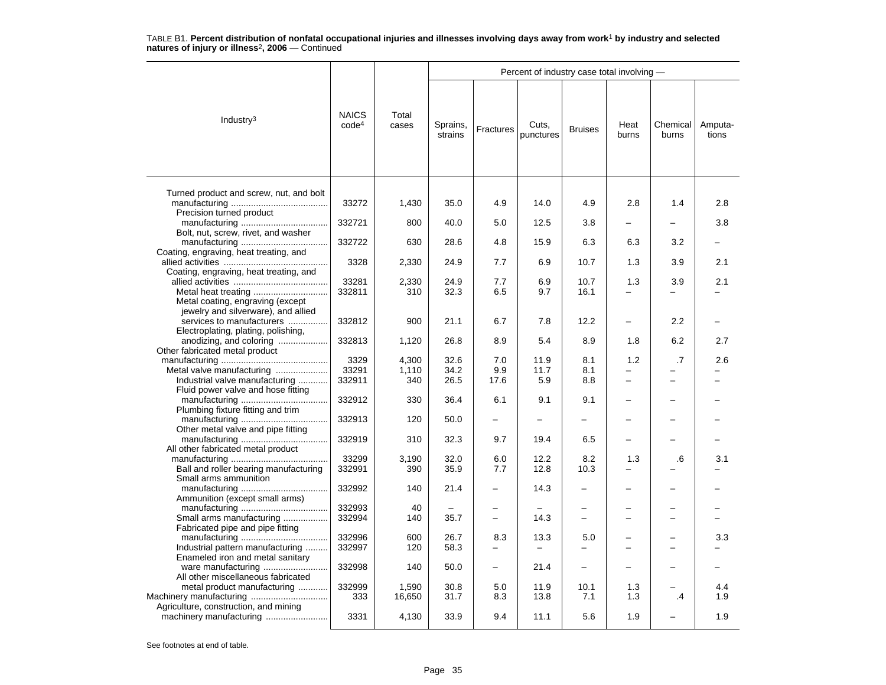|                                                                                                         |                                   |                       |                      |                                 | Percent of industry case total involving - |                          |                |                                |                  |
|---------------------------------------------------------------------------------------------------------|-----------------------------------|-----------------------|----------------------|---------------------------------|--------------------------------------------|--------------------------|----------------|--------------------------------|------------------|
| Industry $3$                                                                                            | <b>NAICS</b><br>code <sup>4</sup> | Total<br>cases        | Sprains,<br>strains  | Fractures                       | Cuts.<br>punctures                         | <b>Bruises</b>           | Heat<br>burns  | Chemical<br>burns              | Amputa-<br>tions |
| Turned product and screw, nut, and bolt                                                                 | 33272                             | 1,430                 | 35.0                 | 4.9                             | 14.0                                       | 4.9                      | 2.8            | 1.4                            | 2.8              |
| Precision turned product                                                                                | 332721                            | 800                   | 40.0                 | 5.0                             | 12.5                                       | 3.8                      |                |                                | 3.8              |
| Bolt, nut, screw, rivet, and washer                                                                     | 332722                            | 630                   | 28.6                 | 4.8                             | 15.9                                       | 6.3                      | 6.3            | 3.2                            |                  |
| Coating, engraving, heat treating, and<br>Coating, engraving, heat treating, and                        | 3328                              | 2,330                 | 24.9                 | 7.7                             | 6.9                                        | 10.7                     | 1.3            | 3.9                            | 2.1              |
| Metal coating, engraving (except                                                                        | 33281<br>332811                   | 2,330<br>310          | 24.9<br>32.3         | 7.7<br>6.5                      | 6.9<br>9.7                                 | 10.7<br>16.1             | 1.3            | 3.9                            | 2.1              |
| jewelry and silverware), and allied<br>services to manufacturers<br>Electroplating, plating, polishing, | 332812                            | 900                   | 21.1                 | 6.7                             | 7.8                                        | 12.2                     | $\overline{a}$ | 2.2                            |                  |
| anodizing, and coloring<br>Other fabricated metal product                                               | 332813                            | 1,120                 | 26.8                 | 8.9                             | 5.4                                        | 8.9                      | 1.8            | 6.2                            | 2.7              |
| Industrial valve manufacturing                                                                          | 3329<br>33291<br>332911           | 4,300<br>1,110<br>340 | 32.6<br>34.2<br>26.5 | 7.0<br>9.9<br>17.6              | 11.9<br>11.7<br>5.9                        | 8.1<br>8.1<br>8.8        | 1.2<br>-       | .7<br>$\overline{\phantom{0}}$ | 2.6              |
| Fluid power valve and hose fitting<br>Plumbing fixture fitting and trim                                 | 332912                            | 330                   | 36.4                 | 6.1                             | 9.1                                        | 9.1                      |                |                                |                  |
| Other metal valve and pipe fitting                                                                      | 332913                            | 120                   | 50.0                 |                                 |                                            |                          |                |                                |                  |
| All other fabricated metal product                                                                      | 332919                            | 310                   | 32.3                 | 9.7                             | 19.4                                       | 6.5                      |                |                                |                  |
| Ball and roller bearing manufacturing<br>Small arms ammunition                                          | 33299<br>332991                   | 3,190<br>390          | 32.0<br>35.9         | 6.0<br>7.7                      | 12.2<br>12.8                               | 8.2<br>10.3              | 1.3            | .6                             | 3.1              |
| Ammunition (except small arms)                                                                          | 332992                            | 140                   | 21.4                 |                                 | 14.3                                       |                          |                |                                |                  |
| Small arms manufacturing<br>Fabricated pipe and pipe fitting                                            | 332993<br>332994                  | 40<br>140             | 35.7                 |                                 | 14.3                                       |                          |                |                                |                  |
| Industrial pattern manufacturing<br>Enameled iron and metal sanitary                                    | 332996<br>332997                  | 600<br>120            | 26.7<br>58.3         | 8.3<br>$\overline{\phantom{0}}$ | 13.3<br>$\overline{\phantom{0}}$           | 5.0                      |                |                                | 3.3              |
| All other miscellaneous fabricated                                                                      | 332998                            | 140                   | 50.0                 | $\equiv$                        | 21.4                                       | $\overline{\phantom{0}}$ |                |                                |                  |
| metal product manufacturing<br>Machinery manufacturing                                                  | 332999<br>333                     | 1,590<br>16,650       | 30.8<br>31.7         | 5.0<br>8.3                      | 11.9<br>13.8                               | 10.1<br>7.1              | 1.3<br>1.3     | $\cdot$                        | 4.4<br>1.9       |
| Agriculture, construction, and mining                                                                   | 3331                              | 4,130                 | 33.9                 | 9.4                             | 11.1                                       | 5.6                      | 1.9            |                                | 1.9              |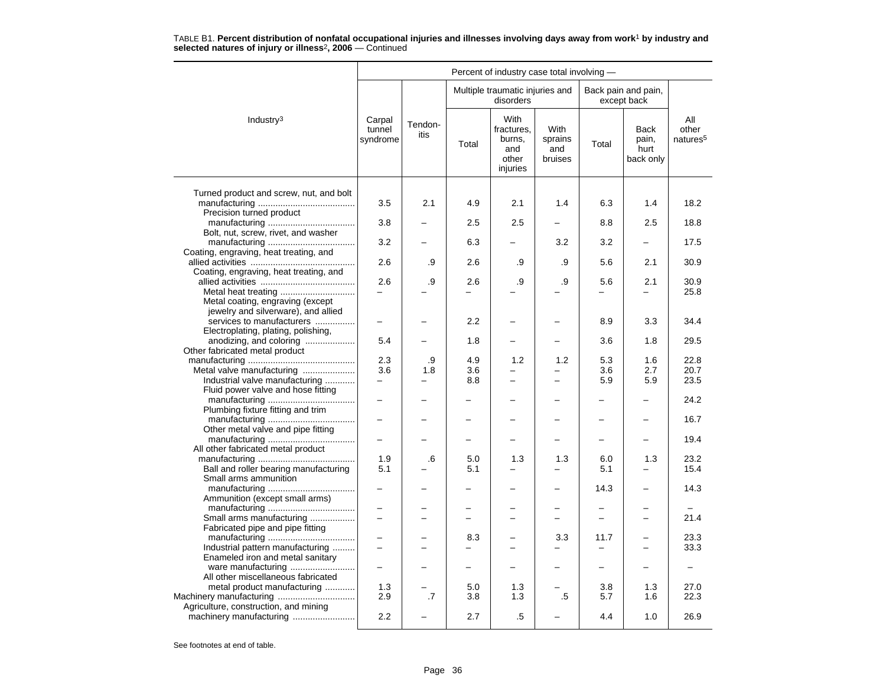|                                                                      |                                 |                 |                 | Percent of industry case total involving -               |                                          |                                 |                                           |                                      |
|----------------------------------------------------------------------|---------------------------------|-----------------|-----------------|----------------------------------------------------------|------------------------------------------|---------------------------------|-------------------------------------------|--------------------------------------|
|                                                                      |                                 |                 |                 | Multiple traumatic injuries and<br>disorders             |                                          |                                 | Back pain and pain,<br>except back        |                                      |
| Industry <sup>3</sup>                                                | Carpal<br>tunnel<br>syndrome    | Tendon-<br>itis | Total           | With<br>fractures.<br>burns,<br>and<br>other<br>injuries | <b>With</b><br>sprains<br>and<br>bruises | Total                           | <b>Back</b><br>pain,<br>hurt<br>back only | All<br>other<br>natures <sup>5</sup> |
|                                                                      |                                 |                 |                 |                                                          |                                          |                                 |                                           |                                      |
| Turned product and screw, nut, and bolt                              | 3.5                             | 2.1             | 4.9             | 2.1                                                      | 1.4                                      | 6.3                             | 1.4                                       | 18.2                                 |
| Precision turned product                                             |                                 |                 |                 |                                                          |                                          |                                 |                                           |                                      |
|                                                                      | 3.8                             |                 | 2.5             | 2.5                                                      |                                          | 8.8                             | 2.5                                       | 18.8                                 |
| Bolt, nut, screw, rivet, and washer                                  | 3.2                             |                 | 6.3             |                                                          | 3.2                                      | 3.2                             | -                                         | 17.5                                 |
| Coating, engraving, heat treating, and                               |                                 |                 |                 |                                                          |                                          |                                 |                                           |                                      |
|                                                                      | 2.6                             | .9              | 2.6             | .9                                                       | .9                                       | 5.6                             | 2.1                                       | 30.9                                 |
| Coating, engraving, heat treating, and                               |                                 |                 |                 |                                                          |                                          |                                 |                                           |                                      |
|                                                                      | 2.6<br>$\overline{\phantom{0}}$ | .9              | 2.6<br>$\equiv$ | .9                                                       | .9                                       | 5.6<br>$\overline{\phantom{0}}$ | 2.1<br>-                                  | 30.9<br>25.8                         |
| Metal coating, engraving (except                                     |                                 |                 |                 |                                                          |                                          |                                 |                                           |                                      |
| jewelry and silverware), and allied                                  |                                 |                 |                 |                                                          |                                          |                                 |                                           |                                      |
| services to manufacturers                                            |                                 |                 | $2.2\,$         |                                                          |                                          | 8.9                             | 3.3                                       | 34.4                                 |
| Electroplating, plating, polishing,<br>anodizing, and coloring       | 5.4                             |                 | 1.8             | $\overline{\phantom{0}}$                                 | -                                        | 3.6                             | 1.8                                       | 29.5                                 |
| Other fabricated metal product                                       |                                 |                 |                 |                                                          |                                          |                                 |                                           |                                      |
|                                                                      | 2.3                             | .9              | 4.9             | 1.2                                                      | 1.2                                      | 5.3                             | 1.6                                       | 22.8                                 |
| Metal valve manufacturing                                            | 3.6                             | 1.8             | 3.6             |                                                          |                                          | 3.6                             | 2.7                                       | 20.7                                 |
| Industrial valve manufacturing<br>Fluid power valve and hose fitting | $\overline{\phantom{0}}$        |                 | 8.8             | $\overline{a}$                                           | $\overline{\phantom{0}}$                 | 5.9                             | 5.9                                       | 23.5                                 |
|                                                                      |                                 |                 |                 |                                                          |                                          |                                 |                                           | 24.2                                 |
| Plumbing fixture fitting and trim                                    |                                 |                 |                 |                                                          |                                          |                                 |                                           |                                      |
|                                                                      | $\overline{\phantom{0}}$        |                 |                 | -                                                        | $\overline{\phantom{0}}$                 | $\overline{\phantom{0}}$        | -                                         | 16.7                                 |
| Other metal valve and pipe fitting                                   |                                 |                 |                 |                                                          |                                          |                                 |                                           | 19.4                                 |
| All other fabricated metal product                                   |                                 |                 |                 |                                                          |                                          |                                 |                                           |                                      |
|                                                                      | 1.9                             | .6              | 5.0             | 1.3                                                      | 1.3                                      | 6.0                             | 1.3                                       | 23.2                                 |
| Ball and roller bearing manufacturing                                | 5.1                             |                 | 5.1             | -                                                        | $\overline{\phantom{0}}$                 | 5.1                             | -                                         | 15.4                                 |
| Small arms ammunition                                                |                                 |                 |                 |                                                          |                                          | 14.3                            | ÷                                         | 14.3                                 |
| Ammunition (except small arms)                                       |                                 |                 |                 |                                                          |                                          |                                 |                                           |                                      |
|                                                                      |                                 |                 |                 |                                                          |                                          |                                 |                                           |                                      |
| Small arms manufacturing                                             |                                 |                 |                 |                                                          | -                                        |                                 | -                                         | 21.4                                 |
| Fabricated pipe and pipe fitting                                     |                                 |                 | 8.3             |                                                          | 3.3                                      | 11.7                            | $\overline{a}$                            | 23.3                                 |
| Industrial pattern manufacturing                                     | $\overline{\phantom{0}}$        | -               | $\equiv$        | -                                                        | $\overline{\phantom{0}}$                 | $\overline{\phantom{0}}$        | $\overline{\phantom{0}}$                  | 33.3                                 |
| Enameled iron and metal sanitary                                     |                                 |                 |                 |                                                          |                                          |                                 |                                           |                                      |
|                                                                      | $\overline{\phantom{0}}$        |                 |                 |                                                          |                                          | $\overline{\phantom{0}}$        |                                           |                                      |
| All other miscellaneous fabricated                                   | 1.3                             |                 | 5.0             | 1.3                                                      |                                          | 3.8                             | 1.3                                       | 27.0                                 |
| metal product manufacturing<br>Machinery manufacturing               | 2.9                             | .7              | 3.8             | 1.3                                                      | .5                                       | 5.7                             | 1.6                                       | 22.3                                 |
| Agriculture, construction, and mining                                |                                 |                 |                 |                                                          |                                          |                                 |                                           |                                      |
|                                                                      | 2.2                             |                 | 2.7             | .5                                                       |                                          | 4.4                             | 1.0                                       | 26.9                                 |
|                                                                      |                                 |                 |                 |                                                          |                                          |                                 |                                           |                                      |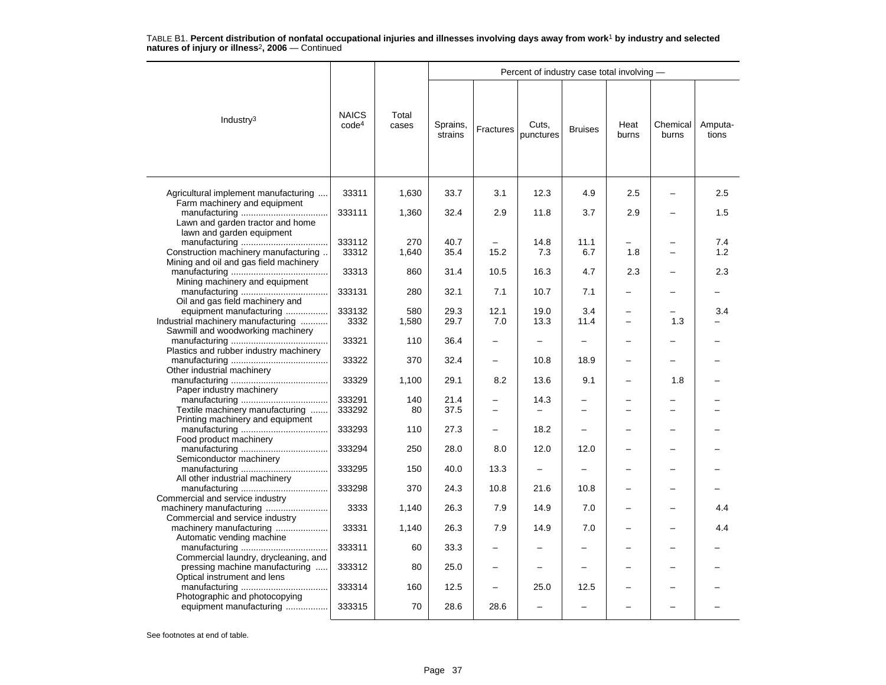|                                                                                |                                   |                |                     |             | Percent of industry case total involving - |                          |                                |                          |                  |
|--------------------------------------------------------------------------------|-----------------------------------|----------------|---------------------|-------------|--------------------------------------------|--------------------------|--------------------------------|--------------------------|------------------|
| Industry <sup>3</sup>                                                          | <b>NAICS</b><br>code <sup>4</sup> | Total<br>cases | Sprains,<br>strains | Fractures   | Cuts,<br>punctures                         | <b>Bruises</b>           | Heat<br>burns                  | Chemical<br>burns        | Amputa-<br>tions |
| Agricultural implement manufacturing                                           | 33311                             | 1,630          | 33.7                | 3.1         | 12.3                                       | 4.9                      | 2.5                            |                          | 2.5              |
| Farm machinery and equipment<br>Lawn and garden tractor and home               | 333111                            | 1,360          | 32.4                | 2.9         | 11.8                                       | 3.7                      | 2.9                            |                          | 1.5              |
| lawn and garden equipment                                                      | 333112                            | 270            | 40.7                |             | 14.8                                       | 11.1                     |                                |                          | 7.4              |
| Construction machinery manufacturing<br>Mining and oil and gas field machinery | 33312                             | 1,640          | 35.4                | 15.2        | 7.3                                        | 6.7                      | 1.8                            | $\overline{\phantom{0}}$ | 1.2              |
| Mining machinery and equipment                                                 | 33313                             | 860            | 31.4                | 10.5        | 16.3                                       | 4.7                      | 2.3                            |                          | 2.3              |
| Oil and gas field machinery and                                                | 333131                            | 280            | 32.1                | 7.1         | 10.7                                       | 7.1                      | L.                             |                          |                  |
| equipment manufacturing<br>Industrial machinery manufacturing                  | 333132<br>3332                    | 580<br>1,580   | 29.3<br>29.7        | 12.1<br>7.0 | 19.0<br>13.3                               | 3.4<br>11.4              | $\overline{\phantom{0}}$<br>Ē, | 1.3                      | 3.4              |
| Sawmill and woodworking machinery                                              | 33321                             | 110            | 36.4                |             | -                                          | -                        |                                |                          |                  |
| Plastics and rubber industry machinery<br>Other industrial machinery           | 33322                             | 370            | 32.4                |             | 10.8                                       | 18.9                     |                                |                          |                  |
| Paper industry machinery                                                       | 33329                             | 1,100          | 29.1                | 8.2         | 13.6                                       | 9.1                      |                                | 1.8                      |                  |
| Textile machinery manufacturing                                                | 333291<br>333292                  | 140<br>80      | 21.4<br>37.5        |             | 14.3                                       | −                        |                                |                          |                  |
| Printing machinery and equipment<br>Food product machinery                     | 333293                            | 110            | 27.3                |             | 18.2                                       | $\equiv$                 |                                |                          |                  |
| Semiconductor machinery                                                        | 333294                            | 250            | 28.0                | 8.0         | 12.0                                       | 12.0                     |                                |                          |                  |
| All other industrial machinery                                                 | 333295                            | 150            | 40.0                | 13.3        | $\qquad \qquad -$                          | $\overline{\phantom{0}}$ |                                |                          |                  |
| Commercial and service industry                                                | 333298                            | 370            | 24.3                | 10.8        | 21.6                                       | 10.8                     |                                |                          |                  |
| machinery manufacturing<br>Commercial and service industry                     | 3333                              | 1,140          | 26.3                | 7.9         | 14.9                                       | 7.0                      |                                |                          | 4.4              |
| machinery manufacturing<br>Automatic vending machine                           | 33331                             | 1,140          | 26.3                | 7.9         | 14.9                                       | 7.0                      | $\overline{\phantom{0}}$       | -                        | 4.4              |
| Commercial laundry, drycleaning, and                                           | 333311                            | 60             | 33.3                |             |                                            |                          |                                |                          |                  |
| pressing machine manufacturing<br>Optical instrument and lens                  | 333312                            | 80             | 25.0                |             |                                            |                          |                                |                          |                  |
| Photographic and photocopying                                                  | 333314                            | 160            | 12.5                |             | 25.0                                       | 12.5                     |                                |                          |                  |
| equipment manufacturing                                                        | 333315                            | 70             | 28.6                | 28.6        | ÷                                          | $\overline{\phantom{0}}$ |                                |                          |                  |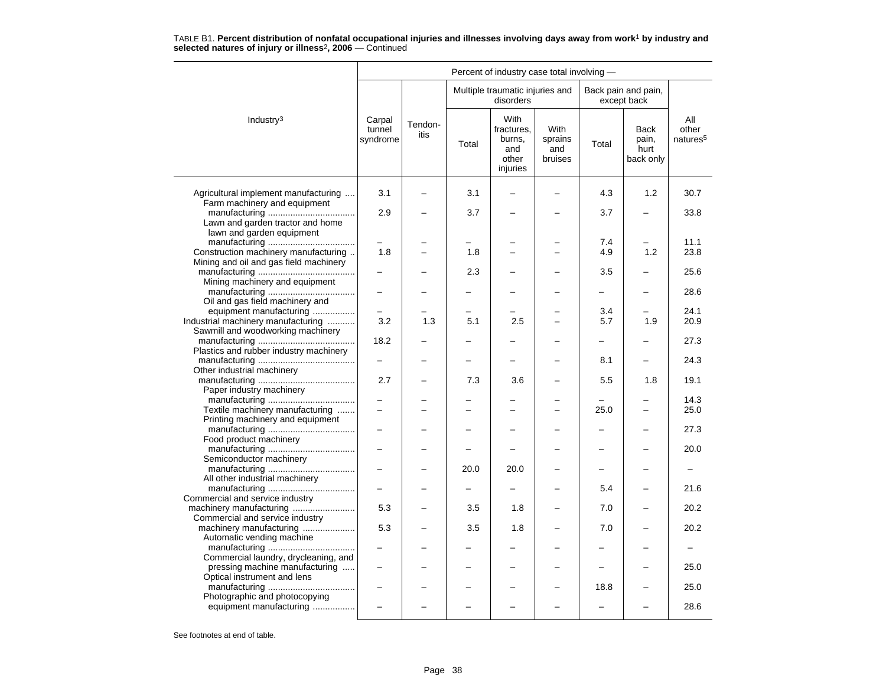|                                                                                |                              |                 |       | Percent of industry case total involving -               |                                   |                          |                                           |                                      |
|--------------------------------------------------------------------------------|------------------------------|-----------------|-------|----------------------------------------------------------|-----------------------------------|--------------------------|-------------------------------------------|--------------------------------------|
|                                                                                |                              |                 |       | Multiple traumatic injuries and<br>disorders             |                                   |                          | Back pain and pain,<br>except back        |                                      |
| Industry <sup>3</sup>                                                          | Carpal<br>tunnel<br>syndrome | Tendon-<br>itis | Total | With<br>fractures,<br>burns,<br>and<br>other<br>injuries | With<br>sprains<br>and<br>bruises | Total                    | <b>Back</b><br>pain,<br>hurt<br>back only | All<br>other<br>natures <sup>5</sup> |
| Agricultural implement manufacturing                                           | 3.1                          |                 | 3.1   |                                                          |                                   | 4.3                      | 1.2                                       | 30.7                                 |
| Farm machinery and equipment<br>Lawn and garden tractor and home               | 2.9                          |                 | 3.7   |                                                          |                                   | 3.7                      |                                           | 33.8                                 |
| lawn and garden equipment                                                      |                              |                 |       |                                                          |                                   | 7.4                      |                                           | 11.1                                 |
| Construction machinery manufacturing<br>Mining and oil and gas field machinery | 1.8                          |                 | 1.8   | -                                                        |                                   | 4.9                      | 1.2                                       | 23.8                                 |
| Mining machinery and equipment                                                 |                              |                 | 2.3   |                                                          |                                   | 3.5                      |                                           | 25.6<br>28.6                         |
| Oil and gas field machinery and<br>equipment manufacturing                     |                              |                 |       |                                                          |                                   | 3.4                      |                                           | 24.1                                 |
| Industrial machinery manufacturing<br>Sawmill and woodworking machinery        | 3.2                          | 1.3             | 5.1   | 2.5                                                      |                                   | 5.7                      | 1.9                                       | 20.9                                 |
| Plastics and rubber industry machinery                                         | 18.2                         |                 |       |                                                          |                                   | $\overline{\phantom{0}}$ |                                           | 27.3                                 |
| Other industrial machinery                                                     |                              |                 |       |                                                          |                                   | 8.1                      |                                           | 24.3                                 |
| Paper industry machinery                                                       | 2.7                          |                 | 7.3   | 3.6                                                      |                                   | 5.5                      | 1.8                                       | 19.1                                 |
| Textile machinery manufacturing                                                |                              |                 |       |                                                          |                                   | 25.0                     | $\overline{a}$                            | 14.3<br>25.0                         |
| Printing machinery and equipment<br>Food product machinery                     |                              |                 |       |                                                          |                                   |                          |                                           | 27.3                                 |
| Semiconductor machinery                                                        |                              |                 |       |                                                          |                                   |                          |                                           | 20.0                                 |
| All other industrial machinery                                                 |                              |                 | 20.0  | 20.0                                                     |                                   |                          |                                           |                                      |
| Commercial and service industry                                                |                              |                 |       |                                                          |                                   | 5.4                      |                                           | 21.6                                 |
| machinery manufacturing<br>Commercial and service industry                     | 5.3                          |                 | 3.5   | 1.8                                                      |                                   | 7.0                      |                                           | 20.2                                 |
| machinery manufacturing<br>Automatic vending machine                           | 5.3                          |                 | 3.5   | 1.8                                                      |                                   | 7.0                      |                                           | 20.2                                 |
| Commercial laundry, drycleaning, and                                           |                              |                 |       |                                                          |                                   |                          |                                           | 25.0                                 |
| pressing machine manufacturing<br>Optical instrument and lens                  | $\sim$                       |                 |       | $\overline{\phantom{0}}$                                 | ۳                                 | 18.8                     |                                           | 25.0                                 |
| Photographic and photocopying<br>equipment manufacturing                       |                              |                 |       |                                                          |                                   |                          |                                           | 28.6                                 |
|                                                                                |                              |                 |       |                                                          |                                   |                          |                                           |                                      |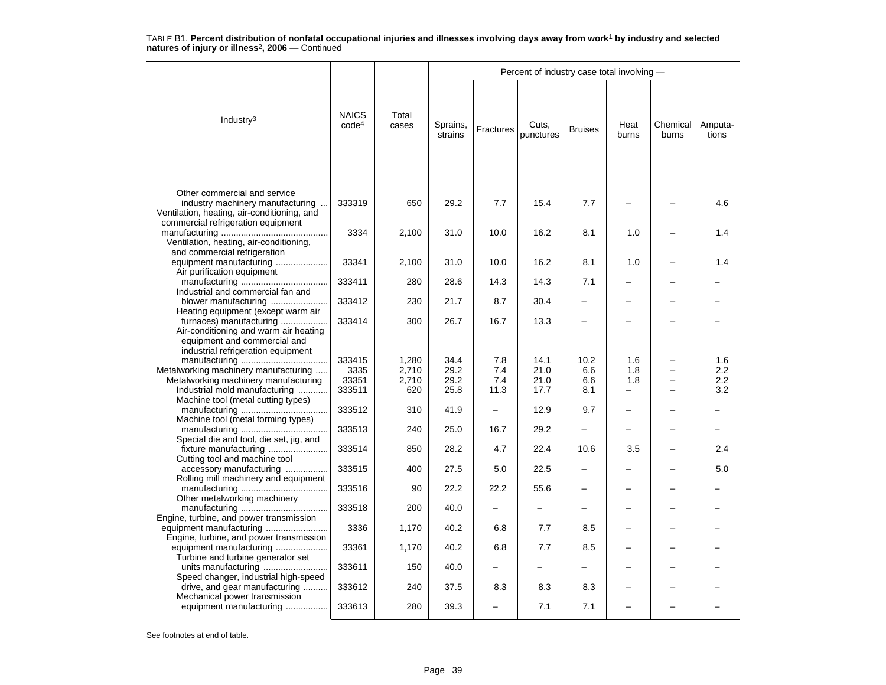|                                                                                                                                        |                                   |                                |                              |                           | Percent of industry case total involving - |                           |                        |                   |                          |
|----------------------------------------------------------------------------------------------------------------------------------------|-----------------------------------|--------------------------------|------------------------------|---------------------------|--------------------------------------------|---------------------------|------------------------|-------------------|--------------------------|
| Industry <sup>3</sup>                                                                                                                  | <b>NAICS</b><br>code <sup>4</sup> | Total<br>cases                 | Sprains,<br>strains          | Fractures                 | Cuts,<br>punctures                         | <b>Bruises</b>            | Heat<br>burns          | Chemical<br>burns | Amputa-<br>tions         |
| Other commercial and service<br>industry machinery manufacturing<br>Ventilation, heating, air-conditioning, and                        | 333319                            | 650                            | 29.2                         | 7.7                       | 15.4                                       | 7.7                       |                        |                   | 4.6                      |
| commercial refrigeration equipment<br>Ventilation, heating, air-conditioning,                                                          | 3334                              | 2,100                          | 31.0                         | 10.0                      | 16.2                                       | 8.1                       | 1.0                    |                   | 1.4                      |
| and commercial refrigeration<br>equipment manufacturing<br>Air purification equipment                                                  | 33341                             | 2,100                          | 31.0                         | 10.0                      | 16.2                                       | 8.1                       | 1.0                    |                   | 1.4                      |
| Industrial and commercial fan and                                                                                                      | 333411                            | 280                            | 28.6                         | 14.3                      | 14.3                                       | 7.1                       |                        |                   |                          |
| blower manufacturing<br>Heating equipment (except warm air                                                                             | 333412                            | 230                            | 21.7                         | 8.7                       | 30.4                                       |                           |                        |                   |                          |
| furnaces) manufacturing<br>Air-conditioning and warm air heating<br>equipment and commercial and<br>industrial refrigeration equipment | 333414                            | 300                            | 26.7                         | 16.7                      | 13.3                                       |                           |                        |                   |                          |
| Metalworking machinery manufacturing<br>Metalworking machinery manufacturing<br>Industrial mold manufacturing                          | 333415<br>3335<br>33351<br>333511 | 1,280<br>2,710<br>2,710<br>620 | 34.4<br>29.2<br>29.2<br>25.8 | 7.8<br>7.4<br>7.4<br>11.3 | 14.1<br>21.0<br>21.0<br>17.7               | 10.2<br>6.6<br>6.6<br>8.1 | 1.6<br>1.8<br>1.8<br>- |                   | 1.6<br>2.2<br>2.2<br>3.2 |
| Machine tool (metal cutting types)<br>Machine tool (metal forming types)                                                               | 333512                            | 310                            | 41.9                         | $\equiv$                  | 12.9                                       | 9.7                       |                        |                   |                          |
| Special die and tool, die set, jig, and                                                                                                | 333513                            | 240                            | 25.0                         | 16.7                      | 29.2                                       |                           |                        |                   |                          |
| fixture manufacturing<br>Cutting tool and machine tool                                                                                 | 333514                            | 850                            | 28.2                         | 4.7                       | 22.4                                       | 10.6                      | 3.5                    |                   | 2.4                      |
| accessory manufacturing<br>Rolling mill machinery and equipment                                                                        | 333515                            | 400                            | 27.5                         | 5.0                       | 22.5                                       |                           |                        |                   | 5.0                      |
| Other metalworking machinery                                                                                                           | 333516                            | 90                             | 22.2                         | 22.2                      | 55.6                                       |                           |                        |                   |                          |
| Engine, turbine, and power transmission                                                                                                | 333518                            | 200                            | 40.0                         |                           |                                            |                           |                        |                   |                          |
| Engine, turbine, and power transmission                                                                                                | 3336                              | 1,170                          | 40.2                         | 6.8                       | 7.7                                        | 8.5                       |                        |                   |                          |
| equipment manufacturing<br>Turbine and turbine generator set                                                                           | 33361                             | 1,170                          | 40.2                         | 6.8                       | 7.7                                        | 8.5                       |                        |                   |                          |
| units manufacturing<br>Speed changer, industrial high-speed                                                                            | 333611                            | 150                            | 40.0                         |                           |                                            |                           |                        |                   |                          |
| drive, and gear manufacturing<br>Mechanical power transmission                                                                         | 333612                            | 240                            | 37.5                         | 8.3                       | 8.3                                        | 8.3                       |                        |                   |                          |
| equipment manufacturing                                                                                                                | 333613                            | 280                            | 39.3                         |                           | 7.1                                        | 7.1                       |                        |                   |                          |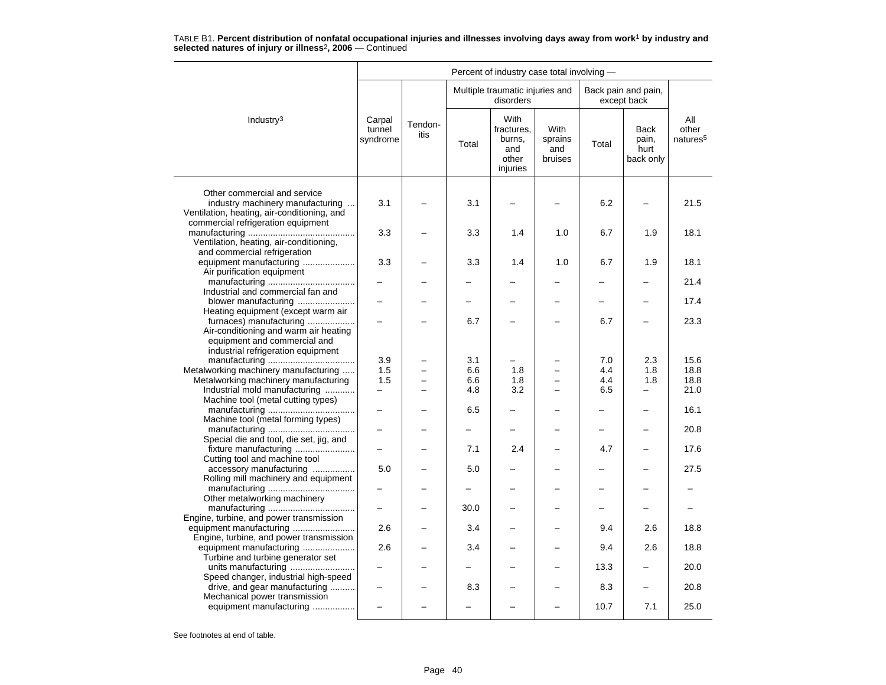|                                                                                                                                                       |                              |                 |                   | Percent of industry case total involving -                      |                                      |                          |                                           |                                      |
|-------------------------------------------------------------------------------------------------------------------------------------------------------|------------------------------|-----------------|-------------------|-----------------------------------------------------------------|--------------------------------------|--------------------------|-------------------------------------------|--------------------------------------|
|                                                                                                                                                       |                              |                 |                   | Multiple traumatic injuries and<br>disorders                    |                                      |                          | Back pain and pain,<br>except back        |                                      |
| Industry <sup>3</sup>                                                                                                                                 | Carpal<br>tunnel<br>syndrome | Tendon-<br>itis | Total             | <b>With</b><br>fractures.<br>burns,<br>and<br>other<br>injuries | With<br>sprains<br>and<br>bruises    | Total                    | <b>Back</b><br>pain,<br>hurt<br>back only | All<br>other<br>natures <sup>5</sup> |
| Other commercial and service<br>industry machinery manufacturing<br>Ventilation, heating, air-conditioning, and<br>commercial refrigeration equipment | 3.1                          |                 | 3.1               |                                                                 |                                      | 6.2                      |                                           | 21.5                                 |
| Ventilation, heating, air-conditioning,                                                                                                               | 3.3                          |                 | 3.3               | 1.4                                                             | 1.0                                  | 6.7                      | 1.9                                       | 18.1                                 |
| and commercial refrigeration<br>equipment manufacturing<br>Air purification equipment                                                                 | 3.3                          |                 | 3.3               | 1.4                                                             | 1.0                                  | 6.7                      | 1.9                                       | 18.1                                 |
| Industrial and commercial fan and                                                                                                                     |                              |                 |                   |                                                                 |                                      |                          |                                           | 21.4                                 |
| blower manufacturing                                                                                                                                  |                              |                 |                   |                                                                 |                                      |                          |                                           | 17.4                                 |
| Heating equipment (except warm air<br>furnaces) manufacturing<br>Air-conditioning and warm air heating<br>equipment and commercial and                |                              |                 | 6.7               |                                                                 |                                      | 6.7                      |                                           | 23.3                                 |
| industrial refrigeration equipment                                                                                                                    | 3.9                          |                 | 3.1               |                                                                 |                                      | 7.0                      | 2.3                                       | 15.6                                 |
| Metalworking machinery manufacturing<br>Metalworking machinery manufacturing<br>Industrial mold manufacturing                                         | 1.5<br>1.5<br>—              |                 | 6.6<br>6.6<br>4.8 | 1.8<br>1.8<br>3.2                                               | $\equiv$<br>$\overline{\phantom{0}}$ | 4.4<br>4.4<br>6.5        | 1.8<br>1.8<br>-                           | 18.8<br>18.8<br>21.0                 |
| Machine tool (metal cutting types)                                                                                                                    |                              |                 | 6.5               |                                                                 | ▃                                    | $\overline{\phantom{0}}$ | -                                         | 16.1                                 |
| Machine tool (metal forming types)                                                                                                                    |                              |                 |                   |                                                                 |                                      |                          |                                           | 20.8                                 |
| Special die and tool, die set, jig, and<br>fixture manufacturing                                                                                      |                              |                 | 7.1               | 2.4                                                             |                                      | 4.7                      |                                           | 17.6                                 |
| Cutting tool and machine tool<br>accessory manufacturing<br>Rolling mill machinery and equipment                                                      | 5.0                          |                 | 5.0               |                                                                 | -                                    |                          |                                           | 27.5                                 |
| Other metalworking machinery                                                                                                                          |                              |                 |                   |                                                                 |                                      |                          |                                           |                                      |
| Engine, turbine, and power transmission                                                                                                               |                              |                 | 30.0              |                                                                 |                                      |                          |                                           |                                      |
| equipment manufacturing<br>Engine, turbine, and power transmission                                                                                    | 2.6                          |                 | 3.4               |                                                                 | -                                    | 9.4                      | 2.6                                       | 18.8                                 |
| equipment manufacturing<br>Turbine and turbine generator set                                                                                          | 2.6                          |                 | 3.4               |                                                                 |                                      | 9.4                      | 2.6                                       | 18.8                                 |
| units manufacturing<br>Speed changer, industrial high-speed                                                                                           |                              |                 |                   |                                                                 |                                      | 13.3                     |                                           | 20.0                                 |
| drive, and gear manufacturing<br>Mechanical power transmission                                                                                        |                              |                 | 8.3               |                                                                 |                                      | 8.3                      |                                           | 20.8                                 |
| equipment manufacturing                                                                                                                               |                              |                 |                   |                                                                 |                                      | 10.7                     | 7.1                                       | 25.0                                 |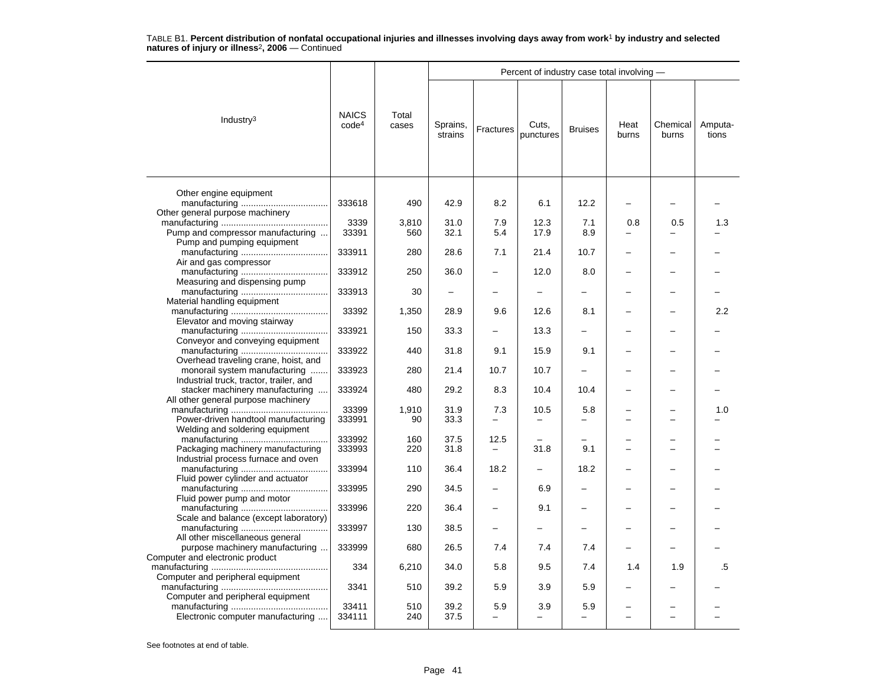|                                                                            |                                   |                |                     |                                 | Percent of industry case total involving - |                                 |                          |                   |                  |
|----------------------------------------------------------------------------|-----------------------------------|----------------|---------------------|---------------------------------|--------------------------------------------|---------------------------------|--------------------------|-------------------|------------------|
| Industry <sup>3</sup>                                                      | <b>NAICS</b><br>code <sup>4</sup> | Total<br>cases | Sprains,<br>strains | Fractures                       | Cuts,<br>punctures                         | <b>Bruises</b>                  | Heat<br>burns            | Chemical<br>burns | Amputa-<br>tions |
| Other engine equipment                                                     | 333618                            | 490            | 42.9                | 8.2                             | 6.1                                        | 12.2                            | $\overline{\phantom{0}}$ |                   |                  |
| Other general purpose machinery                                            |                                   |                |                     |                                 |                                            |                                 |                          |                   |                  |
| Pump and compressor manufacturing                                          | 3339<br>33391                     | 3,810          | 31.0<br>32.1        | 7.9<br>5.4                      | 12.3<br>17.9                               | 7.1<br>8.9                      | 0.8                      | 0.5               | 1.3              |
| Pump and pumping equipment                                                 |                                   | 560            |                     |                                 |                                            |                                 |                          |                   |                  |
| Air and gas compressor                                                     | 333911                            | 280            | 28.6                | 7.1                             | 21.4                                       | 10.7                            |                          |                   |                  |
| Measuring and dispensing pump                                              | 333912                            | 250            | 36.0                |                                 | 12.0                                       | 8.0                             |                          |                   |                  |
|                                                                            | 333913                            | 30             |                     |                                 |                                            |                                 |                          |                   |                  |
| Material handling equipment                                                | 33392                             | 1,350          | 28.9                | 9.6                             | 12.6                                       | 8.1                             |                          |                   | 2.2              |
| Elevator and moving stairway                                               |                                   |                |                     |                                 |                                            | $\overline{\phantom{0}}$        |                          |                   |                  |
| Conveyor and conveying equipment                                           | 333921                            | 150            | 33.3                |                                 | 13.3                                       |                                 |                          |                   |                  |
| Overhead traveling crane, hoist, and                                       | 333922                            | 440            | 31.8                | 9.1                             | 15.9                                       | 9.1                             |                          |                   |                  |
| monorail system manufacturing                                              | 333923                            | 280            | 21.4                | 10.7                            | 10.7                                       | $\overline{\phantom{0}}$        |                          |                   |                  |
| Industrial truck, tractor, trailer, and<br>stacker machinery manufacturing | 333924                            | 480            | 29.2                | 8.3                             | 10.4                                       | 10.4                            |                          |                   |                  |
| All other general purpose machinery                                        | 33399                             | 1.910          | 31.9                | 7.3                             | 10.5                                       | 5.8                             |                          |                   | 1.0              |
| Power-driven handtool manufacturing                                        | 333991                            | 90             | 33.3                |                                 |                                            | $\overline{\phantom{0}}$        |                          |                   |                  |
| Welding and soldering equipment                                            | 333992                            | 160            | 37.5                | 12.5                            |                                            |                                 |                          |                   |                  |
| Packaging machinery manufacturing                                          | 333993                            | 220            | 31.8                |                                 | 31.8                                       | 9.1                             |                          |                   |                  |
| Industrial process furnace and oven                                        |                                   |                |                     |                                 |                                            |                                 |                          |                   |                  |
|                                                                            | 333994                            | 110            | 36.4                | 18.2                            | $\overline{\phantom{0}}$                   | 18.2                            |                          |                   |                  |
| Fluid power cylinder and actuator                                          | 333995                            | 290            | 34.5                |                                 | 6.9                                        |                                 |                          |                   |                  |
| Fluid power pump and motor                                                 | 333996                            | 220            | 36.4                |                                 | 9.1                                        |                                 |                          |                   |                  |
| Scale and balance (except laboratory)                                      | 333997                            | 130            | 38.5                |                                 |                                            | —                               |                          |                   |                  |
| All other miscellaneous general<br>purpose machinery manufacturing         | 333999                            | 680            | 26.5                | 7.4                             | 7.4                                        | 7.4                             |                          |                   |                  |
| Computer and electronic product                                            | 334                               | 6,210          | 34.0                | 5.8                             | 9.5                                        | 7.4                             | 1.4                      | 1.9               | .5               |
| Computer and peripheral equipment                                          |                                   |                |                     |                                 |                                            |                                 |                          |                   |                  |
| Computer and peripheral equipment                                          | 3341                              | 510            | 39.2                | 5.9                             | 3.9                                        | 5.9                             |                          |                   |                  |
| Electronic computer manufacturing                                          | 33411<br>334111                   | 510<br>240     | 39.2<br>37.5        | 5.9<br>$\overline{\phantom{0}}$ | 3.9<br>$\overline{\phantom{0}}$            | 5.9<br>$\overline{\phantom{0}}$ |                          |                   |                  |
|                                                                            |                                   |                |                     |                                 |                                            |                                 |                          |                   |                  |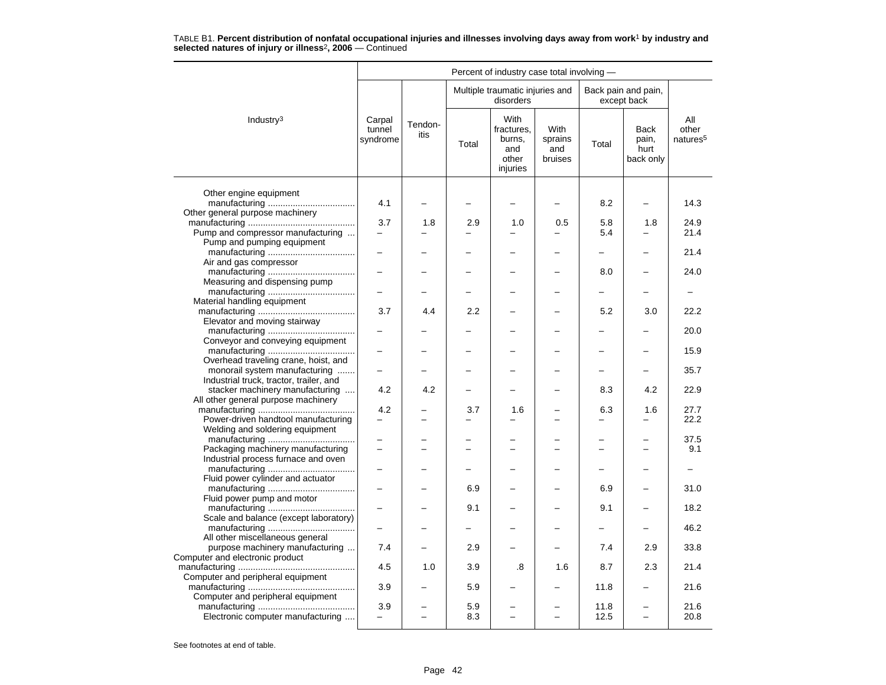| Multiple traumatic injuries and<br>Back pain and pain,<br>disorders<br>except back<br>With<br>Industry <sup>3</sup><br>Carpal<br>All<br>Tendon-<br>tunnel<br>With<br>fractures.<br>Back<br>other<br>itis<br>syndrome<br>burns,<br>sprains<br>pain,<br>Total<br>Total<br>and<br>and<br>hurt<br>bruises<br>back only<br>other<br>injuries<br>Other engine equipment<br>4.1<br>8.2<br>14.3<br>Other general purpose machinery<br>3.7<br>1.8<br>2.9<br>1.0<br>0.5<br>5.8<br>1.8<br>24.9<br>Pump and compressor manufacturing<br>5.4<br>21.4<br>$\overline{a}$<br>÷<br>$\equiv$<br>Pump and pumping equipment<br>21.4<br>Air and gas compressor<br>8.0<br>24.0<br>Measuring and dispensing pump<br>-<br>Material handling equipment<br>2.2<br>3.7<br>4.4<br>5.2<br>3.0<br>22.2<br>Elevator and moving stairway<br>20.0<br>Conveyor and conveying equipment<br>15.9<br>Overhead traveling crane, hoist, and<br>monorail system manufacturing<br>35.7<br>$\overline{\phantom{0}}$<br>$\overline{\phantom{0}}$<br>-<br>Industrial truck, tractor, trailer, and<br>stacker machinery manufacturing<br>4.2<br>4.2<br>8.3<br>4.2<br>22.9<br>All other general purpose machinery<br>4.2<br>3.7<br>6.3<br>1.6<br>27.7<br>1.6<br>Power-driven handtool manufacturing<br>22.2<br>-<br>-<br>$\overline{\phantom{0}}$<br>Welding and soldering equipment<br>37.5<br>Packaging machinery manufacturing<br>9.1<br>Industrial process furnace and oven<br>$\overline{\phantom{0}}$<br>$\overline{\phantom{0}}$<br>$\overline{\phantom{0}}$<br>$\overline{\phantom{0}}$<br>—<br>$\overline{\phantom{0}}$<br>-<br>Fluid power cylinder and actuator<br>6.9<br>6.9<br>31.0<br>Fluid power pump and motor<br>9.1<br>9.1<br>18.2<br>Scale and balance (except laboratory)<br>46.2<br>Ξ.<br>-<br>All other miscellaneous general<br>purpose machinery manufacturing<br>7.4<br>2.9<br>7.4<br>2.9<br>33.8<br>Computer and electronic product<br>4.5<br>2.3<br>1.0<br>3.9<br>.8<br>1.6<br>8.7<br>21.4<br>Computer and peripheral equipment<br>21.6<br>3.9<br>5.9<br>11.8<br>Computer and peripheral equipment |  |  | Percent of industry case total involving - |  |                      |
|----------------------------------------------------------------------------------------------------------------------------------------------------------------------------------------------------------------------------------------------------------------------------------------------------------------------------------------------------------------------------------------------------------------------------------------------------------------------------------------------------------------------------------------------------------------------------------------------------------------------------------------------------------------------------------------------------------------------------------------------------------------------------------------------------------------------------------------------------------------------------------------------------------------------------------------------------------------------------------------------------------------------------------------------------------------------------------------------------------------------------------------------------------------------------------------------------------------------------------------------------------------------------------------------------------------------------------------------------------------------------------------------------------------------------------------------------------------------------------------------------------------------------------------------------------------------------------------------------------------------------------------------------------------------------------------------------------------------------------------------------------------------------------------------------------------------------------------------------------------------------------------------------------------------------------------------------------------------------------------------------------------------------------------------------------------------------------|--|--|--------------------------------------------|--|----------------------|
|                                                                                                                                                                                                                                                                                                                                                                                                                                                                                                                                                                                                                                                                                                                                                                                                                                                                                                                                                                                                                                                                                                                                                                                                                                                                                                                                                                                                                                                                                                                                                                                                                                                                                                                                                                                                                                                                                                                                                                                                                                                                                  |  |  |                                            |  |                      |
|                                                                                                                                                                                                                                                                                                                                                                                                                                                                                                                                                                                                                                                                                                                                                                                                                                                                                                                                                                                                                                                                                                                                                                                                                                                                                                                                                                                                                                                                                                                                                                                                                                                                                                                                                                                                                                                                                                                                                                                                                                                                                  |  |  |                                            |  | natures <sup>5</sup> |
|                                                                                                                                                                                                                                                                                                                                                                                                                                                                                                                                                                                                                                                                                                                                                                                                                                                                                                                                                                                                                                                                                                                                                                                                                                                                                                                                                                                                                                                                                                                                                                                                                                                                                                                                                                                                                                                                                                                                                                                                                                                                                  |  |  |                                            |  |                      |
|                                                                                                                                                                                                                                                                                                                                                                                                                                                                                                                                                                                                                                                                                                                                                                                                                                                                                                                                                                                                                                                                                                                                                                                                                                                                                                                                                                                                                                                                                                                                                                                                                                                                                                                                                                                                                                                                                                                                                                                                                                                                                  |  |  |                                            |  |                      |
|                                                                                                                                                                                                                                                                                                                                                                                                                                                                                                                                                                                                                                                                                                                                                                                                                                                                                                                                                                                                                                                                                                                                                                                                                                                                                                                                                                                                                                                                                                                                                                                                                                                                                                                                                                                                                                                                                                                                                                                                                                                                                  |  |  |                                            |  |                      |
|                                                                                                                                                                                                                                                                                                                                                                                                                                                                                                                                                                                                                                                                                                                                                                                                                                                                                                                                                                                                                                                                                                                                                                                                                                                                                                                                                                                                                                                                                                                                                                                                                                                                                                                                                                                                                                                                                                                                                                                                                                                                                  |  |  |                                            |  |                      |
|                                                                                                                                                                                                                                                                                                                                                                                                                                                                                                                                                                                                                                                                                                                                                                                                                                                                                                                                                                                                                                                                                                                                                                                                                                                                                                                                                                                                                                                                                                                                                                                                                                                                                                                                                                                                                                                                                                                                                                                                                                                                                  |  |  |                                            |  |                      |
|                                                                                                                                                                                                                                                                                                                                                                                                                                                                                                                                                                                                                                                                                                                                                                                                                                                                                                                                                                                                                                                                                                                                                                                                                                                                                                                                                                                                                                                                                                                                                                                                                                                                                                                                                                                                                                                                                                                                                                                                                                                                                  |  |  |                                            |  |                      |
|                                                                                                                                                                                                                                                                                                                                                                                                                                                                                                                                                                                                                                                                                                                                                                                                                                                                                                                                                                                                                                                                                                                                                                                                                                                                                                                                                                                                                                                                                                                                                                                                                                                                                                                                                                                                                                                                                                                                                                                                                                                                                  |  |  |                                            |  |                      |
|                                                                                                                                                                                                                                                                                                                                                                                                                                                                                                                                                                                                                                                                                                                                                                                                                                                                                                                                                                                                                                                                                                                                                                                                                                                                                                                                                                                                                                                                                                                                                                                                                                                                                                                                                                                                                                                                                                                                                                                                                                                                                  |  |  |                                            |  |                      |
|                                                                                                                                                                                                                                                                                                                                                                                                                                                                                                                                                                                                                                                                                                                                                                                                                                                                                                                                                                                                                                                                                                                                                                                                                                                                                                                                                                                                                                                                                                                                                                                                                                                                                                                                                                                                                                                                                                                                                                                                                                                                                  |  |  |                                            |  |                      |
|                                                                                                                                                                                                                                                                                                                                                                                                                                                                                                                                                                                                                                                                                                                                                                                                                                                                                                                                                                                                                                                                                                                                                                                                                                                                                                                                                                                                                                                                                                                                                                                                                                                                                                                                                                                                                                                                                                                                                                                                                                                                                  |  |  |                                            |  |                      |
|                                                                                                                                                                                                                                                                                                                                                                                                                                                                                                                                                                                                                                                                                                                                                                                                                                                                                                                                                                                                                                                                                                                                                                                                                                                                                                                                                                                                                                                                                                                                                                                                                                                                                                                                                                                                                                                                                                                                                                                                                                                                                  |  |  |                                            |  |                      |
|                                                                                                                                                                                                                                                                                                                                                                                                                                                                                                                                                                                                                                                                                                                                                                                                                                                                                                                                                                                                                                                                                                                                                                                                                                                                                                                                                                                                                                                                                                                                                                                                                                                                                                                                                                                                                                                                                                                                                                                                                                                                                  |  |  |                                            |  |                      |
|                                                                                                                                                                                                                                                                                                                                                                                                                                                                                                                                                                                                                                                                                                                                                                                                                                                                                                                                                                                                                                                                                                                                                                                                                                                                                                                                                                                                                                                                                                                                                                                                                                                                                                                                                                                                                                                                                                                                                                                                                                                                                  |  |  |                                            |  |                      |
|                                                                                                                                                                                                                                                                                                                                                                                                                                                                                                                                                                                                                                                                                                                                                                                                                                                                                                                                                                                                                                                                                                                                                                                                                                                                                                                                                                                                                                                                                                                                                                                                                                                                                                                                                                                                                                                                                                                                                                                                                                                                                  |  |  |                                            |  |                      |
|                                                                                                                                                                                                                                                                                                                                                                                                                                                                                                                                                                                                                                                                                                                                                                                                                                                                                                                                                                                                                                                                                                                                                                                                                                                                                                                                                                                                                                                                                                                                                                                                                                                                                                                                                                                                                                                                                                                                                                                                                                                                                  |  |  |                                            |  |                      |
|                                                                                                                                                                                                                                                                                                                                                                                                                                                                                                                                                                                                                                                                                                                                                                                                                                                                                                                                                                                                                                                                                                                                                                                                                                                                                                                                                                                                                                                                                                                                                                                                                                                                                                                                                                                                                                                                                                                                                                                                                                                                                  |  |  |                                            |  |                      |
|                                                                                                                                                                                                                                                                                                                                                                                                                                                                                                                                                                                                                                                                                                                                                                                                                                                                                                                                                                                                                                                                                                                                                                                                                                                                                                                                                                                                                                                                                                                                                                                                                                                                                                                                                                                                                                                                                                                                                                                                                                                                                  |  |  |                                            |  |                      |
|                                                                                                                                                                                                                                                                                                                                                                                                                                                                                                                                                                                                                                                                                                                                                                                                                                                                                                                                                                                                                                                                                                                                                                                                                                                                                                                                                                                                                                                                                                                                                                                                                                                                                                                                                                                                                                                                                                                                                                                                                                                                                  |  |  |                                            |  |                      |
|                                                                                                                                                                                                                                                                                                                                                                                                                                                                                                                                                                                                                                                                                                                                                                                                                                                                                                                                                                                                                                                                                                                                                                                                                                                                                                                                                                                                                                                                                                                                                                                                                                                                                                                                                                                                                                                                                                                                                                                                                                                                                  |  |  |                                            |  |                      |
|                                                                                                                                                                                                                                                                                                                                                                                                                                                                                                                                                                                                                                                                                                                                                                                                                                                                                                                                                                                                                                                                                                                                                                                                                                                                                                                                                                                                                                                                                                                                                                                                                                                                                                                                                                                                                                                                                                                                                                                                                                                                                  |  |  |                                            |  |                      |
|                                                                                                                                                                                                                                                                                                                                                                                                                                                                                                                                                                                                                                                                                                                                                                                                                                                                                                                                                                                                                                                                                                                                                                                                                                                                                                                                                                                                                                                                                                                                                                                                                                                                                                                                                                                                                                                                                                                                                                                                                                                                                  |  |  |                                            |  |                      |
|                                                                                                                                                                                                                                                                                                                                                                                                                                                                                                                                                                                                                                                                                                                                                                                                                                                                                                                                                                                                                                                                                                                                                                                                                                                                                                                                                                                                                                                                                                                                                                                                                                                                                                                                                                                                                                                                                                                                                                                                                                                                                  |  |  |                                            |  |                      |
|                                                                                                                                                                                                                                                                                                                                                                                                                                                                                                                                                                                                                                                                                                                                                                                                                                                                                                                                                                                                                                                                                                                                                                                                                                                                                                                                                                                                                                                                                                                                                                                                                                                                                                                                                                                                                                                                                                                                                                                                                                                                                  |  |  |                                            |  |                      |
| 3.9<br>11.8<br>5.9<br>21.6<br>Electronic computer manufacturing<br>8.3<br>12.5<br>20.8<br>$\overline{\phantom{0}}$<br>L.<br>$\overline{\phantom{0}}$<br>$\overline{\phantom{0}}$                                                                                                                                                                                                                                                                                                                                                                                                                                                                                                                                                                                                                                                                                                                                                                                                                                                                                                                                                                                                                                                                                                                                                                                                                                                                                                                                                                                                                                                                                                                                                                                                                                                                                                                                                                                                                                                                                                 |  |  |                                            |  |                      |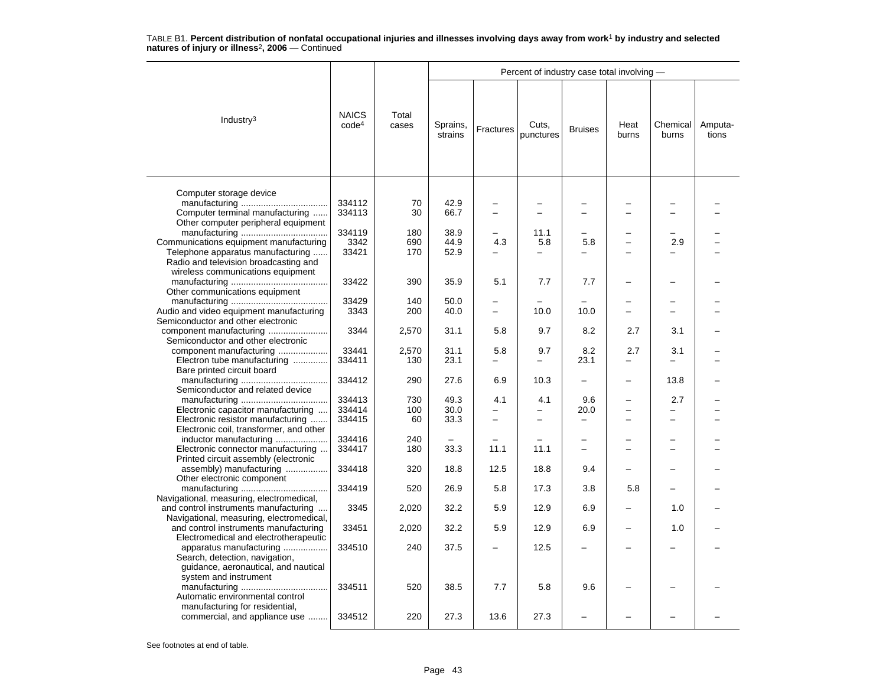|                                                                             |                                   |                |                     |                  | Percent of industry case total involving - |                |               |                          |                  |
|-----------------------------------------------------------------------------|-----------------------------------|----------------|---------------------|------------------|--------------------------------------------|----------------|---------------|--------------------------|------------------|
| Industry <sup>3</sup>                                                       | <b>NAICS</b><br>code <sup>4</sup> | Total<br>cases | Sprains,<br>strains | <b>Fractures</b> | Cuts,<br>punctures                         | <b>Bruises</b> | Heat<br>burns | Chemical<br>burns        | Amputa-<br>tions |
| Computer storage device                                                     |                                   |                |                     |                  |                                            |                |               |                          |                  |
|                                                                             | 334112                            | 70             | 42.9                |                  |                                            |                |               |                          |                  |
| Computer terminal manufacturing                                             | 334113                            | 30             | 66.7                |                  |                                            |                |               |                          |                  |
| Other computer peripheral equipment                                         |                                   |                |                     |                  |                                            |                |               |                          |                  |
|                                                                             | 334119                            | 180            | 38.9                |                  | 11.1                                       |                |               |                          |                  |
|                                                                             | 3342                              | 690            | 44.9                | 4.3              | 5.8                                        | 5.8            |               | 2.9                      |                  |
| Communications equipment manufacturing<br>Telephone apparatus manufacturing | 33421                             | 170            | 52.9                |                  |                                            |                |               |                          |                  |
|                                                                             |                                   |                |                     |                  |                                            |                |               |                          |                  |
| Radio and television broadcasting and                                       |                                   |                |                     |                  |                                            |                |               |                          |                  |
| wireless communications equipment                                           |                                   |                |                     |                  |                                            |                |               |                          |                  |
|                                                                             | 33422                             | 390            | 35.9                | 5.1              | 7.7                                        | 7.7            |               |                          |                  |
| Other communications equipment                                              |                                   |                |                     |                  |                                            |                |               |                          |                  |
|                                                                             | 33429                             | 140            | 50.0                |                  |                                            |                |               |                          |                  |
| Audio and video equipment manufacturing                                     | 3343                              | 200            | 40.0                |                  | 10.0                                       | 10.0           |               |                          |                  |
| Semiconductor and other electronic                                          |                                   |                |                     |                  |                                            |                |               |                          |                  |
| component manufacturing                                                     | 3344                              | 2,570          | 31.1                | 5.8              | 9.7                                        | 8.2            | 2.7           | 3.1                      |                  |
| Semiconductor and other electronic                                          |                                   |                |                     |                  |                                            |                |               |                          |                  |
| component manufacturing                                                     | 33441                             | 2,570          | 31.1                | 5.8              | 9.7                                        | 8.2            | 2.7           | 3.1                      |                  |
| Electron tube manufacturing                                                 | 334411                            | 130            | 23.1                |                  | $\equiv$                                   | 23.1           |               |                          |                  |
| Bare printed circuit board                                                  |                                   |                |                     |                  |                                            |                |               |                          |                  |
|                                                                             | 334412                            | 290            | 27.6                | 6.9              | 10.3                                       |                |               | 13.8                     |                  |
| Semiconductor and related device                                            |                                   |                |                     |                  |                                            |                |               |                          |                  |
|                                                                             | 334413                            | 730            | 49.3                | 4.1              | 4.1                                        | 9.6            |               | 2.7                      |                  |
| Electronic capacitor manufacturing                                          | 334414                            | 100            | 30.0                |                  |                                            | 20.0           |               |                          |                  |
| Electronic resistor manufacturing                                           | 334415                            | 60             | 33.3                |                  |                                            |                |               | $\overline{\phantom{0}}$ |                  |
| Electronic coil, transformer, and other                                     |                                   |                |                     |                  |                                            |                |               |                          |                  |
| inductor manufacturing                                                      | 334416                            | 240            |                     |                  |                                            |                |               |                          |                  |
| Electronic connector manufacturing                                          | 334417                            | 180            | 33.3                | 11.1             | 11.1                                       | $\equiv$       | -             | $\equiv$                 |                  |
| Printed circuit assembly (electronic                                        |                                   |                |                     |                  |                                            |                |               |                          |                  |
| assembly) manufacturing                                                     | 334418                            | 320            | 18.8                | 12.5             | 18.8                                       | 9.4            |               |                          |                  |
| Other electronic component                                                  |                                   |                |                     |                  |                                            |                |               |                          |                  |
|                                                                             | 334419                            | 520            | 26.9                | 5.8              | 17.3                                       | 3.8            | 5.8           |                          |                  |
| Navigational, measuring, electromedical,                                    |                                   |                |                     |                  |                                            |                |               |                          |                  |
| and control instruments manufacturing                                       | 3345                              | 2,020          | 32.2                | 5.9              | 12.9                                       | 6.9            |               | 1.0                      |                  |
| Navigational, measuring, electromedical,                                    |                                   |                |                     |                  |                                            |                |               |                          |                  |
| and control instruments manufacturing                                       | 33451                             | 2,020          | 32.2                | 5.9              | 12.9                                       | 6.9            |               | 1.0                      |                  |
| Electromedical and electrotherapeutic                                       |                                   |                |                     |                  |                                            |                |               |                          |                  |
| apparatus manufacturing                                                     | 334510                            | 240            | 37.5                |                  | 12.5                                       |                |               |                          |                  |
| Search, detection, navigation,                                              |                                   |                |                     |                  |                                            |                |               |                          |                  |
| guidance, aeronautical, and nautical                                        |                                   |                |                     |                  |                                            |                |               |                          |                  |
| system and instrument                                                       |                                   |                |                     |                  |                                            |                |               |                          |                  |
|                                                                             | 334511                            | 520            | 38.5                | 7.7              | 5.8                                        | 9.6            |               |                          |                  |
| Automatic environmental control                                             |                                   |                |                     |                  |                                            |                |               |                          |                  |
| manufacturing for residential,                                              |                                   |                |                     |                  |                                            |                |               |                          |                  |
| commercial, and appliance use                                               | 334512                            | 220            | 27.3                | 13.6             | 27.3                                       |                |               |                          |                  |
|                                                                             |                                   |                |                     |                  |                                            |                |               |                          |                  |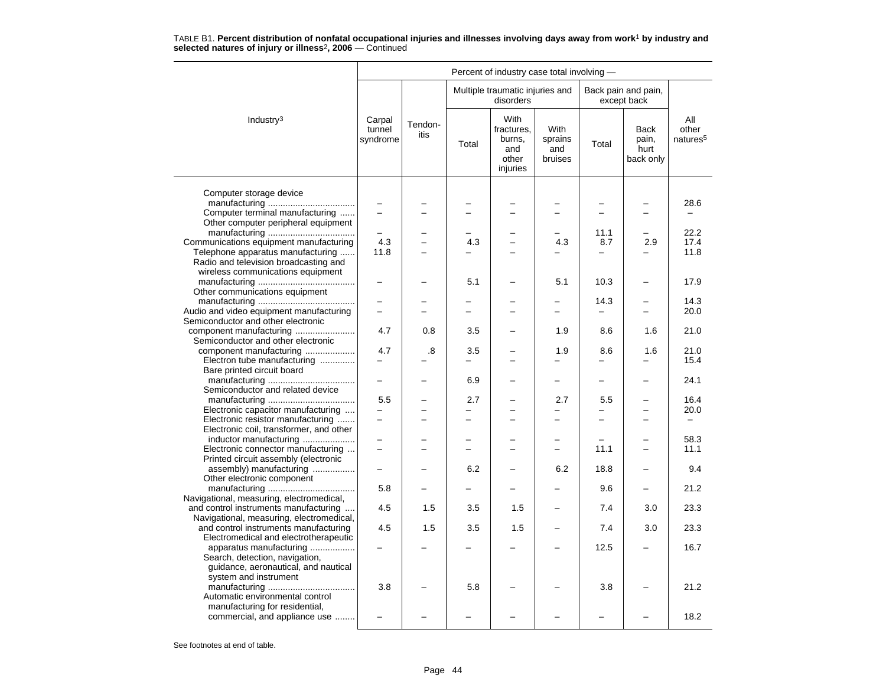|                                                                                                   |                              |                 |                          | Percent of industry case total involving -               |                                          |                          |                                    |                                      |
|---------------------------------------------------------------------------------------------------|------------------------------|-----------------|--------------------------|----------------------------------------------------------|------------------------------------------|--------------------------|------------------------------------|--------------------------------------|
|                                                                                                   |                              |                 |                          | Multiple traumatic injuries and<br>disorders             |                                          |                          | Back pain and pain,<br>except back |                                      |
| Industry <sup>3</sup>                                                                             | Carpal<br>tunnel<br>syndrome | Tendon-<br>itis | Total                    | With<br>fractures.<br>burns,<br>and<br>other<br>injuries | <b>With</b><br>sprains<br>and<br>bruises | Total                    | Back<br>pain,<br>hurt<br>back only | All<br>other<br>natures <sup>5</sup> |
|                                                                                                   |                              |                 |                          |                                                          |                                          |                          |                                    |                                      |
| Computer storage device<br>Computer terminal manufacturing<br>Other computer peripheral equipment | $\equiv$                     |                 | $\overline{\phantom{0}}$ | L.                                                       | ÷                                        | $\overline{a}$           | $\equiv$                           | 28.6<br>$\overline{\phantom{0}}$     |
|                                                                                                   |                              |                 |                          |                                                          |                                          | 11.1                     | $\overline{a}$                     | 22.2                                 |
| Communications equipment manufacturing                                                            | 4.3                          |                 | 4.3                      | $\overline{\phantom{0}}$                                 | 4.3                                      | 8.7                      | 2.9                                | 17.4                                 |
| Telephone apparatus manufacturing                                                                 | 11.8                         |                 |                          |                                                          |                                          |                          |                                    | 11.8                                 |
| Radio and television broadcasting and                                                             |                              |                 |                          |                                                          |                                          |                          |                                    |                                      |
| wireless communications equipment                                                                 |                              |                 | 5.1                      |                                                          | 5.1                                      | 10.3                     | $\overline{\phantom{0}}$           | 17.9                                 |
| Other communications equipment                                                                    |                              |                 |                          |                                                          |                                          |                          |                                    |                                      |
|                                                                                                   |                              |                 |                          |                                                          |                                          | 14.3                     |                                    | 14.3                                 |
| Audio and video equipment manufacturing                                                           |                              |                 |                          |                                                          |                                          |                          |                                    | 20.0                                 |
| Semiconductor and other electronic                                                                |                              |                 |                          |                                                          |                                          |                          |                                    |                                      |
| Semiconductor and other electronic                                                                | 4.7                          | 0.8             | 3.5                      |                                                          | 1.9                                      | 8.6                      | 1.6                                | 21.0                                 |
| component manufacturing                                                                           | 4.7                          | .8              | 3.5                      |                                                          | 1.9                                      | 8.6                      | 1.6                                | 21.0                                 |
| Electron tube manufacturing                                                                       | $\equiv$                     |                 | $\overline{\phantom{0}}$ |                                                          |                                          |                          |                                    | 15.4                                 |
| Bare printed circuit board                                                                        |                              |                 |                          |                                                          |                                          |                          |                                    |                                      |
| Semiconductor and related device                                                                  |                              |                 | 6.9                      |                                                          | -                                        | $\overline{\phantom{0}}$ | $\overline{\phantom{0}}$           | 24.1                                 |
|                                                                                                   | 5.5                          |                 | 2.7                      |                                                          | 2.7                                      | 5.5                      |                                    | 16.4                                 |
| Electronic capacitor manufacturing                                                                |                              |                 |                          |                                                          |                                          |                          |                                    | 20.0                                 |
| Electronic resistor manufacturing                                                                 | $\overline{\phantom{0}}$     |                 | -                        | $\overline{\phantom{0}}$                                 | -                                        | $\equiv$                 | $\equiv$                           | $-$                                  |
| Electronic coil, transformer, and other                                                           |                              |                 |                          |                                                          |                                          |                          |                                    |                                      |
| inductor manufacturing                                                                            |                              |                 |                          |                                                          |                                          |                          |                                    | 58.3                                 |
| Electronic connector manufacturing                                                                |                              |                 |                          |                                                          |                                          | 11.1                     |                                    | 11.1                                 |
| Printed circuit assembly (electronic                                                              |                              |                 |                          |                                                          |                                          |                          |                                    |                                      |
| assembly) manufacturing                                                                           | $\overline{\phantom{0}}$     |                 | 6.2                      | -                                                        | 6.2                                      | 18.8                     | -                                  | 9.4                                  |
| Other electronic component                                                                        | 5.8                          |                 |                          |                                                          |                                          | 9.6                      | ▃                                  | 21.2                                 |
| Navigational, measuring, electromedical,                                                          |                              |                 |                          |                                                          |                                          |                          |                                    |                                      |
| and control instruments manufacturing                                                             | 4.5                          | 1.5             | 3.5                      | 1.5                                                      |                                          | 7.4                      | 3.0                                | 23.3                                 |
| Navigational, measuring, electromedical,                                                          |                              |                 |                          |                                                          |                                          |                          |                                    |                                      |
| and control instruments manufacturing                                                             | 4.5                          | 1.5             | 3.5                      | 1.5                                                      |                                          | 7.4                      | 3.0                                | 23.3                                 |
| Electromedical and electrotherapeutic                                                             |                              |                 |                          |                                                          |                                          |                          |                                    |                                      |
| apparatus manufacturing                                                                           |                              |                 |                          |                                                          |                                          | 12.5                     |                                    | 16.7                                 |
| Search, detection, navigation,                                                                    |                              |                 |                          |                                                          |                                          |                          |                                    |                                      |
| guidance, aeronautical, and nautical                                                              |                              |                 |                          |                                                          |                                          |                          |                                    |                                      |
| system and instrument                                                                             | 3.8                          |                 | 5.8                      |                                                          |                                          | 3.8                      |                                    | 21.2                                 |
| Automatic environmental control                                                                   |                              |                 |                          |                                                          |                                          |                          |                                    |                                      |
| manufacturing for residential,                                                                    |                              |                 |                          |                                                          |                                          |                          |                                    |                                      |
| commercial, and appliance use                                                                     |                              |                 |                          |                                                          |                                          |                          |                                    | 18.2                                 |
|                                                                                                   |                              |                 |                          |                                                          |                                          |                          |                                    |                                      |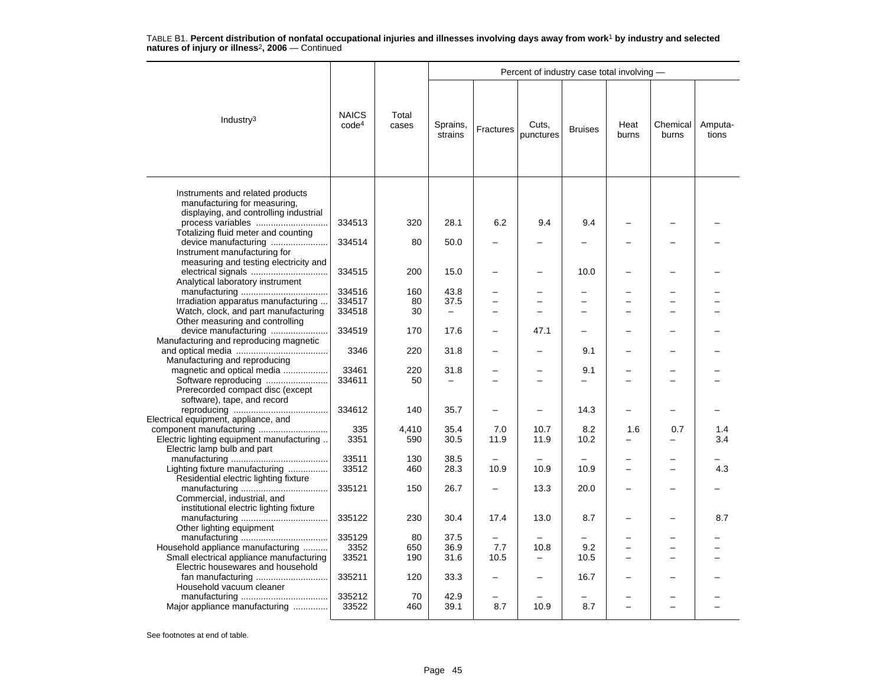|                                                                                                              |                                   |                |                          |                | Percent of industry case total involving - |                          |               |                   |                  |
|--------------------------------------------------------------------------------------------------------------|-----------------------------------|----------------|--------------------------|----------------|--------------------------------------------|--------------------------|---------------|-------------------|------------------|
| Industry $3$                                                                                                 | <b>NAICS</b><br>code <sup>4</sup> | Total<br>cases | Sprains,<br>strains      | Fractures      | Cuts,<br>punctures                         | <b>Bruises</b>           | Heat<br>burns | Chemical<br>burns | Amputa-<br>tions |
| Instruments and related products<br>manufacturing for measuring,<br>displaying, and controlling industrial   |                                   |                |                          |                |                                            |                          |               |                   |                  |
| process variables                                                                                            | 334513                            | 320            | 28.1                     | 6.2            | 9.4                                        | 9.4                      |               |                   |                  |
| Totalizing fluid meter and counting<br>Instrument manufacturing for<br>measuring and testing electricity and | 334514                            | 80             | 50.0                     |                |                                            |                          |               |                   |                  |
| Analytical laboratory instrument                                                                             | 334515                            | 200            | 15.0                     |                | $\overline{\phantom{0}}$                   | 10.0                     |               |                   |                  |
|                                                                                                              | 334516                            | 160            | 43.8                     |                |                                            |                          |               |                   |                  |
| Irradiation apparatus manufacturing                                                                          | 334517                            | 80             | 37.5                     | $\overline{a}$ | $\overline{\phantom{0}}$                   | $\overline{\phantom{0}}$ |               |                   |                  |
| Watch, clock, and part manufacturing                                                                         | 334518                            | 30             | $\overline{\phantom{m}}$ |                |                                            | $\overline{\phantom{0}}$ |               |                   |                  |
| Other measuring and controlling<br>device manufacturing<br>Manufacturing and reproducing magnetic            | 334519                            | 170            | 17.6                     |                | 47.1                                       |                          |               |                   |                  |
| Manufacturing and reproducing                                                                                | 3346                              | 220            | 31.8                     |                |                                            | 9.1                      |               |                   |                  |
| magnetic and optical media                                                                                   | 33461                             | 220            | 31.8                     |                |                                            | 9.1                      |               |                   |                  |
| Prerecorded compact disc (except<br>software), tape, and record                                              | 334611                            | 50             | $\overline{\phantom{0}}$ |                | ÷                                          |                          |               |                   |                  |
| Electrical equipment, appliance, and                                                                         | 334612                            | 140            | 35.7                     |                |                                            | 14.3                     |               |                   |                  |
|                                                                                                              | 335                               | 4,410          | 35.4                     | 7.0            | 10.7                                       | 8.2                      | 1.6           | 0.7               | 1.4              |
| Electric lighting equipment manufacturing<br>Electric lamp bulb and part                                     | 3351                              | 590            | 30.5                     | 11.9           | 11.9                                       | 10.2                     | L.            |                   | 3.4              |
|                                                                                                              | 33511                             | 130            | 38.5                     |                |                                            |                          |               |                   |                  |
| Lighting fixture manufacturing                                                                               | 33512                             | 460            | 28.3                     | 10.9           | 10.9                                       | 10.9                     |               |                   | 4.3              |
| Residential electric lighting fixture                                                                        | 335121                            | 150            | 26.7                     |                | 13.3                                       | 20.0                     |               |                   |                  |
| Commercial, industrial, and<br>institutional electric lighting fixture                                       | 335122                            | 230            | 30.4                     | 17.4           | 13.0                                       | 8.7                      |               |                   | 8.7              |
| Other lighting equipment                                                                                     |                                   |                |                          |                |                                            |                          |               |                   |                  |
|                                                                                                              | 335129                            | 80             | 37.5                     |                |                                            |                          |               |                   |                  |
| Household appliance manufacturing                                                                            | 3352                              | 650            | 36.9                     | 7.7            | 10.8                                       | 9.2                      | -             | -                 |                  |
| Small electrical appliance manufacturing                                                                     | 33521                             | 190            | 31.6                     | 10.5           | -                                          | 10.5                     |               |                   |                  |
| Electric housewares and household                                                                            |                                   |                |                          |                |                                            |                          |               |                   |                  |
| fan manufacturing                                                                                            | 335211                            | 120            | 33.3                     |                |                                            | 16.7                     |               |                   |                  |
| Household vacuum cleaner                                                                                     |                                   |                |                          |                |                                            |                          |               |                   |                  |
| Major appliance manufacturing                                                                                | 335212<br>33522                   | 70<br>460      | 42.9<br>39.1             | 8.7            | 10.9                                       | 8.7                      | $\equiv$      | $\equiv$          |                  |
|                                                                                                              |                                   |                |                          |                |                                            |                          |               |                   |                  |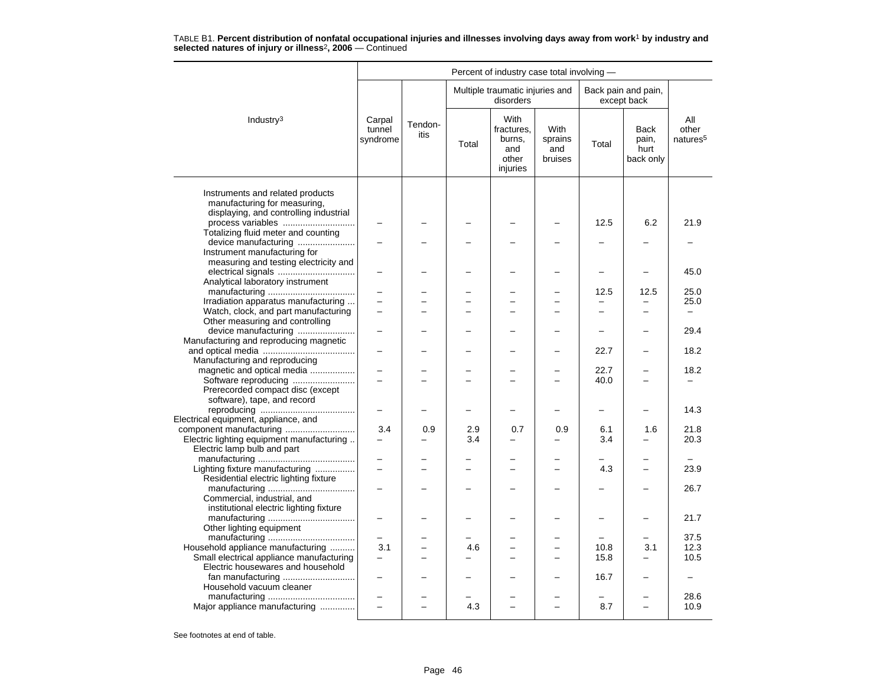|                                                                                                                                      |                              |                 |       | Percent of industry case total involving -               |                                   |                          |                                           |                                      |
|--------------------------------------------------------------------------------------------------------------------------------------|------------------------------|-----------------|-------|----------------------------------------------------------|-----------------------------------|--------------------------|-------------------------------------------|--------------------------------------|
|                                                                                                                                      |                              |                 |       | Multiple traumatic injuries and<br>disorders             |                                   |                          | Back pain and pain,<br>except back        |                                      |
| Industry <sup>3</sup>                                                                                                                | Carpal<br>tunnel<br>syndrome | Tendon-<br>itis | Total | With<br>fractures.<br>burns,<br>and<br>other<br>injuries | With<br>sprains<br>and<br>bruises | Total                    | <b>Back</b><br>pain,<br>hurt<br>back only | All<br>other<br>natures <sup>5</sup> |
| Instruments and related products<br>manufacturing for measuring,<br>displaying, and controlling industrial                           |                              |                 |       |                                                          |                                   |                          |                                           |                                      |
| process variables                                                                                                                    |                              |                 |       |                                                          |                                   | 12.5                     | 6.2                                       | 21.9                                 |
| Totalizing fluid meter and counting<br>device manufacturing<br>Instrument manufacturing for<br>measuring and testing electricity and |                              |                 |       |                                                          |                                   |                          |                                           |                                      |
| Analytical laboratory instrument                                                                                                     |                              |                 |       |                                                          |                                   |                          |                                           | 45.0                                 |
|                                                                                                                                      |                              |                 |       |                                                          |                                   | 12.5                     | 12.5                                      | 25.0                                 |
| Irradiation apparatus manufacturing                                                                                                  |                              |                 |       |                                                          |                                   |                          |                                           | 25.0                                 |
| Watch, clock, and part manufacturing<br>Other measuring and controlling                                                              | $\overline{a}$               |                 |       |                                                          | <u>.</u>                          | $\overline{\phantom{0}}$ | $\overline{\phantom{0}}$                  | $\overline{\phantom{0}}$             |
| device manufacturing                                                                                                                 |                              |                 |       |                                                          |                                   |                          |                                           | 29.4                                 |
| Manufacturing and reproducing magnetic                                                                                               |                              |                 |       |                                                          |                                   | 22.7                     | -                                         | 18.2                                 |
| Manufacturing and reproducing                                                                                                        |                              |                 |       |                                                          |                                   |                          |                                           |                                      |
| magnetic and optical media                                                                                                           |                              |                 |       |                                                          |                                   | 22.7                     |                                           | 18.2                                 |
| Software reproducing<br>Prerecorded compact disc (except                                                                             | L.                           |                 |       |                                                          | $\overline{ }$                    | 40.0                     | $\equiv$                                  | -                                    |
| software), tape, and record                                                                                                          | $\overline{\phantom{0}}$     |                 |       |                                                          | $\overline{\phantom{0}}$          | $\qquad \qquad -$        | $\overline{\phantom{0}}$                  | 14.3                                 |
| Electrical equipment, appliance, and                                                                                                 |                              |                 |       |                                                          |                                   |                          |                                           |                                      |
|                                                                                                                                      | 3.4                          | 0.9             | 2.9   | 0.7                                                      | 0.9                               | 6.1                      | 1.6                                       | 21.8                                 |
| Electric lighting equipment manufacturing<br>Electric lamp bulb and part                                                             | $\overline{\phantom{0}}$     | -               | 3.4   | -                                                        | $\equiv$                          | 3.4                      | $\equiv$                                  | 20.3                                 |
| Lighting fixture manufacturing                                                                                                       | $\overline{\phantom{0}}$     |                 |       |                                                          | <u>.</u>                          | 4.3                      | $\equiv$                                  | 23.9                                 |
| Residential electric lighting fixture                                                                                                |                              |                 |       |                                                          |                                   |                          |                                           |                                      |
| Commercial, industrial, and                                                                                                          |                              |                 |       |                                                          |                                   |                          |                                           | 26.7                                 |
| institutional electric lighting fixture                                                                                              |                              |                 |       |                                                          |                                   |                          | $\overline{\phantom{0}}$                  | 21.7                                 |
| Other lighting equipment                                                                                                             |                              |                 |       |                                                          |                                   |                          |                                           |                                      |
| Household appliance manufacturing                                                                                                    | 3.1                          |                 | 4.6   |                                                          |                                   | 10.8                     | 3.1                                       | 37.5<br>12.3                         |
| Small electrical appliance manufacturing                                                                                             | $\overline{\phantom{0}}$     |                 |       |                                                          | $\overline{\phantom{0}}$          | 15.8                     | $\overline{\phantom{0}}$                  | 10.5                                 |
| Electric housewares and household                                                                                                    |                              |                 |       |                                                          |                                   |                          |                                           |                                      |
| fan manufacturing                                                                                                                    |                              |                 |       |                                                          |                                   | 16.7                     |                                           |                                      |
| Household vacuum cleaner                                                                                                             |                              |                 |       |                                                          |                                   |                          |                                           | 28.6                                 |
| Major appliance manufacturing                                                                                                        |                              |                 | 4.3   |                                                          |                                   | 8.7                      |                                           | 10.9                                 |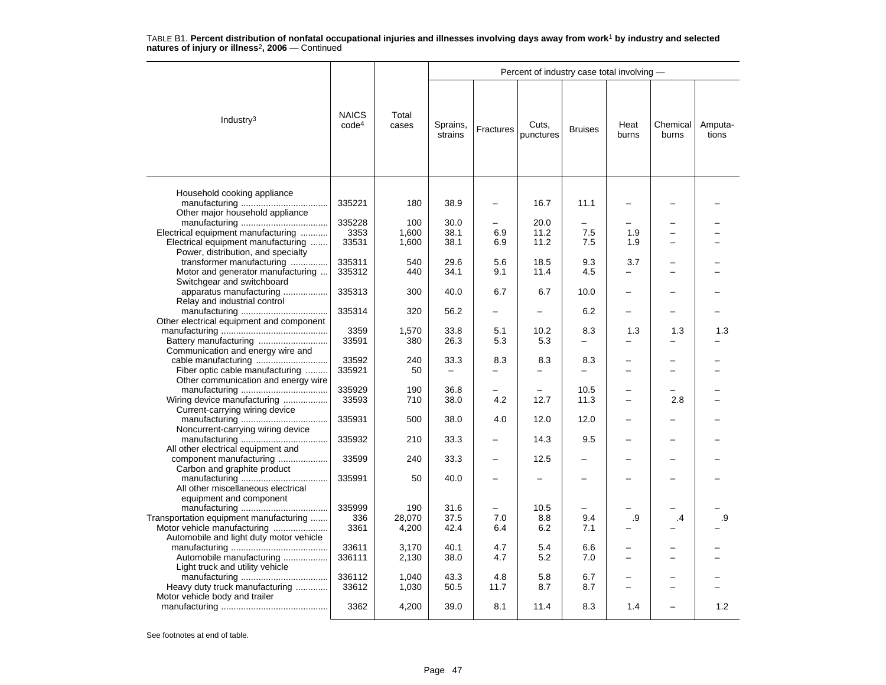|                                                         |                                   |                |                     |           | Percent of industry case total involving - |                |                          |                               |                  |
|---------------------------------------------------------|-----------------------------------|----------------|---------------------|-----------|--------------------------------------------|----------------|--------------------------|-------------------------------|------------------|
| Industry <sup>3</sup>                                   | <b>NAICS</b><br>code <sup>4</sup> | Total<br>cases | Sprains,<br>strains | Fractures | Cuts,<br>punctures                         | <b>Bruises</b> | Heat<br>burns            | Chemical<br>burns             | Amputa-<br>tions |
| Household cooking appliance                             |                                   |                |                     |           |                                            |                |                          |                               |                  |
| Other major household appliance                         | 335221                            | 180            | 38.9                |           | 16.7                                       | 11.1           |                          |                               |                  |
|                                                         | 335228                            | 100            | 30.0                |           | 20.0                                       |                |                          |                               |                  |
| Electrical equipment manufacturing                      | 3353                              | 1,600          | 38.1                | 6.9       | 11.2                                       | 7.5            | 1.9                      | -                             |                  |
| Electrical equipment manufacturing                      | 33531                             | 1,600          | 38.1                | 6.9       | 11.2                                       | 7.5            | 1.9                      | ÷                             |                  |
| Power, distribution, and specialty                      |                                   |                |                     |           |                                            |                |                          |                               |                  |
| transformer manufacturing                               | 335311                            | 540            | 29.6                | 5.6       | 18.5                                       | 9.3            | 3.7                      | -                             |                  |
| Motor and generator manufacturing                       | 335312                            | 440            | 34.1                | 9.1       | 11.4                                       | 4.5            | -                        |                               |                  |
| Switchgear and switchboard                              |                                   |                |                     |           |                                            |                |                          |                               |                  |
| apparatus manufacturing<br>Relay and industrial control | 335313                            | 300            | 40.0                | 6.7       | 6.7                                        | 10.0           |                          |                               |                  |
|                                                         | 335314                            | 320            | 56.2                |           |                                            | 6.2            |                          |                               |                  |
|                                                         |                                   |                |                     |           |                                            |                |                          |                               |                  |
| Other electrical equipment and component                | 3359                              |                | 33.8                | 5.1       | 10.2                                       |                |                          |                               |                  |
|                                                         |                                   | 1,570          | 26.3                | 5.3       |                                            | 8.3            | 1.3                      | 1.3                           | 1.3              |
| Battery manufacturing                                   | 33591                             | 380            |                     |           | 5.3                                        |                |                          |                               |                  |
| Communication and energy wire and                       |                                   |                |                     |           |                                            |                |                          |                               |                  |
| cable manufacturing                                     | 33592                             | 240<br>50      | 33.3                | 8.3       | 8.3                                        | 8.3            |                          | ▃<br>$\overline{\phantom{0}}$ |                  |
| Fiber optic cable manufacturing                         | 335921                            |                |                     |           |                                            |                |                          |                               |                  |
| Other communication and energy wire                     |                                   |                |                     |           |                                            |                |                          |                               |                  |
|                                                         | 335929                            | 190            | 36.8                |           |                                            | 10.5           |                          |                               |                  |
| Wiring device manufacturing                             | 33593                             | 710            | 38.0                | 4.2       | 12.7                                       | 11.3           |                          | 2.8                           |                  |
| Current-carrying wiring device                          |                                   |                |                     |           |                                            |                |                          |                               |                  |
|                                                         | 335931                            | 500            | 38.0                | 4.0       | 12.0                                       | 12.0           |                          |                               |                  |
| Noncurrent-carrying wiring device                       |                                   |                |                     |           |                                            |                |                          |                               |                  |
|                                                         | 335932                            | 210            | 33.3                |           | 14.3                                       | 9.5            |                          |                               |                  |
| All other electrical equipment and                      |                                   |                | 33.3                |           | 12.5                                       |                |                          |                               |                  |
| component manufacturing<br>Carbon and graphite product  | 33599                             | 240            |                     |           |                                            |                |                          |                               |                  |
|                                                         | 335991                            | 50             | 40.0                |           |                                            |                |                          |                               |                  |
| All other miscellaneous electrical                      |                                   |                |                     |           |                                            |                |                          |                               |                  |
| equipment and component                                 |                                   |                |                     |           |                                            |                |                          |                               |                  |
|                                                         | 335999                            | 190            | 31.6                |           | 10.5                                       |                |                          |                               |                  |
| Transportation equipment manufacturing                  | 336                               | 28,070         | 37.5                | 7.0       | 8.8                                        | 9.4            | .9                       | .4                            | .9               |
| Motor vehicle manufacturing                             | 3361                              | 4,200          | 42.4                | 6.4       | 6.2                                        | 7.1            |                          |                               |                  |
| Automobile and light duty motor vehicle                 |                                   |                |                     |           |                                            |                |                          |                               |                  |
|                                                         | 33611                             | 3,170          | 40.1                | 4.7       | 5.4                                        | 6.6            |                          |                               |                  |
| Automobile manufacturing                                | 336111                            | 2,130          | 38.0                | 4.7       | 5.2                                        | 7.0            | $\overline{\phantom{0}}$ | L                             |                  |
| Light truck and utility vehicle                         |                                   |                |                     |           |                                            |                |                          |                               |                  |
|                                                         | 336112                            | 1,040          | 43.3                | 4.8       | 5.8                                        | 6.7            |                          |                               |                  |
| Heavy duty truck manufacturing                          | 33612                             | 1,030          | 50.5                | 11.7      | 8.7                                        | 8.7            | -                        | -                             |                  |
| Motor vehicle body and trailer                          |                                   |                |                     |           |                                            |                |                          |                               |                  |
|                                                         | 3362                              | 4,200          | 39.0                | 8.1       | 11.4                                       | 8.3            | 1.4                      |                               | 1.2              |
|                                                         |                                   |                |                     |           |                                            |                |                          |                               |                  |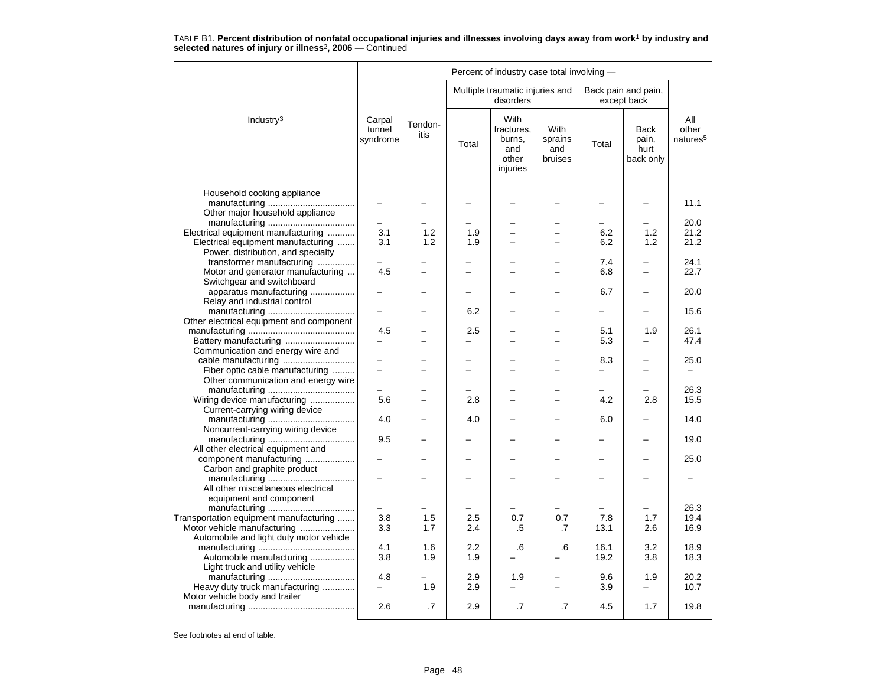|                                                                          |                              |                 |                | Percent of industry case total involving -                      |                                          |            |                                           |                                      |
|--------------------------------------------------------------------------|------------------------------|-----------------|----------------|-----------------------------------------------------------------|------------------------------------------|------------|-------------------------------------------|--------------------------------------|
|                                                                          |                              |                 |                | Multiple traumatic injuries and<br>disorders                    |                                          |            | Back pain and pain,<br>except back        |                                      |
| Industry <sup>3</sup>                                                    | Carpal<br>tunnel<br>syndrome | Tendon-<br>itis | Total          | <b>With</b><br>fractures,<br>burns,<br>and<br>other<br>injuries | <b>With</b><br>sprains<br>and<br>bruises | Total      | <b>Back</b><br>pain,<br>hurt<br>back only | All<br>other<br>natures <sup>5</sup> |
| Household cooking appliance                                              |                              |                 |                |                                                                 |                                          |            | $\overline{\phantom{0}}$                  | 11.1                                 |
| Other major household appliance                                          | $\overline{\phantom{0}}$     |                 |                |                                                                 |                                          |            |                                           |                                      |
|                                                                          |                              |                 |                |                                                                 |                                          |            |                                           | 20.0                                 |
| Electrical equipment manufacturing                                       | 3.1                          | 1.2<br>1.2      | 1.9            |                                                                 |                                          | 6.2        | 1.2                                       | 21.2<br>21.2                         |
| Electrical equipment manufacturing<br>Power, distribution, and specialty | 3.1                          |                 | 1.9            |                                                                 |                                          | 6.2        | 1.2                                       |                                      |
| transformer manufacturing                                                |                              |                 |                |                                                                 |                                          | 7.4        | $\overline{\phantom{0}}$                  | 24.1                                 |
| Motor and generator manufacturing                                        | 4.5                          |                 |                |                                                                 |                                          | 6.8        | $\overline{\phantom{0}}$                  | 22.7                                 |
| Switchgear and switchboard<br>apparatus manufacturing                    |                              |                 | -              |                                                                 |                                          | 6.7        | $\overline{\phantom{0}}$                  | 20.0                                 |
| Relay and industrial control                                             |                              |                 | 6.2            |                                                                 |                                          | -          | $\overline{\phantom{0}}$                  | 15.6                                 |
| Other electrical equipment and component                                 |                              |                 |                |                                                                 |                                          |            |                                           |                                      |
| Battery manufacturing                                                    | 4.5                          |                 | 2.5            | $\overline{\phantom{0}}$                                        | $\overline{\phantom{0}}$                 | 5.1<br>5.3 | 1.9                                       | 26.1<br>47.4                         |
| Communication and energy wire and                                        |                              |                 |                |                                                                 |                                          | 8.3        |                                           | 25.0                                 |
| Fiber optic cable manufacturing                                          |                              |                 | $\overline{a}$ | ÷                                                               |                                          |            | $\overline{a}$                            |                                      |
| Other communication and energy wire                                      |                              |                 |                |                                                                 |                                          |            |                                           | 26.3                                 |
| Wiring device manufacturing                                              | 5.6                          |                 | 2.8            | $\overline{\phantom{0}}$                                        | $\overline{\phantom{0}}$                 | 4.2        | 2.8                                       | 15.5                                 |
| Current-carrying wiring device                                           |                              |                 |                |                                                                 |                                          |            |                                           |                                      |
| Noncurrent-carrying wiring device                                        | 4.0                          |                 | 4.0            |                                                                 |                                          | 6.0        |                                           | 14.0                                 |
|                                                                          | 9.5                          |                 | -              | $\overline{\phantom{0}}$                                        | $\equiv$                                 | -          | $\overline{\phantom{0}}$                  | 19.0                                 |
| All other electrical equipment and<br>component manufacturing            |                              |                 |                |                                                                 |                                          |            |                                           | 25.0                                 |
| Carbon and graphite product                                              |                              |                 |                |                                                                 |                                          |            |                                           |                                      |
| All other miscellaneous electrical                                       |                              |                 |                |                                                                 |                                          |            |                                           |                                      |
| equipment and component                                                  |                              |                 |                |                                                                 |                                          |            |                                           |                                      |
|                                                                          |                              |                 |                |                                                                 |                                          |            |                                           | 26.3                                 |
| Transportation equipment manufacturing                                   | 3.8                          | 1.5             | 2.5            | 0.7                                                             | 0.7                                      | 7.8        | 1.7                                       | 19.4                                 |
| Motor vehicle manufacturing                                              | 3.3                          | 1.7             | 2.4            | .5                                                              | .7                                       | 13.1       | 2.6                                       | 16.9                                 |
| Automobile and light duty motor vehicle                                  |                              |                 |                |                                                                 |                                          |            |                                           |                                      |
|                                                                          | 4.1                          | 1.6             | 2.2            | .6                                                              | .6                                       | 16.1       | 3.2                                       | 18.9                                 |
| Automobile manufacturing<br>Light truck and utility vehicle              | 3.8                          | 1.9             | 1.9            |                                                                 |                                          | 19.2       | 3.8                                       | 18.3                                 |
|                                                                          | 4.8                          |                 | 2.9            | 1.9                                                             |                                          | 9.6        | 1.9                                       | 20.2                                 |
| Heavy duty truck manufacturing                                           | $\overline{\phantom{0}}$     | 1.9             | 2.9            |                                                                 | $\overline{\phantom{0}}$                 | 3.9        | $\overline{\phantom{0}}$                  | 10.7                                 |
| Motor vehicle body and trailer                                           | 2.6                          | .7              | 2.9            | .7                                                              | $\cdot$ 7                                | 4.5        | 1.7                                       | 19.8                                 |
|                                                                          |                              |                 |                |                                                                 |                                          |            |                                           |                                      |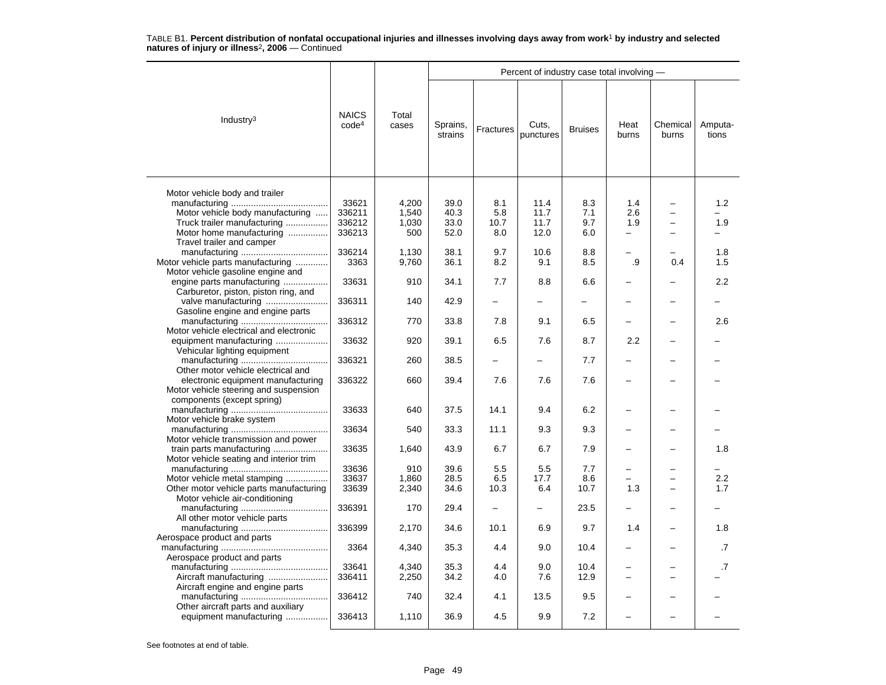|                                         |                                   |                |                     |                          | Percent of industry case total involving - |                          |               |                   |                  |
|-----------------------------------------|-----------------------------------|----------------|---------------------|--------------------------|--------------------------------------------|--------------------------|---------------|-------------------|------------------|
| Industry <sup>3</sup>                   | <b>NAICS</b><br>code <sup>4</sup> | Total<br>cases | Sprains,<br>strains | <b>Fractures</b>         | Cuts,<br>punctures                         | <b>Bruises</b>           | Heat<br>burns | Chemical<br>burns | Amputa-<br>tions |
|                                         |                                   |                |                     |                          |                                            |                          |               |                   |                  |
| Motor vehicle body and trailer          | 33621                             | 4.200          | 39.0                | 8.1                      | 11.4                                       | 8.3                      | 1.4           |                   | 1.2              |
|                                         |                                   |                |                     |                          |                                            |                          |               |                   |                  |
| Motor vehicle body manufacturing        | 336211                            | 1,540          | 40.3                | 5.8                      | 11.7                                       | 7.1                      | 2.6           |                   |                  |
| Truck trailer manufacturing             | 336212                            | 1,030          | 33.0                | 10.7                     | 11.7                                       | 9.7                      | 1.9           |                   | 1.9              |
| Motor home manufacturing                | 336213                            | 500            | 52.0                | 8.0                      | 12.0                                       | 6.0                      | $\equiv$      |                   |                  |
| Travel trailer and camper               |                                   |                |                     |                          |                                            |                          |               |                   |                  |
|                                         | 336214                            | 1,130          | 38.1                | 9.7                      | 10.6                                       | 8.8                      |               |                   | 1.8              |
| Motor vehicle parts manufacturing       | 3363                              | 9,760          | 36.1                | 8.2                      | 9.1                                        | 8.5                      | .9            | 0.4               | 1.5              |
| Motor vehicle gasoline engine and       |                                   |                |                     |                          |                                            |                          |               |                   |                  |
| engine parts manufacturing              | 33631                             | 910            | 34.1                | 7.7                      | 8.8                                        | 6.6                      |               |                   | 2.2              |
| Carburetor, piston, piston ring, and    |                                   |                |                     |                          |                                            |                          |               |                   |                  |
| valve manufacturing                     | 336311                            | 140            | 42.9                | $\overline{\phantom{0}}$ | $\overline{\phantom{0}}$                   | $\overline{\phantom{0}}$ |               |                   |                  |
| Gasoline engine and engine parts        |                                   |                |                     |                          |                                            |                          |               |                   |                  |
|                                         | 336312                            | 770            | 33.8                | 7.8                      | 9.1                                        | 6.5                      |               |                   | 2.6              |
| Motor vehicle electrical and electronic |                                   |                |                     |                          |                                            |                          |               |                   |                  |
| equipment manufacturing                 | 33632                             | 920            | 39.1                | 6.5                      | 7.6                                        | 8.7                      | 2.2           |                   |                  |
| Vehicular lighting equipment            |                                   |                |                     |                          |                                            |                          |               |                   |                  |
|                                         | 336321                            | 260            | 38.5                |                          | $\overline{\phantom{0}}$                   | 7.7                      |               |                   |                  |
| Other motor vehicle electrical and      |                                   |                |                     |                          |                                            |                          |               |                   |                  |
| electronic equipment manufacturing      | 336322                            | 660            | 39.4                | 7.6                      | 7.6                                        | 7.6                      |               |                   |                  |
| Motor vehicle steering and suspension   |                                   |                |                     |                          |                                            |                          |               |                   |                  |
| components (except spring)              |                                   |                |                     |                          |                                            |                          |               |                   |                  |
|                                         | 33633                             | 640            | 37.5                | 14.1                     | 9.4                                        | 6.2                      |               |                   |                  |
| Motor vehicle brake system              |                                   |                |                     |                          |                                            |                          |               |                   |                  |
|                                         | 33634                             | 540            | 33.3                | 11.1                     | 9.3                                        | 9.3                      |               |                   |                  |
| Motor vehicle transmission and power    |                                   |                |                     |                          |                                            |                          |               |                   |                  |
| train parts manufacturing               | 33635                             | 1,640          | 43.9                | 6.7                      | 6.7                                        | 7.9                      |               |                   | 1.8              |
| Motor vehicle seating and interior trim |                                   |                |                     |                          |                                            |                          |               |                   |                  |
|                                         | 33636                             | 910            | 39.6                | 5.5                      | 5.5                                        | 7.7                      |               |                   |                  |
| Motor vehicle metal stamping            | 33637                             | 1,860          | 28.5                | 6.5                      | 17.7                                       | 8.6                      |               |                   | 2.2              |
| Other motor vehicle parts manufacturing | 33639                             | 2,340          | 34.6                | 10.3                     | 6.4                                        | 10.7                     | 1.3           |                   | 1.7              |
| Motor vehicle air-conditioning          |                                   |                |                     |                          |                                            |                          |               |                   |                  |
|                                         | 336391                            | 170            | 29.4                |                          |                                            | 23.5                     |               |                   |                  |
| All other motor vehicle parts           |                                   |                |                     |                          |                                            |                          |               |                   |                  |
|                                         | 336399                            | 2,170          | 34.6                | 10.1                     | 6.9                                        | 9.7                      | 1.4           |                   | 1.8              |
| Aerospace product and parts             |                                   |                |                     |                          |                                            |                          |               |                   |                  |
|                                         | 3364                              | 4,340          | 35.3                | 4.4                      | 9.0                                        | 10.4                     |               |                   | .7               |
| Aerospace product and parts             |                                   |                |                     |                          |                                            |                          |               |                   |                  |
|                                         | 33641                             | 4,340          | 35.3                | 4.4                      | 9.0                                        | 10.4                     |               |                   | .7               |
|                                         | 336411                            | 2,250          | 34.2                | 4.0                      | 7.6                                        | 12.9                     |               |                   |                  |
| Aircraft manufacturing                  |                                   |                |                     |                          |                                            |                          |               |                   |                  |
| Aircraft engine and engine parts        |                                   | 740            |                     |                          | 13.5                                       |                          |               |                   |                  |
|                                         | 336412                            |                | 32.4                | 4.1                      |                                            | 9.5                      |               |                   |                  |
| Other aircraft parts and auxiliary      | 336413                            | 1,110          | 36.9                | 4.5                      | 9.9                                        | 7.2                      |               |                   |                  |
| equipment manufacturing                 |                                   |                |                     |                          |                                            |                          |               |                   |                  |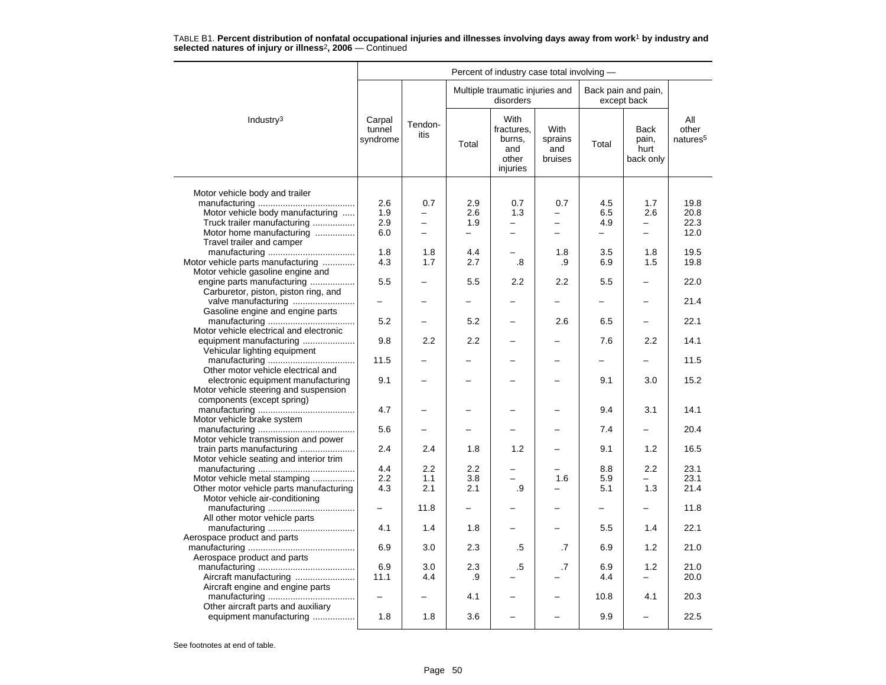|                                         |                              |                 |                          | Percent of industry case total involving -               |                                   |                          |                                           |                                      |
|-----------------------------------------|------------------------------|-----------------|--------------------------|----------------------------------------------------------|-----------------------------------|--------------------------|-------------------------------------------|--------------------------------------|
|                                         |                              |                 |                          | Multiple traumatic injuries and<br>disorders             |                                   |                          | Back pain and pain,<br>except back        |                                      |
| Industry $3$                            | Carpal<br>tunnel<br>syndrome | Tendon-<br>itis | Total                    | With<br>fractures,<br>burns,<br>and<br>other<br>injuries | With<br>sprains<br>and<br>bruises | Total                    | <b>Back</b><br>pain,<br>hurt<br>back only | All<br>other<br>natures <sup>5</sup> |
|                                         |                              |                 |                          |                                                          |                                   |                          |                                           |                                      |
| Motor vehicle body and trailer          | 2.6                          | 0.7             | 2.9                      | 0.7                                                      | 0.7                               | 4.5                      | 1.7                                       | 19.8                                 |
| Motor vehicle body manufacturing        | 1.9                          | -               | 2.6                      | 1.3                                                      | $\overline{\phantom{0}}$          | 6.5                      | 2.6                                       | 20.8                                 |
| Truck trailer manufacturing             | 2.9                          | $\overline{a}$  | 1.9                      |                                                          |                                   | 4.9                      |                                           | 22.3                                 |
| Motor home manufacturing                | 6.0                          | $\equiv$        | $\equiv$                 | $\overline{\phantom{0}}$                                 |                                   | -                        | $\overline{\phantom{0}}$                  | 12.0                                 |
| Travel trailer and camper               |                              |                 |                          |                                                          |                                   |                          |                                           |                                      |
|                                         | 1.8                          | 1.8             | 4.4                      |                                                          | 1.8                               | 3.5                      | 1.8                                       | 19.5                                 |
| Motor vehicle parts manufacturing       | 4.3                          | 1.7             | 2.7                      | .8                                                       | .9                                | 6.9                      | 1.5                                       | 19.8                                 |
| Motor vehicle gasoline engine and       |                              |                 |                          |                                                          |                                   |                          |                                           |                                      |
| engine parts manufacturing              | 5.5                          |                 | 5.5                      | 2.2                                                      | 2.2                               | 5.5                      |                                           | 22.0                                 |
| Carburetor, piston, piston ring, and    |                              |                 |                          |                                                          |                                   |                          |                                           |                                      |
|                                         |                              |                 |                          |                                                          | -                                 | —                        |                                           | 21.4                                 |
| Gasoline engine and engine parts        |                              |                 |                          |                                                          |                                   |                          |                                           |                                      |
|                                         | 5.2                          |                 | 5.2                      |                                                          | 2.6                               | 6.5                      |                                           | 22.1                                 |
| Motor vehicle electrical and electronic |                              |                 |                          |                                                          |                                   |                          |                                           |                                      |
| equipment manufacturing                 | 9.8                          | 2.2             | 2.2                      |                                                          |                                   | 7.6                      | 2.2                                       | 14.1                                 |
| Vehicular lighting equipment            |                              |                 |                          |                                                          |                                   |                          |                                           |                                      |
|                                         | 11.5                         |                 |                          |                                                          |                                   | -                        | $\overline{a}$                            | 11.5                                 |
| Other motor vehicle electrical and      |                              |                 |                          |                                                          |                                   |                          |                                           |                                      |
| electronic equipment manufacturing      | 9.1                          |                 |                          |                                                          |                                   | 9.1                      | 3.0                                       | 15.2                                 |
| Motor vehicle steering and suspension   |                              |                 |                          |                                                          |                                   |                          |                                           |                                      |
| components (except spring)              |                              |                 |                          |                                                          |                                   |                          |                                           |                                      |
|                                         | 4.7                          |                 |                          |                                                          |                                   | 9.4                      | 3.1                                       | 14.1                                 |
| Motor vehicle brake system              |                              |                 |                          |                                                          |                                   |                          |                                           | 20.4                                 |
| Motor vehicle transmission and power    | 5.6                          |                 |                          |                                                          |                                   | 7.4                      |                                           |                                      |
| train parts manufacturing               | 2.4                          | 2.4             | 1.8                      | 1.2                                                      |                                   | 9.1                      | 1.2                                       | 16.5                                 |
| Motor vehicle seating and interior trim |                              |                 |                          |                                                          |                                   |                          |                                           |                                      |
|                                         | 4.4                          | 2.2             | 2.2                      |                                                          |                                   | 8.8                      | 2.2                                       | 23.1                                 |
| Motor vehicle metal stamping            | 2.2                          | 1.1             | 3.8                      |                                                          | 1.6                               | 5.9                      |                                           | 23.1                                 |
| Other motor vehicle parts manufacturing | 4.3                          | 2.1             | 2.1                      | .9                                                       |                                   | 5.1                      | 1.3                                       | 21.4                                 |
| Motor vehicle air-conditioning          |                              |                 |                          |                                                          |                                   |                          |                                           |                                      |
|                                         | $\equiv$                     | 11.8            | $\overline{\phantom{0}}$ |                                                          |                                   | $\overline{\phantom{0}}$ | $\overline{\phantom{0}}$                  | 11.8                                 |
| All other motor vehicle parts           |                              |                 |                          |                                                          |                                   |                          |                                           |                                      |
|                                         | 4.1                          | 1.4             | 1.8                      |                                                          |                                   | 5.5                      | 1.4                                       | 22.1                                 |
| Aerospace product and parts             |                              |                 |                          |                                                          |                                   |                          |                                           |                                      |
|                                         | 6.9                          | 3.0             | 2.3                      | .5                                                       | .7                                | 6.9                      | 1.2                                       | 21.0                                 |
| Aerospace product and parts             |                              |                 |                          |                                                          |                                   |                          |                                           |                                      |
|                                         | 6.9                          | 3.0             | 2.3                      | .5                                                       | .7                                | 6.9                      | 1.2                                       | 21.0                                 |
| Aircraft manufacturing                  | 11.1                         | 4.4             | .9                       |                                                          |                                   | 4.4                      |                                           | 20.0                                 |
| Aircraft engine and engine parts        |                              |                 |                          |                                                          |                                   |                          |                                           |                                      |
|                                         |                              |                 | 4.1                      |                                                          |                                   | 10.8                     | 4.1                                       | 20.3                                 |
| Other aircraft parts and auxiliary      |                              |                 |                          |                                                          |                                   |                          |                                           |                                      |
| equipment manufacturing                 | 1.8                          | 1.8             | 3.6                      |                                                          |                                   | 9.9                      | -                                         | 22.5                                 |
|                                         |                              |                 |                          |                                                          |                                   |                          |                                           |                                      |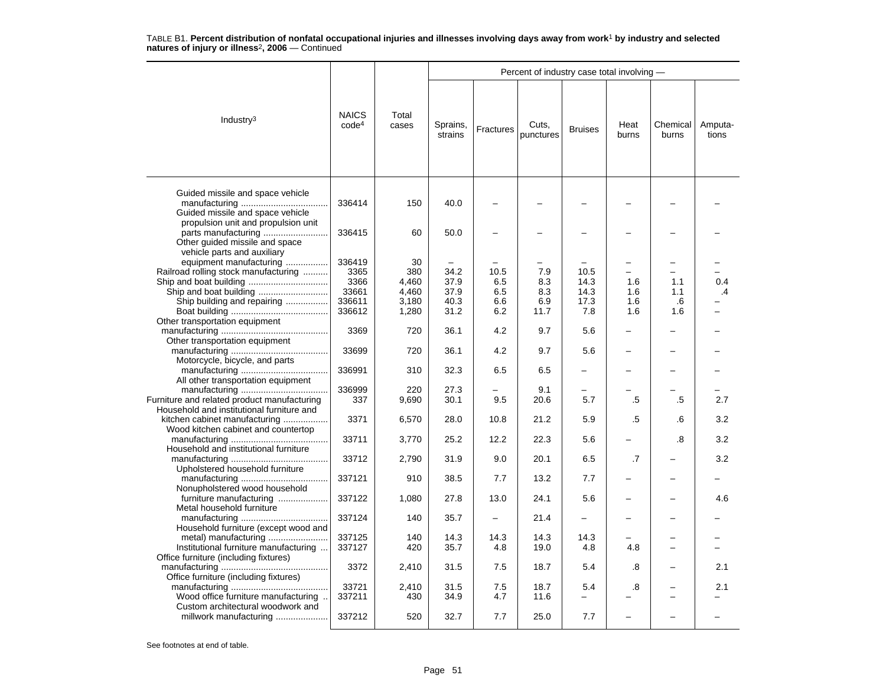|                                                                                                                               |                                                     |                                               |                                      |                                  | Percent of industry case total involving - |                                     |                          |                         |                                 |
|-------------------------------------------------------------------------------------------------------------------------------|-----------------------------------------------------|-----------------------------------------------|--------------------------------------|----------------------------------|--------------------------------------------|-------------------------------------|--------------------------|-------------------------|---------------------------------|
| Industry $3$                                                                                                                  | <b>NAICS</b><br>code <sup>4</sup>                   | Total<br>cases                                | Sprains,<br>strains                  | Fractures                        | Cuts,<br>punctures                         | <b>Bruises</b>                      | Heat<br>burns            | Chemical<br>burns       | Amputa-<br>tions                |
| Guided missile and space vehicle<br>Guided missile and space vehicle                                                          | 336414                                              | 150                                           | 40.0                                 |                                  |                                            |                                     |                          |                         |                                 |
| propulsion unit and propulsion unit<br>parts manufacturing<br>Other guided missile and space                                  | 336415                                              | 60                                            | 50.0                                 |                                  |                                            |                                     |                          |                         |                                 |
| vehicle parts and auxiliary<br>equipment manufacturing<br>Railroad rolling stock manufacturing<br>Ship building and repairing | 336419<br>3365<br>3366<br>33661<br>336611<br>336612 | 30<br>380<br>4,460<br>4,460<br>3,180<br>1,280 | 34.2<br>37.9<br>37.9<br>40.3<br>31.2 | 10.5<br>6.5<br>6.5<br>6.6<br>6.2 | 7.9<br>8.3<br>8.3<br>6.9<br>11.7           | 10.5<br>14.3<br>14.3<br>17.3<br>7.8 | 1.6<br>1.6<br>1.6<br>1.6 | 1.1<br>1.1<br>.6<br>1.6 | 0.4<br>$\overline{\mathcal{A}}$ |
| Other transportation equipment<br>Other transportation equipment                                                              | 3369                                                | 720                                           | 36.1                                 | 4.2                              | 9.7                                        | 5.6                                 |                          |                         |                                 |
| Motorcycle, bicycle, and parts                                                                                                | 33699                                               | 720                                           | 36.1                                 | 4.2                              | 9.7                                        | 5.6                                 |                          |                         |                                 |
| All other transportation equipment                                                                                            | 336991                                              | 310                                           | 32.3                                 | 6.5                              | 6.5                                        |                                     |                          |                         |                                 |
| Furniture and related product manufacturing<br>Household and institutional furniture and                                      | 336999<br>337                                       | 220<br>9,690                                  | 27.3<br>30.1                         | 9.5                              | 9.1<br>20.6                                | 5.7                                 | .5                       | .5                      | 2.7                             |
| kitchen cabinet manufacturing<br>Wood kitchen cabinet and countertop                                                          | 3371                                                | 6,570                                         | 28.0                                 | 10.8                             | 21.2                                       | 5.9                                 | .5                       | .6                      | 3.2                             |
| Household and institutional furniture                                                                                         | 33711                                               | 3,770                                         | 25.2                                 | 12.2                             | 22.3                                       | 5.6                                 |                          | .8                      | 3.2                             |
| Upholstered household furniture                                                                                               | 33712                                               | 2,790                                         | 31.9                                 | 9.0                              | 20.1                                       | 6.5                                 | .7                       |                         | 3.2                             |
| Nonupholstered wood household                                                                                                 | 337121                                              | 910                                           | 38.5                                 | 7.7                              | 13.2                                       | 7.7                                 |                          |                         |                                 |
| furniture manufacturing<br>Metal household furniture                                                                          | 337122                                              | 1,080                                         | 27.8                                 | 13.0                             | 24.1                                       | 5.6                                 |                          |                         | 4.6                             |
| Household furniture (except wood and                                                                                          | 337124                                              | 140                                           | 35.7<br>14.3                         |                                  | 21.4                                       | 14.3                                |                          |                         |                                 |
| Institutional furniture manufacturing<br>Office furniture (including fixtures)                                                | 337125<br>337127                                    | 140<br>420                                    | 35.7                                 | 14.3<br>4.8                      | 14.3<br>19.0                               | 4.8                                 | 4.8                      |                         |                                 |
| Office furniture (including fixtures)                                                                                         | 3372                                                | 2,410                                         | 31.5                                 | 7.5                              | 18.7                                       | 5.4                                 | .8                       |                         | 2.1                             |
| Wood office furniture manufacturing                                                                                           | 33721<br>337211                                     | 2,410<br>430                                  | 31.5<br>34.9                         | 7.5<br>4.7                       | 18.7<br>11.6                               | 5.4<br>$\overline{\phantom{0}}$     | .8                       |                         | 2.1                             |
| Custom architectural woodwork and<br>millwork manufacturing                                                                   | 337212                                              | 520                                           | 32.7                                 | 7.7                              | 25.0                                       | 7.7                                 |                          |                         |                                 |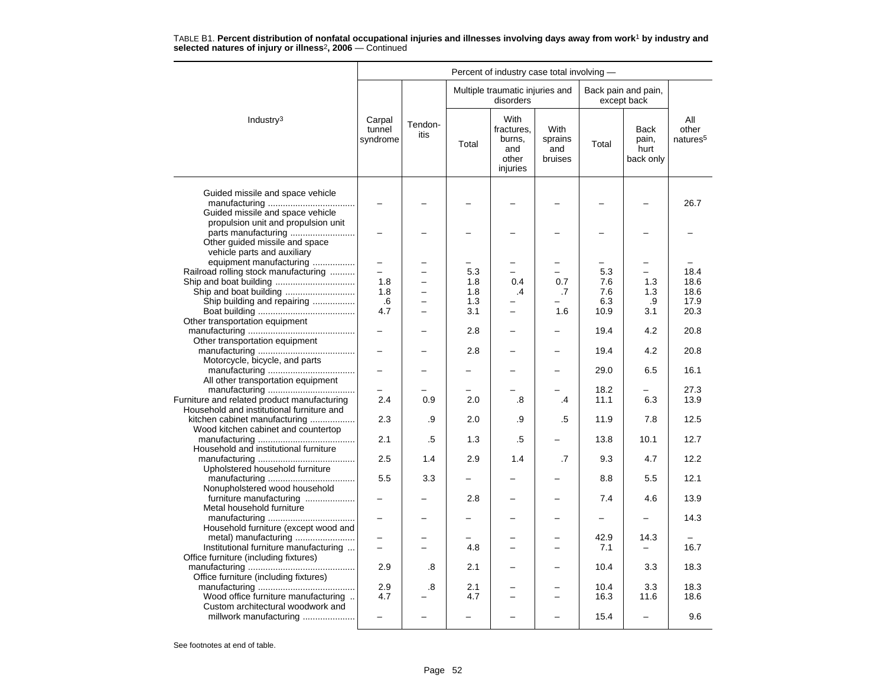|                                                                                                             | Percent of industry case total involving - |                 |            |                                                          |                                   |              |                                    |                                      |  |  |
|-------------------------------------------------------------------------------------------------------------|--------------------------------------------|-----------------|------------|----------------------------------------------------------|-----------------------------------|--------------|------------------------------------|--------------------------------------|--|--|
|                                                                                                             |                                            |                 |            | Multiple traumatic injuries and<br>disorders             |                                   |              | Back pain and pain,<br>except back |                                      |  |  |
| Industry <sup>3</sup>                                                                                       | Carpal<br>tunnel<br>syndrome               | Tendon-<br>itis | Total      | With<br>fractures.<br>burns,<br>and<br>other<br>injuries | With<br>sprains<br>and<br>bruises | Total        | Back<br>pain,<br>hurt<br>back only | All<br>other<br>natures <sup>5</sup> |  |  |
| Guided missile and space vehicle<br>Guided missile and space vehicle<br>propulsion unit and propulsion unit |                                            |                 |            |                                                          |                                   |              |                                    | 26.7                                 |  |  |
| parts manufacturing<br>Other guided missile and space<br>vehicle parts and auxiliary                        |                                            |                 |            |                                                          |                                   |              |                                    |                                      |  |  |
| equipment manufacturing                                                                                     |                                            |                 |            |                                                          |                                   |              |                                    |                                      |  |  |
| Railroad rolling stock manufacturing                                                                        |                                            |                 | 5.3        |                                                          |                                   | 5.3          |                                    | 18.4                                 |  |  |
|                                                                                                             | 1.8                                        |                 | 1.8        | 0.4                                                      | 0.7                               | 7.6          | 1.3                                | 18.6                                 |  |  |
|                                                                                                             | 1.8                                        |                 | 1.8        | $\cdot$                                                  | .7                                | 7.6          | 1.3                                | 18.6                                 |  |  |
| Ship building and repairing                                                                                 | .6                                         |                 | 1.3        |                                                          |                                   | 6.3          | .9                                 | 17.9                                 |  |  |
|                                                                                                             | 4.7                                        |                 | 3.1        |                                                          | 1.6                               | 10.9         | 3.1                                | 20.3                                 |  |  |
| Other transportation equipment<br>Other transportation equipment                                            | -                                          |                 | 2.8        |                                                          |                                   | 19.4         | 4.2                                | 20.8                                 |  |  |
| Motorcycle, bicycle, and parts                                                                              |                                            |                 | 2.8        |                                                          |                                   | 19.4         | 4.2                                | 20.8                                 |  |  |
| All other transportation equipment                                                                          |                                            |                 |            |                                                          |                                   | 29.0         | 6.5                                | 16.1                                 |  |  |
|                                                                                                             |                                            |                 |            |                                                          |                                   | 18.2         |                                    | 27.3                                 |  |  |
| Furniture and related product manufacturing<br>Household and institutional furniture and                    | 2.4                                        | 0.9             | 2.0        | .8                                                       | .4                                | 11.1         | 6.3                                | 13.9                                 |  |  |
| kitchen cabinet manufacturing<br>Wood kitchen cabinet and countertop                                        | 2.3                                        | .9              | 2.0        | .9                                                       | .5                                | 11.9         | 7.8                                | 12.5                                 |  |  |
| Household and institutional furniture                                                                       | 2.1                                        | .5              | 1.3        | .5                                                       |                                   | 13.8         | 10.1                               | 12.7                                 |  |  |
| Upholstered household furniture                                                                             | 2.5                                        | 1.4             | 2.9        | 1.4                                                      | $\cdot$ 7                         | 9.3          | 4.7                                | 12.2                                 |  |  |
| Nonupholstered wood household                                                                               | 5.5                                        | 3.3             |            |                                                          |                                   | 8.8          | 5.5                                | 12.1                                 |  |  |
| furniture manufacturing<br>Metal household furniture                                                        |                                            |                 | 2.8        |                                                          |                                   | 7.4          | 4.6                                | 13.9                                 |  |  |
| Household furniture (except wood and                                                                        | $\overline{\phantom{0}}$                   |                 |            |                                                          | $\overline{\phantom{0}}$          | -            |                                    | 14.3                                 |  |  |
| metal) manufacturing<br>Institutional furniture manufacturing                                               | -                                          |                 | 4.8        |                                                          | $\overline{\phantom{0}}$          | 42.9<br>7.1  | 14.3                               | 16.7                                 |  |  |
| Office furniture (including fixtures)                                                                       | 2.9                                        | .8              | 2.1        |                                                          |                                   | 10.4         | 3.3                                | 18.3                                 |  |  |
| Office furniture (including fixtures)                                                                       |                                            |                 |            |                                                          |                                   |              |                                    |                                      |  |  |
| Wood office furniture manufacturing                                                                         | 2.9<br>4.7                                 | .8              | 2.1<br>4.7 |                                                          | $\overline{\phantom{0}}$          | 10.4<br>16.3 | 3.3<br>11.6                        | 18.3<br>18.6                         |  |  |
| Custom architectural woodwork and<br>millwork manufacturing                                                 |                                            |                 |            |                                                          |                                   | 15.4         | $\overline{\phantom{0}}$           | 9.6                                  |  |  |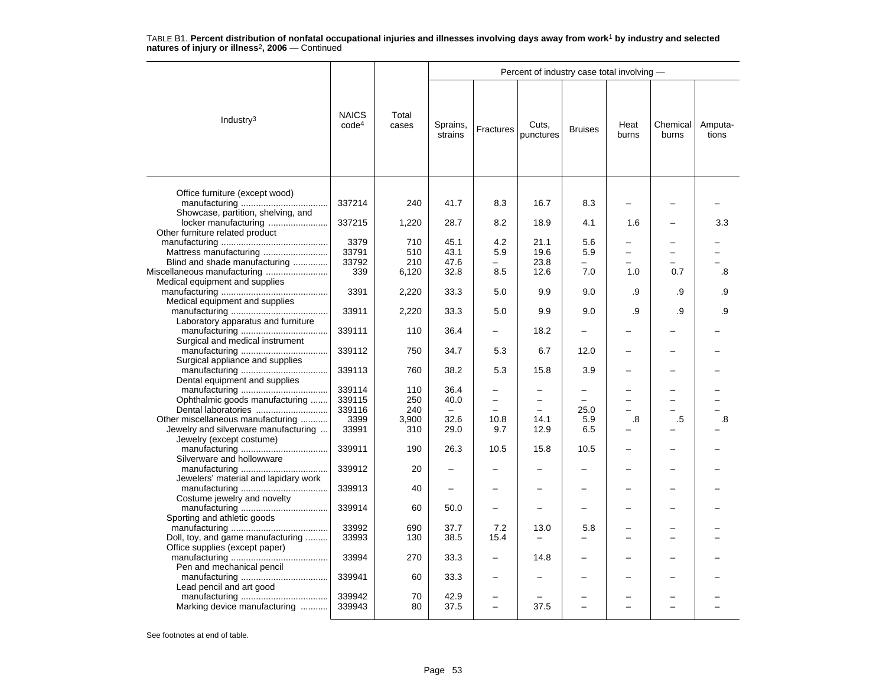|                                                                  |                                   |                |                     |                          | Percent of industry case total involving - |                |               |                          |                  |
|------------------------------------------------------------------|-----------------------------------|----------------|---------------------|--------------------------|--------------------------------------------|----------------|---------------|--------------------------|------------------|
| Industry <sup>3</sup>                                            | <b>NAICS</b><br>code <sup>4</sup> | Total<br>cases | Sprains,<br>strains | Fractures                | Cuts.<br>punctures                         | <b>Bruises</b> | Heat<br>burns | Chemical<br>burns        | Amputa-<br>tions |
| Office furniture (except wood)                                   |                                   |                |                     |                          |                                            |                |               |                          |                  |
| Showcase, partition, shelving, and                               | 337214                            | 240            | 41.7                | 8.3                      | 16.7                                       | 8.3            |               |                          |                  |
| locker manufacturing<br>Other furniture related product          | 337215                            | 1,220          | 28.7                | 8.2                      | 18.9                                       | 4.1            | 1.6           |                          | 3.3              |
|                                                                  | 3379                              | 710            | 45.1                | 4.2                      | 21.1                                       | 5.6            |               |                          |                  |
| Mattress manufacturing                                           | 33791                             | 510            | 43.1                | 5.9                      | 19.6                                       | 5.9            | -             | $\overline{\phantom{0}}$ |                  |
|                                                                  |                                   |                |                     |                          |                                            |                |               |                          |                  |
| Blind and shade manufacturing                                    | 33792                             | 210            | 47.6                |                          | 23.8                                       |                |               |                          |                  |
| Miscellaneous manufacturing<br>Medical equipment and supplies    | 339                               | 6,120          | 32.8                | 8.5                      | 12.6                                       | 7.0            | 1.0           | 0.7                      | .8               |
| Medical equipment and supplies                                   | 3391                              | 2,220          | 33.3                | 5.0                      | 9.9                                        | 9.0            | .9            | .9                       | .9               |
| Laboratory apparatus and furniture                               | 33911                             | 2,220          | 33.3                | 5.0                      | 9.9                                        | 9.0            | .9            | .9                       | .9               |
| Surgical and medical instrument                                  | 339111                            | 110            | 36.4                |                          | 18.2                                       |                |               |                          |                  |
| Surgical appliance and supplies                                  | 339112                            | 750            | 34.7                | 5.3                      | 6.7                                        | 12.0           |               |                          |                  |
|                                                                  | 339113                            | 760            | 38.2                | 5.3                      | 15.8                                       | 3.9            |               |                          |                  |
| Dental equipment and supplies                                    |                                   |                |                     |                          |                                            |                |               |                          |                  |
|                                                                  | 339114                            | 110            | 36.4                |                          |                                            | -              |               |                          |                  |
| Ophthalmic goods manufacturing                                   | 339115                            | 250            | 40.0                |                          |                                            |                |               |                          |                  |
|                                                                  | 339116                            | 240            |                     |                          |                                            | 25.0           |               |                          |                  |
| Other miscellaneous manufacturing                                | 3399                              | 3,900          | 32.6                | 10.8                     | 14.1                                       | 5.9            | .8            | .5                       | .8               |
| Jewelry and silverware manufacturing<br>Jewelry (except costume) | 33991                             | 310            | 29.0                | 9.7                      | 12.9                                       | 6.5            |               |                          |                  |
| Silverware and hollowware                                        | 339911                            | 190            | 26.3                | 10.5                     | 15.8                                       | 10.5           |               |                          |                  |
| Jewelers' material and lapidary work                             | 339912                            | 20             |                     |                          |                                            |                |               |                          |                  |
|                                                                  | 339913                            | 40             |                     |                          |                                            |                |               |                          |                  |
| Costume jewelry and novelty                                      | 339914                            | 60             | 50.0                |                          |                                            |                |               |                          |                  |
| Sporting and athletic goods                                      |                                   |                |                     |                          |                                            |                |               |                          |                  |
| Doll, toy, and game manufacturing                                | 33992<br>33993                    | 690<br>130     | 37.7<br>38.5        | 7.2<br>15.4              | 13.0                                       | 5.8            |               |                          |                  |
| Office supplies (except paper)                                   | 33994                             | 270            | 33.3                |                          | 14.8                                       |                |               |                          |                  |
| Pen and mechanical pencil                                        |                                   |                |                     |                          |                                            |                |               |                          |                  |
| Lead pencil and art good                                         | 339941                            | 60             | 33.3                |                          |                                            |                |               |                          |                  |
|                                                                  | 339942                            | 70             | 42.9                |                          |                                            |                |               |                          |                  |
| Marking device manufacturing                                     | 339943                            | 80             | 37.5                | $\overline{\phantom{0}}$ | 37.5                                       |                |               | L                        |                  |
|                                                                  |                                   |                |                     |                          |                                            |                |               |                          |                  |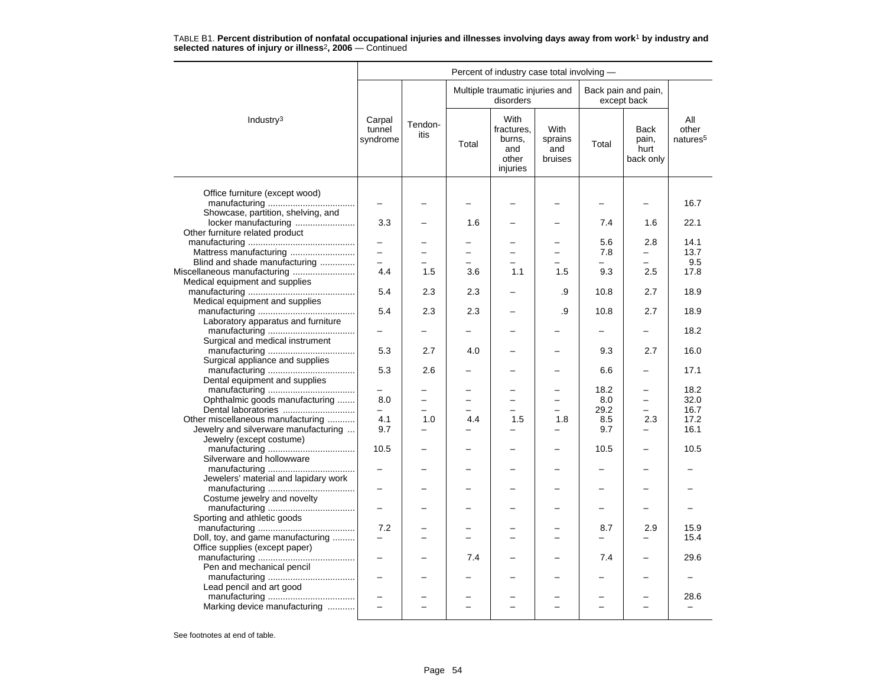|                                                                     |                                 |                 |       | Percent of industry case total involving -               |                                                      |                 |                                           |                                      |
|---------------------------------------------------------------------|---------------------------------|-----------------|-------|----------------------------------------------------------|------------------------------------------------------|-----------------|-------------------------------------------|--------------------------------------|
|                                                                     |                                 |                 |       | Multiple traumatic injuries and<br>disorders             |                                                      |                 | Back pain and pain,<br>except back        |                                      |
| Industry <sup>3</sup>                                               | Carpal<br>tunnel<br>syndrome    | Tendon-<br>itis | Total | With<br>fractures.<br>burns,<br>and<br>other<br>injuries | With<br>sprains<br>and<br>bruises                    | Total           | <b>Back</b><br>pain,<br>hurt<br>back only | ΑIΙ<br>other<br>natures <sup>5</sup> |
| Office furniture (except wood)                                      | -                               |                 |       |                                                          |                                                      |                 |                                           | 16.7                                 |
| Showcase, partition, shelving, and<br>locker manufacturing          | 3.3                             |                 | 1.6   |                                                          |                                                      | 7.4             | 1.6                                       | 22.1                                 |
| Other furniture related product                                     |                                 |                 |       |                                                          |                                                      | 5.6             | 2.8                                       | 14.1                                 |
| Mattress manufacturing                                              | L.                              |                 |       | $\equiv$                                                 | $\equiv$                                             | 7.8             | $\equiv$                                  | 13.7                                 |
| Blind and shade manufacturing<br>Miscellaneous manufacturing        | $\overline{\phantom{0}}$<br>4.4 | 1.5             | 3.6   | 1.1                                                      | ▃<br>1.5                                             | $\equiv$<br>9.3 | ▃<br>2.5                                  | 9.5<br>17.8                          |
| Medical equipment and supplies                                      |                                 |                 |       |                                                          |                                                      |                 |                                           |                                      |
| Medical equipment and supplies                                      | 5.4                             | 2.3             | 2.3   |                                                          | .9                                                   | 10.8            | 2.7                                       | 18.9                                 |
| Laboratory apparatus and furniture                                  | 5.4                             | 2.3             | 2.3   |                                                          | .9                                                   | 10.8            | 2.7                                       | 18.9                                 |
| Surgical and medical instrument                                     |                                 |                 |       |                                                          |                                                      |                 |                                           | 18.2                                 |
|                                                                     | 5.3                             | 2.7             | 4.0   |                                                          |                                                      | 9.3             | 2.7                                       | 16.0                                 |
| Surgical appliance and supplies<br>Dental equipment and supplies    | 5.3                             | 2.6             |       |                                                          |                                                      | 6.6             |                                           | 17.1                                 |
|                                                                     |                                 |                 |       |                                                          |                                                      | 18.2            |                                           | 18.2                                 |
| Ophthalmic goods manufacturing<br>Dental laboratories               | 8.0<br>$\overline{\phantom{0}}$ | ÷               |       | -<br>÷.                                                  | $\overline{\phantom{0}}$<br>$\overline{\phantom{0}}$ | 8.0<br>29.2     | $\equiv$<br>$\overline{\phantom{0}}$      | 32.0<br>16.7                         |
| Other miscellaneous manufacturing                                   | 4.1                             | 1.0             | 4.4   | 1.5                                                      | 1.8                                                  | 8.5             | 2.3                                       | 17.2                                 |
| Jewelry and silverware manufacturing                                | 9.7                             |                 |       |                                                          | ▃                                                    | 9.7             |                                           | 16.1                                 |
| Jewelry (except costume)                                            | 10.5                            |                 |       |                                                          |                                                      | 10.5            |                                           | 10.5                                 |
| Silverware and hollowware                                           | $\overline{\phantom{0}}$        |                 |       |                                                          | ╾                                                    | -               | -                                         |                                      |
| Jewelers' material and lapidary work                                |                                 |                 |       |                                                          |                                                      |                 |                                           |                                      |
|                                                                     | -                               |                 |       |                                                          |                                                      |                 |                                           |                                      |
| Costume jewelry and novelty                                         |                                 |                 |       |                                                          |                                                      |                 |                                           |                                      |
| Sporting and athletic goods                                         | 7.2                             |                 |       |                                                          | $\overline{\phantom{0}}$                             | 8.7             | 2.9                                       | 15.9                                 |
| Doll, toy, and game manufacturing<br>Office supplies (except paper) |                                 |                 |       |                                                          |                                                      |                 |                                           | 15.4                                 |
| Pen and mechanical pencil                                           | $\overline{\phantom{0}}$        |                 | 7.4   |                                                          |                                                      | 7.4             | -                                         | 29.6                                 |
|                                                                     | $\overline{\phantom{0}}$        |                 |       |                                                          |                                                      |                 |                                           |                                      |
| Lead pencil and art good                                            |                                 |                 |       |                                                          |                                                      |                 |                                           | 28.6                                 |
| Marking device manufacturing                                        | L.                              | L               |       |                                                          | $\overline{a}$                                       |                 | $\equiv$                                  |                                      |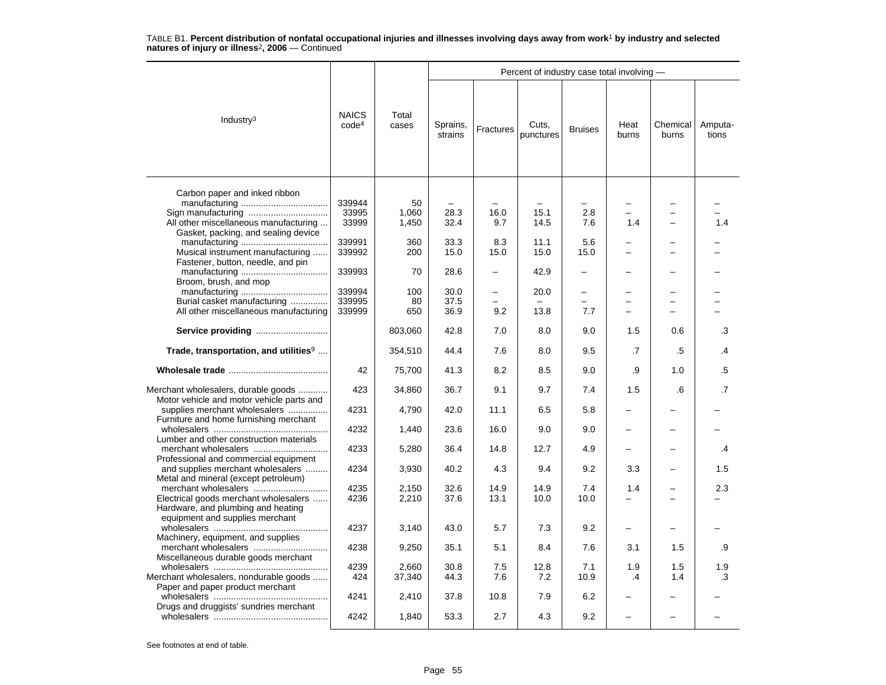|                                                                                                                                     |                                   |                      |                      |              | Percent of industry case total involving - |                                             |                                 |                          |                  |
|-------------------------------------------------------------------------------------------------------------------------------------|-----------------------------------|----------------------|----------------------|--------------|--------------------------------------------|---------------------------------------------|---------------------------------|--------------------------|------------------|
| Industry $3$                                                                                                                        | <b>NAICS</b><br>code <sup>4</sup> | Total<br>cases       | Sprains,<br>strains  | Fractures    | Cuts.<br>punctures                         | <b>Bruises</b>                              | Heat<br>burns                   | Chemical<br>burns        | Amputa-<br>tions |
| Carbon paper and inked ribbon<br>Sign manufacturing<br>All other miscellaneous manufacturing<br>Gasket, packing, and sealing device | 339944<br>33995<br>33999          | 50<br>1,060<br>1,450 | 28.3<br>32.4         | 16.0<br>9.7  | 15.1<br>14.5                               | -<br>2.8<br>7.6                             | 1.4                             | $\equiv$                 | 1.4              |
| Musical instrument manufacturing<br>Fastener, button, needle, and pin                                                               | 339991<br>339992                  | 360<br>200           | 33.3<br>15.0         | 8.3<br>15.0  | 11.1<br>15.0                               | 5.6<br>15.0                                 |                                 |                          |                  |
| Broom, brush, and mop                                                                                                               | 339993                            | 70                   | 28.6                 | -            | 42.9                                       | -                                           |                                 |                          |                  |
| Burial casket manufacturing<br>All other miscellaneous manufacturing                                                                | 339994<br>339995<br>339999        | 100<br>80<br>650     | 30.0<br>37.5<br>36.9 | 9.2          | 20.0<br>13.8                               | $\overline{\phantom{0}}$<br>$\equiv$<br>7.7 |                                 | $\overline{\phantom{0}}$ |                  |
| Service providing                                                                                                                   |                                   | 803,060              | 42.8                 | 7.0          | 8.0                                        | 9.0                                         | 1.5                             | 0.6                      | .3               |
| Trade, transportation, and utilities <sup>9</sup>                                                                                   |                                   | 354,510              | 44.4                 | 7.6          | 8.0                                        | 9.5                                         | .7                              | .5                       | .4               |
|                                                                                                                                     | 42                                | 75,700               | 41.3                 | 8.2          | 8.5                                        | 9.0                                         | .9                              | 1.0                      | .5               |
| Merchant wholesalers, durable goods<br>Motor vehicle and motor vehicle parts and                                                    | 423                               | 34,860               | 36.7                 | 9.1          | 9.7                                        | 7.4                                         | 1.5                             | .6                       | $\cdot$ 7        |
| supplies merchant wholesalers<br>Furniture and home furnishing merchant                                                             | 4231                              | 4,790                | 42.0                 | 11.1         | 6.5                                        | 5.8                                         |                                 |                          |                  |
| Lumber and other construction materials                                                                                             | 4232                              | 1,440                | 23.6                 | 16.0         | 9.0                                        | 9.0                                         |                                 |                          |                  |
| Professional and commercial equipment                                                                                               | 4233                              | 5,280                | 36.4                 | 14.8         | 12.7                                       | 4.9                                         |                                 |                          | .4               |
| and supplies merchant wholesalers<br>Metal and mineral (except petroleum)                                                           | 4234                              | 3,930                | 40.2                 | 4.3          | 9.4                                        | 9.2                                         | 3.3                             |                          | 1.5              |
| Electrical goods merchant wholesalers<br>Hardware, and plumbing and heating<br>equipment and supplies merchant                      | 4235<br>4236                      | 2,150<br>2,210       | 32.6<br>37.6         | 14.9<br>13.1 | 14.9<br>10.0                               | 7.4<br>10.0                                 | 1.4<br>$\overline{\phantom{0}}$ | $\overline{\phantom{0}}$ | 2.3              |
| Machinery, equipment, and supplies                                                                                                  | 4237                              | 3,140                | 43.0                 | 5.7          | 7.3                                        | 9.2                                         | $\overline{\phantom{0}}$        |                          |                  |
| Miscellaneous durable goods merchant                                                                                                | 4238                              | 9,250                | 35.1                 | 5.1          | 8.4                                        | 7.6                                         | 3.1                             | 1.5                      | .9               |
| Merchant wholesalers, nondurable goods                                                                                              | 4239<br>424                       | 2,660<br>37,340      | 30.8<br>44.3         | 7.5<br>7.6   | 12.8<br>7.2                                | 7.1<br>10.9                                 | 1.9<br>$\cdot$                  | 1.5<br>1.4               | 1.9<br>.3        |
| Paper and paper product merchant                                                                                                    | 4241                              | 2,410                | 37.8                 | 10.8         | 7.9                                        | 6.2                                         |                                 |                          |                  |
| Drugs and druggists' sundries merchant                                                                                              | 4242                              | 1,840                | 53.3                 | 2.7          | 4.3                                        | 9.2                                         |                                 |                          |                  |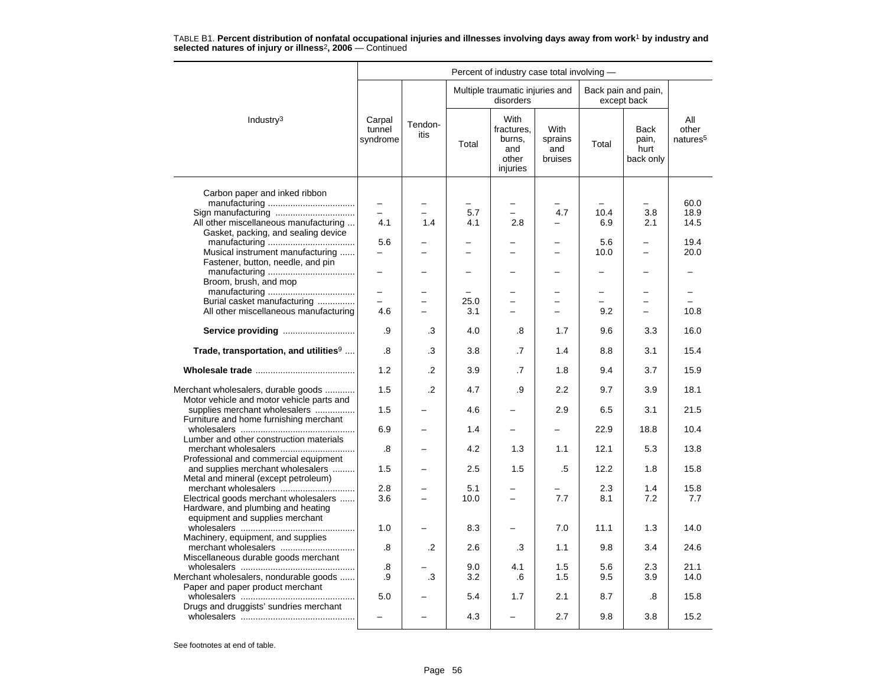|                                                                            |                              |                          |       | Percent of industry case total involving -               |                                   |                          |                                    |                                      |
|----------------------------------------------------------------------------|------------------------------|--------------------------|-------|----------------------------------------------------------|-----------------------------------|--------------------------|------------------------------------|--------------------------------------|
|                                                                            |                              |                          |       | Multiple traumatic injuries and<br>disorders             |                                   |                          | Back pain and pain,<br>except back |                                      |
| Industry <sup>3</sup>                                                      | Carpal<br>tunnel<br>syndrome | Tendon-<br>itis          | Total | With<br>fractures,<br>burns,<br>and<br>other<br>injuries | With<br>sprains<br>and<br>bruises | Total                    | Back<br>pain,<br>hurt<br>back only | All<br>other<br>natures <sup>5</sup> |
| Carbon paper and inked ribbon                                              |                              |                          |       |                                                          |                                   |                          |                                    |                                      |
|                                                                            |                              |                          |       |                                                          |                                   |                          |                                    | 60.0                                 |
| Sign manufacturing                                                         |                              |                          | 5.7   | $\overline{\phantom{0}}$                                 | 4.7                               | 10.4                     | 3.8                                | 18.9                                 |
| All other miscellaneous manufacturing                                      | 4.1                          | 1.4                      | 4.1   | 2.8                                                      |                                   | 6.9                      | 2.1                                | 14.5                                 |
| Gasket, packing, and sealing device                                        |                              |                          |       |                                                          |                                   |                          |                                    |                                      |
|                                                                            | 5.6                          |                          |       |                                                          |                                   | 5.6                      | -                                  | 19.4                                 |
| Musical instrument manufacturing                                           |                              |                          |       |                                                          |                                   | 10.0                     |                                    | 20.0                                 |
| Fastener, button, needle, and pin                                          |                              |                          |       |                                                          |                                   |                          |                                    |                                      |
|                                                                            |                              |                          |       |                                                          |                                   | -                        |                                    |                                      |
| Broom, brush, and mop                                                      | $\overline{\phantom{0}}$     |                          |       | -                                                        | -                                 | $\overline{\phantom{0}}$ | -                                  | -                                    |
| Burial casket manufacturing                                                |                              |                          | 25.0  | $\overline{\phantom{0}}$                                 |                                   |                          |                                    |                                      |
| All other miscellaneous manufacturing                                      | 4.6                          |                          | 3.1   | $\overline{\phantom{0}}$                                 | $\overline{\phantom{0}}$          | 9.2                      | $\overline{\phantom{0}}$           | 10.8                                 |
|                                                                            |                              |                          |       |                                                          |                                   |                          |                                    |                                      |
| Service providing                                                          | .9                           | .3                       | 4.0   | .8                                                       | 1.7                               | 9.6                      | 3.3                                | 16.0                                 |
| Trade, transportation, and utilities <sup>9</sup>                          | .8                           | .3                       | 3.8   | .7                                                       | 1.4                               | 8.8                      | 3.1                                | 15.4                                 |
|                                                                            | 1.2                          | .2                       | 3.9   | .7                                                       | 1.8                               | 9.4                      | 3.7                                | 15.9                                 |
| Merchant wholesalers, durable goods                                        | 1.5                          | $\cdot$                  | 4.7   | .9                                                       | 2.2                               | 9.7                      | 3.9                                | 18.1                                 |
| Motor vehicle and motor vehicle parts and<br>supplies merchant wholesalers | 1.5                          |                          | 4.6   |                                                          | 2.9                               | 6.5                      | 3.1                                | 21.5                                 |
| Furniture and home furnishing merchant                                     | 6.9                          |                          | 1.4   |                                                          |                                   | 22.9                     | 18.8                               | 10.4                                 |
| Lumber and other construction materials                                    |                              |                          |       |                                                          |                                   |                          |                                    |                                      |
| Professional and commercial equipment                                      | .8                           |                          | 4.2   | 1.3                                                      | 1.1                               | 12.1                     | 5.3                                | 13.8                                 |
| and supplies merchant wholesalers                                          | 1.5                          |                          | 2.5   | 1.5                                                      | .5                                | 12.2                     | 1.8                                | 15.8                                 |
| Metal and mineral (except petroleum)                                       |                              |                          |       |                                                          |                                   |                          |                                    |                                      |
| merchant wholesalers                                                       | 2.8                          |                          | 5.1   |                                                          |                                   | 2.3                      | 1.4                                | 15.8                                 |
| Electrical goods merchant wholesalers                                      | 3.6                          | $\overline{\phantom{0}}$ | 10.0  | $\overline{\phantom{0}}$                                 | 7.7                               | 8.1                      | 7.2                                | 7.7                                  |
| Hardware, and plumbing and heating                                         |                              |                          |       |                                                          |                                   |                          |                                    |                                      |
| equipment and supplies merchant                                            |                              |                          |       |                                                          | 7.0                               | 11.1                     |                                    | 14.0                                 |
| Machinery, equipment, and supplies                                         | 1.0                          |                          | 8.3   |                                                          |                                   |                          | 1.3                                |                                      |
|                                                                            | .8                           | .2                       | 2.6   | .3                                                       | 1.1                               | 9.8                      | 3.4                                | 24.6                                 |
| Miscellaneous durable goods merchant                                       |                              |                          |       |                                                          |                                   |                          |                                    |                                      |
|                                                                            | .8                           |                          | 9.0   | 4.1                                                      | 1.5                               | 5.6                      | 2.3                                | 21.1                                 |
| Merchant wholesalers, nondurable goods                                     | .9                           | .3                       | 3.2   | .6                                                       | 1.5                               | 9.5                      | 3.9                                | 14.0                                 |
| Paper and paper product merchant                                           |                              |                          |       |                                                          |                                   |                          |                                    |                                      |
|                                                                            | 5.0                          |                          | 5.4   | 1.7                                                      | 2.1                               | 8.7                      | .8                                 | 15.8                                 |
| Drugs and druggists' sundries merchant                                     |                              |                          | 4.3   |                                                          | 2.7                               | 9.8                      | 3.8                                | 15.2                                 |
|                                                                            |                              |                          |       |                                                          |                                   |                          |                                    |                                      |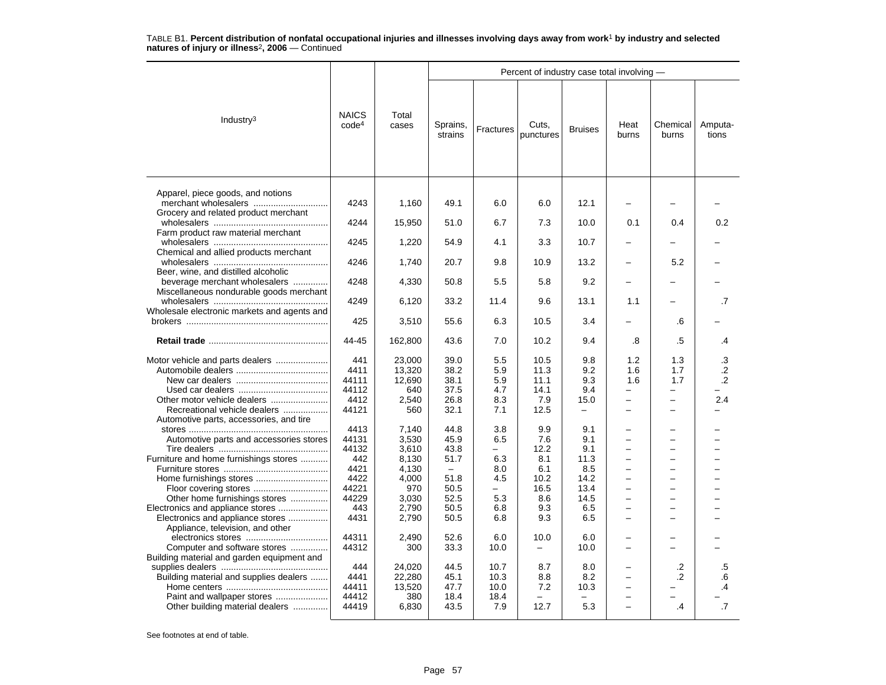|                                                                      |                                   |                |                          |                  | Percent of industry case total involving - |                   |                                 |                          |                  |
|----------------------------------------------------------------------|-----------------------------------|----------------|--------------------------|------------------|--------------------------------------------|-------------------|---------------------------------|--------------------------|------------------|
| Industry $3$                                                         | <b>NAICS</b><br>code <sup>4</sup> | Total<br>cases | Sprains,<br>strains      | <b>Fractures</b> | Cuts,<br>punctures                         | <b>Bruises</b>    | Heat<br>burns                   | Chemical<br>burns        | Amputa-<br>tions |
| Apparel, piece goods, and notions<br>merchant wholesalers            | 4243                              | 1,160          | 49.1                     | 6.0              | 6.0                                        | 12.1              |                                 |                          |                  |
| Grocery and related product merchant                                 | 4244                              | 15,950         | 51.0                     | 6.7              | 7.3                                        | 10.0              | 0.1                             | 0.4                      | 0.2              |
| Farm product raw material merchant                                   | 4245                              | 1,220          | 54.9                     | 4.1              | 3.3                                        | 10.7              |                                 |                          |                  |
| Chemical and allied products merchant                                | 4246                              | 1,740          | 20.7                     | 9.8              | 10.9                                       | 13.2              |                                 | 5.2                      |                  |
| Beer, wine, and distilled alcoholic<br>beverage merchant wholesalers | 4248                              | 4,330          | 50.8                     | 5.5              | 5.8                                        | 9.2               |                                 |                          |                  |
| Miscellaneous nondurable goods merchant                              | 4249                              | 6,120          | 33.2                     | 11.4             | 9.6                                        | 13.1              | 1.1                             |                          | $\cdot$ 7        |
| Wholesale electronic markets and agents and                          | 425                               | 3,510          | 55.6                     | 6.3              | 10.5                                       | 3.4               |                                 | .6                       |                  |
|                                                                      | 44-45                             | 162,800        | 43.6                     | 7.0              | 10.2                                       | 9.4               | .8                              | .5                       | .4               |
| Motor vehicle and parts dealers                                      | 441                               | 23.000         | 39.0                     | 5.5              | 10.5                                       | 9.8               | 1.2                             | 1.3                      | .3               |
|                                                                      | 4411                              | 13,320         | 38.2                     | 5.9              | 11.3                                       | 9.2               | 1.6                             | 1.7                      | $\cdot$          |
|                                                                      | 44111<br>44112                    | 12,690<br>640  | 38.1<br>37.5             | 5.9<br>4.7       | 11.1<br>14.1                               | 9.3<br>9.4        | 1.6<br>$\overline{\phantom{0}}$ | 1.7<br>-                 | $\cdot$ .2       |
| Other motor vehicle dealers                                          | 4412                              | 2,540          | 26.8                     | 8.3              | 7.9                                        | 15.0              | -                               | $\overline{\phantom{0}}$ | 2.4              |
| Recreational vehicle dealers                                         | 44121                             | 560            | 32.1                     | 7.1              | 12.5                                       | $\qquad \qquad -$ |                                 | -                        |                  |
| Automotive parts, accessories, and tire                              | 4413                              | 7,140          | 44.8                     | 3.8              | 9.9                                        | 9.1               |                                 |                          |                  |
| Automotive parts and accessories stores                              | 44131                             | 3,530          | 45.9                     | 6.5              | 7.6                                        | 9.1               |                                 | -                        |                  |
|                                                                      | 44132                             | 3,610          | 43.8                     |                  | 12.2                                       | 9.1               |                                 | -                        |                  |
| Furniture and home furnishings stores                                | 442                               | 8,130          | 51.7                     | 6.3              | 8.1                                        | 11.3              | $\overline{\phantom{0}}$        | $\overline{\phantom{0}}$ |                  |
|                                                                      | 4421                              | 4,130          | $\overline{\phantom{m}}$ | 8.0              | 6.1                                        | 8.5               | $\overline{\phantom{0}}$        | $\overline{a}$           |                  |
|                                                                      | 4422                              | 4,000          | 51.8                     | 4.5              | 10.2                                       | 14.2              |                                 | ▃                        |                  |
|                                                                      | 44221                             | 970            | 50.5                     | $\equiv$         | 16.5                                       | 13.4              | $\overline{a}$                  | $\overline{a}$           |                  |
| Other home furnishings stores                                        | 44229                             | 3,030          | 52.5                     | 5.3              | 8.6                                        | 14.5              | $\overline{a}$                  | $\overline{a}$           |                  |
| Electronics and appliance stores<br>Electronics and appliance stores | 443<br>4431                       | 2,790<br>2,790 | 50.5<br>50.5             | 6.8<br>6.8       | 9.3<br>9.3                                 | 6.5<br>6.5        |                                 | -                        |                  |
| Appliance, television, and other                                     |                                   |                |                          |                  |                                            |                   |                                 |                          |                  |
|                                                                      | 44311                             | 2,490          | 52.6                     | 6.0              | 10.0                                       | 6.0               |                                 |                          |                  |
| Computer and software stores                                         | 44312                             | 300            | 33.3                     | 10.0             | $\equiv$                                   | 10.0              |                                 |                          |                  |
| Building material and garden equipment and                           | 444                               | 24,020         | 44.5                     | 10.7             | 8.7                                        | 8.0               |                                 | .2                       | .5               |
| Building material and supplies dealers                               | 4441                              | 22,280         | 45.1                     | 10.3             | 8.8                                        | 8.2               | —                               | $\cdot$                  | .6               |
|                                                                      | 44411                             | 13,520         | 47.7                     | 10.0             | 7.2                                        | 10.3              | $\overline{\phantom{0}}$        |                          | .4               |
| Paint and wallpaper stores                                           | 44412                             | 380            | 18.4                     | 18.4             |                                            |                   | -                               |                          |                  |
| Other building material dealers                                      | 44419                             | 6,830          | 43.5                     | 7.9              | 12.7                                       | 5.3               | -                               | $\cdot$ 4                | $\cdot$ 7        |
|                                                                      |                                   |                |                          |                  |                                            |                   |                                 |                          |                  |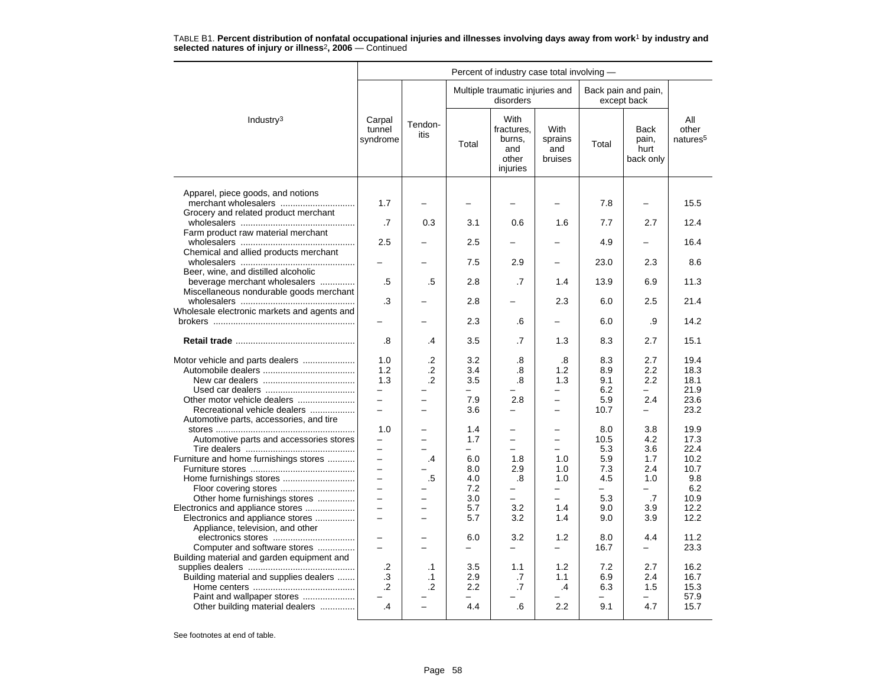|                                                                                                                                           |                                                                           |                                            |                                        | Percent of industry case total involving -               |                                                       |                                                     |                                                          |                                                    |
|-------------------------------------------------------------------------------------------------------------------------------------------|---------------------------------------------------------------------------|--------------------------------------------|----------------------------------------|----------------------------------------------------------|-------------------------------------------------------|-----------------------------------------------------|----------------------------------------------------------|----------------------------------------------------|
|                                                                                                                                           |                                                                           |                                            |                                        | Multiple traumatic injuries and<br>disorders             |                                                       |                                                     | Back pain and pain,<br>except back                       |                                                    |
| Industry <sup>3</sup>                                                                                                                     | Carpal<br>tunnel<br>syndrome                                              | Tendon-<br>itis                            | Total                                  | With<br>fractures,<br>burns,<br>and<br>other<br>injuries | <b>With</b><br>sprains<br>and<br>bruises              | Total                                               | <b>Back</b><br>pain,<br>hurt<br>back only                | All<br>other<br>natures <sup>5</sup>               |
| Apparel, piece goods, and notions                                                                                                         | 1.7                                                                       | $\overline{a}$                             | $\overline{\phantom{0}}$               |                                                          | $\overline{\phantom{0}}$                              | 7.8                                                 | $\overline{\phantom{0}}$                                 | 15.5                                               |
| Grocery and related product merchant                                                                                                      | .7                                                                        | 0.3                                        | 3.1                                    | 0.6                                                      | 1.6                                                   | 7.7                                                 | 2.7                                                      | 12.4                                               |
| Farm product raw material merchant                                                                                                        | 2.5                                                                       |                                            | 2.5                                    |                                                          |                                                       | 4.9                                                 |                                                          | 16.4                                               |
| Chemical and allied products merchant                                                                                                     | $\overline{\phantom{0}}$                                                  | -                                          | 7.5                                    | 2.9                                                      | $\overline{\phantom{0}}$                              | 23.0                                                | 2.3                                                      | 8.6                                                |
| Beer, wine, and distilled alcoholic<br>beverage merchant wholesalers                                                                      | .5                                                                        | .5                                         | 2.8                                    | .7                                                       | 1.4                                                   | 13.9                                                | 6.9                                                      | 11.3                                               |
| Miscellaneous nondurable goods merchant<br>Wholesale electronic markets and agents and                                                    | .3                                                                        |                                            | 2.8                                    |                                                          | 2.3                                                   | 6.0                                                 | 2.5                                                      | 21.4                                               |
|                                                                                                                                           |                                                                           |                                            | 2.3                                    | .6                                                       | $\overline{\phantom{0}}$                              | 6.0                                                 | .9                                                       | 14.2                                               |
|                                                                                                                                           | .8                                                                        | .4                                         | 3.5                                    | .7                                                       | 1.3                                                   | 8.3                                                 | 2.7                                                      | 15.1                                               |
| Motor vehicle and parts dealers<br>Other motor vehicle dealers<br>Recreational vehicle dealers<br>Automotive parts, accessories, and tire | 1.0<br>1.2<br>1.3<br>$\overline{\phantom{0}}$<br>$\overline{\phantom{0}}$ | $\cdot$<br>$\cdot$<br>$\cdot$ .2<br>-<br>- | 3.2<br>3.4<br>3.5<br>7.9<br>3.6        | .8<br>.8<br>.8<br>2.8<br>—                               | .8<br>1.2<br>1.3<br>$\overline{\phantom{0}}$          | 8.3<br>8.9<br>9.1<br>6.2<br>5.9<br>10.7             | 2.7<br>$2.2\,$<br>2.2<br>2.4<br>$\overline{\phantom{0}}$ | 19.4<br>18.3<br>18.1<br>21.9<br>23.6<br>23.2       |
| Automotive parts and accessories stores<br>Furniture and home furnishings stores<br>Home furnishings stores                               | 1.0<br>$\overline{\phantom{0}}$<br>$\equiv$<br>$\equiv$<br>$\equiv$       | -<br>.4<br>$.5\,$                          | 1.4<br>1.7<br>6.0<br>8.0<br>4.0<br>7.2 | $\equiv$<br>1.8<br>2.9<br>.8                             | $\equiv$<br>$\equiv$<br>1.0<br>1.0<br>1.0<br>$\equiv$ | 8.0<br>10.5<br>5.3<br>5.9<br>7.3<br>4.5<br>$\equiv$ | 3.8<br>4.2<br>3.6<br>1.7<br>2.4<br>1.0<br>$\equiv$       | 19.9<br>17.3<br>22.4<br>10.2<br>10.7<br>9.8<br>6.2 |
| Other home furnishings stores<br>Electronics and appliance stores<br>Electronics and appliance stores<br>Appliance, television, and other | $\equiv$<br>$\overline{\phantom{0}}$                                      | -                                          | 3.0<br>5.7<br>5.7                      | $\overline{\phantom{0}}$<br>3.2<br>3.2                   | $-$<br>1.4<br>1.4                                     | 5.3<br>9.0<br>9.0                                   | .7<br>3.9<br>3.9                                         | 10.9<br>12.2<br>12.2                               |
| Computer and software stores<br>Building material and garden equipment and                                                                |                                                                           |                                            | 6.0<br>$\equiv$                        | 3.2<br>$\overline{\phantom{0}}$                          | 1.2<br>$\equiv$                                       | 8.0<br>16.7                                         | 4.4<br>$\equiv$                                          | 11.2<br>23.3                                       |
| Building material and supplies dealers<br>Paint and wallpaper stores<br>Other building material dealers                                   | $\cdot$<br>.3<br>$\cdot$<br>.4                                            | $\cdot$ 1<br>$\cdot$ 1<br>$\cdot$          | 3.5<br>2.9<br>2.2<br>4.4               | 1.1<br>.7<br>.7<br>.6                                    | 1.2<br>1.1<br>$\cdot$<br>2.2                          | 7.2<br>6.9<br>6.3<br>9.1                            | 2.7<br>2.4<br>1.5<br>4.7                                 | 16.2<br>16.7<br>15.3<br>57.9<br>15.7               |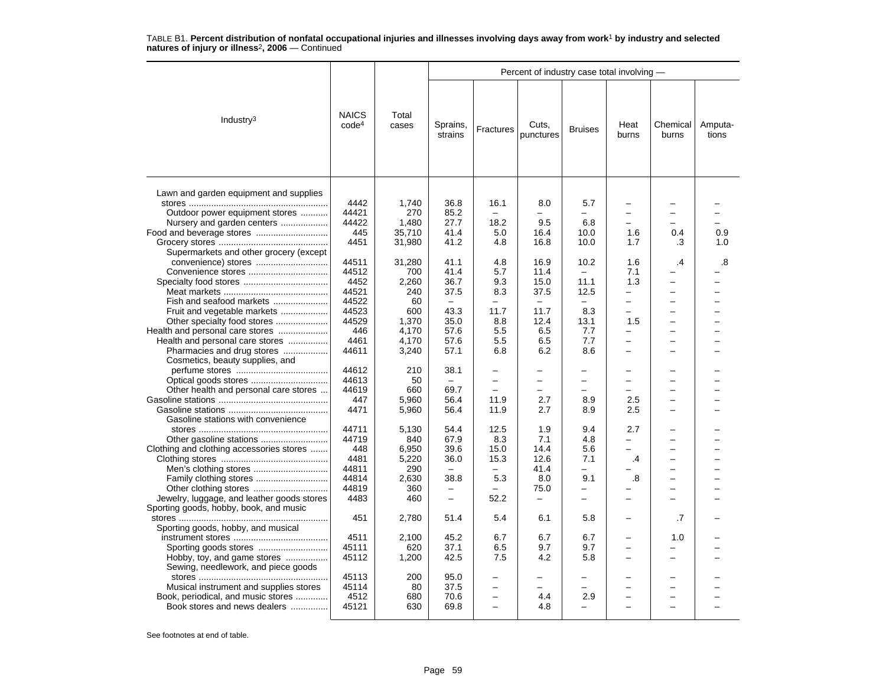|                                            |                                   |                |                          |                          | Percent of industry case total involving - |                          |                          |                          |                  |
|--------------------------------------------|-----------------------------------|----------------|--------------------------|--------------------------|--------------------------------------------|--------------------------|--------------------------|--------------------------|------------------|
| Industry $3$                               | <b>NAICS</b><br>code <sup>4</sup> | Total<br>cases | Sprains,<br>strains      | Fractures                | Cuts,<br>punctures                         | <b>Bruises</b>           | Heat<br>burns            | Chemical<br>burns        | Amputa-<br>tions |
| Lawn and garden equipment and supplies     |                                   |                |                          |                          |                                            |                          |                          |                          |                  |
|                                            | 4442                              | 1,740          | 36.8                     | 16.1                     | 8.0                                        | 5.7                      |                          |                          |                  |
| Outdoor power equipment stores             | 44421                             | 270            | 85.2                     |                          |                                            |                          |                          |                          |                  |
| Nursery and garden centers                 | 44422                             | 1,480          | 27.7                     | 18.2                     | 9.5                                        | 6.8                      |                          |                          |                  |
|                                            | 445                               | 35,710         | 41.4                     | 5.0                      | 16.4                                       | 10.0                     | 1.6                      | 0.4                      | 0.9              |
|                                            | 4451                              | 31,980         | 41.2                     | 4.8                      | 16.8                                       | 10.0                     | 1.7                      | .3                       | 1.0              |
| Supermarkets and other grocery (except     |                                   |                |                          |                          |                                            |                          |                          |                          |                  |
|                                            | 44511                             | 31,280         | 41.1                     | 4.8                      | 16.9                                       | 10.2                     | 1.6                      | $\overline{.4}$          | .8               |
|                                            | 44512                             | 700            | 41.4                     | 5.7                      | 11.4                                       | $\equiv$                 | 7.1                      |                          |                  |
| Convenience stores                         | 4452                              |                | 36.7                     |                          | 15.0                                       | 11.1                     | 1.3                      |                          |                  |
|                                            |                                   | 2,260          |                          | 9.3                      |                                            |                          | $\overline{a}$           | -                        |                  |
|                                            | 44521                             | 240            | 37.5                     | 8.3                      | 37.5                                       | 12.5                     |                          |                          |                  |
| Fish and seafood markets                   | 44522                             | 60             | $\overline{\phantom{0}}$ | -                        | $\overline{\phantom{0}}$                   | $\equiv$                 | -                        | -                        |                  |
| Fruit and vegetable markets                | 44523                             | 600            | 43.3                     | 11.7                     | 11.7                                       | 8.3                      |                          |                          |                  |
|                                            | 44529                             | 1,370          | 35.0                     | 8.8                      | 12.4                                       | 13.1                     | 1.5                      |                          |                  |
| Health and personal care stores            | 446                               | 4,170          | 57.6                     | 5.5                      | 6.5                                        | 7.7                      | -                        | -                        |                  |
| Health and personal care stores            | 4461                              | 4,170          | 57.6                     | 5.5                      | 6.5                                        | 7.7                      | -                        | -                        |                  |
| Pharmacies and drug stores                 | 44611                             | 3,240          | 57.1                     | 6.8                      | 6.2                                        | 8.6                      |                          |                          |                  |
| Cosmetics, beauty supplies, and            |                                   |                |                          |                          |                                            |                          |                          |                          |                  |
|                                            | 44612                             | 210            | 38.1                     |                          |                                            |                          |                          |                          |                  |
|                                            | 44613                             | 50             | $\overline{\phantom{m}}$ | $\overline{a}$           | $\overline{\phantom{0}}$                   | $\overline{\phantom{0}}$ | -                        | $\overline{\phantom{0}}$ |                  |
| Other health and personal care stores      | 44619                             | 660            | 69.7                     |                          |                                            |                          |                          |                          |                  |
|                                            | 447                               | 5,960          | 56.4                     | 11.9                     | 2.7                                        | 8.9                      | 2.5                      | $\overline{\phantom{0}}$ |                  |
|                                            | 4471                              | 5,960          | 56.4                     | 11.9                     | 2.7                                        | 8.9                      | 2.5                      | $\overline{\phantom{0}}$ |                  |
| Gasoline stations with convenience         |                                   |                |                          |                          |                                            |                          |                          |                          |                  |
|                                            | 44711                             | 5,130          | 54.4                     | 12.5                     | 1.9                                        | 9.4                      | 2.7                      |                          |                  |
| Other gasoline stations                    | 44719                             | 840            | 67.9                     | 8.3                      | 7.1                                        | 4.8                      | $\overline{\phantom{0}}$ | $\equiv$                 |                  |
| Clothing and clothing accessories stores   | 448                               | 6,950          | 39.6                     | 15.0                     | 14.4                                       | 5.6                      |                          |                          |                  |
|                                            | 4481                              | 5,220          | 36.0                     | 15.3                     | 12.6                                       | 7.1                      | .4                       | $\overline{\phantom{0}}$ |                  |
|                                            | 44811                             | 290            | $-$                      | $\equiv$                 | 41.4                                       | $\equiv$                 |                          | $\overline{\phantom{0}}$ |                  |
|                                            | 44814                             | 2,630          | 38.8                     | 5.3                      | 8.0                                        | 9.1                      | .8                       |                          |                  |
|                                            | 44819                             | 360            |                          |                          | 75.0                                       | -                        |                          | $\overline{\phantom{0}}$ |                  |
| Jewelry, luggage, and leather goods stores | 4483                              | 460            | $\equiv$                 | 52.2                     | $\overline{\phantom{0}}$                   | $\overline{\phantom{0}}$ | $\overline{\phantom{0}}$ |                          |                  |
| Sporting goods, hobby, book, and music     |                                   |                |                          |                          |                                            |                          |                          |                          |                  |
|                                            | 451                               | 2,780          | 51.4                     | 5.4                      | 6.1                                        | 5.8                      | $\overline{\phantom{0}}$ | .7                       |                  |
| Sporting goods, hobby, and musical         |                                   |                |                          |                          |                                            |                          |                          |                          |                  |
|                                            | 4511                              | 2,100          | 45.2                     | 6.7                      | 6.7                                        | 6.7                      |                          | 1.0                      |                  |
|                                            | 45111                             | 620            | 37.1                     | 6.5                      | 9.7                                        | 9.7                      |                          |                          |                  |
| Hobby, toy, and game stores                | 45112                             | 1,200          | 42.5                     | 7.5                      | 4.2                                        | 5.8                      |                          |                          |                  |
| Sewing, needlework, and piece goods        |                                   |                |                          |                          |                                            |                          |                          |                          |                  |
|                                            | 45113                             | 200            | 95.0                     | -                        |                                            | -                        |                          |                          |                  |
| Musical instrument and supplies stores     | 45114                             | 80             | 37.5                     |                          |                                            | -                        |                          |                          |                  |
| Book, periodical, and music stores         | 4512                              | 680            | 70.6                     | $\overline{a}$           | 4.4                                        | 2.9                      |                          |                          |                  |
| Book stores and news dealers               | 45121                             | 630            | 69.8                     | $\overline{\phantom{0}}$ | 4.8                                        | $\overline{\phantom{0}}$ |                          |                          |                  |
|                                            |                                   |                |                          |                          |                                            |                          |                          |                          |                  |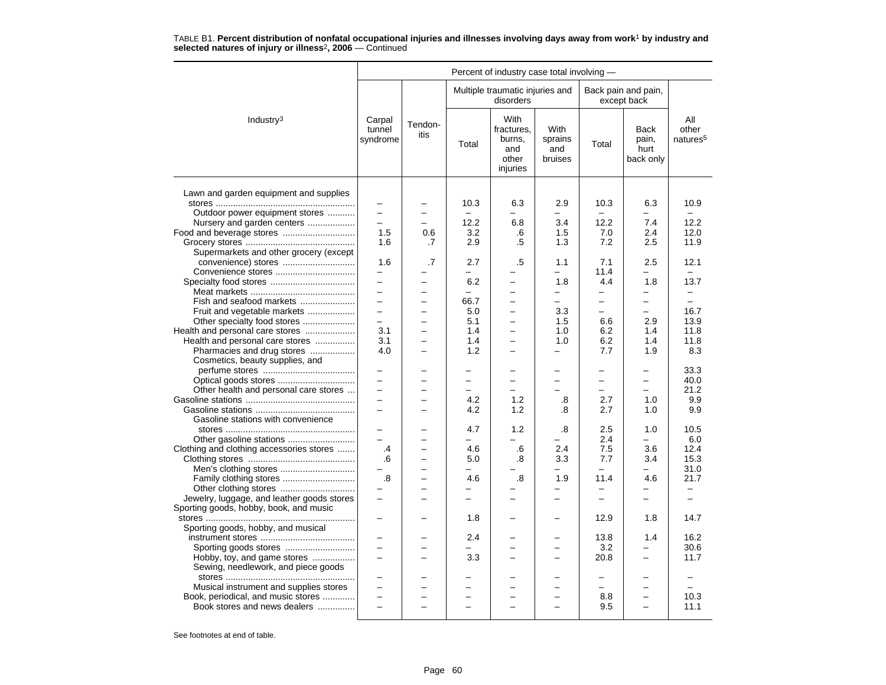|                                            |                              |                          |                          |                                                          |                                          | Percent of industry case total involving - |                                           |                                      |  |  |  |  |  |
|--------------------------------------------|------------------------------|--------------------------|--------------------------|----------------------------------------------------------|------------------------------------------|--------------------------------------------|-------------------------------------------|--------------------------------------|--|--|--|--|--|
|                                            |                              |                          |                          | Multiple traumatic injuries and<br>disorders             |                                          |                                            | Back pain and pain,<br>except back        |                                      |  |  |  |  |  |
| Industry <sup>3</sup>                      | Carpal<br>tunnel<br>syndrome | Tendon-<br>itis          | Total                    | With<br>fractures.<br>burns,<br>and<br>other<br>injuries | <b>With</b><br>sprains<br>and<br>bruises | Total                                      | <b>Back</b><br>pain,<br>hurt<br>back only | All<br>other<br>natures <sup>5</sup> |  |  |  |  |  |
| Lawn and garden equipment and supplies     |                              |                          |                          |                                                          |                                          |                                            |                                           |                                      |  |  |  |  |  |
|                                            |                              |                          | 10.3                     | 6.3                                                      | 2.9                                      | 10.3                                       | 6.3                                       | 10.9                                 |  |  |  |  |  |
| Outdoor power equipment stores             | $\overline{\phantom{0}}$     | $\overline{\phantom{0}}$ |                          |                                                          |                                          |                                            |                                           |                                      |  |  |  |  |  |
| Nursery and garden centers                 | $\overline{\phantom{0}}$     | ÷                        | 12.2                     | 6.8                                                      | 3.4                                      | 12.2                                       | 7.4                                       | 12.2                                 |  |  |  |  |  |
|                                            | 1.5                          | 0.6                      | 3.2                      | .6                                                       | 1.5                                      | 7.0                                        | 2.4                                       | 12.0                                 |  |  |  |  |  |
|                                            | 1.6                          | .7                       | 2.9                      | .5                                                       | 1.3                                      | 7.2                                        | 2.5                                       | 11.9                                 |  |  |  |  |  |
| Supermarkets and other grocery (except     |                              |                          |                          |                                                          |                                          |                                            |                                           |                                      |  |  |  |  |  |
| convenience) stores                        | 1.6                          | .7                       | 2.7                      | .5                                                       | 1.1                                      | 7.1                                        | 2.5                                       | 12.1                                 |  |  |  |  |  |
|                                            | $\overline{\phantom{0}}$     |                          | $\overline{\phantom{0}}$ |                                                          |                                          | 11.4                                       |                                           |                                      |  |  |  |  |  |
|                                            | $\overline{\phantom{0}}$     | $\overline{\phantom{0}}$ | 6.2                      | $\overline{\phantom{0}}$                                 | 1.8                                      | 4.4                                        | 1.8                                       | 13.7                                 |  |  |  |  |  |
|                                            | $\equiv$                     | $\overline{\phantom{0}}$ | $\overline{a}$           |                                                          | $\equiv$                                 | $\qquad \qquad -$                          | —                                         | $\overline{\phantom{0}}$             |  |  |  |  |  |
| Fish and seafood markets                   |                              |                          | 66.7                     | $\equiv$                                                 | $\equiv$                                 | $\overline{\phantom{0}}$                   | $\overline{\phantom{0}}$                  | $\equiv$                             |  |  |  |  |  |
| Fruit and vegetable markets                | $\equiv$                     | $\overline{\phantom{0}}$ | 5.0                      | $\equiv$                                                 | 3.3                                      | $\equiv$                                   | $\equiv$                                  | 16.7                                 |  |  |  |  |  |
| Other specialty food stores                | $\qquad \qquad -$            | -                        | 5.1                      | $\overline{\phantom{0}}$                                 | 1.5                                      | 6.6                                        | 2.9                                       | 13.9                                 |  |  |  |  |  |
| Health and personal care stores            | 3.1                          | -                        | 1.4                      | $\overline{\phantom{0}}$                                 | 1.0                                      | 6.2                                        | 1.4                                       | 11.8                                 |  |  |  |  |  |
| Health and personal care stores            | 3.1                          | $\equiv$                 | 1.4                      | $\overline{\phantom{0}}$                                 | 1.0                                      | 6.2                                        | 1.4                                       | 11.8                                 |  |  |  |  |  |
| Pharmacies and drug stores                 | 4.0                          |                          | 1.2                      |                                                          | $\overline{\phantom{0}}$                 | 7.7                                        | 1.9                                       | 8.3                                  |  |  |  |  |  |
| Cosmetics, beauty supplies, and            |                              |                          |                          |                                                          |                                          |                                            |                                           |                                      |  |  |  |  |  |
|                                            | $\overline{\phantom{0}}$     |                          |                          |                                                          |                                          |                                            | -                                         | 33.3                                 |  |  |  |  |  |
|                                            | $\qquad \qquad -$            |                          | $\overline{\phantom{0}}$ | $\overline{\phantom{0}}$                                 | $\equiv$                                 | $\qquad \qquad -$                          | -                                         | 40.0                                 |  |  |  |  |  |
| Other health and personal care stores      |                              |                          |                          |                                                          |                                          |                                            |                                           | 21.2                                 |  |  |  |  |  |
|                                            | $\equiv$                     | -                        | 4.2                      | 1.2                                                      | .8                                       | 2.7                                        | 1.0                                       | 9.9                                  |  |  |  |  |  |
|                                            | $\equiv$                     | $\overline{\phantom{0}}$ | 4.2                      | 1.2                                                      | .8                                       | 2.7                                        | 1.0                                       | 9.9                                  |  |  |  |  |  |
| Gasoline stations with convenience         |                              |                          |                          |                                                          |                                          |                                            |                                           |                                      |  |  |  |  |  |
|                                            | $\overline{\phantom{0}}$     |                          | 4.7                      | 1.2                                                      | .8                                       | 2.5                                        | 1.0                                       | 10.5                                 |  |  |  |  |  |
|                                            | $\equiv$                     |                          | -                        | -                                                        |                                          | 2.4                                        | $\overline{\phantom{0}}$                  | 6.0                                  |  |  |  |  |  |
| Clothing and clothing accessories stores   | .4                           |                          | 4.6                      | .6                                                       | 2.4                                      | 7.5                                        | 3.6                                       | 12.4                                 |  |  |  |  |  |
|                                            | .6                           | $\equiv$                 | 5.0                      | .8                                                       | 3.3                                      | 7.7                                        | 3.4                                       | 15.3                                 |  |  |  |  |  |
|                                            |                              | ÷                        | $\equiv$                 |                                                          | $\equiv$                                 | $\equiv$                                   | ÷                                         | 31.0                                 |  |  |  |  |  |
|                                            | .8                           |                          | 4.6                      | .8                                                       | 1.9                                      | 11.4                                       | 4.6                                       | 21.7                                 |  |  |  |  |  |
|                                            |                              | $\overline{a}$           | $\overline{\phantom{0}}$ |                                                          |                                          | $\overline{\phantom{m}}$                   | -                                         |                                      |  |  |  |  |  |
| Jewelry, luggage, and leather goods stores | $\overline{\phantom{0}}$     |                          | $\overline{\phantom{0}}$ | -                                                        | $\overline{\phantom{0}}$                 | $\qquad \qquad -$                          | -                                         | $\overline{\phantom{0}}$             |  |  |  |  |  |
| Sporting goods, hobby, book, and music     |                              |                          |                          |                                                          |                                          |                                            |                                           |                                      |  |  |  |  |  |
|                                            |                              |                          | 1.8                      |                                                          |                                          | 12.9                                       | 1.8                                       | 14.7                                 |  |  |  |  |  |
| Sporting goods, hobby, and musical         |                              |                          |                          |                                                          |                                          |                                            |                                           |                                      |  |  |  |  |  |
|                                            |                              |                          | 2.4                      |                                                          |                                          | 13.8                                       | 1.4                                       | 16.2                                 |  |  |  |  |  |
|                                            | $\equiv$                     |                          |                          | ÷                                                        |                                          | 3.2                                        |                                           | 30.6                                 |  |  |  |  |  |
| Hobby, toy, and game stores                | $\overline{\phantom{0}}$     |                          | 3.3                      | ÷                                                        | $\equiv$                                 | 20.8                                       | -                                         | 11.7                                 |  |  |  |  |  |
| Sewing, needlework, and piece goods        |                              |                          |                          |                                                          |                                          |                                            |                                           |                                      |  |  |  |  |  |
|                                            |                              |                          |                          |                                                          |                                          | $\sim$                                     |                                           |                                      |  |  |  |  |  |
|                                            | $\overline{\phantom{0}}$     | $\equiv$                 | $\overline{\phantom{0}}$ | $\overline{\phantom{0}}$                                 | $\overline{\phantom{0}}$                 | $\overline{\phantom{m}}$                   | $\overline{\phantom{0}}$                  | $\equiv$                             |  |  |  |  |  |
| Musical instrument and supplies stores     |                              |                          |                          |                                                          |                                          |                                            |                                           |                                      |  |  |  |  |  |
| Book, periodical, and music stores         | $\overline{a}$               | $\overline{\phantom{0}}$ | $\overline{a}$           | $\equiv$                                                 | $\equiv$                                 | 8.8                                        | $\overline{a}$                            | 10.3                                 |  |  |  |  |  |
| Book stores and news dealers               |                              |                          |                          |                                                          |                                          | 9.5                                        |                                           | 11.1                                 |  |  |  |  |  |
|                                            |                              |                          |                          |                                                          |                                          |                                            |                                           |                                      |  |  |  |  |  |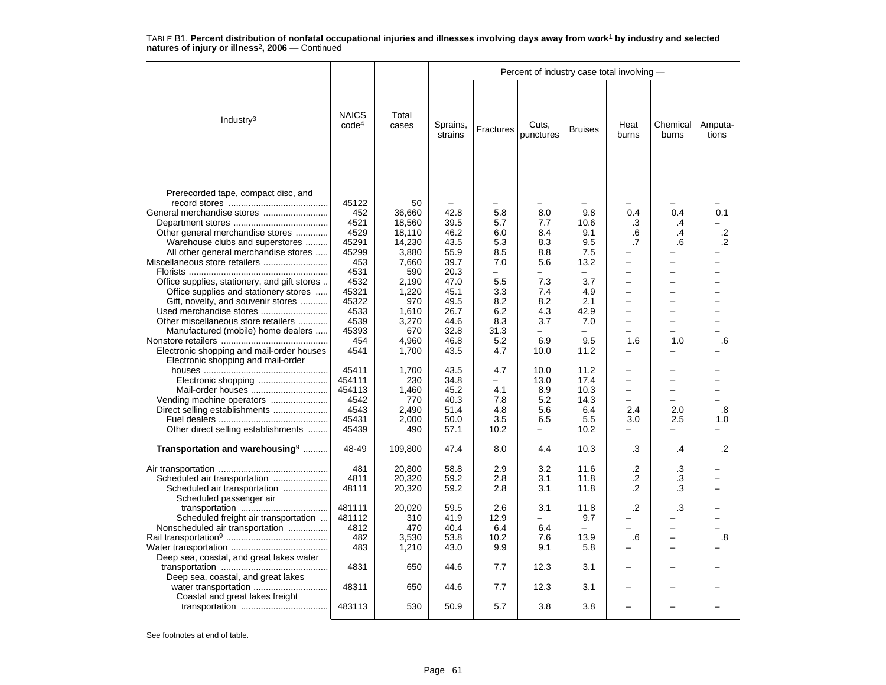|                                                                                 |                                   |                |                     |           | Percent of industry case total involving - |                          |                          |                          |                  |
|---------------------------------------------------------------------------------|-----------------------------------|----------------|---------------------|-----------|--------------------------------------------|--------------------------|--------------------------|--------------------------|------------------|
| Industry <sup>3</sup>                                                           | <b>NAICS</b><br>code <sup>4</sup> | Total<br>cases | Sprains,<br>strains | Fractures | Cuts,<br>punctures                         | <b>Bruises</b>           | Heat<br>burns            | Chemical<br>burns        | Amputa-<br>tions |
| Prerecorded tape, compact disc, and                                             |                                   |                |                     |           |                                            |                          |                          |                          |                  |
|                                                                                 | 45122                             | 50             |                     |           |                                            |                          |                          |                          |                  |
|                                                                                 |                                   |                |                     |           |                                            |                          |                          |                          |                  |
| General merchandise stores                                                      | 452                               | 36,660         | 42.8                | 5.8       | 8.0                                        | 9.8                      | 0.4                      | 0.4                      | 0.1              |
|                                                                                 | 4521                              | 18,560         | 39.5                | 5.7       | 7.7                                        | 10.6                     | .3                       | .4                       |                  |
| Other general merchandise stores                                                | 4529                              | 18,110         | 46.2                | 6.0       | 8.4                                        | 9.1                      | .6                       | $\cdot$                  | $.2\,$           |
| Warehouse clubs and superstores                                                 | 45291                             | 14,230         | 43.5                | 5.3       | 8.3                                        | 9.5                      | .7                       | .6                       | $\cdot$          |
| All other general merchandise stores                                            | 45299                             | 3,880          | 55.9                | 8.5       | 8.8                                        | 7.5                      |                          |                          |                  |
| Miscellaneous store retailers                                                   | 453                               | 7,660          | 39.7                | 7.0       | 5.6                                        | 13.2                     | ÷                        | $\equiv$                 |                  |
|                                                                                 | 4531                              | 590            | 20.3                | $\equiv$  | −                                          | $\overline{\phantom{0}}$ |                          |                          |                  |
| Office supplies, stationery, and gift stores                                    | 4532                              | 2,190          | 47.0                | 5.5       | 7.3                                        | 3.7                      | $\overline{\phantom{0}}$ |                          |                  |
| Office supplies and stationery stores                                           | 45321                             | 1,220          | 45.1                | 3.3       | 7.4                                        | 4.9                      |                          |                          |                  |
| Gift, novelty, and souvenir stores                                              | 45322                             | 970            | 49.5                | 8.2       | 8.2                                        | 2.1                      | $\overline{\phantom{0}}$ | $\overline{\phantom{0}}$ |                  |
| Used merchandise stores                                                         | 4533                              | 1,610          | 26.7                | 6.2       | 4.3                                        | 42.9                     | $\overline{\phantom{0}}$ |                          |                  |
| Other miscellaneous store retailers                                             | 4539                              | 3,270          | 44.6                | 8.3       | 3.7                                        | 7.0                      | $\equiv$                 | -                        |                  |
|                                                                                 | 45393                             | 670            | 32.8                | 31.3      | -                                          |                          |                          |                          |                  |
| Manufactured (mobile) home dealers                                              |                                   |                |                     |           |                                            |                          |                          |                          |                  |
|                                                                                 | 454                               | 4,960          | 46.8                | 5.2       | 6.9                                        | 9.5                      | 1.6                      | 1.0                      | .6               |
| Electronic shopping and mail-order houses<br>Electronic shopping and mail-order | 4541                              | 1,700          | 43.5                | 4.7       | 10.0                                       | 11.2                     |                          |                          |                  |
|                                                                                 | 45411                             | 1,700          | 43.5                | 4.7       | 10.0                                       | 11.2                     |                          |                          |                  |
|                                                                                 | 454111                            | 230            | 34.8                | $\equiv$  | 13.0                                       | 17.4                     | $\equiv$                 | $\equiv$                 |                  |
|                                                                                 | 454113                            | 1,460          | 45.2                | 4.1       | 8.9                                        | 10.3                     | $\equiv$                 | $\equiv$                 |                  |
| Vending machine operators                                                       | 4542                              | 770            | 40.3                | 7.8       | 5.2                                        | 14.3                     |                          |                          |                  |
| Direct selling establishments                                                   | 4543                              | 2,490          | 51.4                | 4.8       | 5.6                                        | 6.4                      | 2.4                      | 2.0                      | .8               |
|                                                                                 | 45431                             | 2.000          | 50.0                | 3.5       | 6.5                                        | 5.5                      | 3.0                      | 2.5                      | 1.0              |
| Other direct selling establishments                                             | 45439                             | 490            | 57.1                | 10.2      |                                            | 10.2                     |                          |                          |                  |
|                                                                                 |                                   |                |                     |           |                                            |                          |                          |                          |                  |
| Transportation and warehousing <sup>9</sup>                                     | 48-49                             | 109,800        | 47.4                | 8.0       | 4.4                                        | 10.3                     | .3                       | .4                       | .2               |
|                                                                                 | 481                               | 20,800         | 58.8                | 2.9       | 3.2                                        | 11.6                     | $\cdot$                  | .3                       |                  |
| Scheduled air transportation                                                    | 4811                              | 20,320         | 59.2                | 2.8       | 3.1                                        | 11.8                     | $\cdot$                  | .3                       |                  |
| Scheduled air transportation                                                    | 48111                             | 20,320         | 59.2                | 2.8       | 3.1                                        | 11.8                     | .2                       | .3                       |                  |
| Scheduled passenger air                                                         |                                   |                |                     |           |                                            |                          |                          |                          |                  |
|                                                                                 | 481111                            | 20,020         | 59.5                | 2.6       | 3.1                                        | 11.8                     | $\cdot$                  | .3                       |                  |
| Scheduled freight air transportation                                            | 481112                            | 310            | 41.9                | 12.9      |                                            | 9.7                      |                          |                          |                  |
|                                                                                 | 4812                              |                | 40.4                | 6.4       | 6.4                                        |                          |                          |                          |                  |
| Nonscheduled air transportation                                                 |                                   | 470            |                     |           |                                            | $\overline{\phantom{0}}$ |                          |                          |                  |
|                                                                                 | 482                               | 3,530          | 53.8                | 10.2      | 7.6                                        | 13.9                     | .6                       |                          | .8               |
|                                                                                 | 483                               | 1,210          | 43.0                | 9.9       | 9.1                                        | 5.8                      |                          | -                        |                  |
| Deep sea, coastal, and great lakes water                                        |                                   |                |                     |           |                                            |                          |                          |                          |                  |
| Deep sea, coastal, and great lakes                                              | 4831                              | 650            | 44.6                | 7.7       | 12.3                                       | 3.1                      |                          |                          |                  |
| water transportation<br>Coastal and great lakes freight                         | 48311                             | 650            | 44.6                | 7.7       | 12.3                                       | 3.1                      |                          |                          |                  |
|                                                                                 | 483113                            | 530            | 50.9                | 5.7       | 3.8                                        | 3.8                      |                          |                          |                  |
|                                                                                 |                                   |                |                     |           |                                            |                          |                          |                          |                  |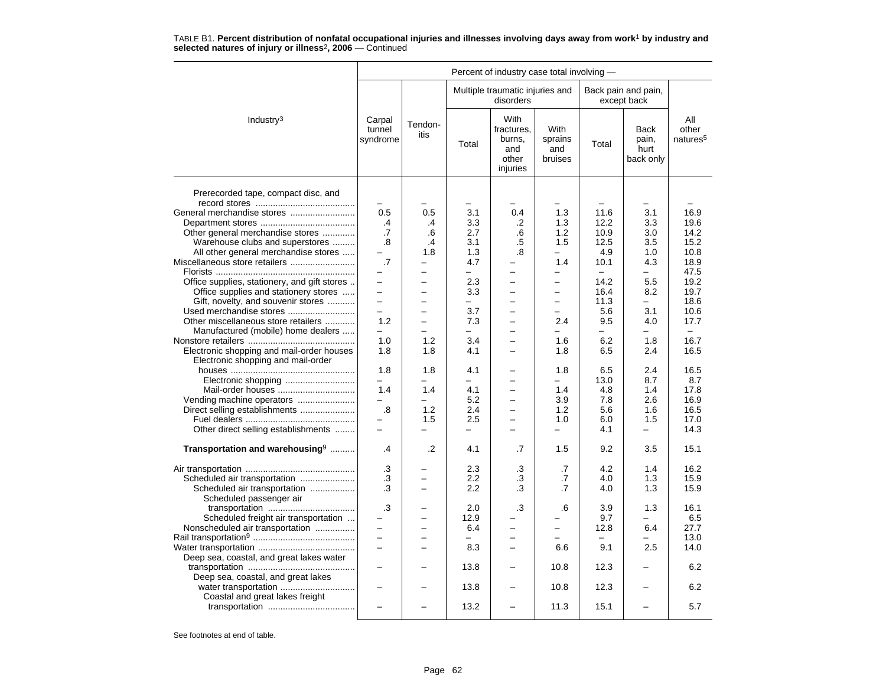|                                                               | Percent of industry case total involving - |                                            |                          |                                                          |                                          |                  |                                           |                                      |  |  |  |
|---------------------------------------------------------------|--------------------------------------------|--------------------------------------------|--------------------------|----------------------------------------------------------|------------------------------------------|------------------|-------------------------------------------|--------------------------------------|--|--|--|
|                                                               |                                            |                                            |                          | Multiple traumatic injuries and<br>disorders             |                                          |                  | Back pain and pain,<br>except back        |                                      |  |  |  |
| Industry <sup>3</sup>                                         | Carpal<br>tunnel<br>syndrome               | Tendon-<br>itis                            | Total                    | With<br>fractures,<br>burns,<br>and<br>other<br>injuries | <b>With</b><br>sprains<br>and<br>bruises | Total            | <b>Back</b><br>pain,<br>hurt<br>back only | All<br>other<br>natures <sup>5</sup> |  |  |  |
| Prerecorded tape, compact disc, and                           |                                            |                                            | $\overline{\phantom{0}}$ |                                                          |                                          |                  |                                           |                                      |  |  |  |
|                                                               |                                            |                                            | 3.1                      |                                                          | $\overline{\phantom{0}}$                 |                  | 3.1                                       |                                      |  |  |  |
|                                                               | 0.5                                        | 0.5                                        |                          | 0.4                                                      | 1.3<br>1.3                               | 11.6<br>12.2     |                                           | 16.9<br>19.6                         |  |  |  |
|                                                               | $\cdot$ 4                                  | $\cdot$ 4                                  | 3.3                      | .2                                                       |                                          |                  | 3.3                                       |                                      |  |  |  |
| Other general merchandise stores                              | .7                                         | .6                                         | 2.7<br>3.1               | .6                                                       | 1.2                                      | 10.9             | 3.0                                       | 14.2<br>15.2                         |  |  |  |
| Warehouse clubs and superstores                               | .8                                         | $\cdot$                                    |                          | .5                                                       | 1.5                                      | 12.5             | 3.5                                       |                                      |  |  |  |
| All other general merchandise stores                          |                                            | 1.8<br>$\equiv$                            | 1.3                      | .8                                                       | $\overline{\phantom{0}}$                 | 4.9              | 1.0                                       | 10.8                                 |  |  |  |
| Miscellaneous store retailers                                 | $\cdot$ 7                                  |                                            | 4.7                      |                                                          | 1.4                                      | 10.1             | 4.3                                       | 18.9                                 |  |  |  |
|                                                               | -<br>$\overline{\phantom{0}}$              | -                                          | Ξ.                       | $\overline{\phantom{0}}$                                 | $\overline{\phantom{0}}$                 | $\equiv$<br>14.2 | $-$                                       | 47.5<br>19.2                         |  |  |  |
| Office supplies, stationery, and gift stores                  | $\overline{\phantom{0}}$                   | $\overline{\phantom{0}}$<br>$\overline{a}$ | 2.3                      | $\overline{\phantom{0}}$<br>$\overline{a}$               |                                          |                  | 5.5                                       |                                      |  |  |  |
| Office supplies and stationery stores                         | $\equiv$                                   | $\equiv$                                   | 3.3<br>÷                 | $\equiv$                                                 | $\equiv$                                 | 16.4             | 8.2<br>-                                  | 19.7<br>18.6                         |  |  |  |
| Gift, novelty, and souvenir stores<br>Used merchandise stores | $\overline{\phantom{0}}$                   |                                            | 3.7                      |                                                          |                                          | 11.3<br>5.6      | 3.1                                       | 10.6                                 |  |  |  |
| Other miscellaneous store retailers                           | 1.2                                        | $\equiv$                                   | 7.3                      |                                                          | 2.4                                      | 9.5              | 4.0                                       | 17.7                                 |  |  |  |
|                                                               | $\overline{\phantom{0}}$                   | -                                          | $\overline{\phantom{0}}$ | $\overline{\phantom{0}}$                                 | $\overline{\phantom{0}}$                 | ÷                | $-$                                       | $\equiv$                             |  |  |  |
| Manufactured (mobile) home dealers                            | 1.0                                        | 1.2                                        | 3.4                      | $\overline{\phantom{0}}$                                 | 1.6                                      | 6.2              | 1.8                                       | 16.7                                 |  |  |  |
| Electronic shopping and mail-order houses                     | 1.8                                        | 1.8                                        | 4.1                      |                                                          | 1.8                                      | 6.5              | 2.4                                       | 16.5                                 |  |  |  |
| Electronic shopping and mail-order                            |                                            |                                            |                          |                                                          |                                          |                  |                                           |                                      |  |  |  |
|                                                               | 1.8                                        | 1.8                                        | 4.1                      |                                                          | 1.8                                      | 6.5              | 2.4                                       | 16.5                                 |  |  |  |
|                                                               | L.                                         | -                                          | $-$                      |                                                          | $\equiv$                                 | 13.0             | 8.7                                       | 8.7                                  |  |  |  |
| Mail-order houses                                             | 1.4                                        | 1.4                                        | 4.1                      | ÷                                                        | 1.4                                      | 4.8              | 1.4                                       | 17.8                                 |  |  |  |
| Vending machine operators                                     |                                            | $\overline{\phantom{0}}$                   | 5.2                      | $\equiv$                                                 | 3.9                                      | 7.8              | 2.6                                       | 16.9                                 |  |  |  |
| Direct selling establishments                                 | $\boldsymbol{.8}$                          | 1.2                                        | 2.4                      | $\overline{\phantom{0}}$                                 | 1.2                                      | 5.6              | 1.6                                       | 16.5                                 |  |  |  |
|                                                               |                                            | 1.5                                        | 2.5                      | $\overline{\phantom{0}}$                                 | 1.0                                      | 6.0              | 1.5                                       | 17.0                                 |  |  |  |
| Other direct selling establishments                           | $\equiv$                                   |                                            | $\overline{\phantom{0}}$ | ÷                                                        | $\overline{\phantom{0}}$                 | 4.1              | $\qquad \qquad -$                         | 14.3                                 |  |  |  |
| Transportation and warehousing <sup>9</sup>                   | .4                                         | .2                                         | 4.1                      | .7                                                       | 1.5                                      | 9.2              | 3.5                                       | 15.1                                 |  |  |  |
|                                                               | .3                                         |                                            | 2.3                      | .3                                                       | $\cdot$ 7                                | 4.2              | 1.4                                       | 16.2                                 |  |  |  |
| Scheduled air transportation                                  | .3                                         | -                                          | 2.2                      | .3                                                       | .7                                       | 4.0              | 1.3                                       | 15.9                                 |  |  |  |
| Scheduled air transportation                                  | .3                                         | $\equiv$                                   | 2.2                      | .3                                                       | .7                                       | 4.0              | 1.3                                       | 15.9                                 |  |  |  |
| Scheduled passenger air                                       |                                            |                                            |                          |                                                          |                                          |                  |                                           |                                      |  |  |  |
|                                                               | .3                                         |                                            | 2.0                      | .3                                                       | .6                                       | 3.9              | 1.3                                       | 16.1                                 |  |  |  |
| Scheduled freight air transportation                          |                                            | $\equiv$                                   | 12.9                     |                                                          |                                          | 9.7              |                                           | 6.5                                  |  |  |  |
| Nonscheduled air transportation                               | $\overline{\phantom{0}}$                   | -                                          | 6.4                      |                                                          | -                                        | 12.8             | 6.4                                       | 27.7                                 |  |  |  |
|                                                               |                                            |                                            |                          |                                                          |                                          |                  |                                           | 13.0                                 |  |  |  |
|                                                               | $\equiv$                                   | $\overline{\phantom{0}}$                   | 8.3                      | $\equiv$                                                 | 6.6                                      | 9.1              | 2.5                                       | 14.0                                 |  |  |  |
| Deep sea, coastal, and great lakes water                      |                                            |                                            |                          |                                                          |                                          |                  |                                           |                                      |  |  |  |
|                                                               |                                            |                                            | 13.8                     |                                                          | 10.8                                     | 12.3             |                                           | 6.2                                  |  |  |  |
| Deep sea, coastal, and great lakes                            |                                            |                                            |                          |                                                          |                                          |                  |                                           |                                      |  |  |  |
| Coastal and great lakes freight                               | -                                          |                                            | 13.8                     |                                                          | 10.8                                     | 12.3             |                                           | 6.2                                  |  |  |  |
|                                                               |                                            |                                            | 13.2                     | ÷                                                        | 11.3                                     | 15.1             | L,                                        | 5.7                                  |  |  |  |
|                                                               |                                            |                                            |                          |                                                          |                                          |                  |                                           |                                      |  |  |  |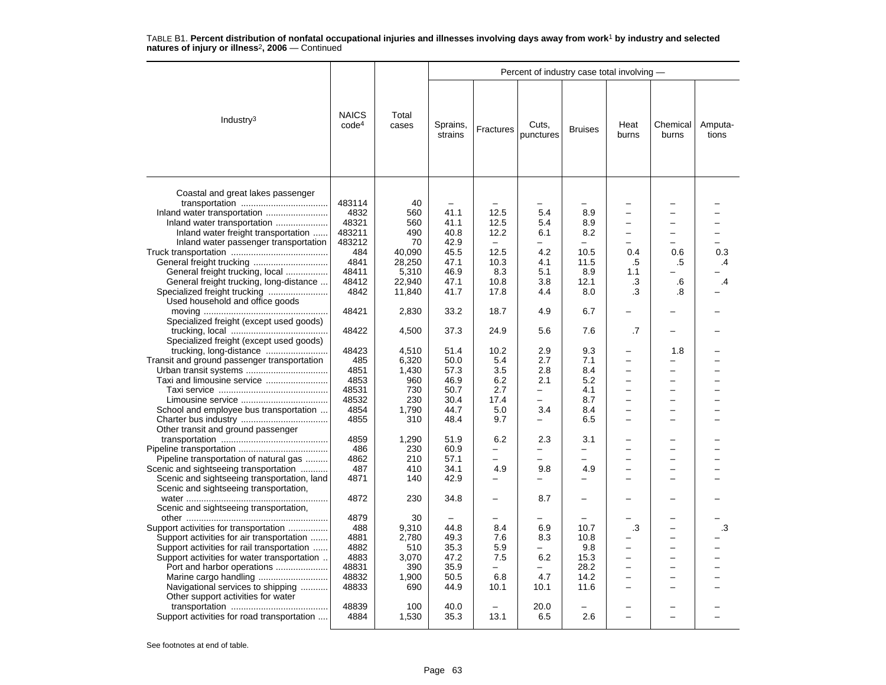|                                                                                                                                                                                                                                                                                          |                                                                |                                                              |                                                              |                                                                     |                                                                                                           |                                                       | Percent of industry case total involving -<br>Heat<br>Chemical<br>burns<br>burns<br>0.4<br>0.6<br>.5<br>.5<br>1.1 |                                      |                                |  |  |  |  |
|------------------------------------------------------------------------------------------------------------------------------------------------------------------------------------------------------------------------------------------------------------------------------------------|----------------------------------------------------------------|--------------------------------------------------------------|--------------------------------------------------------------|---------------------------------------------------------------------|-----------------------------------------------------------------------------------------------------------|-------------------------------------------------------|-------------------------------------------------------------------------------------------------------------------|--------------------------------------|--------------------------------|--|--|--|--|
| Industry <sup>3</sup>                                                                                                                                                                                                                                                                    | <b>NAICS</b><br>code <sup>4</sup>                              | Total<br>cases                                               | Sprains,<br>strains                                          | Fractures                                                           | Cuts,<br>punctures                                                                                        | <b>Bruises</b>                                        |                                                                                                                   |                                      | Amputa-<br>tions               |  |  |  |  |
| Coastal and great lakes passenger<br>Inland water transportation<br>Inland water transportation<br>Inland water freight transportation<br>Inland water passenger transportation                                                                                                          | 483114<br>4832<br>48321<br>483211<br>483212<br>484             | 40<br>560<br>560<br>490<br>70<br>40,090                      | 41.1<br>41.1<br>40.8<br>42.9<br>45.5                         | 12.5<br>12.5<br>12.2<br>$\overline{a}$<br>12.5                      | $\overline{\phantom{0}}$<br>5.4<br>5.4<br>6.1<br>4.2                                                      | $\overline{\phantom{0}}$<br>8.9<br>8.9<br>8.2<br>10.5 |                                                                                                                   |                                      | 0.3                            |  |  |  |  |
| General freight trucking, local<br>General freight trucking, long-distance<br>Used household and office goods                                                                                                                                                                            | 4841<br>48411<br>48412<br>4842                                 | 28,250<br>5,310<br>22,940<br>11,840                          | 47.1<br>46.9<br>47.1<br>41.7                                 | 10.3<br>8.3<br>10.8<br>17.8                                         | 4.1<br>5.1<br>3.8<br>4.4                                                                                  | 11.5<br>8.9<br>12.1<br>8.0                            | .3<br>.3                                                                                                          | .6<br>.8                             | .4<br>$\overline{\mathcal{A}}$ |  |  |  |  |
| Specialized freight (except used goods)                                                                                                                                                                                                                                                  | 48421<br>48422                                                 | 2,830<br>4,500                                               | 33.2<br>37.3                                                 | 18.7<br>24.9                                                        | 4.9<br>5.6                                                                                                | 6.7<br>7.6                                            | .7                                                                                                                |                                      |                                |  |  |  |  |
| Specialized freight (except used goods)                                                                                                                                                                                                                                                  |                                                                |                                                              |                                                              |                                                                     |                                                                                                           |                                                       |                                                                                                                   |                                      |                                |  |  |  |  |
| trucking, long-distance<br>Transit and ground passenger transportation<br>Taxi and limousine service<br>School and employee bus transportation<br>Other transit and ground passenger                                                                                                     | 48423<br>485<br>4851<br>4853<br>48531<br>48532<br>4854<br>4855 | 4.510<br>6,320<br>1,430<br>960<br>730<br>230<br>1,790<br>310 | 51.4<br>50.0<br>57.3<br>46.9<br>50.7<br>30.4<br>44.7<br>48.4 | 10.2<br>5.4<br>3.5<br>6.2<br>2.7<br>17.4<br>5.0<br>9.7              | 2.9<br>2.7<br>2.8<br>2.1<br>$\overline{\phantom{0}}$<br>$\overline{\phantom{0}}$<br>3.4<br>$\overline{a}$ | 9.3<br>7.1<br>8.4<br>5.2<br>4.1<br>8.7<br>8.4<br>6.5  | $\overline{\phantom{0}}$<br>$\overline{\phantom{0}}$<br>$\equiv$<br>$\equiv$<br>$\overline{\phantom{0}}$          | 1.8<br>$\overline{\phantom{0}}$<br>÷ |                                |  |  |  |  |
| Pipeline transportation of natural gas<br>Scenic and sightseeing transportation<br>Scenic and sightseeing transportation, land<br>Scenic and sightseeing transportation,                                                                                                                 | 4859<br>486<br>4862<br>487<br>4871                             | 1,290<br>230<br>210<br>410<br>140                            | 51.9<br>60.9<br>57.1<br>34.1<br>42.9                         | 6.2<br>$\overline{\phantom{0}}$<br>$\overline{a}$<br>4.9            | 2.3<br>-<br>9.8                                                                                           | 3.1<br>-<br>-<br>4.9                                  | ۳                                                                                                                 | ÷                                    |                                |  |  |  |  |
| Scenic and sightseeing transportation,                                                                                                                                                                                                                                                   | 4872<br>4879                                                   | 230<br>30                                                    | 34.8<br>$\overline{\phantom{0}}$                             | $\overline{\phantom{0}}$<br>-                                       | 8.7                                                                                                       | -                                                     |                                                                                                                   |                                      |                                |  |  |  |  |
| Support activities for transportation<br>Support activities for air transportation<br>Support activities for rail transportation<br>Support activities for water transportation<br>Port and harbor operations<br>Navigational services to shipping<br>Other support activities for water | 488<br>4881<br>4882<br>4883<br>48831<br>48832<br>48833         | 9,310<br>2,780<br>510<br>3,070<br>390<br>1,900<br>690        | 44.8<br>49.3<br>35.3<br>47.2<br>35.9<br>50.5<br>44.9         | 8.4<br>7.6<br>5.9<br>7.5<br>$\overline{\phantom{0}}$<br>6.8<br>10.1 | 6.9<br>8.3<br>—<br>6.2<br>$\overline{\phantom{0}}$<br>4.7<br>10.1                                         | 10.7<br>10.8<br>9.8<br>15.3<br>28.2<br>14.2<br>11.6   | .3<br>$\overline{\phantom{0}}$<br>$\overline{\phantom{0}}$                                                        | $\overline{\phantom{0}}$<br>-        | .3                             |  |  |  |  |
| Support activities for road transportation                                                                                                                                                                                                                                               | 48839<br>4884                                                  | 100<br>1,530                                                 | 40.0<br>35.3                                                 | 13.1                                                                | 20.0<br>6.5                                                                                               | 2.6                                                   |                                                                                                                   |                                      |                                |  |  |  |  |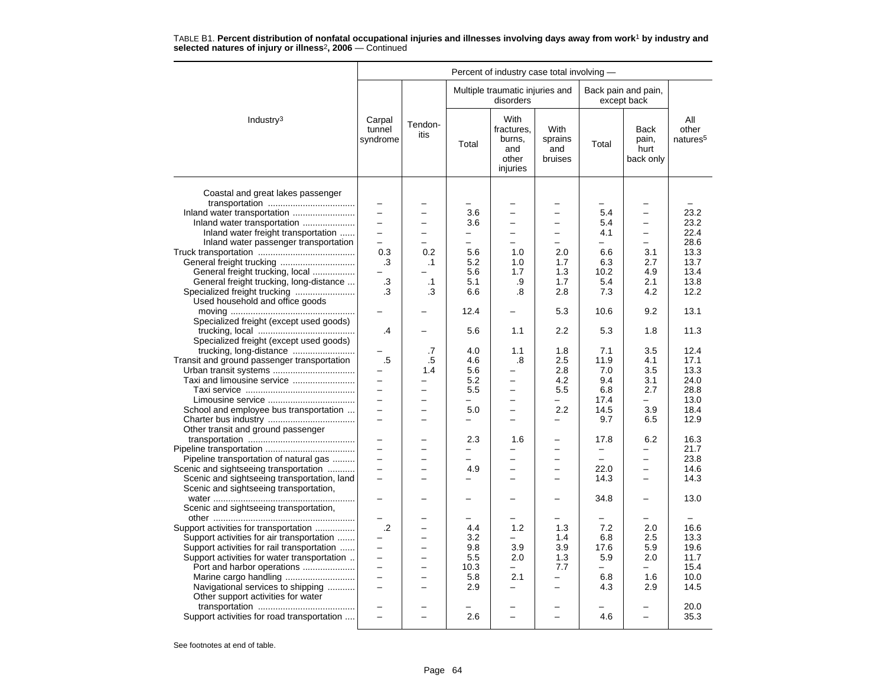|                                                                                       |                              |                          |                |                                                          | Percent of industry case total involving - |                          |                                           |                                      |  |  |  |  |  |
|---------------------------------------------------------------------------------------|------------------------------|--------------------------|----------------|----------------------------------------------------------|--------------------------------------------|--------------------------|-------------------------------------------|--------------------------------------|--|--|--|--|--|
|                                                                                       |                              |                          |                | Multiple traumatic injuries and<br>disorders             |                                            |                          | Back pain and pain,<br>except back        |                                      |  |  |  |  |  |
| Industry $3$                                                                          | Carpal<br>tunnel<br>syndrome | Tendon-<br>itis          | Total          | With<br>fractures,<br>burns,<br>and<br>other<br>injuries | With<br>sprains<br>and<br>bruises          | Total                    | <b>Back</b><br>pain,<br>hurt<br>back only | All<br>other<br>natures <sup>5</sup> |  |  |  |  |  |
| Coastal and great lakes passenger                                                     |                              |                          |                |                                                          |                                            |                          |                                           |                                      |  |  |  |  |  |
|                                                                                       | $\overline{\phantom{0}}$     |                          |                |                                                          |                                            | -                        |                                           |                                      |  |  |  |  |  |
| Inland water transportation                                                           | $\equiv$                     | $\overline{\phantom{0}}$ | 3.6            | $\overline{\phantom{0}}$                                 | $\overline{\phantom{0}}$                   | 5.4                      | $\overline{a}$                            | 23.2                                 |  |  |  |  |  |
| Inland water transportation                                                           |                              |                          | 3.6            |                                                          |                                            | 5.4                      |                                           | 23.2                                 |  |  |  |  |  |
| Inland water freight transportation                                                   | $\equiv$                     | $\overline{\phantom{0}}$ | $\equiv$       |                                                          | $\overline{\phantom{0}}$                   | 4.1                      | $\overline{a}$                            | 22.4                                 |  |  |  |  |  |
| Inland water passenger transportation                                                 | $\overline{\phantom{0}}$     | $\overline{\phantom{0}}$ | $\equiv$       |                                                          | $\overline{\phantom{m}}$                   | -                        | $\overline{\phantom{0}}$                  | 28.6                                 |  |  |  |  |  |
|                                                                                       | 0.3                          | 0.2                      | 5.6            | 1.0                                                      | 2.0                                        | 6.6                      | 3.1                                       | 13.3                                 |  |  |  |  |  |
| General freight trucking                                                              | .3                           | $\cdot$ 1                | 5.2            | 1.0                                                      | 1.7                                        | 6.3                      | 2.7                                       | 13.7                                 |  |  |  |  |  |
| General freight trucking, local                                                       |                              |                          | 5.6            | 1.7                                                      | 1.3                                        | 10.2                     | 4.9                                       | 13.4                                 |  |  |  |  |  |
| General freight trucking, long-distance                                               | .3                           | $\cdot$ 1                | 5.1            | .9                                                       | 1.7                                        | 5.4                      | 2.1                                       | 13.8                                 |  |  |  |  |  |
| Specialized freight trucking<br>Used household and office goods                       | .3                           | .3                       | 6.6            | .8                                                       | 2.8                                        | 7.3                      | 4.2                                       | 12.2                                 |  |  |  |  |  |
| Specialized freight (except used goods)                                               | $\overline{\phantom{0}}$     |                          | 12.4           | $\overline{\phantom{0}}$                                 | 5.3                                        | 10.6                     | 9.2                                       | 13.1                                 |  |  |  |  |  |
| Specialized freight (except used goods)                                               | .4                           |                          | 5.6            | 1.1                                                      | 2.2                                        | 5.3                      | 1.8                                       | 11.3                                 |  |  |  |  |  |
|                                                                                       |                              | .7                       | 4.0            | 1.1                                                      | 1.8                                        | 7.1                      | 3.5                                       | 12.4                                 |  |  |  |  |  |
| Transit and ground passenger transportation                                           | .5                           | .5                       | 4.6            | .8                                                       | 2.5                                        | 11.9                     | 4.1                                       | 17.1                                 |  |  |  |  |  |
| Urban transit systems                                                                 |                              | 1.4                      | 5.6            |                                                          | 2.8                                        | 7.0                      | 3.5                                       | 13.3                                 |  |  |  |  |  |
| Taxi and limousine service                                                            | $-$                          | $\overline{\phantom{0}}$ | 5.2            | $\overline{\phantom{0}}$                                 | 4.2                                        | 9.4                      | 3.1                                       | 24.0                                 |  |  |  |  |  |
|                                                                                       | $\overline{\phantom{0}}$     | $\overline{\phantom{0}}$ | 5.5            | $\overline{\phantom{0}}$                                 | 5.5                                        | 6.8                      | 2.7                                       | 28.8                                 |  |  |  |  |  |
|                                                                                       |                              |                          | -              |                                                          | $\overline{\phantom{0}}$                   | 17.4                     | —                                         | 13.0                                 |  |  |  |  |  |
| School and employee bus transportation                                                | $\equiv$                     | $\overline{\phantom{0}}$ | 5.0            | $\overline{\phantom{0}}$                                 | 2.2                                        | 14.5                     | 3.9                                       | 18.4                                 |  |  |  |  |  |
| Other transit and ground passenger                                                    | $\equiv$                     | ▃                        |                |                                                          | -                                          | 9.7                      | 6.5                                       | 12.9                                 |  |  |  |  |  |
|                                                                                       | $\overline{\phantom{0}}$     |                          | 2.3            | 1.6                                                      | $\overline{\phantom{0}}$                   | 17.8                     | 6.2                                       | 16.3                                 |  |  |  |  |  |
|                                                                                       |                              |                          |                |                                                          |                                            |                          |                                           | 21.7                                 |  |  |  |  |  |
| Pipeline transportation of natural gas                                                | $\equiv$                     | $\overline{\phantom{0}}$ | $\overline{a}$ |                                                          | $\equiv$                                   | $\overline{\phantom{0}}$ | $\overline{\phantom{0}}$                  | 23.8                                 |  |  |  |  |  |
| Scenic and sightseeing transportation                                                 | $\equiv$                     | ▃                        | 4.9            | $\overline{\phantom{0}}$                                 | $\overline{\phantom{0}}$                   | 22.0                     | $\overline{\phantom{0}}$                  | 14.6                                 |  |  |  |  |  |
| Scenic and sightseeing transportation, land<br>Scenic and sightseeing transportation, | $\equiv$                     | ÷                        |                |                                                          | $\equiv$                                   | 14.3                     | $\equiv$                                  | 14.3                                 |  |  |  |  |  |
| Scenic and sightseeing transportation,                                                |                              |                          |                |                                                          |                                            | 34.8                     | -                                         | 13.0                                 |  |  |  |  |  |
|                                                                                       |                              |                          |                |                                                          |                                            |                          |                                           |                                      |  |  |  |  |  |
| Support activities for transportation                                                 | $\cdot$ .2                   | L.                       | 4.4            | 1.2                                                      | 1.3                                        | 7.2                      | 2.0                                       | 16.6                                 |  |  |  |  |  |
| Support activities for air transportation                                             | $\overline{a}$               | −                        | 3.2            | $\equiv$                                                 | 1.4                                        | 6.8                      | 2.5                                       | 13.3                                 |  |  |  |  |  |
| Support activities for rail transportation                                            |                              |                          | 9.8            | 3.9                                                      | 3.9                                        | 17.6                     | 5.9                                       | 19.6                                 |  |  |  |  |  |
| Support activities for water transportation                                           | $\equiv$                     | $\overline{\phantom{0}}$ | 5.5            | 2.0                                                      | 1.3                                        | 5.9                      | 2.0                                       | 11.7                                 |  |  |  |  |  |
| Port and harbor operations                                                            | $\overline{\phantom{0}}$     | $\overline{\phantom{0}}$ | 10.3           | $\equiv$                                                 | 7.7                                        | $\equiv$                 | $\equiv$                                  | 15.4                                 |  |  |  |  |  |
| Marine cargo handling                                                                 | $\equiv$                     | L.                       | 5.8            | 2.1                                                      | $\equiv$                                   | 6.8                      | 1.6                                       | 10.0                                 |  |  |  |  |  |
| Navigational services to shipping                                                     | $\overline{\phantom{0}}$     |                          | 2.9            | $\overline{\phantom{0}}$                                 | $\overline{\phantom{0}}$                   | 4.3                      | 2.9                                       | 14.5                                 |  |  |  |  |  |
| Other support activities for water                                                    |                              |                          |                |                                                          |                                            |                          |                                           | 20.0                                 |  |  |  |  |  |
| Support activities for road transportation                                            | $\equiv$                     |                          | 2.6            | $\equiv$                                                 | $\equiv$                                   | 4.6                      | $\overline{\phantom{0}}$                  | 35.3                                 |  |  |  |  |  |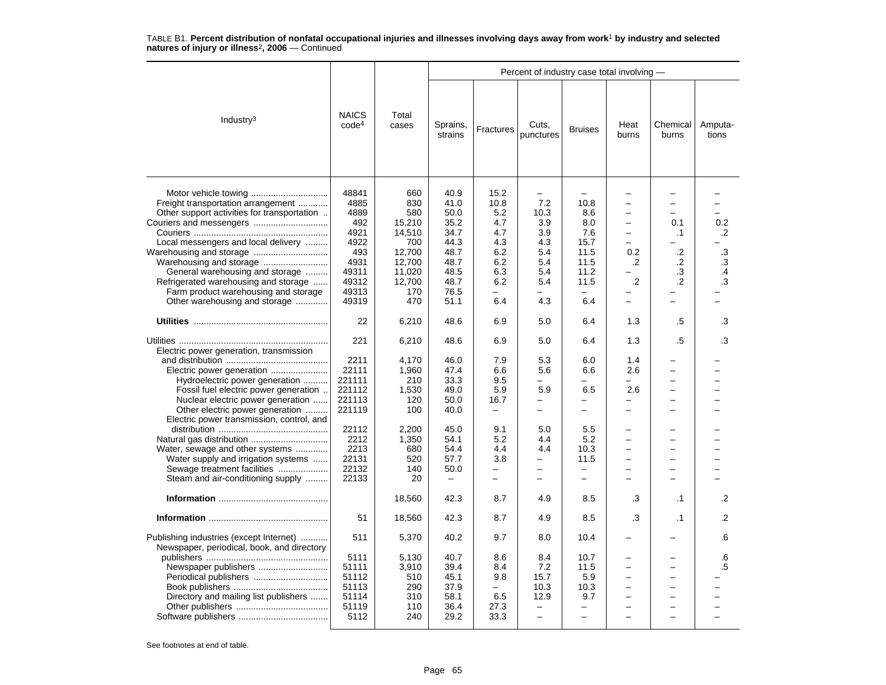|                                                                                                                                                                                                                                                                                                                                                                                        |                                                                                                                  |                                                                                                    |                                                                                              |                                                                                                      | Percent of industry case total involving -                                                                                                          |                                                                                                                          |                                                                                           | Chemical<br>burns<br>$\overline{\phantom{0}}$<br>$\overline{\phantom{0}}$<br>$\overline{\phantom{0}}$ |                                               |  |  |  |  |  |
|----------------------------------------------------------------------------------------------------------------------------------------------------------------------------------------------------------------------------------------------------------------------------------------------------------------------------------------------------------------------------------------|------------------------------------------------------------------------------------------------------------------|----------------------------------------------------------------------------------------------------|----------------------------------------------------------------------------------------------|------------------------------------------------------------------------------------------------------|-----------------------------------------------------------------------------------------------------------------------------------------------------|--------------------------------------------------------------------------------------------------------------------------|-------------------------------------------------------------------------------------------|-------------------------------------------------------------------------------------------------------|-----------------------------------------------|--|--|--|--|--|
| Industry $3$                                                                                                                                                                                                                                                                                                                                                                           | <b>NAICS</b><br>code <sup>4</sup>                                                                                | Total<br>cases                                                                                     | Sprains,<br>strains                                                                          | Fractures                                                                                            | Cuts,<br>punctures                                                                                                                                  | <b>Bruises</b>                                                                                                           | Heat<br>burns                                                                             |                                                                                                       | Amputa-<br>tions                              |  |  |  |  |  |
| Motor vehicle towing<br>Freight transportation arrangement<br>Other support activities for transportation<br>Local messengers and local delivery<br>General warehousing and storage<br>Refrigerated warehousing and storage<br>Farm product warehousing and storage<br>Other warehousing and storage                                                                                   | 48841<br>4885<br>4889<br>492<br>4921<br>4922<br>493<br>4931<br>49311<br>49312<br>49313<br>49319                  | 660<br>830<br>580<br>15,210<br>14,510<br>700<br>12,700<br>12,700<br>11.020<br>12,700<br>170<br>470 | 40.9<br>41.0<br>50.0<br>35.2<br>34.7<br>44.3<br>48.7<br>48.7<br>48.5<br>48.7<br>76.5<br>51.1 | 15.2<br>10.8<br>5.2<br>4.7<br>4.7<br>4.3<br>6.2<br>6.2<br>6.3<br>6.2<br>6.4                          | 7.2<br>10.3<br>3.9<br>3.9<br>4.3<br>5.4<br>5.4<br>5.4<br>5.4<br>4.3                                                                                 | 10.8<br>8.6<br>8.0<br>7.6<br>15.7<br>11.5<br>11.5<br>11.2<br>11.5<br>6.4                                                 | -<br>$\overline{\phantom{0}}$<br>-<br>0.2<br>.2<br>$\cdot$ .2<br>$\overline{\phantom{0}}$ | 0.1<br>$\cdot$ 1<br>.2<br>.2<br>$\cdot$ 3<br>$\cdot$ .2                                               | 0.2<br>$\cdot$<br>$\cdot$ 3<br>.3<br>.4<br>.3 |  |  |  |  |  |
|                                                                                                                                                                                                                                                                                                                                                                                        | 22                                                                                                               | 6,210                                                                                              | 48.6                                                                                         | 6.9                                                                                                  | 5.0                                                                                                                                                 | 6.4                                                                                                                      | 1.3                                                                                       | .5                                                                                                    | .3                                            |  |  |  |  |  |
| Electric power generation, transmission<br>Hydroelectric power generation<br>Fossil fuel electric power generation.<br>Nuclear electric power generation<br>Other electric power generation<br>Electric power transmission, control, and<br>Water, sewage and other systems<br>Water supply and irrigation systems<br>Sewage treatment facilities<br>Steam and air-conditioning supply | 221<br>2211<br>22111<br>221111<br>221112<br>221113<br>221119<br>22112<br>2212<br>2213<br>22131<br>22132<br>22133 | 6,210<br>4,170<br>1,960<br>210<br>1,530<br>120<br>100<br>2,200<br>1,350<br>680<br>520<br>140<br>20 | 48.6<br>46.0<br>47.4<br>33.3<br>49.0<br>50.0<br>40.0<br>45.0<br>54.1<br>54.4<br>57.7<br>50.0 | 6.9<br>7.9<br>6.6<br>9.5<br>5.9<br>16.7<br>$\overline{\phantom{0}}$<br>9.1<br>5.2<br>4.4<br>3.8<br>- | 5.0<br>5.3<br>5.6<br>5.9<br>$\overline{\phantom{0}}$<br>$\overline{a}$<br>5.0<br>4.4<br>4.4<br>$\overline{\phantom{0}}$<br>$\overline{\phantom{0}}$ | 6.4<br>6.0<br>6.6<br>6.5<br>$\overline{\phantom{0}}$<br>$\overline{\phantom{0}}$<br>5.5<br>5.2<br>10.3<br>11.5<br>-<br>- | 1.3<br>1.4<br>2.6<br>2.6<br>$\overline{\phantom{0}}$<br>$\overline{a}$<br>-<br>-          | .5<br>$\overline{\phantom{0}}$<br>$\overline{\phantom{0}}$<br>-<br>-<br>$\equiv$                      | .3                                            |  |  |  |  |  |
|                                                                                                                                                                                                                                                                                                                                                                                        |                                                                                                                  | 18,560                                                                                             | 42.3                                                                                         | 8.7                                                                                                  | 4.9                                                                                                                                                 | 8.5                                                                                                                      | .3                                                                                        | $\cdot$ 1                                                                                             | $\cdot$                                       |  |  |  |  |  |
|                                                                                                                                                                                                                                                                                                                                                                                        | 51                                                                                                               | 18,560                                                                                             | 42.3                                                                                         | 8.7                                                                                                  | 4.9                                                                                                                                                 | 8.5                                                                                                                      | .3                                                                                        | $\cdot$ 1                                                                                             | .2                                            |  |  |  |  |  |
| Publishing industries (except Internet)<br>Newspaper, periodical, book, and directory                                                                                                                                                                                                                                                                                                  | 511                                                                                                              | 5,370                                                                                              | 40.2                                                                                         | 9.7                                                                                                  | 8.0                                                                                                                                                 | 10.4                                                                                                                     |                                                                                           |                                                                                                       | .6                                            |  |  |  |  |  |
| Newspaper publishers<br>Periodical publishers<br>Directory and mailing list publishers                                                                                                                                                                                                                                                                                                 | 5111<br>51111<br>51112<br>51113<br>51114<br>51119<br>5112                                                        | 5,130<br>3.910<br>510<br>290<br>310<br>110<br>240                                                  | 40.7<br>39.4<br>45.1<br>37.9<br>58.1<br>36.4<br>29.2                                         | 8.6<br>8.4<br>9.8<br>$\overline{\phantom{0}}$<br>6.5<br>27.3<br>33.3                                 | 8.4<br>7.2<br>15.7<br>10.3<br>12.9<br>$\overline{\phantom{0}}$<br>$\overline{\phantom{0}}$                                                          | 10.7<br>11.5<br>5.9<br>10.3<br>9.7<br>-<br>$\overline{a}$                                                                | -<br>$\overline{\phantom{0}}$<br>$\overline{\phantom{0}}$                                 | $\overline{\phantom{0}}$<br>$\overline{\phantom{0}}$<br>$\overline{\phantom{0}}$                      | .6<br>.5                                      |  |  |  |  |  |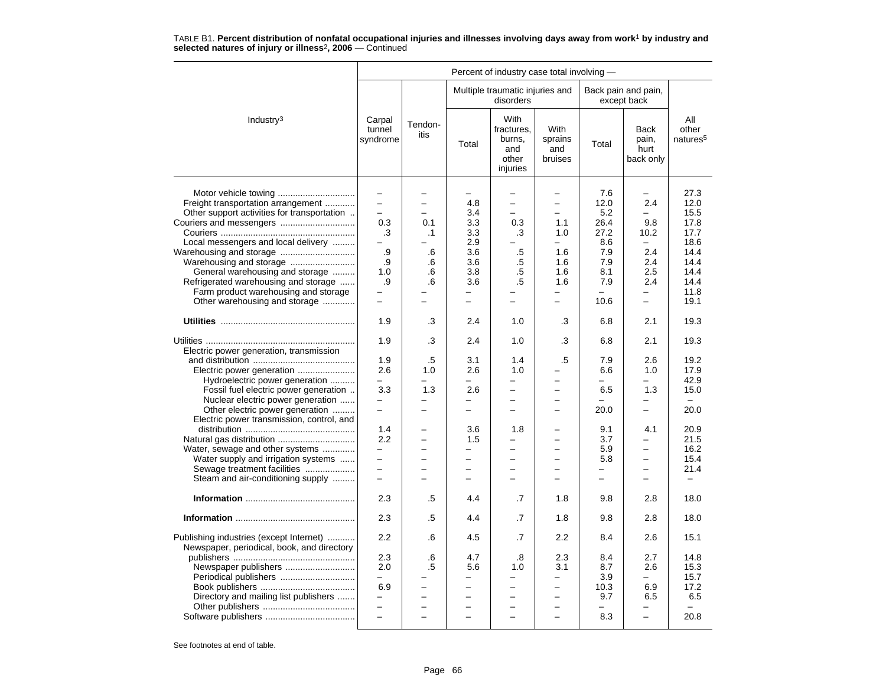|                                                                                                                                                                                                                                                                                                                                                                               |                                                                                                                                                                       |                                                                                 |                                                                                                                            |                                                                                                                                                |                                                                                                                                                                                            | Percent of industry case total involving -                                                       |                                                                                                                                                             |                                                                                                      |  |  |  |  |  |  |
|-------------------------------------------------------------------------------------------------------------------------------------------------------------------------------------------------------------------------------------------------------------------------------------------------------------------------------------------------------------------------------|-----------------------------------------------------------------------------------------------------------------------------------------------------------------------|---------------------------------------------------------------------------------|----------------------------------------------------------------------------------------------------------------------------|------------------------------------------------------------------------------------------------------------------------------------------------|--------------------------------------------------------------------------------------------------------------------------------------------------------------------------------------------|--------------------------------------------------------------------------------------------------|-------------------------------------------------------------------------------------------------------------------------------------------------------------|------------------------------------------------------------------------------------------------------|--|--|--|--|--|--|
|                                                                                                                                                                                                                                                                                                                                                                               |                                                                                                                                                                       |                                                                                 |                                                                                                                            | Multiple traumatic injuries and<br>disorders                                                                                                   |                                                                                                                                                                                            |                                                                                                  | Back pain and pain,<br>except back                                                                                                                          |                                                                                                      |  |  |  |  |  |  |
| Industry $3$                                                                                                                                                                                                                                                                                                                                                                  | Carpal<br>tunnel<br>syndrome                                                                                                                                          | Tendon-<br>itis                                                                 | Total                                                                                                                      | With<br>fractures,<br>burns,<br>and<br>other<br>injuries                                                                                       | With<br>sprains<br>and<br>bruises                                                                                                                                                          | Total                                                                                            | <b>Back</b><br>pain,<br>hurt<br>back only                                                                                                                   | All<br>other<br>natures <sup>5</sup>                                                                 |  |  |  |  |  |  |
| Freight transportation arrangement<br>Other support activities for transportation<br>Local messengers and local delivery<br>Warehousing and storage<br>Warehousing and storage<br>General warehousing and storage<br>Refrigerated warehousing and storage<br>Farm product warehousing and storage<br>Other warehousing and storage                                            | $\overline{\phantom{m}}$<br>$\equiv$<br>$\overline{\phantom{0}}$<br>0.3<br>.3<br>.9<br>.9<br>1.0<br>.9<br>$\overline{\phantom{0}}$<br>$\overline{\phantom{m}}$<br>1.9 | $\overline{\phantom{0}}$<br>÷<br>0.1<br>$\cdot$ 1<br>.6<br>.6<br>.6<br>.6<br>.3 | 4.8<br>3.4<br>3.3<br>3.3<br>2.9<br>3.6<br>3.6<br>3.8<br>3.6<br>$\overline{\phantom{0}}$<br>$\overline{\phantom{0}}$<br>2.4 | $\overline{\phantom{0}}$<br>$\overline{\phantom{0}}$<br>$\overline{a}$<br>0.3<br>.3<br>.5<br>.5<br>.5<br>.5<br>$\overline{\phantom{0}}$<br>1.0 | $\overline{\phantom{0}}$<br>$\overline{\phantom{0}}$<br>$\overline{a}$<br>1.1<br>1.0<br>$\equiv$<br>1.6<br>1.6<br>1.6<br>1.6<br>$\overline{\phantom{0}}$<br>$\overline{\phantom{0}}$<br>.3 | 7.6<br>12.0<br>5.2<br>26.4<br>27.2<br>8.6<br>7.9<br>7.9<br>8.1<br>7.9<br>$\equiv$<br>10.6<br>6.8 | $\overline{\phantom{0}}$<br>2.4<br>$\overline{\phantom{0}}$<br>9.8<br>10.2<br>$\equiv$<br>2.4<br>2.4<br>2.5<br>2.4<br>÷.<br>$\overline{\phantom{0}}$<br>2.1 | 27.3<br>12.0<br>15.5<br>17.8<br>17.7<br>18.6<br>14.4<br>14.4<br>14.4<br>14.4<br>11.8<br>19.1<br>19.3 |  |  |  |  |  |  |
|                                                                                                                                                                                                                                                                                                                                                                               |                                                                                                                                                                       |                                                                                 |                                                                                                                            |                                                                                                                                                |                                                                                                                                                                                            |                                                                                                  |                                                                                                                                                             |                                                                                                      |  |  |  |  |  |  |
| Electric power generation, transmission<br>Electric power generation<br>Hydroelectric power generation<br>Fossil fuel electric power generation<br>Nuclear electric power generation<br>Other electric power generation<br>Electric power transmission, control, and<br>Water, sewage and other systems<br>Water supply and irrigation systems<br>Sewage treatment facilities | 1.9<br>1.9<br>2.6<br>3.3<br>$\overline{\phantom{m}}$<br>$\equiv$<br>1.4<br>2.2<br>$\overline{\phantom{0}}$<br>$\overline{\phantom{m}}$                                | .3<br>.5<br>1.0<br>1.3<br>L.<br>÷<br>$\equiv$                                   | 2.4<br>3.1<br>2.6<br>2.6<br>-<br>$\overline{\phantom{0}}$<br>3.6<br>1.5<br>$\overline{\phantom{0}}$<br>$\equiv$            | 1.0<br>1.4<br>1.0<br>$\overline{\phantom{0}}$<br>-<br>÷<br>1.8<br>$\overline{\phantom{0}}$<br>$\overline{\phantom{0}}$<br>$\equiv$<br>$\equiv$ | .3<br>$.5\,$<br>$\equiv$<br>$\overline{\phantom{0}}$<br>$\overline{\phantom{0}}$<br>$\equiv$                                                                                               | 6.8<br>7.9<br>6.6<br>6.5<br>20.0<br>9.1<br>3.7<br>5.9<br>5.8<br>$\overline{\phantom{m}}$         | 2.1<br>2.6<br>1.0<br>1.3<br>$\overline{\phantom{0}}$<br>4.1<br>$\overline{\phantom{0}}$<br>$\overline{\phantom{0}}$<br>$\equiv$                             | 19.3<br>19.2<br>17.9<br>42.9<br>15.0<br>$\equiv$<br>20.0<br>20.9<br>21.5<br>16.2<br>15.4<br>21.4     |  |  |  |  |  |  |
| Steam and air-conditioning supply                                                                                                                                                                                                                                                                                                                                             |                                                                                                                                                                       |                                                                                 |                                                                                                                            |                                                                                                                                                |                                                                                                                                                                                            |                                                                                                  |                                                                                                                                                             |                                                                                                      |  |  |  |  |  |  |
|                                                                                                                                                                                                                                                                                                                                                                               | 2.3                                                                                                                                                                   | .5                                                                              | 4.4                                                                                                                        | .7                                                                                                                                             | 1.8                                                                                                                                                                                        | 9.8                                                                                              | 2.8                                                                                                                                                         | 18.0                                                                                                 |  |  |  |  |  |  |
|                                                                                                                                                                                                                                                                                                                                                                               | 2.3                                                                                                                                                                   | .5                                                                              | 4.4                                                                                                                        | .7                                                                                                                                             | 1.8                                                                                                                                                                                        | 9.8                                                                                              | 2.8                                                                                                                                                         | 18.0                                                                                                 |  |  |  |  |  |  |
| Publishing industries (except Internet)<br>Newspaper, periodical, book, and directory                                                                                                                                                                                                                                                                                         | 2.2<br>2.3                                                                                                                                                            | .6<br>.6                                                                        | 4.5<br>4.7                                                                                                                 | .7<br>.8                                                                                                                                       | 2.2<br>2.3                                                                                                                                                                                 | 8.4<br>8.4                                                                                       | 2.6<br>2.7                                                                                                                                                  | 15.1<br>14.8                                                                                         |  |  |  |  |  |  |
| Newspaper publishers<br>Periodical publishers<br>Directory and mailing list publishers                                                                                                                                                                                                                                                                                        | 2.0<br>6.9<br>$\qquad \qquad -$                                                                                                                                       | .5<br>$\equiv$<br>$\equiv$                                                      | 5.6<br>-<br>$\overline{a}$<br>$\overline{\phantom{0}}$                                                                     | 1.0<br>-<br>$\equiv$<br>$\overline{\phantom{0}}$<br>$\overline{\phantom{0}}$                                                                   | 3.1<br>$\overline{\phantom{0}}$<br>$\overline{\phantom{0}}$                                                                                                                                | 8.7<br>3.9<br>10.3<br>9.7                                                                        | 2.6<br>6.9<br>6.5                                                                                                                                           | 15.3<br>15.7<br>17.2<br>6.5                                                                          |  |  |  |  |  |  |
|                                                                                                                                                                                                                                                                                                                                                                               | $\equiv$                                                                                                                                                              | $\overline{\phantom{0}}$                                                        | $\overline{\phantom{0}}$                                                                                                   | $\overline{\phantom{0}}$                                                                                                                       | $\overline{a}$                                                                                                                                                                             | 8.3                                                                                              | $\overline{\phantom{0}}$                                                                                                                                    | 20.8                                                                                                 |  |  |  |  |  |  |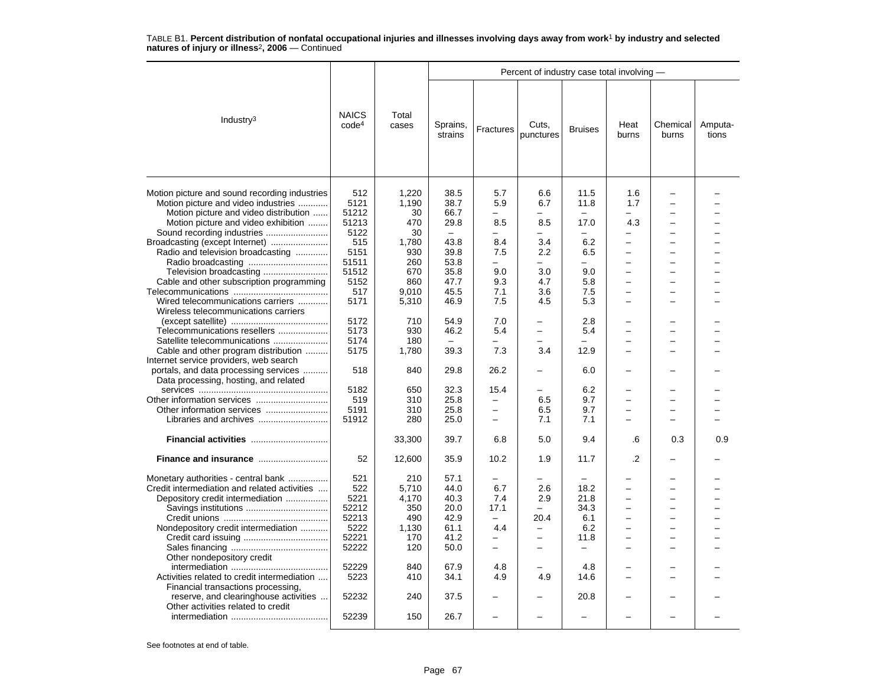|                                                                                                                                                                                                                                                                                                                                                                                                                                                                                                                                                                                                                                     |                                                                                                                                                                      |                                                                                                                                                           |                                                                                                                                                                  |                                                                                                                                                                                                  | Percent of industry case total involving -                                                                                                                          |                                                                                                                                                                 |                                                                                                              |                                                                                              |                  |
|-------------------------------------------------------------------------------------------------------------------------------------------------------------------------------------------------------------------------------------------------------------------------------------------------------------------------------------------------------------------------------------------------------------------------------------------------------------------------------------------------------------------------------------------------------------------------------------------------------------------------------------|----------------------------------------------------------------------------------------------------------------------------------------------------------------------|-----------------------------------------------------------------------------------------------------------------------------------------------------------|------------------------------------------------------------------------------------------------------------------------------------------------------------------|--------------------------------------------------------------------------------------------------------------------------------------------------------------------------------------------------|---------------------------------------------------------------------------------------------------------------------------------------------------------------------|-----------------------------------------------------------------------------------------------------------------------------------------------------------------|--------------------------------------------------------------------------------------------------------------|----------------------------------------------------------------------------------------------|------------------|
| Industry <sup>3</sup>                                                                                                                                                                                                                                                                                                                                                                                                                                                                                                                                                                                                               | <b>NAICS</b><br>code <sup>4</sup>                                                                                                                                    | Total<br>cases                                                                                                                                            | Sprains,<br>strains                                                                                                                                              | Fractures                                                                                                                                                                                        | Cuts,<br>punctures                                                                                                                                                  | <b>Bruises</b>                                                                                                                                                  | Heat<br>burns                                                                                                | Chemical<br>burns                                                                            | Amputa-<br>tions |
| Motion picture and sound recording industries<br>Motion picture and video industries<br>Motion picture and video distribution<br>Motion picture and video exhibition<br>Broadcasting (except Internet)<br>Radio and television broadcasting<br>Television broadcasting<br>Cable and other subscription programming<br>Wired telecommunications carriers<br>Wireless telecommunications carriers<br>Telecommunications resellers<br>Satellite telecommunications<br>Cable and other program distribution<br>Internet service providers, web search<br>portals, and data processing services<br>Data processing, hosting, and related | 512<br>5121<br>51212<br>51213<br>5122<br>515<br>5151<br>51511<br>51512<br>5152<br>517<br>5171<br>5172<br>5173<br>5174<br>5175<br>518<br>5182<br>519<br>5191<br>51912 | 1,220<br>1,190<br>30<br>470<br>30<br>1,780<br>930<br>260<br>670<br>860<br>9.010<br>5,310<br>710<br>930<br>180<br>1,780<br>840<br>650<br>310<br>310<br>280 | 38.5<br>38.7<br>66.7<br>29.8<br>$\equiv$<br>43.8<br>39.8<br>53.8<br>35.8<br>47.7<br>45.5<br>46.9<br>54.9<br>46.2<br>39.3<br>29.8<br>32.3<br>25.8<br>25.8<br>25.0 | 5.7<br>5.9<br>8.5<br>$\equiv$<br>8.4<br>7.5<br>$\overline{\phantom{0}}$<br>9.0<br>9.3<br>7.1<br>7.5<br>7.0<br>5.4<br>7.3<br>26.2<br>15.4<br>$\overline{\phantom{0}}$<br>$\overline{\phantom{0}}$ | 6.6<br>6.7<br>8.5<br>-<br>3.4<br>2.2<br>$\equiv$<br>3.0<br>4.7<br>3.6<br>4.5<br>-<br>$\overline{\phantom{0}}$<br>L<br>3.4<br>$\qquad \qquad -$<br>6.5<br>6.5<br>7.1 | 11.5<br>11.8<br>17.0<br>$\overline{\phantom{0}}$<br>6.2<br>6.5<br>$\equiv$<br>9.0<br>5.8<br>7.5<br>5.3<br>2.8<br>5.4<br>12.9<br>6.0<br>6.2<br>9.7<br>9.7<br>7.1 | 1.6<br>1.7<br>4.3<br>L.<br>$\overline{\phantom{0}}$<br>$\overline{\phantom{0}}$<br>$\equiv$<br>۳<br>$\equiv$ | $\equiv$<br>-<br>$\equiv$<br>-<br>÷<br>$\equiv$<br>-                                         |                  |
|                                                                                                                                                                                                                                                                                                                                                                                                                                                                                                                                                                                                                                     |                                                                                                                                                                      | 33,300                                                                                                                                                    | 39.7                                                                                                                                                             | 6.8                                                                                                                                                                                              | 5.0                                                                                                                                                                 | 9.4                                                                                                                                                             | .6                                                                                                           | 0.3                                                                                          | 0.9              |
| Finance and insurance                                                                                                                                                                                                                                                                                                                                                                                                                                                                                                                                                                                                               | 52                                                                                                                                                                   | 12,600                                                                                                                                                    | 35.9                                                                                                                                                             | 10.2                                                                                                                                                                                             | 1.9                                                                                                                                                                 | 11.7                                                                                                                                                            | $\overline{2}$                                                                                               |                                                                                              |                  |
| Monetary authorities - central bank<br>Credit intermediation and related activities<br>Depository credit intermediation<br>Nondepository credit intermediation<br>Other nondepository credit<br>Activities related to credit intermediation<br>Financial transactions processing,<br>reserve, and clearinghouse activities<br>Other activities related to credit                                                                                                                                                                                                                                                                    | 521<br>522<br>5221<br>52212<br>52213<br>5222<br>52221<br>52222<br>52229<br>5223<br>52232                                                                             | 210<br>5.710<br>4.170<br>350<br>490<br>1,130<br>170<br>120<br>840<br>410<br>240                                                                           | 57.1<br>44.0<br>40.3<br>20.0<br>42.9<br>61.1<br>41.2<br>50.0<br>67.9<br>34.1<br>37.5                                                                             | 6.7<br>7.4<br>17.1<br>$\overline{\phantom{0}}$<br>4.4<br>$\equiv$<br>$\equiv$<br>4.8<br>4.9                                                                                                      | 2.6<br>2.9<br>20.4<br>$\overline{\phantom{0}}$<br>$\equiv$<br>$\equiv$<br>4.9<br>$\overline{\phantom{0}}$                                                           | 18.2<br>21.8<br>34.3<br>6.1<br>6.2<br>11.8<br>$\overline{\phantom{0}}$<br>4.8<br>14.6<br>20.8                                                                   | $\overline{\phantom{0}}$<br>$\equiv$<br>$\equiv$                                                             | $\overline{\phantom{0}}$<br>$\overline{\phantom{0}}$<br>$\overline{\phantom{0}}$<br>$\equiv$ |                  |
|                                                                                                                                                                                                                                                                                                                                                                                                                                                                                                                                                                                                                                     | 52239                                                                                                                                                                | 150                                                                                                                                                       | 26.7                                                                                                                                                             |                                                                                                                                                                                                  |                                                                                                                                                                     |                                                                                                                                                                 |                                                                                                              |                                                                                              |                  |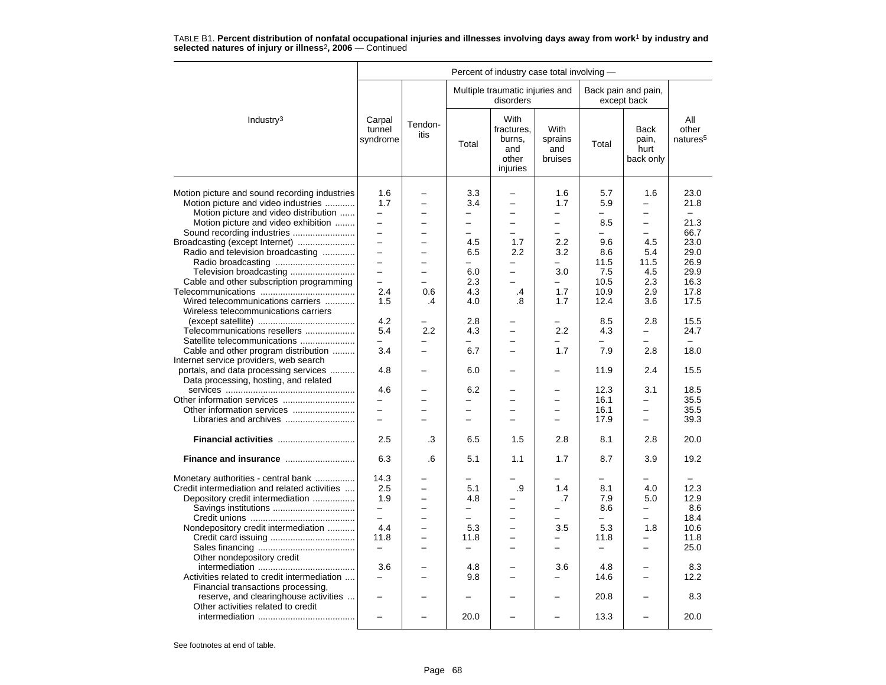|                                                                                                                                                                                                                                                                                                                                                                                                                                                                                                                                                                                                                                                                                                 |                                                                                                                                                                                                  |                                                                                                      |                                                                                                                                                                                                                                                             | Percent of industry case total involving -                                                                                                                                                                                                                                                         |                                                                                                                    |                                                                                                                                                                                                 |                                                                                                                                                                                                                                    |                                                                                                                                                                                      |
|-------------------------------------------------------------------------------------------------------------------------------------------------------------------------------------------------------------------------------------------------------------------------------------------------------------------------------------------------------------------------------------------------------------------------------------------------------------------------------------------------------------------------------------------------------------------------------------------------------------------------------------------------------------------------------------------------|--------------------------------------------------------------------------------------------------------------------------------------------------------------------------------------------------|------------------------------------------------------------------------------------------------------|-------------------------------------------------------------------------------------------------------------------------------------------------------------------------------------------------------------------------------------------------------------|----------------------------------------------------------------------------------------------------------------------------------------------------------------------------------------------------------------------------------------------------------------------------------------------------|--------------------------------------------------------------------------------------------------------------------|-------------------------------------------------------------------------------------------------------------------------------------------------------------------------------------------------|------------------------------------------------------------------------------------------------------------------------------------------------------------------------------------------------------------------------------------|--------------------------------------------------------------------------------------------------------------------------------------------------------------------------------------|
|                                                                                                                                                                                                                                                                                                                                                                                                                                                                                                                                                                                                                                                                                                 |                                                                                                                                                                                                  |                                                                                                      |                                                                                                                                                                                                                                                             | Multiple traumatic injuries and<br>disorders                                                                                                                                                                                                                                                       |                                                                                                                    |                                                                                                                                                                                                 | Back pain and pain,<br>except back                                                                                                                                                                                                 |                                                                                                                                                                                      |
| Industry <sup>3</sup>                                                                                                                                                                                                                                                                                                                                                                                                                                                                                                                                                                                                                                                                           | Carpal<br>tunnel<br>syndrome                                                                                                                                                                     | Tendon-<br>itis                                                                                      | Total                                                                                                                                                                                                                                                       | With<br>fractures,<br>burns,<br>and<br>other<br>injuries                                                                                                                                                                                                                                           | With<br>sprains<br>and<br>bruises                                                                                  | Total                                                                                                                                                                                           | <b>Back</b><br>pain,<br>hurt<br>back only                                                                                                                                                                                          | All<br>other<br>natures <sup>5</sup>                                                                                                                                                 |
| Motion picture and sound recording industries<br>Motion picture and video industries<br>Motion picture and video distribution<br>Motion picture and video exhibition<br>Sound recording industries<br>Broadcasting (except Internet)<br>Radio and television broadcasting<br>Television broadcasting<br>Cable and other subscription programming<br>Wired telecommunications carriers<br>Wireless telecommunications carriers<br>Telecommunications resellers<br>Satellite telecommunications<br>Cable and other program distribution<br>Internet service providers, web search<br>portals, and data processing services<br>Data processing, hosting, and related<br>Other information services | 1.6<br>1.7<br>$\overline{\phantom{0}}$<br>$\equiv$<br>$\equiv$<br>$\overline{\phantom{0}}$<br>$\equiv$<br>$\equiv$<br>$\equiv$<br>2.4<br>1.5<br>4.2<br>5.4<br>-<br>3.4<br>4.8<br>4.6<br>$\equiv$ | $\overline{a}$<br>-<br>$\overline{\phantom{0}}$<br>-<br>$\equiv$<br>0.6<br>$\cdot$<br>2.2<br>—<br>L. | 3.3<br>3.4<br>$\overline{\phantom{0}}$<br>$\overline{\phantom{0}}$<br>$\overline{a}$<br>4.5<br>6.5<br>L.<br>6.0<br>2.3<br>4.3<br>4.0<br>2.8<br>4.3<br>$\overline{\phantom{0}}$<br>6.7<br>6.0<br>6.2<br>$\overline{\phantom{0}}$<br>$\overline{\phantom{0}}$ | -<br>$\overline{\phantom{0}}$<br>$\overline{\phantom{0}}$<br>$\overline{\phantom{0}}$<br>$\equiv$<br>1.7<br>2.2<br>$\overline{\phantom{0}}$<br>$\equiv$<br>$\overline{\phantom{0}}$<br>.4<br>.8<br>$\overline{\phantom{0}}$<br>-<br>$\overline{\phantom{0}}$<br>-<br>$\overline{\phantom{0}}$<br>÷ | 1.6<br>1.7<br>—<br>$\overline{\phantom{0}}$<br>$\equiv$<br>2.2<br>3.2<br>3.0<br>1.7<br>1.7<br>2.2<br>-<br>1.7<br>- | 5.7<br>5.9<br>$\overline{\phantom{0}}$<br>8.5<br>$\overline{\phantom{0}}$<br>9.6<br>8.6<br>11.5<br>7.5<br>10.5<br>10.9<br>12.4<br>8.5<br>4.3<br>$\equiv$<br>7.9<br>11.9<br>12.3<br>16.1<br>16.1 | 1.6<br>-<br>$\overline{\phantom{0}}$<br>-<br>$\overline{a}$<br>4.5<br>5.4<br>11.5<br>4.5<br>2.3<br>2.9<br>3.6<br>2.8<br>$\overline{\phantom{0}}$<br>-<br>2.8<br>2.4<br>3.1<br>$\overline{\phantom{0}}$<br>$\overline{\phantom{0}}$ | 23.0<br>21.8<br>$\overline{\phantom{0}}$<br>21.3<br>66.7<br>23.0<br>29.0<br>26.9<br>29.9<br>16.3<br>17.8<br>17.5<br>15.5<br>24.7<br>$\equiv$<br>18.0<br>15.5<br>18.5<br>35.5<br>35.5 |
| Libraries and archives                                                                                                                                                                                                                                                                                                                                                                                                                                                                                                                                                                                                                                                                          | $\equiv$                                                                                                                                                                                         | $=$                                                                                                  | $\overline{\phantom{0}}$                                                                                                                                                                                                                                    | $\overline{\phantom{0}}$                                                                                                                                                                                                                                                                           | $\equiv$                                                                                                           | 17.9                                                                                                                                                                                            | $\overline{a}$                                                                                                                                                                                                                     | 39.3                                                                                                                                                                                 |
| Financial activities<br>Finance and insurance                                                                                                                                                                                                                                                                                                                                                                                                                                                                                                                                                                                                                                                   | 2.5<br>6.3                                                                                                                                                                                       | .3<br>.6                                                                                             | 6.5<br>5.1                                                                                                                                                                                                                                                  | 1.5<br>1.1                                                                                                                                                                                                                                                                                         | 2.8<br>1.7                                                                                                         | 8.1<br>8.7                                                                                                                                                                                      | 2.8<br>3.9                                                                                                                                                                                                                         | 20.0<br>19.2                                                                                                                                                                         |
| Monetary authorities - central bank<br>Credit intermediation and related activities<br>Depository credit intermediation<br>Nondepository credit intermediation<br>Other nondepository credit<br>Activities related to credit intermediation<br>Financial transactions processing,<br>reserve, and clearinghouse activities<br>Other activities related to credit                                                                                                                                                                                                                                                                                                                                | 14.3<br>2.5<br>1.9<br>-<br>4.4<br>11.8<br>$\overline{\phantom{0}}$<br>3.6<br>$\equiv$                                                                                                            | L.<br>$\overline{\phantom{0}}$<br>-<br>÷<br>$\equiv$                                                 | 5.1<br>4.8<br>$\overline{\phantom{0}}$<br>5.3<br>11.8<br>$\equiv$<br>4.8<br>9.8<br>-<br>20.0                                                                                                                                                                | .9<br>-<br>$\overline{\phantom{0}}$<br>-<br>$\equiv$<br>$\overline{\phantom{0}}$<br>$\equiv$<br>$\overline{\phantom{0}}$<br>$\overline{\phantom{0}}$                                                                                                                                               | 1.4<br>.7<br>3.5<br>$\overline{\phantom{0}}$<br>3.6<br>-                                                           | 8.1<br>7.9<br>8.6<br>$\overline{\phantom{0}}$<br>5.3<br>11.8<br>$\overline{\phantom{0}}$<br>4.8<br>14.6<br>20.8<br>13.3                                                                         | 4.0<br>5.0<br>$\overline{\phantom{0}}$<br>-<br>1.8<br>$\overline{a}$<br>$\overline{\phantom{0}}$<br>L.<br>$\overline{\phantom{0}}$                                                                                                 | 12.3<br>12.9<br>8.6<br>18.4<br>10.6<br>11.8<br>25.0<br>8.3<br>12.2<br>8.3<br>20.0                                                                                                    |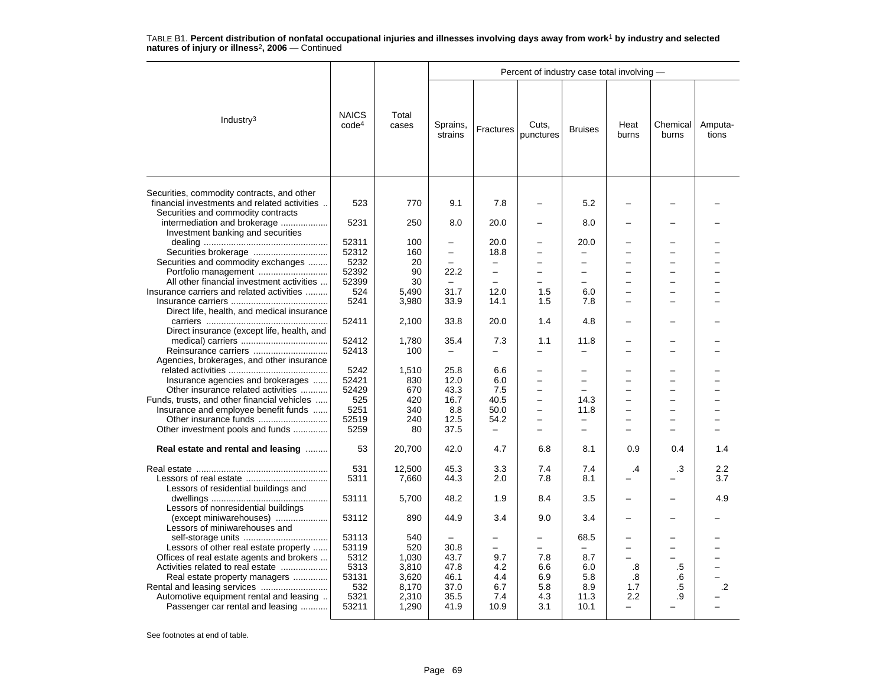|                                                                                                                                  |                                   |                |                          |                          | Percent of industry case total involving - |                               |                          |                          |                  |
|----------------------------------------------------------------------------------------------------------------------------------|-----------------------------------|----------------|--------------------------|--------------------------|--------------------------------------------|-------------------------------|--------------------------|--------------------------|------------------|
| Industry <sup>3</sup>                                                                                                            | <b>NAICS</b><br>code <sup>4</sup> | Total<br>cases | Sprains,<br>strains      | Fractures                | Cuts,<br>punctures                         | <b>Bruises</b>                | Heat<br>burns            | Chemical<br>burns        | Amputa-<br>tions |
| Securities, commodity contracts, and other<br>financial investments and related activities<br>Securities and commodity contracts | 523                               | 770            | 9.1                      | 7.8                      |                                            | 5.2                           |                          |                          |                  |
| intermediation and brokerage                                                                                                     | 5231                              | 250            | 8.0                      | 20.0                     |                                            | 8.0                           |                          |                          |                  |
| Investment banking and securities                                                                                                | 52311                             | 100            | $\overline{\phantom{0}}$ | 20.0                     |                                            | 20.0                          |                          |                          |                  |
| Securities brokerage                                                                                                             | 52312                             | 160            | $\overline{\phantom{0}}$ | 18.8                     | $\overline{\phantom{0}}$                   | ÷                             |                          |                          |                  |
| Securities and commodity exchanges                                                                                               | 5232                              | 20             | $\overline{\phantom{0}}$ | $\overline{\phantom{0}}$ | $\overline{\phantom{0}}$                   | $\overline{\phantom{0}}$      |                          | -                        |                  |
| Portfolio management                                                                                                             | 52392                             | 90             | 22.2                     | $\overline{\phantom{0}}$ | -                                          | -                             |                          |                          |                  |
| All other financial investment activities                                                                                        | 52399                             | 30             |                          |                          |                                            | $\overline{\phantom{0}}$      |                          |                          |                  |
| Insurance carriers and related activities                                                                                        | 524                               | 5,490          | 31.7                     | 12.0                     | 1.5                                        | 6.0                           |                          |                          |                  |
|                                                                                                                                  | 5241                              | 3,980          | 33.9                     | 14.1                     | 1.5                                        | 7.8                           | -                        | -                        |                  |
| Direct life, health, and medical insurance                                                                                       |                                   |                |                          |                          |                                            |                               |                          |                          |                  |
|                                                                                                                                  | 52411                             | 2,100          | 33.8                     | 20.0                     | 1.4                                        | 4.8                           |                          |                          |                  |
| Direct insurance (except life, health, and                                                                                       |                                   |                |                          |                          |                                            |                               |                          |                          |                  |
|                                                                                                                                  | 52412                             | 1,780          | 35.4                     | 7.3                      | 1.1                                        | 11.8                          |                          |                          |                  |
|                                                                                                                                  | 52413                             | 100            | $\equiv$                 |                          | $\overline{\phantom{0}}$                   | $\overline{\phantom{0}}$      |                          |                          |                  |
| Agencies, brokerages, and other insurance                                                                                        |                                   |                |                          |                          |                                            |                               |                          |                          |                  |
|                                                                                                                                  | 5242                              | 1,510          | 25.8                     | 6.6                      | $\overline{\phantom{0}}$                   |                               |                          |                          |                  |
| Insurance agencies and brokerages                                                                                                | 52421                             | 830            | 12.0                     | 6.0                      | -                                          | -<br>$\overline{\phantom{0}}$ |                          |                          |                  |
| Other insurance related activities                                                                                               | 52429                             | 670            | 43.3                     | 7.5                      | -<br>$\overline{\phantom{0}}$              |                               | -                        | $\equiv$                 |                  |
| Funds, trusts, and other financial vehicles                                                                                      | 525<br>5251                       | 420<br>340     | 16.7<br>8.8              | 40.5<br>50.0             | $\overline{\phantom{0}}$                   | 14.3<br>11.8                  | -                        | $\overline{\phantom{0}}$ |                  |
| Insurance and employee benefit funds<br>Other insurance funds                                                                    | 52519                             | 240            | 12.5                     | 54.2                     |                                            | $\overline{\phantom{0}}$      |                          |                          |                  |
| Other investment pools and funds                                                                                                 | 5259                              | 80             | 37.5                     |                          | ÷                                          | $\overline{\phantom{0}}$      |                          |                          |                  |
|                                                                                                                                  |                                   |                |                          |                          |                                            |                               |                          |                          |                  |
| Real estate and rental and leasing                                                                                               | 53                                | 20,700         | 42.0                     | 4.7                      | 6.8                                        | 8.1                           | 0.9                      | 0.4                      | 1.4              |
|                                                                                                                                  | 531                               | 12,500         | 45.3                     | 3.3                      | 7.4                                        | 7.4                           | $\cdot$                  | .3                       | 2.2              |
|                                                                                                                                  | 5311                              | 7,660          | 44.3                     | 2.0                      | 7.8                                        | 8.1                           |                          |                          | 3.7              |
| Lessors of residential buildings and                                                                                             |                                   |                |                          |                          |                                            |                               |                          |                          |                  |
|                                                                                                                                  | 53111                             | 5,700          | 48.2                     | 1.9                      | 8.4                                        | 3.5                           |                          |                          | 4.9              |
| Lessors of nonresidential buildings<br>(except miniwarehouses)                                                                   | 53112                             | 890            | 44.9                     | 3.4                      | 9.0                                        | 3.4                           |                          |                          |                  |
| Lessors of miniwarehouses and                                                                                                    |                                   |                |                          |                          |                                            |                               |                          |                          |                  |
|                                                                                                                                  | 53113                             | 540            |                          |                          | ۳                                          | 68.5                          |                          |                          |                  |
| Lessors of other real estate property                                                                                            | 53119                             | 520            | 30.8                     | $\overline{\phantom{0}}$ |                                            | -                             |                          |                          |                  |
| Offices of real estate agents and brokers                                                                                        | 5312                              | 1,030          | 43.7                     | 9.7                      | 7.8                                        | 8.7                           |                          |                          |                  |
| Activities related to real estate                                                                                                | 5313                              | 3,810          | 47.8                     | 4.2                      | 6.6                                        | 6.0                           | .8                       | .5                       |                  |
| Real estate property managers                                                                                                    | 53131                             | 3,620          | 46.1                     | 4.4                      | 6.9                                        | 5.8                           | .8                       | .6                       |                  |
|                                                                                                                                  | 532                               | 8,170          | 37.0                     | 6.7                      | 5.8                                        | 8.9                           | 1.7                      | .5                       | .2               |
| Automotive equipment rental and leasing.                                                                                         | 5321                              | 2,310          | 35.5                     | 7.4                      | 4.3                                        | 11.3                          | 2.2                      | .9                       |                  |
| Passenger car rental and leasing                                                                                                 | 53211                             | 1,290          | 41.9                     | 10.9                     | 3.1                                        | 10.1                          | $\overline{\phantom{0}}$ |                          |                  |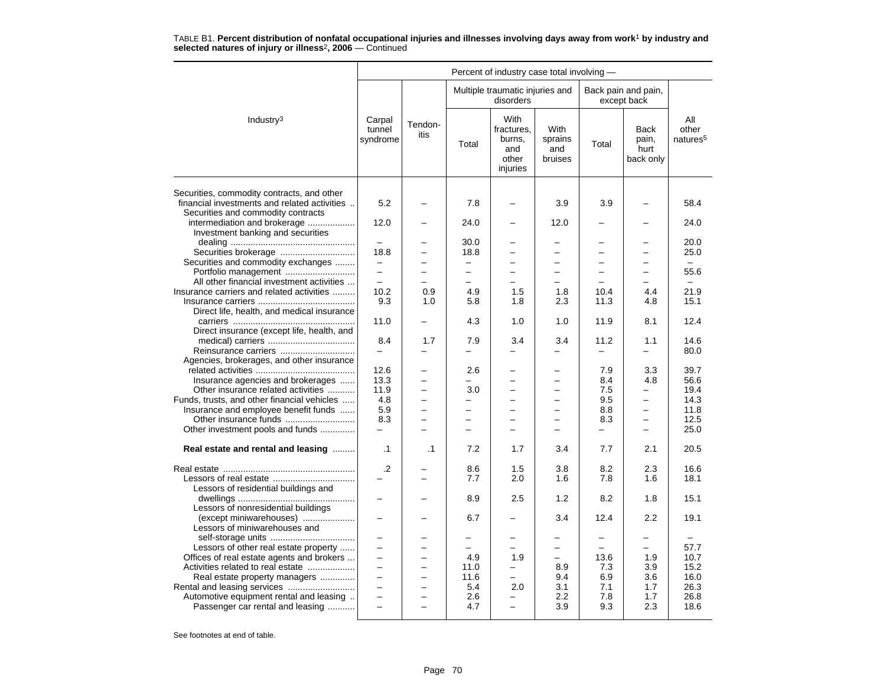| Multiple traumatic injuries and<br>Back pain and pain,<br>disorders<br>except back<br>With<br>Industry <sup>3</sup><br>Carpal<br>All<br>Tendon-<br>fractures,<br><b>With</b><br>tunnel<br><b>Back</b><br>other<br>itis<br>burns,<br>sprains<br>pain,<br>natures <sup>5</sup><br>syndrome<br>Total<br>Total<br>and<br>and<br>hurt<br>other<br>bruises<br>back only<br>injuries<br>Securities, commodity contracts, and other<br>financial investments and related activities<br>5.2<br>7.8<br>3.9<br>3.9<br>58.4<br>Securities and commodity contracts<br>intermediation and brokerage<br>12.0<br>24.0<br>12.0<br>24.0<br>Investment banking and securities<br>30.0<br>20.0<br>18.8<br>18.8<br>25.0<br>$\overline{\phantom{0}}$<br>$\overline{\phantom{0}}$<br>$\equiv$<br>$\overline{\phantom{0}}$<br>$\overline{\phantom{0}}$<br>Securities and commodity exchanges<br>-<br>$\overline{\phantom{0}}$<br>$\overline{\phantom{0}}$<br>$\qquad \qquad =$<br>$\overline{\phantom{m}}$<br>$\overline{\phantom{0}}$<br>-<br>Portfolio management<br>55.6<br>$\equiv$<br>$\overline{\phantom{0}}$<br>-<br>All other financial investment activities<br>$\equiv$<br>÷<br>$\equiv$<br>$\equiv$<br>$\equiv$<br>$\equiv$<br>-<br>Insurance carriers and related activities<br>10.2<br>1.5<br>21.9<br>0.9<br>4.9<br>1.8<br>10.4<br>4.4<br>9.3<br>11.3<br>15.1<br>1.0<br>5.8<br>1.8<br>2.3<br>4.8<br>Direct life, health, and medical insurance<br>12.4<br>11.0<br>4.3<br>1.0<br>1.0<br>11.9<br>8.1<br>-<br>Direct insurance (except life, health, and<br>14.6<br>8.4<br>1.7<br>7.9<br>3.4<br>3.4<br>11.2<br>1.1<br>Reinsurance carriers<br>80.0<br>$\overline{\phantom{0}}$<br>$\overline{\phantom{0}}$<br>$\overline{\phantom{0}}$<br>—<br>Agencies, brokerages, and other insurance<br>12.6<br>2.6<br>7.9<br>3.3<br>39.7<br>$\overline{\phantom{0}}$<br>Insurance agencies and brokerages<br>4.8<br>13.3<br>8.4<br>56.6<br>$\overline{\phantom{0}}$<br>L.<br>$\overline{\phantom{0}}$<br>$\equiv$<br>Other insurance related activities<br>11.9<br>3.0<br>7.5<br>19.4<br>Funds, trusts, and other financial vehicles<br>4.8<br>9.5<br>14.3<br>$\equiv$<br>$\overline{\phantom{0}}$<br>$\overline{\phantom{0}}$<br>$\overline{\phantom{0}}$<br>$\overline{\phantom{0}}$<br>Insurance and employee benefit funds<br>5.9<br>8.8<br>11.8<br>$\equiv$<br>$\overline{\phantom{0}}$<br>$\overline{\phantom{0}}$<br>$\overline{\phantom{0}}$<br>-<br>Other insurance funds<br>8.3<br>12.5<br>8.3<br>-<br>-<br>Other investment pools and funds<br>25.0<br>÷<br>$\overline{\phantom{0}}$<br>$\overline{a}$<br>7.2<br>7.7<br>2.1<br>20.5<br>Real estate and rental and leasing<br>$\cdot$ 1<br>$\cdot$ 1<br>1.7<br>3.4<br>$\cdot$<br>8.6<br>1.5<br>3.8<br>8.2<br>2.3<br>16.6<br>7.7<br>1.6<br>7.8<br>1.6<br>18.1<br>2.0<br>Lessors of residential buildings and<br>8.9<br>2.5<br>1.2<br>8.2<br>1.8<br>15.1<br>$\overline{\phantom{0}}$<br>-<br>Lessors of nonresidential buildings<br>2.2<br>(except miniwarehouses)<br>3.4<br>12.4<br>19.1<br>6.7<br>Lessors of miniwarehouses and<br>$\overline{\phantom{0}}$<br>$\overline{\phantom{a}}$<br>Lessors of other real estate property<br>57.7<br>$\equiv$<br>$\equiv$<br>$\overline{\phantom{0}}$<br>Offices of real estate agents and brokers<br>4.9<br>1.9<br>13.6<br>1.9<br>10.7<br>$\equiv$<br>$\overline{\phantom{0}}$<br>-<br>11.0<br>7.3<br>3.9<br>15.2<br>Activities related to real estate<br>8.9<br>16.0<br>Real estate property managers<br>$\qquad \qquad -$<br>11.6<br>9.4<br>6.9<br>3.6<br>$\overline{a}$<br>$\overline{a}$<br>$\equiv$<br>5.4<br>3.1<br>7.1<br>26.3<br>2.0<br>1.7<br>$\overline{\phantom{0}}$<br>Automotive equipment rental and leasing<br>2.6<br>2.2<br>7.8<br>26.8<br>$\equiv$<br>1.7<br>÷<br>Passenger car rental and leasing<br>3.9<br>9.3<br>2.3<br>18.6<br>4.7<br>$\equiv$<br>$\overline{a}$ | Percent of industry case total involving - |  |  |  |  |  |  |  |  |  |  |
|----------------------------------------------------------------------------------------------------------------------------------------------------------------------------------------------------------------------------------------------------------------------------------------------------------------------------------------------------------------------------------------------------------------------------------------------------------------------------------------------------------------------------------------------------------------------------------------------------------------------------------------------------------------------------------------------------------------------------------------------------------------------------------------------------------------------------------------------------------------------------------------------------------------------------------------------------------------------------------------------------------------------------------------------------------------------------------------------------------------------------------------------------------------------------------------------------------------------------------------------------------------------------------------------------------------------------------------------------------------------------------------------------------------------------------------------------------------------------------------------------------------------------------------------------------------------------------------------------------------------------------------------------------------------------------------------------------------------------------------------------------------------------------------------------------------------------------------------------------------------------------------------------------------------------------------------------------------------------------------------------------------------------------------------------------------------------------------------------------------------------------------------------------------------------------------------------------------------------------------------------------------------------------------------------------------------------------------------------------------------------------------------------------------------------------------------------------------------------------------------------------------------------------------------------------------------------------------------------------------------------------------------------------------------------------------------------------------------------------------------------------------------------------------------------------------------------------------------------------------------------------------------------------------------------------------------------------------------------------------------------------------------------------------------------------------------------------------------------------------------------------------------------------------------------------------------------------------------------------------------------------------------------------------------------------------------------------------------------------------------------------------------------------------------------------------------------------------------------------------------------------------------------------------------------------------------------------------------------------------------------------------------------------------------------------------------------------------------------------------------------------------------------------------------------------------------------------------------------------------|--------------------------------------------|--|--|--|--|--|--|--|--|--|--|
|                                                                                                                                                                                                                                                                                                                                                                                                                                                                                                                                                                                                                                                                                                                                                                                                                                                                                                                                                                                                                                                                                                                                                                                                                                                                                                                                                                                                                                                                                                                                                                                                                                                                                                                                                                                                                                                                                                                                                                                                                                                                                                                                                                                                                                                                                                                                                                                                                                                                                                                                                                                                                                                                                                                                                                                                                                                                                                                                                                                                                                                                                                                                                                                                                                                                                                                                                                                                                                                                                                                                                                                                                                                                                                                                                                                                                                                                |                                            |  |  |  |  |  |  |  |  |  |  |
|                                                                                                                                                                                                                                                                                                                                                                                                                                                                                                                                                                                                                                                                                                                                                                                                                                                                                                                                                                                                                                                                                                                                                                                                                                                                                                                                                                                                                                                                                                                                                                                                                                                                                                                                                                                                                                                                                                                                                                                                                                                                                                                                                                                                                                                                                                                                                                                                                                                                                                                                                                                                                                                                                                                                                                                                                                                                                                                                                                                                                                                                                                                                                                                                                                                                                                                                                                                                                                                                                                                                                                                                                                                                                                                                                                                                                                                                |                                            |  |  |  |  |  |  |  |  |  |  |
|                                                                                                                                                                                                                                                                                                                                                                                                                                                                                                                                                                                                                                                                                                                                                                                                                                                                                                                                                                                                                                                                                                                                                                                                                                                                                                                                                                                                                                                                                                                                                                                                                                                                                                                                                                                                                                                                                                                                                                                                                                                                                                                                                                                                                                                                                                                                                                                                                                                                                                                                                                                                                                                                                                                                                                                                                                                                                                                                                                                                                                                                                                                                                                                                                                                                                                                                                                                                                                                                                                                                                                                                                                                                                                                                                                                                                                                                |                                            |  |  |  |  |  |  |  |  |  |  |
|                                                                                                                                                                                                                                                                                                                                                                                                                                                                                                                                                                                                                                                                                                                                                                                                                                                                                                                                                                                                                                                                                                                                                                                                                                                                                                                                                                                                                                                                                                                                                                                                                                                                                                                                                                                                                                                                                                                                                                                                                                                                                                                                                                                                                                                                                                                                                                                                                                                                                                                                                                                                                                                                                                                                                                                                                                                                                                                                                                                                                                                                                                                                                                                                                                                                                                                                                                                                                                                                                                                                                                                                                                                                                                                                                                                                                                                                |                                            |  |  |  |  |  |  |  |  |  |  |
|                                                                                                                                                                                                                                                                                                                                                                                                                                                                                                                                                                                                                                                                                                                                                                                                                                                                                                                                                                                                                                                                                                                                                                                                                                                                                                                                                                                                                                                                                                                                                                                                                                                                                                                                                                                                                                                                                                                                                                                                                                                                                                                                                                                                                                                                                                                                                                                                                                                                                                                                                                                                                                                                                                                                                                                                                                                                                                                                                                                                                                                                                                                                                                                                                                                                                                                                                                                                                                                                                                                                                                                                                                                                                                                                                                                                                                                                |                                            |  |  |  |  |  |  |  |  |  |  |
|                                                                                                                                                                                                                                                                                                                                                                                                                                                                                                                                                                                                                                                                                                                                                                                                                                                                                                                                                                                                                                                                                                                                                                                                                                                                                                                                                                                                                                                                                                                                                                                                                                                                                                                                                                                                                                                                                                                                                                                                                                                                                                                                                                                                                                                                                                                                                                                                                                                                                                                                                                                                                                                                                                                                                                                                                                                                                                                                                                                                                                                                                                                                                                                                                                                                                                                                                                                                                                                                                                                                                                                                                                                                                                                                                                                                                                                                |                                            |  |  |  |  |  |  |  |  |  |  |
|                                                                                                                                                                                                                                                                                                                                                                                                                                                                                                                                                                                                                                                                                                                                                                                                                                                                                                                                                                                                                                                                                                                                                                                                                                                                                                                                                                                                                                                                                                                                                                                                                                                                                                                                                                                                                                                                                                                                                                                                                                                                                                                                                                                                                                                                                                                                                                                                                                                                                                                                                                                                                                                                                                                                                                                                                                                                                                                                                                                                                                                                                                                                                                                                                                                                                                                                                                                                                                                                                                                                                                                                                                                                                                                                                                                                                                                                |                                            |  |  |  |  |  |  |  |  |  |  |
|                                                                                                                                                                                                                                                                                                                                                                                                                                                                                                                                                                                                                                                                                                                                                                                                                                                                                                                                                                                                                                                                                                                                                                                                                                                                                                                                                                                                                                                                                                                                                                                                                                                                                                                                                                                                                                                                                                                                                                                                                                                                                                                                                                                                                                                                                                                                                                                                                                                                                                                                                                                                                                                                                                                                                                                                                                                                                                                                                                                                                                                                                                                                                                                                                                                                                                                                                                                                                                                                                                                                                                                                                                                                                                                                                                                                                                                                |                                            |  |  |  |  |  |  |  |  |  |  |
|                                                                                                                                                                                                                                                                                                                                                                                                                                                                                                                                                                                                                                                                                                                                                                                                                                                                                                                                                                                                                                                                                                                                                                                                                                                                                                                                                                                                                                                                                                                                                                                                                                                                                                                                                                                                                                                                                                                                                                                                                                                                                                                                                                                                                                                                                                                                                                                                                                                                                                                                                                                                                                                                                                                                                                                                                                                                                                                                                                                                                                                                                                                                                                                                                                                                                                                                                                                                                                                                                                                                                                                                                                                                                                                                                                                                                                                                |                                            |  |  |  |  |  |  |  |  |  |  |
|                                                                                                                                                                                                                                                                                                                                                                                                                                                                                                                                                                                                                                                                                                                                                                                                                                                                                                                                                                                                                                                                                                                                                                                                                                                                                                                                                                                                                                                                                                                                                                                                                                                                                                                                                                                                                                                                                                                                                                                                                                                                                                                                                                                                                                                                                                                                                                                                                                                                                                                                                                                                                                                                                                                                                                                                                                                                                                                                                                                                                                                                                                                                                                                                                                                                                                                                                                                                                                                                                                                                                                                                                                                                                                                                                                                                                                                                |                                            |  |  |  |  |  |  |  |  |  |  |
|                                                                                                                                                                                                                                                                                                                                                                                                                                                                                                                                                                                                                                                                                                                                                                                                                                                                                                                                                                                                                                                                                                                                                                                                                                                                                                                                                                                                                                                                                                                                                                                                                                                                                                                                                                                                                                                                                                                                                                                                                                                                                                                                                                                                                                                                                                                                                                                                                                                                                                                                                                                                                                                                                                                                                                                                                                                                                                                                                                                                                                                                                                                                                                                                                                                                                                                                                                                                                                                                                                                                                                                                                                                                                                                                                                                                                                                                |                                            |  |  |  |  |  |  |  |  |  |  |
|                                                                                                                                                                                                                                                                                                                                                                                                                                                                                                                                                                                                                                                                                                                                                                                                                                                                                                                                                                                                                                                                                                                                                                                                                                                                                                                                                                                                                                                                                                                                                                                                                                                                                                                                                                                                                                                                                                                                                                                                                                                                                                                                                                                                                                                                                                                                                                                                                                                                                                                                                                                                                                                                                                                                                                                                                                                                                                                                                                                                                                                                                                                                                                                                                                                                                                                                                                                                                                                                                                                                                                                                                                                                                                                                                                                                                                                                |                                            |  |  |  |  |  |  |  |  |  |  |
|                                                                                                                                                                                                                                                                                                                                                                                                                                                                                                                                                                                                                                                                                                                                                                                                                                                                                                                                                                                                                                                                                                                                                                                                                                                                                                                                                                                                                                                                                                                                                                                                                                                                                                                                                                                                                                                                                                                                                                                                                                                                                                                                                                                                                                                                                                                                                                                                                                                                                                                                                                                                                                                                                                                                                                                                                                                                                                                                                                                                                                                                                                                                                                                                                                                                                                                                                                                                                                                                                                                                                                                                                                                                                                                                                                                                                                                                |                                            |  |  |  |  |  |  |  |  |  |  |
|                                                                                                                                                                                                                                                                                                                                                                                                                                                                                                                                                                                                                                                                                                                                                                                                                                                                                                                                                                                                                                                                                                                                                                                                                                                                                                                                                                                                                                                                                                                                                                                                                                                                                                                                                                                                                                                                                                                                                                                                                                                                                                                                                                                                                                                                                                                                                                                                                                                                                                                                                                                                                                                                                                                                                                                                                                                                                                                                                                                                                                                                                                                                                                                                                                                                                                                                                                                                                                                                                                                                                                                                                                                                                                                                                                                                                                                                |                                            |  |  |  |  |  |  |  |  |  |  |
|                                                                                                                                                                                                                                                                                                                                                                                                                                                                                                                                                                                                                                                                                                                                                                                                                                                                                                                                                                                                                                                                                                                                                                                                                                                                                                                                                                                                                                                                                                                                                                                                                                                                                                                                                                                                                                                                                                                                                                                                                                                                                                                                                                                                                                                                                                                                                                                                                                                                                                                                                                                                                                                                                                                                                                                                                                                                                                                                                                                                                                                                                                                                                                                                                                                                                                                                                                                                                                                                                                                                                                                                                                                                                                                                                                                                                                                                |                                            |  |  |  |  |  |  |  |  |  |  |
|                                                                                                                                                                                                                                                                                                                                                                                                                                                                                                                                                                                                                                                                                                                                                                                                                                                                                                                                                                                                                                                                                                                                                                                                                                                                                                                                                                                                                                                                                                                                                                                                                                                                                                                                                                                                                                                                                                                                                                                                                                                                                                                                                                                                                                                                                                                                                                                                                                                                                                                                                                                                                                                                                                                                                                                                                                                                                                                                                                                                                                                                                                                                                                                                                                                                                                                                                                                                                                                                                                                                                                                                                                                                                                                                                                                                                                                                |                                            |  |  |  |  |  |  |  |  |  |  |
|                                                                                                                                                                                                                                                                                                                                                                                                                                                                                                                                                                                                                                                                                                                                                                                                                                                                                                                                                                                                                                                                                                                                                                                                                                                                                                                                                                                                                                                                                                                                                                                                                                                                                                                                                                                                                                                                                                                                                                                                                                                                                                                                                                                                                                                                                                                                                                                                                                                                                                                                                                                                                                                                                                                                                                                                                                                                                                                                                                                                                                                                                                                                                                                                                                                                                                                                                                                                                                                                                                                                                                                                                                                                                                                                                                                                                                                                |                                            |  |  |  |  |  |  |  |  |  |  |
|                                                                                                                                                                                                                                                                                                                                                                                                                                                                                                                                                                                                                                                                                                                                                                                                                                                                                                                                                                                                                                                                                                                                                                                                                                                                                                                                                                                                                                                                                                                                                                                                                                                                                                                                                                                                                                                                                                                                                                                                                                                                                                                                                                                                                                                                                                                                                                                                                                                                                                                                                                                                                                                                                                                                                                                                                                                                                                                                                                                                                                                                                                                                                                                                                                                                                                                                                                                                                                                                                                                                                                                                                                                                                                                                                                                                                                                                |                                            |  |  |  |  |  |  |  |  |  |  |
|                                                                                                                                                                                                                                                                                                                                                                                                                                                                                                                                                                                                                                                                                                                                                                                                                                                                                                                                                                                                                                                                                                                                                                                                                                                                                                                                                                                                                                                                                                                                                                                                                                                                                                                                                                                                                                                                                                                                                                                                                                                                                                                                                                                                                                                                                                                                                                                                                                                                                                                                                                                                                                                                                                                                                                                                                                                                                                                                                                                                                                                                                                                                                                                                                                                                                                                                                                                                                                                                                                                                                                                                                                                                                                                                                                                                                                                                |                                            |  |  |  |  |  |  |  |  |  |  |
|                                                                                                                                                                                                                                                                                                                                                                                                                                                                                                                                                                                                                                                                                                                                                                                                                                                                                                                                                                                                                                                                                                                                                                                                                                                                                                                                                                                                                                                                                                                                                                                                                                                                                                                                                                                                                                                                                                                                                                                                                                                                                                                                                                                                                                                                                                                                                                                                                                                                                                                                                                                                                                                                                                                                                                                                                                                                                                                                                                                                                                                                                                                                                                                                                                                                                                                                                                                                                                                                                                                                                                                                                                                                                                                                                                                                                                                                |                                            |  |  |  |  |  |  |  |  |  |  |
|                                                                                                                                                                                                                                                                                                                                                                                                                                                                                                                                                                                                                                                                                                                                                                                                                                                                                                                                                                                                                                                                                                                                                                                                                                                                                                                                                                                                                                                                                                                                                                                                                                                                                                                                                                                                                                                                                                                                                                                                                                                                                                                                                                                                                                                                                                                                                                                                                                                                                                                                                                                                                                                                                                                                                                                                                                                                                                                                                                                                                                                                                                                                                                                                                                                                                                                                                                                                                                                                                                                                                                                                                                                                                                                                                                                                                                                                |                                            |  |  |  |  |  |  |  |  |  |  |
|                                                                                                                                                                                                                                                                                                                                                                                                                                                                                                                                                                                                                                                                                                                                                                                                                                                                                                                                                                                                                                                                                                                                                                                                                                                                                                                                                                                                                                                                                                                                                                                                                                                                                                                                                                                                                                                                                                                                                                                                                                                                                                                                                                                                                                                                                                                                                                                                                                                                                                                                                                                                                                                                                                                                                                                                                                                                                                                                                                                                                                                                                                                                                                                                                                                                                                                                                                                                                                                                                                                                                                                                                                                                                                                                                                                                                                                                |                                            |  |  |  |  |  |  |  |  |  |  |
|                                                                                                                                                                                                                                                                                                                                                                                                                                                                                                                                                                                                                                                                                                                                                                                                                                                                                                                                                                                                                                                                                                                                                                                                                                                                                                                                                                                                                                                                                                                                                                                                                                                                                                                                                                                                                                                                                                                                                                                                                                                                                                                                                                                                                                                                                                                                                                                                                                                                                                                                                                                                                                                                                                                                                                                                                                                                                                                                                                                                                                                                                                                                                                                                                                                                                                                                                                                                                                                                                                                                                                                                                                                                                                                                                                                                                                                                |                                            |  |  |  |  |  |  |  |  |  |  |
|                                                                                                                                                                                                                                                                                                                                                                                                                                                                                                                                                                                                                                                                                                                                                                                                                                                                                                                                                                                                                                                                                                                                                                                                                                                                                                                                                                                                                                                                                                                                                                                                                                                                                                                                                                                                                                                                                                                                                                                                                                                                                                                                                                                                                                                                                                                                                                                                                                                                                                                                                                                                                                                                                                                                                                                                                                                                                                                                                                                                                                                                                                                                                                                                                                                                                                                                                                                                                                                                                                                                                                                                                                                                                                                                                                                                                                                                |                                            |  |  |  |  |  |  |  |  |  |  |
|                                                                                                                                                                                                                                                                                                                                                                                                                                                                                                                                                                                                                                                                                                                                                                                                                                                                                                                                                                                                                                                                                                                                                                                                                                                                                                                                                                                                                                                                                                                                                                                                                                                                                                                                                                                                                                                                                                                                                                                                                                                                                                                                                                                                                                                                                                                                                                                                                                                                                                                                                                                                                                                                                                                                                                                                                                                                                                                                                                                                                                                                                                                                                                                                                                                                                                                                                                                                                                                                                                                                                                                                                                                                                                                                                                                                                                                                |                                            |  |  |  |  |  |  |  |  |  |  |
|                                                                                                                                                                                                                                                                                                                                                                                                                                                                                                                                                                                                                                                                                                                                                                                                                                                                                                                                                                                                                                                                                                                                                                                                                                                                                                                                                                                                                                                                                                                                                                                                                                                                                                                                                                                                                                                                                                                                                                                                                                                                                                                                                                                                                                                                                                                                                                                                                                                                                                                                                                                                                                                                                                                                                                                                                                                                                                                                                                                                                                                                                                                                                                                                                                                                                                                                                                                                                                                                                                                                                                                                                                                                                                                                                                                                                                                                |                                            |  |  |  |  |  |  |  |  |  |  |
|                                                                                                                                                                                                                                                                                                                                                                                                                                                                                                                                                                                                                                                                                                                                                                                                                                                                                                                                                                                                                                                                                                                                                                                                                                                                                                                                                                                                                                                                                                                                                                                                                                                                                                                                                                                                                                                                                                                                                                                                                                                                                                                                                                                                                                                                                                                                                                                                                                                                                                                                                                                                                                                                                                                                                                                                                                                                                                                                                                                                                                                                                                                                                                                                                                                                                                                                                                                                                                                                                                                                                                                                                                                                                                                                                                                                                                                                |                                            |  |  |  |  |  |  |  |  |  |  |
|                                                                                                                                                                                                                                                                                                                                                                                                                                                                                                                                                                                                                                                                                                                                                                                                                                                                                                                                                                                                                                                                                                                                                                                                                                                                                                                                                                                                                                                                                                                                                                                                                                                                                                                                                                                                                                                                                                                                                                                                                                                                                                                                                                                                                                                                                                                                                                                                                                                                                                                                                                                                                                                                                                                                                                                                                                                                                                                                                                                                                                                                                                                                                                                                                                                                                                                                                                                                                                                                                                                                                                                                                                                                                                                                                                                                                                                                |                                            |  |  |  |  |  |  |  |  |  |  |
|                                                                                                                                                                                                                                                                                                                                                                                                                                                                                                                                                                                                                                                                                                                                                                                                                                                                                                                                                                                                                                                                                                                                                                                                                                                                                                                                                                                                                                                                                                                                                                                                                                                                                                                                                                                                                                                                                                                                                                                                                                                                                                                                                                                                                                                                                                                                                                                                                                                                                                                                                                                                                                                                                                                                                                                                                                                                                                                                                                                                                                                                                                                                                                                                                                                                                                                                                                                                                                                                                                                                                                                                                                                                                                                                                                                                                                                                |                                            |  |  |  |  |  |  |  |  |  |  |
|                                                                                                                                                                                                                                                                                                                                                                                                                                                                                                                                                                                                                                                                                                                                                                                                                                                                                                                                                                                                                                                                                                                                                                                                                                                                                                                                                                                                                                                                                                                                                                                                                                                                                                                                                                                                                                                                                                                                                                                                                                                                                                                                                                                                                                                                                                                                                                                                                                                                                                                                                                                                                                                                                                                                                                                                                                                                                                                                                                                                                                                                                                                                                                                                                                                                                                                                                                                                                                                                                                                                                                                                                                                                                                                                                                                                                                                                |                                            |  |  |  |  |  |  |  |  |  |  |
|                                                                                                                                                                                                                                                                                                                                                                                                                                                                                                                                                                                                                                                                                                                                                                                                                                                                                                                                                                                                                                                                                                                                                                                                                                                                                                                                                                                                                                                                                                                                                                                                                                                                                                                                                                                                                                                                                                                                                                                                                                                                                                                                                                                                                                                                                                                                                                                                                                                                                                                                                                                                                                                                                                                                                                                                                                                                                                                                                                                                                                                                                                                                                                                                                                                                                                                                                                                                                                                                                                                                                                                                                                                                                                                                                                                                                                                                |                                            |  |  |  |  |  |  |  |  |  |  |
|                                                                                                                                                                                                                                                                                                                                                                                                                                                                                                                                                                                                                                                                                                                                                                                                                                                                                                                                                                                                                                                                                                                                                                                                                                                                                                                                                                                                                                                                                                                                                                                                                                                                                                                                                                                                                                                                                                                                                                                                                                                                                                                                                                                                                                                                                                                                                                                                                                                                                                                                                                                                                                                                                                                                                                                                                                                                                                                                                                                                                                                                                                                                                                                                                                                                                                                                                                                                                                                                                                                                                                                                                                                                                                                                                                                                                                                                |                                            |  |  |  |  |  |  |  |  |  |  |
|                                                                                                                                                                                                                                                                                                                                                                                                                                                                                                                                                                                                                                                                                                                                                                                                                                                                                                                                                                                                                                                                                                                                                                                                                                                                                                                                                                                                                                                                                                                                                                                                                                                                                                                                                                                                                                                                                                                                                                                                                                                                                                                                                                                                                                                                                                                                                                                                                                                                                                                                                                                                                                                                                                                                                                                                                                                                                                                                                                                                                                                                                                                                                                                                                                                                                                                                                                                                                                                                                                                                                                                                                                                                                                                                                                                                                                                                |                                            |  |  |  |  |  |  |  |  |  |  |
|                                                                                                                                                                                                                                                                                                                                                                                                                                                                                                                                                                                                                                                                                                                                                                                                                                                                                                                                                                                                                                                                                                                                                                                                                                                                                                                                                                                                                                                                                                                                                                                                                                                                                                                                                                                                                                                                                                                                                                                                                                                                                                                                                                                                                                                                                                                                                                                                                                                                                                                                                                                                                                                                                                                                                                                                                                                                                                                                                                                                                                                                                                                                                                                                                                                                                                                                                                                                                                                                                                                                                                                                                                                                                                                                                                                                                                                                |                                            |  |  |  |  |  |  |  |  |  |  |
|                                                                                                                                                                                                                                                                                                                                                                                                                                                                                                                                                                                                                                                                                                                                                                                                                                                                                                                                                                                                                                                                                                                                                                                                                                                                                                                                                                                                                                                                                                                                                                                                                                                                                                                                                                                                                                                                                                                                                                                                                                                                                                                                                                                                                                                                                                                                                                                                                                                                                                                                                                                                                                                                                                                                                                                                                                                                                                                                                                                                                                                                                                                                                                                                                                                                                                                                                                                                                                                                                                                                                                                                                                                                                                                                                                                                                                                                |                                            |  |  |  |  |  |  |  |  |  |  |
|                                                                                                                                                                                                                                                                                                                                                                                                                                                                                                                                                                                                                                                                                                                                                                                                                                                                                                                                                                                                                                                                                                                                                                                                                                                                                                                                                                                                                                                                                                                                                                                                                                                                                                                                                                                                                                                                                                                                                                                                                                                                                                                                                                                                                                                                                                                                                                                                                                                                                                                                                                                                                                                                                                                                                                                                                                                                                                                                                                                                                                                                                                                                                                                                                                                                                                                                                                                                                                                                                                                                                                                                                                                                                                                                                                                                                                                                |                                            |  |  |  |  |  |  |  |  |  |  |
|                                                                                                                                                                                                                                                                                                                                                                                                                                                                                                                                                                                                                                                                                                                                                                                                                                                                                                                                                                                                                                                                                                                                                                                                                                                                                                                                                                                                                                                                                                                                                                                                                                                                                                                                                                                                                                                                                                                                                                                                                                                                                                                                                                                                                                                                                                                                                                                                                                                                                                                                                                                                                                                                                                                                                                                                                                                                                                                                                                                                                                                                                                                                                                                                                                                                                                                                                                                                                                                                                                                                                                                                                                                                                                                                                                                                                                                                |                                            |  |  |  |  |  |  |  |  |  |  |
|                                                                                                                                                                                                                                                                                                                                                                                                                                                                                                                                                                                                                                                                                                                                                                                                                                                                                                                                                                                                                                                                                                                                                                                                                                                                                                                                                                                                                                                                                                                                                                                                                                                                                                                                                                                                                                                                                                                                                                                                                                                                                                                                                                                                                                                                                                                                                                                                                                                                                                                                                                                                                                                                                                                                                                                                                                                                                                                                                                                                                                                                                                                                                                                                                                                                                                                                                                                                                                                                                                                                                                                                                                                                                                                                                                                                                                                                |                                            |  |  |  |  |  |  |  |  |  |  |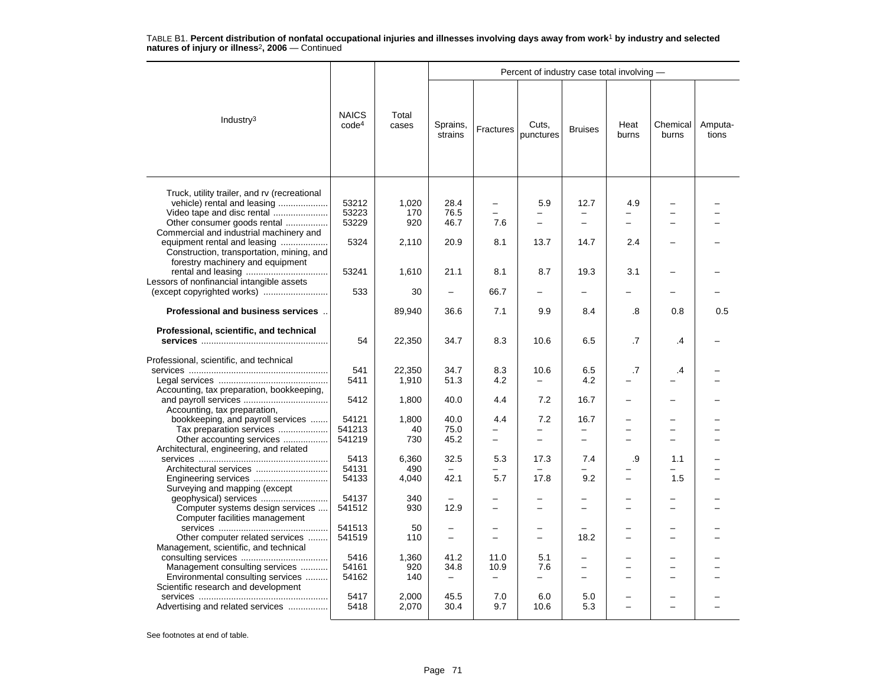|                                                                                                                                                                                     |                                   |                     |                                                      |                                      | Percent of industry case total involving - |                                                           |               |                   |                  |
|-------------------------------------------------------------------------------------------------------------------------------------------------------------------------------------|-----------------------------------|---------------------|------------------------------------------------------|--------------------------------------|--------------------------------------------|-----------------------------------------------------------|---------------|-------------------|------------------|
| Industry <sup>3</sup>                                                                                                                                                               | <b>NAICS</b><br>code <sup>4</sup> | Total<br>cases      | Sprains,<br>strains                                  | Fractures                            | Cuts,<br>punctures                         | <b>Bruises</b>                                            | Heat<br>burns | Chemical<br>burns | Amputa-<br>tions |
| Truck, utility trailer, and rv (recreational<br>vehicle) rental and leasing<br>Video tape and disc rental<br>Other consumer goods rental<br>Commercial and industrial machinery and | 53212<br>53223<br>53229           | 1,020<br>170<br>920 | 28.4<br>76.5<br>46.7                                 | 7.6                                  | 5.9<br>-<br>$\overline{\phantom{0}}$       | 12.7<br>$\overline{\phantom{0}}$                          | 4.9           |                   |                  |
| equipment rental and leasing<br>Construction, transportation, mining, and<br>forestry machinery and equipment                                                                       | 5324                              | 2,110               | 20.9                                                 | 8.1                                  | 13.7                                       | 14.7                                                      | 2.4           |                   |                  |
| Lessors of nonfinancial intangible assets                                                                                                                                           | 53241<br>533                      | 1,610<br>30         | 21.1<br>$\overline{\phantom{0}}$                     | 8.1<br>66.7                          | 8.7<br>÷                                   | 19.3<br>÷                                                 | 3.1           |                   |                  |
| Professional and business services                                                                                                                                                  |                                   | 89,940              | 36.6                                                 | 7.1                                  | 9.9                                        | 8.4                                                       | .8            | 0.8               | 0.5              |
| Professional, scientific, and technical                                                                                                                                             | 54                                | 22,350              | 34.7                                                 | 8.3                                  | 10.6                                       | 6.5                                                       | .7            | .4                |                  |
| Professional, scientific, and technical                                                                                                                                             | 541<br>5411                       | 22,350<br>1,910     | 34.7<br>51.3                                         | 8.3<br>4.2                           | 10.6<br>$\overline{\phantom{0}}$           | 6.5<br>4.2                                                | .7            | .4                |                  |
| Accounting, tax preparation, bookkeeping,<br>Accounting, tax preparation,                                                                                                           | 5412                              | 1,800               | 40.0                                                 | 4.4                                  | 7.2                                        | 16.7                                                      |               |                   |                  |
| bookkeeping, and payroll services<br>Tax preparation services<br>Other accounting services                                                                                          | 54121<br>541213<br>541219         | 1,800<br>40<br>730  | 40.0<br>75.0<br>45.2                                 | 4.4<br>—<br>$\overline{\phantom{0}}$ | 7.2<br>$\overline{\phantom{0}}$            | 16.7<br>-<br>$\overline{a}$                               |               |                   |                  |
| Architectural, engineering, and related                                                                                                                                             | 5413<br>54131                     | 6,360<br>490        | 32.5                                                 | 5.3                                  | 17.3                                       | 7.4                                                       | .9            | 1.1               |                  |
| Surveying and mapping (except                                                                                                                                                       | 54133<br>54137                    | 4,040<br>340        | 42.1                                                 | 5.7                                  | 17.8                                       | 9.2                                                       |               | 1.5               |                  |
| Computer systems design services<br>Computer facilities management                                                                                                                  | 541512                            | 930                 | 12.9                                                 |                                      | $\overline{\phantom{0}}$                   | $\overline{\phantom{0}}$                                  |               |                   |                  |
| Other computer related services<br>Management, scientific, and technical                                                                                                            | 541513<br>541519                  | 50<br>110           | $\overline{\phantom{0}}$<br>$\overline{\phantom{0}}$ | -                                    | -                                          | 18.2                                                      |               |                   |                  |
| Management consulting services<br>Environmental consulting services<br>Scientific research and development                                                                          | 5416<br>54161<br>54162            | 1,360<br>920<br>140 | 41.2<br>34.8<br>$\overline{\phantom{m}}$             | 11.0<br>10.9<br>$\equiv$             | 5.1<br>7.6<br>$\overline{\phantom{0}}$     | $\overline{\phantom{0}}$<br>-<br>$\overline{\phantom{0}}$ |               | -                 |                  |
| Advertising and related services                                                                                                                                                    | 5417<br>5418                      | 2,000<br>2,070      | 45.5<br>30.4                                         | 7.0<br>9.7                           | 6.0<br>10.6                                | 5.0<br>5.3                                                | -             |                   |                  |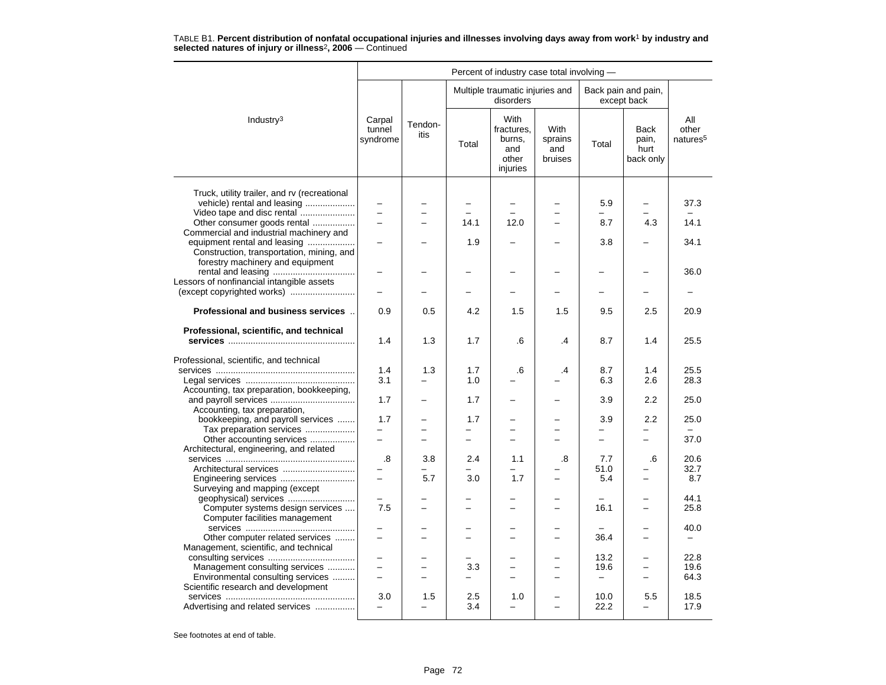|                                                                                                               |                              |                 |                          |                                                          | Percent of industry case total involving - |                          |                                           |                                      |  |  |  |  |  |
|---------------------------------------------------------------------------------------------------------------|------------------------------|-----------------|--------------------------|----------------------------------------------------------|--------------------------------------------|--------------------------|-------------------------------------------|--------------------------------------|--|--|--|--|--|
|                                                                                                               |                              |                 |                          | Multiple traumatic injuries and<br>disorders             |                                            |                          | Back pain and pain,<br>except back        |                                      |  |  |  |  |  |
| Industry <sup>3</sup>                                                                                         | Carpal<br>tunnel<br>syndrome | Tendon-<br>itis | Total                    | With<br>fractures.<br>burns,<br>and<br>other<br>injuries | <b>With</b><br>sprains<br>and<br>bruises   | Total                    | <b>Back</b><br>pain,<br>hurt<br>back only | All<br>other<br>natures <sup>5</sup> |  |  |  |  |  |
| Truck, utility trailer, and ry (recreational<br>vehicle) rental and leasing                                   |                              |                 |                          | $\overline{\phantom{0}}$                                 |                                            | 5.9                      | $\overline{\phantom{0}}$                  | 37.3                                 |  |  |  |  |  |
| Video tape and disc rental                                                                                    | L.                           |                 | 14.1                     | 12.0                                                     | L.                                         | 8.7                      | 4.3                                       | 14.1                                 |  |  |  |  |  |
| Other consumer goods rental<br>Commercial and industrial machinery and                                        |                              |                 |                          |                                                          |                                            |                          |                                           |                                      |  |  |  |  |  |
| equipment rental and leasing<br>Construction, transportation, mining, and<br>forestry machinery and equipment |                              |                 | 1.9                      |                                                          |                                            | 3.8                      |                                           | 34.1                                 |  |  |  |  |  |
|                                                                                                               |                              |                 |                          |                                                          |                                            |                          |                                           | 36.0                                 |  |  |  |  |  |
| Lessors of nonfinancial intangible assets                                                                     |                              |                 |                          |                                                          |                                            |                          |                                           |                                      |  |  |  |  |  |
| (except copyrighted works)                                                                                    |                              |                 | <u>.</u>                 | -                                                        |                                            | $\overline{\phantom{0}}$ | -                                         |                                      |  |  |  |  |  |
| Professional and business services                                                                            | 0.9                          | 0.5             | 4.2                      | 1.5                                                      | 1.5                                        | 9.5                      | 2.5                                       | 20.9                                 |  |  |  |  |  |
| Professional, scientific, and technical                                                                       | 1.4                          | 1.3             | 1.7                      | .6                                                       | .4                                         | 8.7                      | 1.4                                       | 25.5                                 |  |  |  |  |  |
| Professional, scientific, and technical                                                                       | 1.4<br>3.1                   | 1.3             | 1.7<br>1.0               | .6                                                       | $\cdot$                                    | 8.7<br>6.3               | 1.4<br>2.6                                | 25.5<br>28.3                         |  |  |  |  |  |
| Accounting, tax preparation, bookkeeping,                                                                     | 1.7                          |                 | 1.7                      |                                                          |                                            | 3.9                      | 2.2                                       | 25.0                                 |  |  |  |  |  |
| Accounting, tax preparation,<br>bookkeeping, and payroll services                                             | 1.7                          |                 | 1.7                      |                                                          |                                            | 3.9                      | 2.2                                       | 25.0                                 |  |  |  |  |  |
| Tax preparation services                                                                                      | L.                           |                 | $=$                      | $\equiv$                                                 | L.                                         |                          | L.                                        |                                      |  |  |  |  |  |
| Other accounting services<br>Architectural, engineering, and related                                          | $\overline{\phantom{0}}$     | $\equiv$        | $\overline{\phantom{0}}$ | $\equiv$                                                 | ÷                                          | $-$                      | $\equiv$                                  | 37.0                                 |  |  |  |  |  |
|                                                                                                               | .8                           | 3.8             | 2.4                      | 1.1                                                      | .8                                         | 7.7                      | .6                                        | 20.6                                 |  |  |  |  |  |
| Architectural services<br>Engineering services                                                                |                              | 5.7             | 3.0                      | -<br>1.7                                                 |                                            | 51.0<br>5.4              | $\overline{\phantom{0}}$                  | 32.7<br>8.7                          |  |  |  |  |  |
| Surveying and mapping (except                                                                                 |                              |                 |                          |                                                          |                                            |                          |                                           |                                      |  |  |  |  |  |
| geophysical) services                                                                                         | $\overline{\phantom{0}}$     |                 |                          | $\overline{\phantom{0}}$                                 | $\overline{\phantom{0}}$                   | $\sim$                   | $\overline{\phantom{0}}$                  | 44.1                                 |  |  |  |  |  |
| Computer systems design services<br>Computer facilities management                                            | 7.5                          |                 |                          |                                                          |                                            | 16.1                     |                                           | 25.8                                 |  |  |  |  |  |
| Other computer related services                                                                               | -<br>$\overline{a}$          |                 |                          | -<br>$\overline{\phantom{0}}$                            |                                            | 36.4                     | -                                         | 40.0<br>$\overline{\phantom{0}}$     |  |  |  |  |  |
| Management, scientific, and technical                                                                         | $\overline{\phantom{0}}$     |                 |                          |                                                          |                                            | 13.2                     | $\overline{\phantom{0}}$                  | 22.8                                 |  |  |  |  |  |
| Management consulting services                                                                                |                              |                 | 3.3                      |                                                          |                                            | 19.6                     |                                           | 19.6                                 |  |  |  |  |  |
| Environmental consulting services                                                                             | $\overline{\phantom{0}}$     |                 |                          |                                                          |                                            | $\qquad \qquad -$        | $\overline{\phantom{0}}$                  | 64.3                                 |  |  |  |  |  |
| Scientific research and development                                                                           |                              |                 |                          |                                                          |                                            |                          |                                           |                                      |  |  |  |  |  |
| Advertising and related services                                                                              | 3.0                          | 1.5             | 2.5<br>3.4               | 1.0<br>$\overline{\phantom{0}}$                          |                                            | 10.0<br>22.2             | 5.5<br>$\overline{\phantom{0}}$           | 18.5<br>17.9                         |  |  |  |  |  |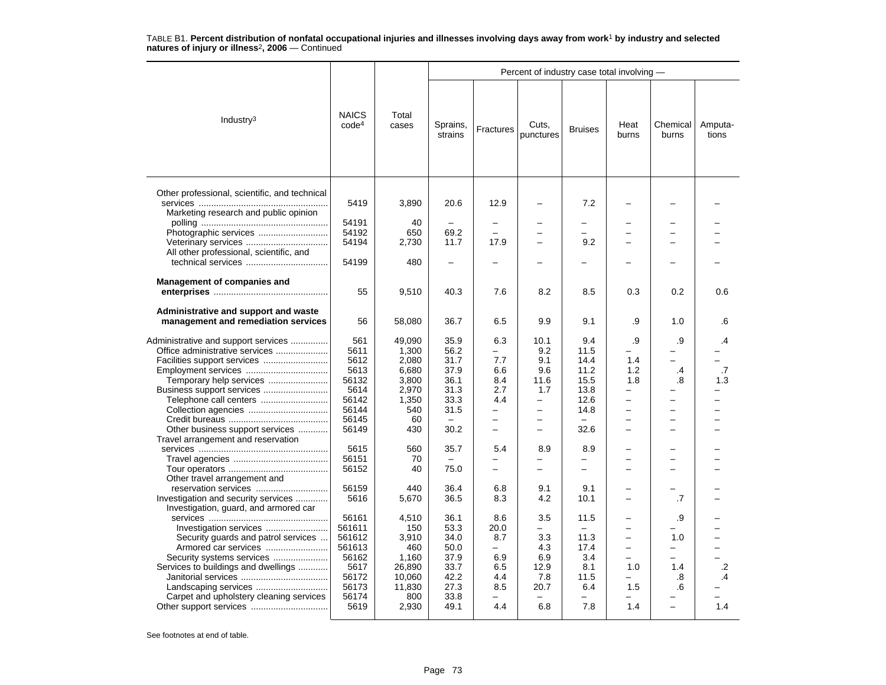|                                                                              |                                   |                |                          |                          | Percent of industry case total involving - |                          |                          |                          |                  |
|------------------------------------------------------------------------------|-----------------------------------|----------------|--------------------------|--------------------------|--------------------------------------------|--------------------------|--------------------------|--------------------------|------------------|
| Industry <sup>3</sup>                                                        | <b>NAICS</b><br>code <sup>4</sup> | Total<br>cases | Sprains,<br>strains      | Fractures                | Cuts,<br>punctures                         | <b>Bruises</b>           | Heat<br>burns            | Chemical<br>burns        | Amputa-<br>tions |
| Other professional, scientific, and technical                                | 5419                              | 3,890          | 20.6                     | 12.9                     |                                            | 7.2                      |                          |                          |                  |
| Marketing research and public opinion                                        |                                   |                |                          |                          |                                            |                          |                          |                          |                  |
|                                                                              | 54191                             | 40             | $\overline{\phantom{0}}$ | $\overline{\phantom{0}}$ |                                            | $\overline{\phantom{0}}$ |                          |                          |                  |
| Photographic services                                                        | 54192                             | 650            | 69.2                     |                          |                                            | −                        |                          |                          |                  |
|                                                                              | 54194                             | 2,730          | 11.7                     | 17.9                     |                                            | 9.2                      |                          |                          |                  |
| All other professional, scientific, and                                      |                                   |                |                          |                          |                                            |                          |                          |                          |                  |
|                                                                              | 54199                             | 480            | $\overline{\phantom{0}}$ |                          |                                            |                          |                          |                          |                  |
| <b>Management of companies and</b>                                           |                                   |                |                          |                          |                                            |                          |                          |                          |                  |
|                                                                              | 55                                | 9,510          | 40.3                     | 7.6                      | 8.2                                        | 8.5                      | 0.3                      | 0.2                      | 0.6              |
|                                                                              |                                   |                |                          |                          |                                            |                          |                          |                          |                  |
| Administrative and support and waste<br>management and remediation services  | 56                                | 58,080         | 36.7                     | 6.5                      | 9.9                                        | 9.1                      | .9                       | 1.0                      | .6               |
| Administrative and support services                                          | 561                               | 49,090         | 35.9                     | 6.3                      | 10.1                                       | 9.4                      | .9                       | .9                       | .4               |
| Office administrative services                                               | 5611                              | 1,300          | 56.2                     |                          | 9.2                                        | 11.5                     | ▃                        |                          |                  |
|                                                                              | 5612                              |                | 31.7                     | 7.7                      | 9.1                                        | 14.4                     | 1.4                      | $\overline{\phantom{0}}$ |                  |
|                                                                              |                                   | 2,080          |                          |                          |                                            |                          |                          |                          |                  |
|                                                                              | 5613                              | 6,680          | 37.9                     | 6.6                      | 9.6                                        | 11.2                     | 1.2                      | .4                       | .7               |
| Temporary help services                                                      | 56132                             | 3,800          | 36.1                     | 8.4                      | 11.6                                       | 15.5                     | 1.8                      | .8                       | 1.3              |
| Business support services                                                    | 5614                              | 2,970          | 31.3                     | 2.7                      | 1.7                                        | 13.8                     | —                        |                          |                  |
| Telephone call centers                                                       | 56142                             | 1,350          | 33.3                     | 4.4                      | $\overline{\phantom{0}}$                   | 12.6                     | -                        |                          |                  |
|                                                                              | 56144                             | 540            | 31.5                     | $\equiv$                 | $\overline{\phantom{0}}$                   | 14.8                     |                          |                          |                  |
|                                                                              | 56145                             | 60             | $-$                      | $\overline{\phantom{0}}$ | $\overline{\phantom{0}}$                   | $\overline{\phantom{0}}$ | $\overline{\phantom{0}}$ | $\overline{\phantom{0}}$ |                  |
| Other business support services                                              | 56149                             | 430            | 30.2                     | $\overline{a}$           | $\overline{\phantom{0}}$                   | 32.6                     | $\overline{\phantom{0}}$ | L,                       |                  |
| Travel arrangement and reservation                                           |                                   |                |                          |                          |                                            |                          |                          |                          |                  |
|                                                                              | 5615                              | 560            | 35.7                     | 5.4                      | 8.9                                        | 8.9                      |                          | $\overline{\phantom{0}}$ |                  |
|                                                                              | 56151                             | 70             |                          |                          |                                            |                          |                          | L,                       |                  |
|                                                                              | 56152                             | 40             | 75.0                     | $\overline{\phantom{0}}$ | $\overline{\phantom{0}}$                   | $\overline{a}$           |                          |                          |                  |
| Other travel arrangement and                                                 |                                   |                |                          |                          |                                            |                          |                          |                          |                  |
|                                                                              | 56159                             | 440            | 36.4                     | 6.8                      | 9.1                                        | 9.1                      |                          |                          |                  |
| Investigation and security services<br>Investigation, guard, and armored car | 5616                              | 5,670          | 36.5                     | 8.3                      | 4.2                                        | 10.1                     |                          | .7                       |                  |
|                                                                              | 56161                             | 4,510          | 36.1                     | 8.6                      | 3.5                                        | 11.5                     |                          | .9                       |                  |
| Investigation services                                                       | 561611                            | 150            | 53.3                     | 20.0                     | $\overline{\phantom{0}}$                   | ÷                        | -                        |                          |                  |
|                                                                              | 561612                            | 3,910          | 34.0                     | 8.7                      | 3.3                                        | 11.3                     |                          | 1.0                      |                  |
| Security guards and patrol services<br>Armored car services                  | 561613                            | 460            | 50.0                     | $\overline{\phantom{0}}$ | 4.3                                        | 17.4                     | -                        | -                        |                  |
| Security systems services                                                    | 56162                             | 1,160          | 37.9                     | 6.9                      | 6.9                                        | 3.4                      | -                        | -                        |                  |
|                                                                              | 5617                              |                | 33.7                     | 6.5                      | 12.9                                       | 8.1                      | 1.0                      |                          |                  |
| Services to buildings and dwellings                                          |                                   | 26,890         |                          |                          |                                            |                          | $\overline{a}$           | 1.4                      | .2<br>.4         |
|                                                                              | 56172                             | 10,060         | 42.2                     | 4.4                      | 7.8                                        | 11.5                     |                          | .8                       |                  |
|                                                                              | 56173                             | 11,830         | 27.3                     | 8.5                      | 20.7                                       | 6.4                      | 1.5                      | .6                       |                  |
| Carpet and upholstery cleaning services                                      | 56174                             | 800            | 33.8                     |                          |                                            |                          |                          |                          |                  |
|                                                                              | 5619                              | 2,930          | 49.1                     | 4.4                      | 6.8                                        | 7.8                      | 1.4                      | $\overline{\phantom{0}}$ | 1.4              |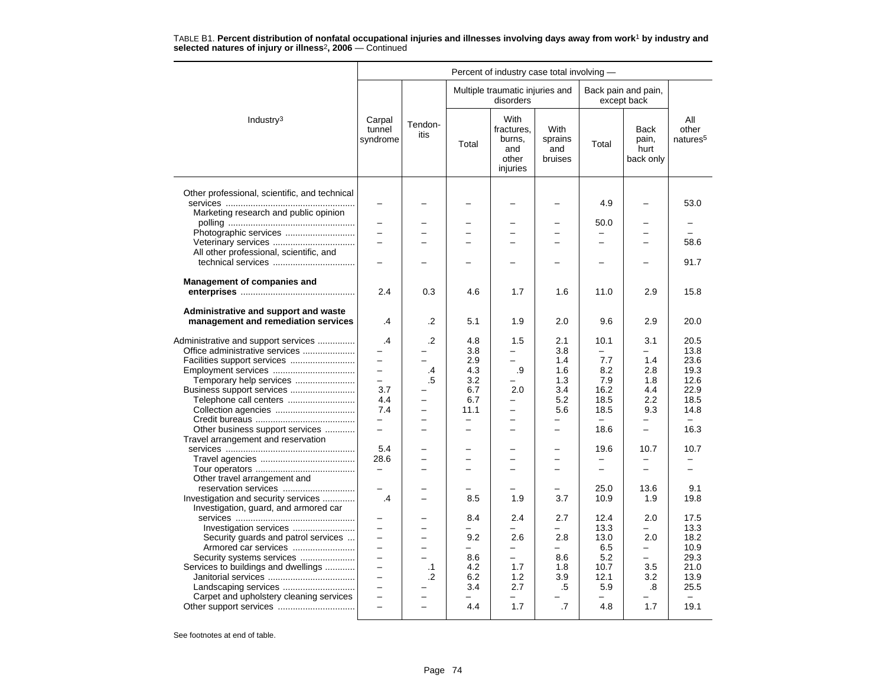|                                                                             |                              |                 |                                 | Percent of industry case total involving -               |                                   |                          |                                           |                                      |
|-----------------------------------------------------------------------------|------------------------------|-----------------|---------------------------------|----------------------------------------------------------|-----------------------------------|--------------------------|-------------------------------------------|--------------------------------------|
|                                                                             |                              |                 |                                 | Multiple traumatic injuries and<br>disorders             |                                   |                          | Back pain and pain,<br>except back        |                                      |
| Industry <sup>3</sup>                                                       | Carpal<br>tunnel<br>syndrome | Tendon-<br>itis | Total                           | With<br>fractures.<br>burns,<br>and<br>other<br>injuries | With<br>sprains<br>and<br>bruises | Total                    | <b>Back</b><br>pain,<br>hurt<br>back only | All<br>other<br>natures <sup>5</sup> |
| Other professional, scientific, and technical                               | $\overline{\phantom{0}}$     |                 |                                 |                                                          |                                   | 4.9                      |                                           | 53.0                                 |
| Marketing research and public opinion                                       |                              |                 |                                 |                                                          |                                   |                          |                                           |                                      |
|                                                                             |                              |                 |                                 |                                                          |                                   | 50.0                     |                                           |                                      |
| Photographic services                                                       |                              |                 |                                 |                                                          |                                   | $\overline{a}$           |                                           |                                      |
|                                                                             | $\overline{\phantom{0}}$     |                 |                                 | $\overline{\phantom{0}}$                                 |                                   | $\overline{\phantom{0}}$ | $\overline{\phantom{0}}$                  | 58.6                                 |
| All other professional, scientific, and                                     |                              |                 |                                 |                                                          |                                   |                          |                                           |                                      |
|                                                                             |                              |                 |                                 |                                                          |                                   |                          |                                           | 91.7                                 |
|                                                                             |                              |                 |                                 |                                                          |                                   |                          |                                           |                                      |
| <b>Management of companies and</b>                                          | 2.4                          | 0.3             | 4.6                             | 1.7                                                      | 1.6                               | 11.0                     | 2.9                                       | 15.8                                 |
| Administrative and support and waste<br>management and remediation services | .4                           | .2              | 5.1                             | 1.9                                                      | 2.0                               | 9.6                      | 2.9                                       | 20.0                                 |
| Administrative and support services                                         | .4                           | .2              | 4.8                             | 1.5                                                      | 2.1                               | 10.1                     | 3.1                                       | 20.5                                 |
| Office administrative services                                              |                              |                 | 3.8                             | $\equiv$                                                 | 3.8                               | $\equiv$                 |                                           | 13.8                                 |
| Facilities support services                                                 | -                            |                 | 2.9                             | $\overline{\phantom{0}}$                                 | 1.4                               | 7.7                      | 1.4                                       | 23.6                                 |
| Employment services                                                         | $\overline{\phantom{0}}$     | $\cdot$         | 4.3                             | .9                                                       | 1.6                               | 8.2                      | 2.8                                       | 19.3                                 |
| Temporary help services                                                     | $\overline{\phantom{0}}$     | .5              | 3.2                             |                                                          | 1.3                               | 7.9                      | 1.8                                       | 12.6                                 |
| Business support services                                                   | 3.7                          |                 | 6.7                             | 2.0                                                      | 3.4                               | 16.2                     | 4.4                                       | 22.9                                 |
| Telephone call centers                                                      | 4.4                          |                 | 6.7                             | $\overline{\phantom{0}}$                                 | 5.2                               | 18.5                     | $2.2\phantom{0}$                          | 18.5                                 |
| Collection agencies                                                         | 7.4                          |                 | 11.1                            | $\overline{\phantom{0}}$                                 | 5.6                               | 18.5                     | 9.3                                       | 14.8                                 |
|                                                                             | $\overline{a}$               |                 |                                 | −                                                        |                                   |                          | -                                         |                                      |
| Other business support services                                             | $\equiv$                     | $\equiv$        | $\equiv$                        | $\overline{\phantom{0}}$                                 | ÷                                 | 18.6                     | $\overline{\phantom{0}}$                  | 16.3                                 |
| Travel arrangement and reservation                                          |                              |                 |                                 |                                                          |                                   |                          |                                           |                                      |
|                                                                             | 5.4                          |                 |                                 |                                                          |                                   | 19.6                     | 10.7                                      | 10.7                                 |
|                                                                             | 28.6                         |                 | $\equiv$                        | ÷                                                        | -                                 |                          |                                           |                                      |
|                                                                             | $\overline{\phantom{0}}$     |                 |                                 | $\overline{\phantom{0}}$                                 | $\overline{a}$                    | $\qquad \qquad -$        | $\overline{a}$                            | $\overline{\phantom{0}}$             |
| Other travel arrangement and                                                |                              |                 |                                 |                                                          |                                   |                          |                                           |                                      |
|                                                                             |                              |                 |                                 |                                                          |                                   | 25.0                     | 13.6                                      | 9.1                                  |
| Investigation and security services                                         | $\cdot$                      |                 | 8.5                             | 1.9                                                      | 3.7                               | 10.9                     | 1.9                                       | 19.8                                 |
| Investigation, guard, and armored car                                       |                              |                 |                                 |                                                          |                                   |                          |                                           |                                      |
|                                                                             |                              |                 | 8.4                             | 2.4                                                      | 2.7                               | 12.4                     | 2.0                                       | 17.5                                 |
| Investigation services                                                      | -                            |                 | $\equiv$                        | $\equiv$                                                 | -                                 | 13.3                     | -                                         | 13.3                                 |
| Security guards and patrol services                                         | $\equiv$                     | -               | 9.2<br>$\overline{\phantom{0}}$ | 2.6<br>$\overline{\phantom{0}}$                          | 2.8<br>$\overline{\phantom{0}}$   | 13.0<br>6.5              | 2.0<br>$\equiv$                           | 18.2<br>10.9                         |
| Armored car services<br>Security systems services                           | $\overline{\phantom{0}}$     | -               | 8.6                             | $\overline{\phantom{0}}$                                 | 8.6                               | 5.2                      | $-$                                       | 29.3                                 |
| Services to buildings and dwellings                                         |                              | $\cdot$ 1       | 4.2                             | 1.7                                                      | 1.8                               | 10.7                     | 3.5                                       | 21.0                                 |
|                                                                             | $\overline{\phantom{0}}$     | .2              | 6.2                             | 1.2                                                      | 3.9                               | 12.1                     | 3.2                                       | 13.9                                 |
|                                                                             | $\equiv$                     |                 | 3.4                             | 2.7                                                      | .5                                | 5.9                      | .8                                        | 25.5                                 |
| Carpet and upholstery cleaning services                                     |                              |                 |                                 |                                                          |                                   |                          |                                           |                                      |
|                                                                             | $\overline{a}$               | $\equiv$        | 4.4                             | 1.7                                                      | .7                                | 4.8                      | 1.7                                       | 19.1                                 |
|                                                                             |                              |                 |                                 |                                                          |                                   |                          |                                           |                                      |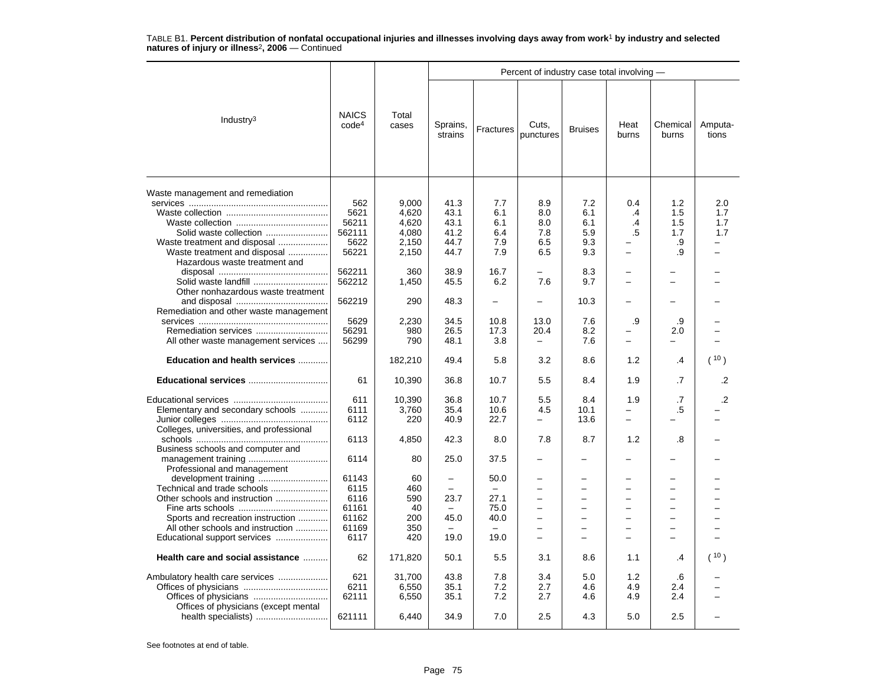|                                                                                                                                                                        |                                                 |                                           |                                      |                                 | Percent of industry case total involving -                                                                          |                                                                                            |                            |                                |                          |
|------------------------------------------------------------------------------------------------------------------------------------------------------------------------|-------------------------------------------------|-------------------------------------------|--------------------------------------|---------------------------------|---------------------------------------------------------------------------------------------------------------------|--------------------------------------------------------------------------------------------|----------------------------|--------------------------------|--------------------------|
| Industry $3$                                                                                                                                                           | <b>NAICS</b><br>code <sup>4</sup>               | Total<br>cases                            | Sprains,<br>strains                  | Fractures                       | Cuts,<br>punctures                                                                                                  | <b>Bruises</b>                                                                             | Heat<br>burns              | Chemical<br>burns              | Amputa-<br>tions         |
| Waste management and remediation<br>Solid waste collection<br>Waste treatment and disposal                                                                             | 562<br>5621<br>56211<br>562111<br>5622          | 9.000<br>4,620<br>4.620<br>4,080<br>2,150 | 41.3<br>43.1<br>43.1<br>41.2<br>44.7 | 7.7<br>6.1<br>6.1<br>6.4<br>7.9 | 8.9<br>8.0<br>8.0<br>7.8<br>6.5                                                                                     | 7.2<br>6.1<br>6.1<br>5.9<br>9.3                                                            | 0.4<br>$\cdot$<br>.4<br>.5 | 1.2<br>1.5<br>1.5<br>1.7<br>.9 | 2.0<br>1.7<br>1.7<br>1.7 |
| Waste treatment and disposal<br>Hazardous waste treatment and<br>Solid waste landfill                                                                                  | 56221<br>562211<br>562212                       | 2,150<br>360<br>1,450                     | 44.7<br>38.9<br>45.5                 | 7.9<br>16.7<br>6.2              | 6.5<br>7.6                                                                                                          | 9.3<br>8.3<br>9.7                                                                          |                            | .9                             |                          |
| Other nonhazardous waste treatment<br>Remediation and other waste management                                                                                           | 562219                                          | 290                                       | 48.3                                 | $\overline{\phantom{0}}$        | $\overline{\phantom{0}}$                                                                                            | 10.3                                                                                       |                            |                                |                          |
| All other waste management services                                                                                                                                    | 5629<br>56291<br>56299                          | 2,230<br>980<br>790                       | 34.5<br>26.5<br>48.1                 | 10.8<br>17.3<br>3.8             | 13.0<br>20.4                                                                                                        | 7.6<br>8.2<br>7.6                                                                          | .9                         | .9<br>2.0<br>÷                 |                          |
| Education and health services                                                                                                                                          |                                                 | 182,210                                   | 49.4                                 | 5.8                             | 3.2                                                                                                                 | 8.6                                                                                        | 1.2                        | .4                             | (10)                     |
| Educational services                                                                                                                                                   | 61                                              | 10,390                                    | 36.8                                 | 10.7                            | 5.5                                                                                                                 | 8.4                                                                                        | 1.9                        | .7                             | .2                       |
| Elementary and secondary schools<br>Colleges, universities, and professional                                                                                           | 611<br>6111<br>6112                             | 10,390<br>3,760<br>220                    | 36.8<br>35.4<br>40.9                 | 10.7<br>10.6<br>22.7            | 5.5<br>4.5<br>-                                                                                                     | 8.4<br>10.1<br>13.6                                                                        | 1.9                        | .7<br>.5                       | .2                       |
| Business schools and computer and                                                                                                                                      | 6113<br>6114                                    | 4,850<br>80                               | 42.3<br>25.0                         | 8.0<br>37.5                     | 7.8                                                                                                                 | 8.7                                                                                        | 1.2                        | .8                             |                          |
| Professional and management                                                                                                                                            | 61143                                           | 60                                        | $\overline{\phantom{0}}$             | 50.0                            |                                                                                                                     |                                                                                            |                            |                                |                          |
| Technical and trade schools<br>Other schools and instruction<br>Sports and recreation instruction<br>All other schools and instruction<br>Educational support services | 6115<br>6116<br>61161<br>61162<br>61169<br>6117 | 460<br>590<br>40<br>200<br>350<br>420     | $\equiv$<br>23.7<br>45.0<br>19.0     | 27.1<br>75.0<br>40.0<br>19.0    | $\overline{\phantom{0}}$<br>$\equiv$<br>$\overline{a}$<br>$\overline{\phantom{0}}$<br>$\overline{\phantom{0}}$<br>÷ | $\overline{\phantom{0}}$<br>$\overline{\phantom{0}}$<br>÷<br>-<br>$\overline{\phantom{0}}$ | $\overline{\phantom{0}}$   | -<br>$\equiv$                  |                          |
| Health care and social assistance                                                                                                                                      | 62                                              | 171,820                                   | 50.1                                 | 5.5                             | 3.1                                                                                                                 | 8.6                                                                                        | 1.1                        | .4                             | (10)                     |
|                                                                                                                                                                        | 621<br>6211<br>62111                            | 31,700<br>6,550<br>6,550                  | 43.8<br>35.1<br>35.1                 | 7.8<br>7.2<br>7.2               | 3.4<br>2.7<br>2.7                                                                                                   | 5.0<br>4.6<br>4.6                                                                          | 1.2<br>4.9<br>4.9          | .6<br>2.4<br>2.4               |                          |
| Offices of physicians (except mental                                                                                                                                   | 621111                                          | 6,440                                     | 34.9                                 | 7.0                             | 2.5                                                                                                                 | 4.3                                                                                        | 5.0                        | 2.5                            |                          |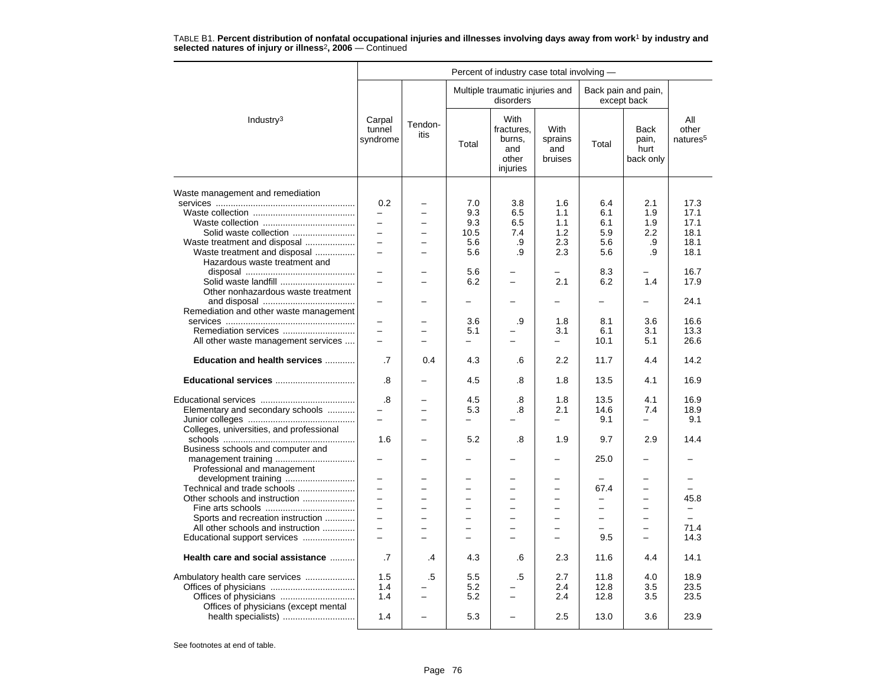|                                                                                                                         |                                                                                                                                                                                                                                                                                                                                                                                                                                                                                                                                                                                                                                                                                                                                                                                                                                                                                                                                                                                                                                                                                                                                                                                                                                                                                                                                                                                                                                                                                                                                                                                                                                                                                                                                                                                                                                                                                                                                                                                                                                                                                                                                                                   |                                      |     | disorders |     |      |     |                                      |
|-------------------------------------------------------------------------------------------------------------------------|-------------------------------------------------------------------------------------------------------------------------------------------------------------------------------------------------------------------------------------------------------------------------------------------------------------------------------------------------------------------------------------------------------------------------------------------------------------------------------------------------------------------------------------------------------------------------------------------------------------------------------------------------------------------------------------------------------------------------------------------------------------------------------------------------------------------------------------------------------------------------------------------------------------------------------------------------------------------------------------------------------------------------------------------------------------------------------------------------------------------------------------------------------------------------------------------------------------------------------------------------------------------------------------------------------------------------------------------------------------------------------------------------------------------------------------------------------------------------------------------------------------------------------------------------------------------------------------------------------------------------------------------------------------------------------------------------------------------------------------------------------------------------------------------------------------------------------------------------------------------------------------------------------------------------------------------------------------------------------------------------------------------------------------------------------------------------------------------------------------------------------------------------------------------|--------------------------------------|-----|-----------|-----|------|-----|--------------------------------------|
| Industry <sup>3</sup>                                                                                                   | Percent of industry case total involving -<br>Multiple traumatic injuries and<br>Back pain and pain,<br>except back<br>With<br>Carpal<br>Tendon-<br>With<br>fractures,<br>tunnel<br><b>Back</b><br>itis<br>burns,<br>sprains<br>pain,<br>syndrome<br>Total<br>Total<br>and<br>hurt<br>and<br>bruises<br>other<br>back only<br>injuries<br>0.2<br>7.0<br>3.8<br>1.6<br>6.4<br>2.1<br>9.3<br>6.5<br>1.1<br>6.1<br>1.9<br>$\overline{\phantom{0}}$<br>$\overline{\phantom{0}}$<br>9.3<br>6.5<br>1.1<br>6.1<br>1.9<br>$\equiv$<br>1.2<br>5.9<br>2.2<br>10.5<br>7.4<br>$\overline{a}$<br>$\equiv$<br>5.6<br>.9<br>2.3<br>5.6<br>.9<br>$\overline{\phantom{0}}$<br>2.3<br>5.6<br>5.6<br>.9<br>$\overline{\phantom{0}}$<br>.9<br>Hazardous waste treatment and<br>5.6<br>8.3<br>$\overline{\phantom{0}}$<br>2.1<br>1.4<br>6.2<br>6.2<br>L.<br>$\overline{\phantom{0}}$<br>-<br>-<br>-<br>-<br>-<br>3.6<br>.9<br>1.8<br>8.1<br>3.6<br>$\overline{\phantom{0}}$<br>6.1<br>3.1<br>$=$<br>5.1<br>3.1<br>$\overline{a}$<br>10.1<br>5.1<br>$\overline{\phantom{0}}$<br>-<br>-<br>$\equiv$<br>2.2<br>11.7<br>4.4<br>.7<br>0.4<br>4.3<br>.6<br>.8<br>4.5<br>13.5<br>4.1<br>.8<br>1.8<br>.8<br>4.5<br>.8<br>1.8<br>13.5<br>4.1<br>14.6<br>7.4<br>5.3<br>.8<br>2.1<br>L.<br>9.1<br>÷<br>L.<br>$\overline{\phantom{0}}$<br>$\equiv$<br>$\overline{\phantom{0}}$<br>1.6<br>5.2<br>.8<br>1.9<br>9.7<br>2.9<br>25.0<br>$\equiv$<br>$=$<br>67.4<br>$\equiv$<br>$\equiv$<br>$\overline{a}$<br>$\overline{\phantom{0}}$<br>$\overline{\phantom{0}}$<br>$\equiv$<br>$\overline{\phantom{0}}$<br>$\overline{\phantom{0}}$<br>$\equiv$<br>$\overline{\phantom{0}}$<br>-<br>$\overline{\phantom{0}}$<br>$\equiv$<br>$\overline{\phantom{0}}$<br>L.<br>$\overline{a}$<br>$\overline{\phantom{0}}$<br>-<br>$\overline{\phantom{0}}$<br>-<br>-<br>-<br>$\overline{a}$<br>$\overline{\phantom{0}}$<br>$=$<br>9.5<br>÷<br>$\overline{\phantom{0}}$<br>$\equiv$<br>-<br>.7<br>4.3<br>2.3<br>4.4<br>.6<br>11.6<br>.4<br>.5<br>1.5<br>.5<br>5.5<br>2.7<br>11.8<br>4.0<br>1.4<br>5.2<br>2.4<br>12.8<br>3.5<br>5.2<br>2.4<br>1.4<br>12.8<br>3.5<br>$\overline{\phantom{0}}$<br>$\overline{\phantom{0}}$ | All<br>other<br>natures <sup>5</sup> |     |           |     |      |     |                                      |
| Waste management and remediation                                                                                        |                                                                                                                                                                                                                                                                                                                                                                                                                                                                                                                                                                                                                                                                                                                                                                                                                                                                                                                                                                                                                                                                                                                                                                                                                                                                                                                                                                                                                                                                                                                                                                                                                                                                                                                                                                                                                                                                                                                                                                                                                                                                                                                                                                   |                                      |     |           |     |      |     |                                      |
| Solid waste collection<br>Waste treatment and disposal                                                                  |                                                                                                                                                                                                                                                                                                                                                                                                                                                                                                                                                                                                                                                                                                                                                                                                                                                                                                                                                                                                                                                                                                                                                                                                                                                                                                                                                                                                                                                                                                                                                                                                                                                                                                                                                                                                                                                                                                                                                                                                                                                                                                                                                                   |                                      |     |           |     |      |     | 17.3<br>17.1<br>17.1<br>18.1<br>18.1 |
| Waste treatment and disposal                                                                                            |                                                                                                                                                                                                                                                                                                                                                                                                                                                                                                                                                                                                                                                                                                                                                                                                                                                                                                                                                                                                                                                                                                                                                                                                                                                                                                                                                                                                                                                                                                                                                                                                                                                                                                                                                                                                                                                                                                                                                                                                                                                                                                                                                                   |                                      |     |           |     |      |     | 18.1                                 |
| Other nonhazardous waste treatment                                                                                      |                                                                                                                                                                                                                                                                                                                                                                                                                                                                                                                                                                                                                                                                                                                                                                                                                                                                                                                                                                                                                                                                                                                                                                                                                                                                                                                                                                                                                                                                                                                                                                                                                                                                                                                                                                                                                                                                                                                                                                                                                                                                                                                                                                   |                                      |     |           |     |      |     | 16.7<br>17.9                         |
|                                                                                                                         |                                                                                                                                                                                                                                                                                                                                                                                                                                                                                                                                                                                                                                                                                                                                                                                                                                                                                                                                                                                                                                                                                                                                                                                                                                                                                                                                                                                                                                                                                                                                                                                                                                                                                                                                                                                                                                                                                                                                                                                                                                                                                                                                                                   |                                      |     |           |     |      |     | 24.1                                 |
| Remediation and other waste management<br>Remediation services<br>All other waste management services                   |                                                                                                                                                                                                                                                                                                                                                                                                                                                                                                                                                                                                                                                                                                                                                                                                                                                                                                                                                                                                                                                                                                                                                                                                                                                                                                                                                                                                                                                                                                                                                                                                                                                                                                                                                                                                                                                                                                                                                                                                                                                                                                                                                                   |                                      |     |           |     |      |     | 16.6<br>13.3<br>26.6                 |
| Education and health services                                                                                           |                                                                                                                                                                                                                                                                                                                                                                                                                                                                                                                                                                                                                                                                                                                                                                                                                                                                                                                                                                                                                                                                                                                                                                                                                                                                                                                                                                                                                                                                                                                                                                                                                                                                                                                                                                                                                                                                                                                                                                                                                                                                                                                                                                   |                                      |     |           |     |      |     | 14.2                                 |
| Educational services                                                                                                    |                                                                                                                                                                                                                                                                                                                                                                                                                                                                                                                                                                                                                                                                                                                                                                                                                                                                                                                                                                                                                                                                                                                                                                                                                                                                                                                                                                                                                                                                                                                                                                                                                                                                                                                                                                                                                                                                                                                                                                                                                                                                                                                                                                   |                                      |     |           |     |      |     | 16.9                                 |
| Elementary and secondary schools<br>Colleges, universities, and professional                                            |                                                                                                                                                                                                                                                                                                                                                                                                                                                                                                                                                                                                                                                                                                                                                                                                                                                                                                                                                                                                                                                                                                                                                                                                                                                                                                                                                                                                                                                                                                                                                                                                                                                                                                                                                                                                                                                                                                                                                                                                                                                                                                                                                                   |                                      |     |           |     |      |     | 16.9<br>18.9<br>9.1                  |
| Business schools and computer and                                                                                       |                                                                                                                                                                                                                                                                                                                                                                                                                                                                                                                                                                                                                                                                                                                                                                                                                                                                                                                                                                                                                                                                                                                                                                                                                                                                                                                                                                                                                                                                                                                                                                                                                                                                                                                                                                                                                                                                                                                                                                                                                                                                                                                                                                   |                                      |     |           |     |      |     | 14.4                                 |
| Professional and management                                                                                             |                                                                                                                                                                                                                                                                                                                                                                                                                                                                                                                                                                                                                                                                                                                                                                                                                                                                                                                                                                                                                                                                                                                                                                                                                                                                                                                                                                                                                                                                                                                                                                                                                                                                                                                                                                                                                                                                                                                                                                                                                                                                                                                                                                   |                                      |     |           |     |      |     |                                      |
| development training<br>Technical and trade schools<br>Other schools and instruction                                    |                                                                                                                                                                                                                                                                                                                                                                                                                                                                                                                                                                                                                                                                                                                                                                                                                                                                                                                                                                                                                                                                                                                                                                                                                                                                                                                                                                                                                                                                                                                                                                                                                                                                                                                                                                                                                                                                                                                                                                                                                                                                                                                                                                   |                                      |     |           |     |      |     | 45.8                                 |
| Sports and recreation instruction<br>All other schools and instruction<br>Educational support services                  |                                                                                                                                                                                                                                                                                                                                                                                                                                                                                                                                                                                                                                                                                                                                                                                                                                                                                                                                                                                                                                                                                                                                                                                                                                                                                                                                                                                                                                                                                                                                                                                                                                                                                                                                                                                                                                                                                                                                                                                                                                                                                                                                                                   |                                      |     |           |     |      |     | 71.4<br>14.3                         |
| Health care and social assistance                                                                                       |                                                                                                                                                                                                                                                                                                                                                                                                                                                                                                                                                                                                                                                                                                                                                                                                                                                                                                                                                                                                                                                                                                                                                                                                                                                                                                                                                                                                                                                                                                                                                                                                                                                                                                                                                                                                                                                                                                                                                                                                                                                                                                                                                                   |                                      |     |           |     |      |     | 14.1                                 |
| Ambulatory health care services<br>Offices of physicians<br>Offices of physicians (except mental<br>health specialists) | 1.4                                                                                                                                                                                                                                                                                                                                                                                                                                                                                                                                                                                                                                                                                                                                                                                                                                                                                                                                                                                                                                                                                                                                                                                                                                                                                                                                                                                                                                                                                                                                                                                                                                                                                                                                                                                                                                                                                                                                                                                                                                                                                                                                                               | $\overline{\phantom{0}}$             | 5.3 |           | 2.5 | 13.0 | 3.6 | 18.9<br>23.5<br>23.5<br>23.9         |
|                                                                                                                         |                                                                                                                                                                                                                                                                                                                                                                                                                                                                                                                                                                                                                                                                                                                                                                                                                                                                                                                                                                                                                                                                                                                                                                                                                                                                                                                                                                                                                                                                                                                                                                                                                                                                                                                                                                                                                                                                                                                                                                                                                                                                                                                                                                   |                                      |     |           |     |      |     |                                      |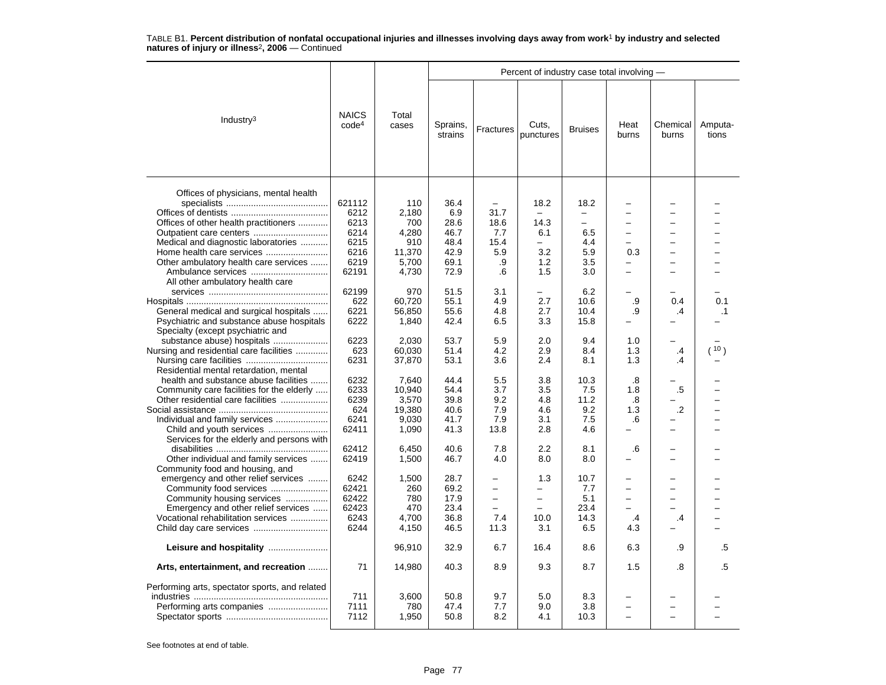|                                                                                                                                                                                                                       |                                                                 |                                                                 |                                                             |                                                                                       | Percent of industry case total involving -                                                             |                                                          |                                                          |                                           |                  |
|-----------------------------------------------------------------------------------------------------------------------------------------------------------------------------------------------------------------------|-----------------------------------------------------------------|-----------------------------------------------------------------|-------------------------------------------------------------|---------------------------------------------------------------------------------------|--------------------------------------------------------------------------------------------------------|----------------------------------------------------------|----------------------------------------------------------|-------------------------------------------|------------------|
| Industry $3$                                                                                                                                                                                                          | <b>NAICS</b><br>code <sup>4</sup>                               | Total<br>cases                                                  | Sprains,<br>strains                                         | Fractures                                                                             | Cuts.<br>punctures                                                                                     | <b>Bruises</b>                                           | Heat<br>burns                                            | Chemical<br>burns                         | Amputa-<br>tions |
| Offices of physicians, mental health<br>Offices of other health practitioners<br>Outpatient care centers<br>Medical and diagnostic laboratories<br>Home health care services<br>Other ambulatory health care services | 621112<br>6212<br>6213<br>6214<br>6215<br>6216<br>6219<br>62191 | 110<br>2,180<br>700<br>4,280<br>910<br>11,370<br>5,700<br>4,730 | 36.4<br>6.9<br>28.6<br>46.7<br>48.4<br>42.9<br>69.1<br>72.9 | $\overline{\phantom{m}}$<br>31.7<br>18.6<br>7.7<br>15.4<br>5.9<br>.9<br>.6            | 18.2<br>14.3<br>6.1<br>$\overline{\phantom{0}}$<br>3.2<br>1.2<br>1.5                                   | 18.2<br>−<br>$\equiv$<br>6.5<br>4.4<br>5.9<br>3.5<br>3.0 | $\equiv$<br>$\equiv$<br>-<br>0.3<br>$\equiv$<br>$\equiv$ | $\overline{\phantom{0}}$<br>-<br>$\equiv$ |                  |
| All other ambulatory health care<br>General medical and surgical hospitals<br>Psychiatric and substance abuse hospitals<br>Specialty (except psychiatric and                                                          | 62199<br>622<br>6221<br>6222                                    | 970<br>60,720<br>56,850<br>1,840                                | 51.5<br>55.1<br>55.6<br>42.4                                | 3.1<br>4.9<br>4.8<br>6.5                                                              | 2.7<br>2.7<br>3.3                                                                                      | 6.2<br>10.6<br>10.4<br>15.8                              | .9<br>.9                                                 | 0.4<br>.4                                 | 0.1<br>$\cdot$ 1 |
| substance abuse) hospitals<br>Nursing and residential care facilities<br>Residential mental retardation, mental                                                                                                       | 6223<br>623<br>6231                                             | 2,030<br>60,030<br>37,870                                       | 53.7<br>51.4<br>53.1                                        | 5.9<br>4.2<br>3.6                                                                     | 2.0<br>2.9<br>2.4                                                                                      | 9.4<br>8.4<br>8.1                                        | 1.0<br>1.3<br>1.3                                        | $\cdot$<br>.4                             | (10)             |
| health and substance abuse facilities<br>Community care facilities for the elderly<br>Other residential care facilities<br>Individual and family services                                                             | 6232<br>6233<br>6239<br>624<br>6241<br>62411                    | 7,640<br>10.940<br>3,570<br>19,380<br>9.030<br>1,090            | 44.4<br>54.4<br>39.8<br>40.6<br>41.7<br>41.3                | 5.5<br>3.7<br>9.2<br>7.9<br>7.9<br>13.8                                               | 3.8<br>3.5<br>4.8<br>4.6<br>3.1<br>2.8                                                                 | 10.3<br>7.5<br>11.2<br>9.2<br>7.5<br>4.6                 | .8<br>1.8<br>.8<br>1.3<br>.6                             | .5<br>$\cdot$                             |                  |
| Services for the elderly and persons with<br>Other individual and family services<br>Community food and housing, and                                                                                                  | 62412<br>62419                                                  | 6,450<br>1,500                                                  | 40.6<br>46.7                                                | 7.8<br>4.0                                                                            | 2.2<br>8.0                                                                                             | 8.1<br>8.0                                               | .6                                                       |                                           |                  |
| emergency and other relief services<br>Community food services<br>Community housing services<br>Emergency and other relief services<br>Vocational rehabilitation services                                             | 6242<br>62421<br>62422<br>62423<br>6243<br>6244                 | 1,500<br>260<br>780<br>470<br>4,700<br>4,150                    | 28.7<br>69.2<br>17.9<br>23.4<br>36.8<br>46.5                | $\overline{\phantom{0}}$<br>$\overline{\phantom{0}}$<br>$\overline{a}$<br>7.4<br>11.3 | 1.3<br>$\overline{\phantom{0}}$<br>$\overline{\phantom{0}}$<br>$\overline{\phantom{0}}$<br>10.0<br>3.1 | 10.7<br>7.7<br>5.1<br>23.4<br>14.3<br>6.5                | $\overline{\phantom{0}}$<br>$\equiv$<br>.4<br>4.3        | .4                                        |                  |
|                                                                                                                                                                                                                       |                                                                 | 96,910                                                          | 32.9                                                        | 6.7                                                                                   | 16.4                                                                                                   | 8.6                                                      | 6.3                                                      | .9                                        | .5               |
| Arts, entertainment, and recreation                                                                                                                                                                                   | 71                                                              | 14,980                                                          | 40.3                                                        | 8.9                                                                                   | 9.3                                                                                                    | 8.7                                                      | 1.5                                                      | .8                                        | .5               |
| Performing arts, spectator sports, and related                                                                                                                                                                        | 711<br>7111<br>7112                                             | 3,600<br>780<br>1,950                                           | 50.8<br>47.4<br>50.8                                        | 9.7<br>7.7<br>8.2                                                                     | 5.0<br>9.0<br>4.1                                                                                      | 8.3<br>3.8<br>10.3                                       |                                                          |                                           |                  |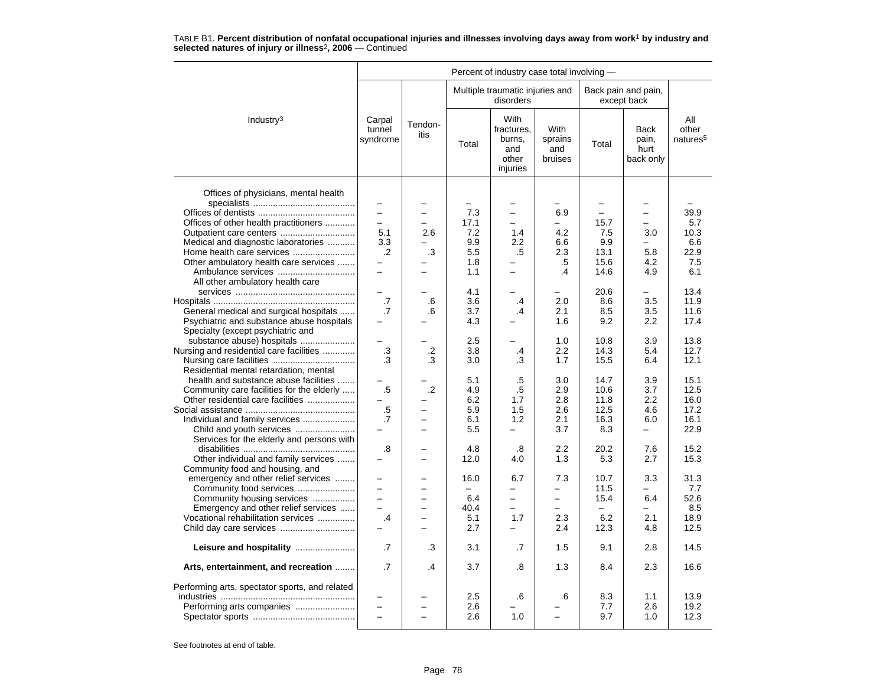|                                                                                                                                                                                       |                                                       |                                                              |                                               | Percent of industry case total involving -                           |                                                                                                       |                                                 |                                                             |                                              |
|---------------------------------------------------------------------------------------------------------------------------------------------------------------------------------------|-------------------------------------------------------|--------------------------------------------------------------|-----------------------------------------------|----------------------------------------------------------------------|-------------------------------------------------------------------------------------------------------|-------------------------------------------------|-------------------------------------------------------------|----------------------------------------------|
|                                                                                                                                                                                       |                                                       |                                                              |                                               | Multiple traumatic injuries and<br>disorders                         |                                                                                                       |                                                 | Back pain and pain,<br>except back                          |                                              |
| Industry $3$                                                                                                                                                                          | Carpal<br>tunnel<br>syndrome                          | Tendon-<br>itis                                              | Total                                         | With<br>fractures,<br>burns.<br>and<br>other<br>injuries             | With<br>sprains<br>and<br>bruises                                                                     | Total                                           | <b>Back</b><br>pain,<br>hurt<br>back only                   | All<br>other<br>natures <sup>5</sup>         |
| Offices of physicians, mental health<br>Offices of other health practitioners<br>Medical and diagnostic laboratories                                                                  | $\equiv$<br>$\overline{\phantom{0}}$<br>5.1<br>3.3    | $\overline{\phantom{0}}$<br>2.6                              | 7.3<br>17.1<br>7.2<br>9.9                     | $\overline{\phantom{0}}$<br>1.4<br>2.2                               | 6.9<br>4.2<br>6.6                                                                                     | ÷<br>15.7<br>7.5<br>9.9                         | $\overline{\phantom{0}}$<br>$\overline{\phantom{0}}$<br>3.0 | 39.9<br>5.7<br>10.3<br>6.6                   |
| Home health care services<br>Other ambulatory health care services<br>Ambulance services<br>All other ambulatory health care                                                          | $\cdot$<br>$\overline{\phantom{0}}$                   | .3                                                           | 5.5<br>1.8<br>1.1                             | .5                                                                   | 2.3<br>.5<br>$\cdot$ 4                                                                                | 13.1<br>15.6<br>14.6                            | 5.8<br>4.2<br>4.9                                           | 22.9<br>7.5<br>6.1                           |
| General medical and surgical hospitals<br>Psychiatric and substance abuse hospitals<br>Specialty (except psychiatric and                                                              | .7<br>.7                                              | .6<br>.6                                                     | 4.1<br>3.6<br>3.7<br>4.3                      | .4<br>$\cdot$                                                        | 2.0<br>2.1<br>1.6                                                                                     | 20.6<br>8.6<br>8.5<br>9.2                       | -<br>3.5<br>3.5<br>2.2                                      | 13.4<br>11.9<br>11.6<br>17.4                 |
| substance abuse) hospitals<br>Nursing and residential care facilities<br>Residential mental retardation, mental                                                                       | $\cdot$ 3<br>.3                                       | $\cdot$<br>.3                                                | 2.5<br>3.8<br>3.0                             | .4<br>.3                                                             | 1.0<br>2.2<br>1.7                                                                                     | 10.8<br>14.3<br>15.5                            | 3.9<br>5.4<br>6.4                                           | 13.8<br>12.7<br>12.1                         |
| health and substance abuse facilities<br>Community care facilities for the elderly<br>Other residential care facilities<br>Individual and family services<br>Child and youth services | .5<br>$.5\,$<br>.7                                    | $\cdot$ .2<br>▃<br>$\overline{\phantom{0}}$                  | 5.1<br>4.9<br>6.2<br>5.9<br>6.1<br>5.5        | .5<br>.5<br>1.7<br>1.5<br>1.2<br>$\equiv$                            | 3.0<br>2.9<br>2.8<br>2.6<br>2.1<br>3.7                                                                | 14.7<br>10.6<br>11.8<br>12.5<br>16.3<br>8.3     | 3.9<br>3.7<br>2.2<br>4.6<br>6.0<br>$\overline{a}$           | 15.1<br>12.5<br>16.0<br>17.2<br>16.1<br>22.9 |
| Services for the elderly and persons with<br>Other individual and family services<br>Community food and housing, and                                                                  | .8                                                    |                                                              | 4.8<br>12.0                                   | .8<br>4.0                                                            | 2.2<br>1.3                                                                                            | 20.2<br>5.3                                     | 7.6<br>2.7                                                  | 15.2<br>15.3                                 |
| emergency and other relief services<br>Community food services<br>Community housing services<br>Emergency and other relief services<br>Vocational rehabilitation services             | $\overline{\phantom{0}}$<br>$\overline{a}$<br>$\cdot$ | $\overline{a}$<br>$\overline{\phantom{0}}$<br>$\overline{a}$ | 16.0<br>$\equiv$<br>6.4<br>40.4<br>5.1<br>2.7 | 6.7<br>$\overline{\phantom{0}}$<br>$\overline{a}$<br>1.7<br>$\equiv$ | 7.3<br>$\overline{\phantom{0}}$<br>$\overline{\phantom{0}}$<br>$\overline{\phantom{0}}$<br>2.3<br>2.4 | 10.7<br>11.5<br>15.4<br>$\equiv$<br>6.2<br>12.3 | 3.3<br>6.4<br>2.1<br>4.8                                    | 31.3<br>7.7<br>52.6<br>8.5<br>18.9<br>12.5   |
|                                                                                                                                                                                       | .7                                                    | .3                                                           | 3.1                                           | .7                                                                   | 1.5                                                                                                   | 9.1                                             | 2.8                                                         | 14.5                                         |
| Arts, entertainment, and recreation                                                                                                                                                   | .7                                                    | .4                                                           | 3.7                                           | .8                                                                   | 1.3                                                                                                   | 8.4                                             | 2.3                                                         | 16.6                                         |
| Performing arts, spectator sports, and related                                                                                                                                        | $\equiv$<br>$\equiv$                                  | L,<br>÷                                                      | 2.5<br>2.6<br>2.6                             | .6<br>1.0                                                            | .6<br>$\overline{\phantom{0}}$                                                                        | 8.3<br>7.7<br>9.7                               | 1.1<br>2.6<br>1.0                                           | 13.9<br>19.2<br>12.3                         |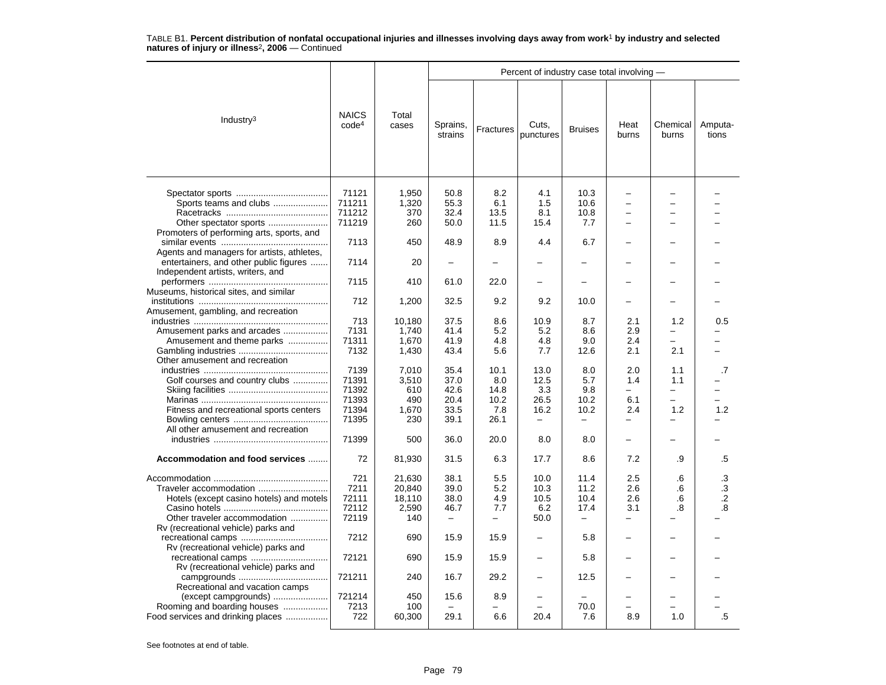|                                                                                                    |                                        |                                            |                                                          |                                      | Percent of industry case total involving - |                                          |                                                      |                               |                                     |
|----------------------------------------------------------------------------------------------------|----------------------------------------|--------------------------------------------|----------------------------------------------------------|--------------------------------------|--------------------------------------------|------------------------------------------|------------------------------------------------------|-------------------------------|-------------------------------------|
| Industry <sup>3</sup>                                                                              | <b>NAICS</b><br>code <sup>4</sup>      | Total<br>cases                             | Sprains,<br>strains                                      | Fractures                            | Cuts,<br>punctures                         | <b>Bruises</b>                           | Heat<br>burns                                        | Chemical<br>burns             | Amputa-<br>tions                    |
| Sports teams and clubs                                                                             | 71121<br>711211<br>711212              | 1,950<br>1,320<br>370                      | 50.8<br>55.3<br>32.4                                     | 8.2<br>6.1<br>13.5                   | 4.1<br>1.5<br>8.1                          | 10.3<br>10.6<br>10.8                     | $\overline{\phantom{0}}$<br>$\overline{\phantom{0}}$ |                               |                                     |
| Other spectator sports                                                                             | 711219                                 | 260                                        | 50.0                                                     | 11.5                                 | 15.4                                       | 7.7                                      | -                                                    |                               |                                     |
| Promoters of performing arts, sports, and                                                          | 7113                                   | 450                                        | 48.9                                                     | 8.9                                  | 4.4                                        | 6.7                                      |                                                      |                               |                                     |
| Agents and managers for artists, athletes,<br>entertainers, and other public figures               | 7114                                   | 20                                         |                                                          |                                      |                                            |                                          |                                                      |                               |                                     |
| Independent artists, writers, and                                                                  | 7115                                   | 410                                        | 61.0                                                     | 22.0                                 |                                            |                                          |                                                      |                               |                                     |
| Museums, historical sites, and similar<br>Amusement, gambling, and recreation                      | 712                                    | 1,200                                      | 32.5                                                     | 9.2                                  | 9.2                                        | 10.0                                     |                                                      |                               |                                     |
| Amusement parks and arcades                                                                        | 713<br>7131                            | 10,180<br>1,740                            | 37.5<br>41.4                                             | 8.6<br>5.2                           | 10.9<br>5.2                                | 8.7<br>8.6                               | 2.1<br>2.9                                           | 1.2                           | 0.5                                 |
| Amusement and theme parks                                                                          | 71311                                  | 1,670                                      | 41.9                                                     | 4.8                                  | 4.8                                        | 9.0                                      | 2.4                                                  | $\overline{\phantom{0}}$      |                                     |
| Other amusement and recreation                                                                     | 7132                                   | 1,430                                      | 43.4                                                     | 5.6                                  | 7.7                                        | 12.6                                     | 2.1                                                  | 2.1                           |                                     |
| Golf courses and country clubs                                                                     | 7139<br>71391                          | 7,010<br>3,510                             | 35.4<br>37.0                                             | 10.1<br>8.0                          | 13.0<br>12.5                               | 8.0<br>5.7                               | 2.0<br>1.4                                           | 1.1<br>1.1                    | .7                                  |
|                                                                                                    | 71392<br>71393                         | 610<br>490                                 | 42.6<br>20.4                                             | 14.8<br>10.2                         | 3.3<br>26.5                                | 9.8<br>10.2                              | $\overline{\phantom{0}}$<br>6.1                      | -<br>$\overline{\phantom{0}}$ |                                     |
| Fitness and recreational sports centers                                                            | 71394                                  | 1,670                                      | 33.5                                                     | 7.8                                  | 16.2<br>$\equiv$                           | 10.2<br>$\equiv$                         | 2.4<br>$\overline{\phantom{0}}$                      | 1.2                           | 1.2                                 |
| All other amusement and recreation                                                                 | 71395                                  | 230                                        | 39.1                                                     | 26.1                                 |                                            |                                          |                                                      |                               |                                     |
|                                                                                                    | 71399                                  | 500                                        | 36.0                                                     | 20.0                                 | 8.0                                        | 8.0                                      |                                                      |                               |                                     |
| Accommodation and food services                                                                    | 72                                     | 81,930                                     | 31.5                                                     | 6.3                                  | 17.7                                       | 8.6                                      | 7.2                                                  | .9                            | .5                                  |
| Traveler accommodation<br>Hotels (except casino hotels) and motels<br>Other traveler accommodation | 721<br>7211<br>72111<br>72112<br>72119 | 21,630<br>20,840<br>18,110<br>2,590<br>140 | 38.1<br>39.0<br>38.0<br>46.7<br>$\overline{\phantom{0}}$ | 5.5<br>5.2<br>4.9<br>7.7<br>$\equiv$ | 10.0<br>10.3<br>10.5<br>6.2<br>50.0        | 11.4<br>11.2<br>10.4<br>17.4<br>$\equiv$ | 2.5<br>2.6<br>2.6<br>3.1<br>$\overline{\phantom{0}}$ | .6<br>.6<br>.6<br>.8          | $\cdot$ 3<br>.3<br>$\cdot$ .2<br>8. |
| Rv (recreational vehicle) parks and                                                                | 7212                                   | 690                                        | 15.9                                                     | 15.9                                 |                                            | 5.8                                      |                                                      |                               |                                     |
| Rv (recreational vehicle) parks and<br>recreational camps<br>Rv (recreational vehicle) parks and   | 72121                                  | 690                                        | 15.9                                                     | 15.9                                 |                                            | 5.8                                      |                                                      |                               |                                     |
| Recreational and vacation camps                                                                    | 721211                                 | 240                                        | 16.7                                                     | 29.2                                 |                                            | 12.5                                     |                                                      |                               |                                     |
| (except campgrounds)                                                                               | 721214<br>7213                         | 450                                        | 15.6                                                     | 8.9                                  |                                            |                                          |                                                      |                               |                                     |
| Rooming and boarding houses<br>Food services and drinking places                                   | 722                                    | 100<br>60,300                              | 29.1                                                     | 6.6                                  | 20.4                                       | 70.0<br>7.6                              | 8.9                                                  | 1.0                           | .5                                  |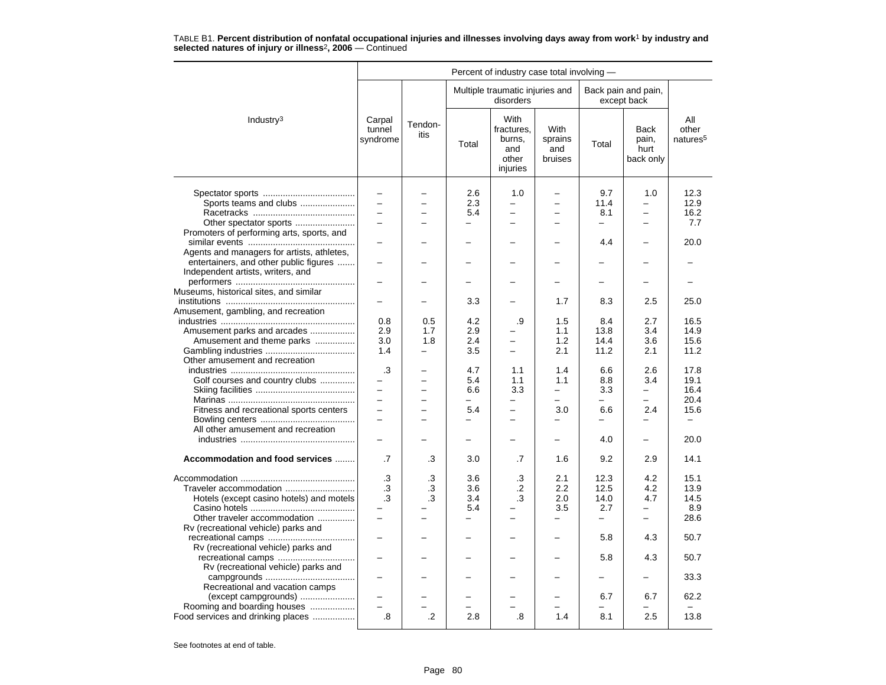|                                            |                              |                          |                          | Percent of industry case total involving -               |                                          |                          |                                    |                                      |
|--------------------------------------------|------------------------------|--------------------------|--------------------------|----------------------------------------------------------|------------------------------------------|--------------------------|------------------------------------|--------------------------------------|
|                                            |                              |                          |                          | Multiple traumatic injuries and<br>disorders             |                                          |                          | Back pain and pain,<br>except back |                                      |
| Industry <sup>3</sup>                      | Carpal<br>tunnel<br>syndrome | Tendon-<br>itis          | Total                    | With<br>fractures.<br>burns,<br>and<br>other<br>injuries | <b>With</b><br>sprains<br>and<br>bruises | Total                    | Back<br>pain,<br>hurt<br>back only | All<br>other<br>natures <sup>5</sup> |
|                                            | $\overline{\phantom{0}}$     |                          | 2.6                      | 1.0                                                      | -                                        | 9.7                      | 1.0                                | 12.3                                 |
| Sports teams and clubs                     |                              |                          | 2.3                      |                                                          |                                          | 11.4                     |                                    | 12.9                                 |
|                                            |                              |                          | 5.4                      | $\overline{\phantom{0}}$                                 |                                          | 8.1                      | $\overline{\phantom{0}}$           | 16.2                                 |
|                                            |                              |                          |                          | $\overline{\phantom{0}}$                                 |                                          |                          | -                                  | 7.7                                  |
|                                            |                              |                          |                          |                                                          |                                          |                          |                                    |                                      |
| Promoters of performing arts, sports, and  |                              |                          |                          |                                                          |                                          | 4.4                      | $\overline{a}$                     | 20.0                                 |
|                                            |                              |                          |                          |                                                          |                                          |                          |                                    |                                      |
| Agents and managers for artists, athletes, |                              |                          |                          |                                                          |                                          |                          |                                    |                                      |
| entertainers, and other public figures     |                              |                          |                          |                                                          |                                          |                          |                                    |                                      |
| Independent artists, writers, and          |                              |                          |                          |                                                          |                                          |                          |                                    |                                      |
|                                            |                              |                          |                          |                                                          |                                          |                          |                                    |                                      |
| Museums, historical sites, and similar     |                              |                          |                          |                                                          |                                          |                          |                                    |                                      |
|                                            |                              |                          | 3.3                      |                                                          | 1.7                                      | 8.3                      | 2.5                                | 25.0                                 |
| Amusement, gambling, and recreation        |                              |                          |                          |                                                          |                                          |                          |                                    |                                      |
|                                            | 0.8                          | 0.5                      | 4.2                      | .9                                                       | 1.5                                      | 8.4                      | 2.7                                | 16.5                                 |
| Amusement parks and arcades                | 2.9                          | 1.7                      | 2.9                      |                                                          | 1.1                                      | 13.8                     | 3.4                                | 14.9                                 |
| Amusement and theme parks                  | 3.0                          | 1.8                      | 2.4                      | $\overline{\phantom{0}}$                                 | 1.2                                      | 14.4                     | 3.6                                | 15.6                                 |
|                                            | 1.4                          | $\equiv$                 | 3.5                      | $\overline{\phantom{0}}$                                 | 2.1                                      | 11.2                     | 2.1                                | 11.2                                 |
| Other amusement and recreation             |                              |                          |                          |                                                          |                                          |                          |                                    |                                      |
|                                            | .3                           |                          | 4.7                      | 1.1                                                      | 1.4                                      | 6.6                      | 2.6                                | 17.8                                 |
| Golf courses and country clubs             |                              |                          | 5.4                      | 1.1                                                      | 1.1                                      | 8.8                      | 3.4                                | 19.1                                 |
|                                            | $\equiv$                     | $\overline{\phantom{0}}$ | 6.6                      | 3.3                                                      | $\equiv$                                 | 3.3                      | -                                  | 16.4                                 |
|                                            | $\equiv$                     | $\equiv$                 | $\overline{\phantom{0}}$ | $\equiv$                                                 | $\equiv$                                 | $\overline{\phantom{0}}$ | $\equiv$                           | 20.4                                 |
| Fitness and recreational sports centers    |                              |                          | 5.4                      | $\overline{\phantom{0}}$                                 | 3.0                                      | 6.6                      | 2.4                                | 15.6                                 |
|                                            |                              |                          | $\overline{a}$           | $\overline{\phantom{0}}$                                 |                                          | $\equiv$                 | $\overline{a}$                     | $\equiv$                             |
| All other amusement and recreation         |                              |                          |                          |                                                          |                                          |                          |                                    |                                      |
|                                            |                              |                          |                          | $\equiv$                                                 |                                          | 4.0                      | -                                  | 20.0                                 |
|                                            |                              |                          |                          |                                                          |                                          |                          |                                    |                                      |
| Accommodation and food services            | .7                           | .3                       | 3.0                      | .7                                                       | 1.6                                      | 9.2                      | 2.9                                | 14.1                                 |
|                                            | .3                           | .3                       | 3.6                      | .3                                                       | 2.1                                      | 12.3                     | 4.2                                | 15.1                                 |
| Traveler accommodation                     | .3                           | .3                       | 3.6                      | $\cdot$                                                  | 2.2                                      | 12.5                     | 4.2                                | 13.9                                 |
| Hotels (except casino hotels) and motels   | .3                           | .3                       | 3.4                      | .3                                                       | 2.0                                      | 14.0                     | 4.7                                | 14.5                                 |
|                                            |                              |                          | 5.4                      |                                                          | 3.5                                      | 2.7                      |                                    | 8.9                                  |
| Other traveler accommodation               | $\overline{a}$               |                          | $\overline{\phantom{0}}$ | $\overline{\phantom{0}}$                                 |                                          | $\overline{\phantom{0}}$ | $\equiv$                           | 28.6                                 |
| Rv (recreational vehicle) parks and        |                              |                          |                          |                                                          |                                          |                          |                                    |                                      |
|                                            |                              |                          |                          |                                                          |                                          | 5.8                      | 4.3                                | 50.7                                 |
| Rv (recreational vehicle) parks and        |                              |                          |                          |                                                          |                                          |                          |                                    |                                      |
| recreational camps                         |                              |                          |                          |                                                          |                                          | 5.8                      | 4.3                                | 50.7                                 |
| Rv (recreational vehicle) parks and        |                              |                          |                          |                                                          |                                          |                          |                                    |                                      |
|                                            |                              |                          |                          |                                                          |                                          |                          |                                    | 33.3                                 |
| Recreational and vacation camps            |                              |                          |                          |                                                          |                                          |                          |                                    |                                      |
| (except campgrounds)                       |                              |                          |                          |                                                          |                                          | 6.7                      | 6.7                                | 62.2                                 |
| Rooming and boarding houses                | $\overline{a}$               |                          |                          |                                                          |                                          |                          |                                    |                                      |
| Food services and drinking places          | .8                           | $\cdot$                  | 2.8                      | .8                                                       | 1.4                                      | 8.1                      | 2.5                                | 13.8                                 |
|                                            |                              |                          |                          |                                                          |                                          |                          |                                    |                                      |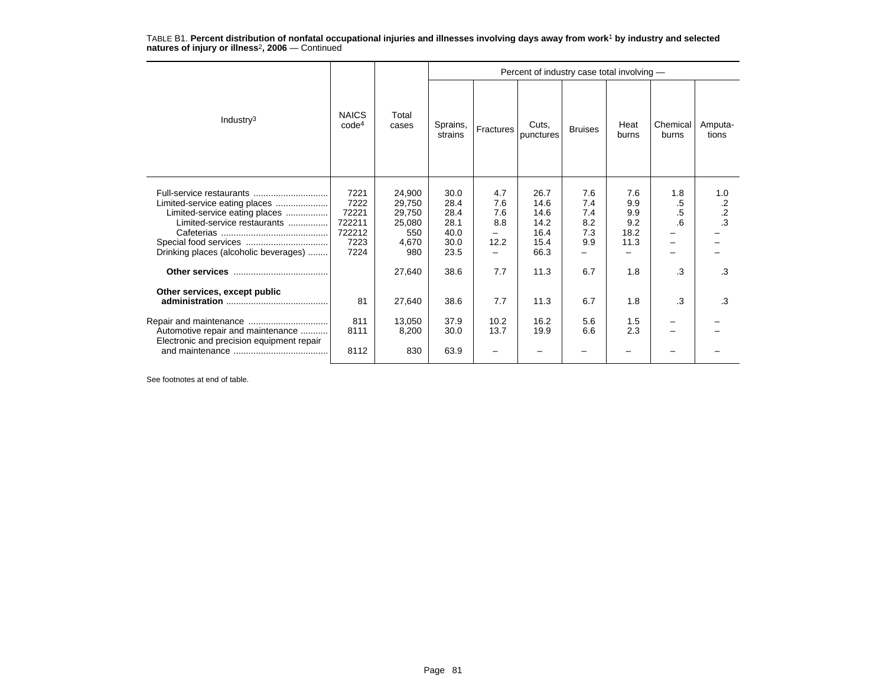|                                                                                                                                           |                                                           |                                                             |                                                      |                                  | Percent of industry case total involving -           |                                        |                                          |                       |                        |
|-------------------------------------------------------------------------------------------------------------------------------------------|-----------------------------------------------------------|-------------------------------------------------------------|------------------------------------------------------|----------------------------------|------------------------------------------------------|----------------------------------------|------------------------------------------|-----------------------|------------------------|
| Industry $3$                                                                                                                              | <b>NAICS</b><br>code <sup>4</sup>                         | Total<br>cases                                              | Sprains,<br>strains                                  | Fractures                        | Cuts,<br>punctures                                   | <b>Bruises</b>                         | Heat<br>burns                            | Chemical<br>burns     | Amputa-<br>tions       |
| Limited-service eating places<br>Limited-service eating places<br>Limited-service restaurants<br>Drinking places (alcoholic beverages)    | 7221<br>7222<br>72221<br>722211<br>722212<br>7223<br>7224 | 24,900<br>29,750<br>29,750<br>25,080<br>550<br>4,670<br>980 | 30.0<br>28.4<br>28.4<br>28.1<br>40.0<br>30.0<br>23.5 | 4.7<br>7.6<br>7.6<br>8.8<br>12.2 | 26.7<br>14.6<br>14.6<br>14.2<br>16.4<br>15.4<br>66.3 | 7.6<br>7.4<br>7.4<br>8.2<br>7.3<br>9.9 | 7.6<br>9.9<br>9.9<br>9.2<br>18.2<br>11.3 | 1.8<br>.5<br>.5<br>.6 | 1.0<br>$\frac{.2}{.3}$ |
|                                                                                                                                           |                                                           | 27,640                                                      | 38.6                                                 | 7.7                              | 11.3                                                 | 6.7                                    | 1.8                                      | .3                    | .3                     |
| Other services, except public<br>Repair and maintenance<br>Automotive repair and maintenance<br>Electronic and precision equipment repair | 81<br>811<br>8111<br>8112                                 | 27,640<br>13.050<br>8,200<br>830                            | 38.6<br>37.9<br>30.0<br>63.9                         | 7.7<br>10.2<br>13.7              | 11.3<br>16.2<br>19.9                                 | 6.7<br>5.6<br>6.6                      | 1.8<br>1.5<br>2.3                        | .3                    | .3                     |
|                                                                                                                                           |                                                           |                                                             |                                                      |                                  |                                                      |                                        |                                          |                       |                        |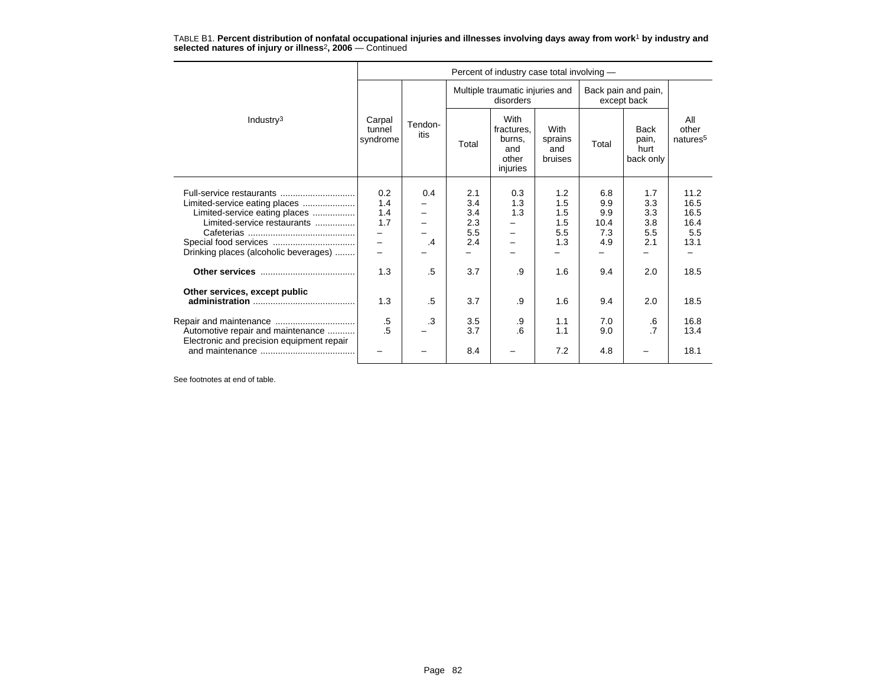|                                           |                              |                 |            | Percent of industry case total involving -               |                                   |                                    |                                           |                                      |
|-------------------------------------------|------------------------------|-----------------|------------|----------------------------------------------------------|-----------------------------------|------------------------------------|-------------------------------------------|--------------------------------------|
|                                           |                              |                 |            | Multiple traumatic injuries and<br>disorders             |                                   | Back pain and pain,<br>except back |                                           |                                      |
| Industry $3$                              | Carpal<br>tunnel<br>syndrome | Tendon-<br>itis | Total      | With<br>fractures,<br>burns,<br>and<br>other<br>injuries | With<br>sprains<br>and<br>bruises | Total                              | <b>Back</b><br>pain,<br>hurt<br>back only | All<br>other<br>natures <sup>5</sup> |
|                                           | 0.2                          | 0.4             | 2.1        | 0.3                                                      | 1.2                               | 6.8                                | 1.7                                       | 11.2                                 |
| Limited-service eating places             | 1.4                          |                 | 3.4        | 1.3                                                      | 1.5                               | 9.9                                | 3.3                                       | 16.5                                 |
| Limited-service eating places             | 1.4                          |                 | 3.4        | 1.3                                                      | 1.5                               | 9.9                                | 3.3                                       | 16.5                                 |
| Limited-service restaurants               | 1.7                          |                 | 2.3        |                                                          | 1.5                               | 10.4                               | 3.8                                       | 16.4                                 |
|                                           |                              | $\cdot$         | 5.5<br>2.4 |                                                          | 5.5<br>1.3                        | 7.3<br>4.9                         | 5.5<br>2.1                                | 5.5<br>13.1                          |
| Drinking places (alcoholic beverages)     |                              |                 |            |                                                          |                                   |                                    |                                           |                                      |
|                                           |                              |                 |            |                                                          |                                   |                                    |                                           |                                      |
|                                           | 1.3                          | .5              | 3.7        | .9                                                       | 1.6                               | 9.4                                | 2.0                                       | 18.5                                 |
| Other services, except public             |                              |                 |            |                                                          |                                   |                                    |                                           |                                      |
|                                           | 1.3                          | .5              | 3.7        | .9                                                       | 1.6                               | 9.4                                | 2.0                                       | 18.5                                 |
|                                           | $.5\,$<br>.5                 | .3              | 3.5        | .9                                                       | 1.1                               | 7.0                                | .6                                        | 16.8                                 |
| Automotive repair and maintenance         |                              |                 | 3.7        | 6                                                        | 1.1                               | 9.0                                | $\overline{7}$                            | 13.4                                 |
| Electronic and precision equipment repair |                              |                 | 8.4        |                                                          | 7.2                               | 4.8                                |                                           | 18.1                                 |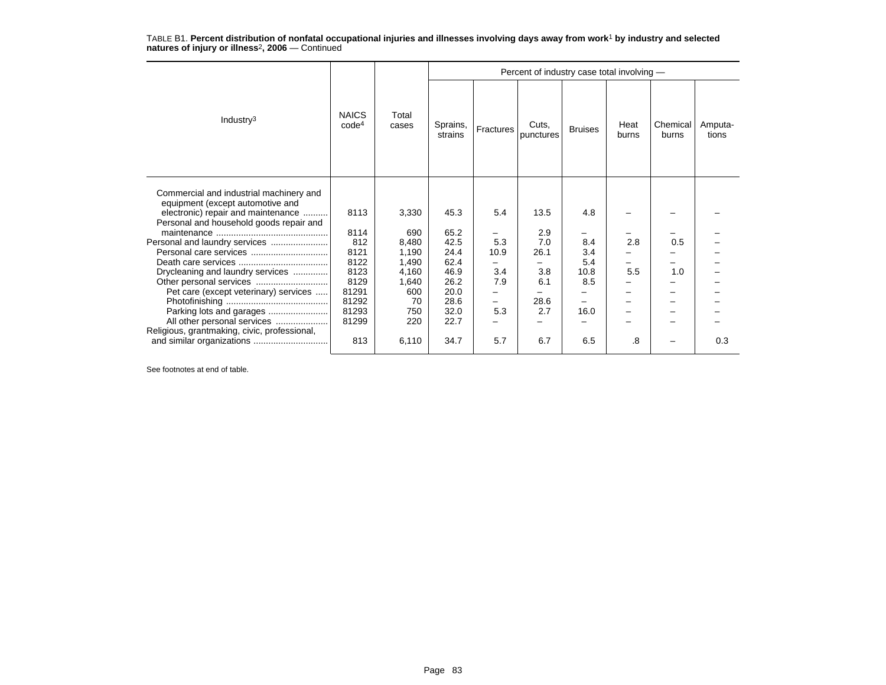|                                                                                                                                                                                                                                                                                                                                                           |                                                                                                |                                                                                               |                                                                                              |                                                     | Percent of industry case total involving -                     |                                                             |                  |                   |                  |
|-----------------------------------------------------------------------------------------------------------------------------------------------------------------------------------------------------------------------------------------------------------------------------------------------------------------------------------------------------------|------------------------------------------------------------------------------------------------|-----------------------------------------------------------------------------------------------|----------------------------------------------------------------------------------------------|-----------------------------------------------------|----------------------------------------------------------------|-------------------------------------------------------------|------------------|-------------------|------------------|
| Industry $3$                                                                                                                                                                                                                                                                                                                                              | <b>NAICS</b><br>code <sup>4</sup>                                                              | Total<br>cases                                                                                | Sprains,<br>strains                                                                          | Fractures                                           | Cuts,<br>punctures                                             | <b>Bruises</b>                                              | Heat<br>burns    | Chemical<br>burns | Amputa-<br>tions |
| Commercial and industrial machinery and<br>equipment (except automotive and<br>electronic) repair and maintenance<br>Personal and household goods repair and<br>Personal and laundry services<br>Drycleaning and laundry services<br>Pet care (except veterinary) services<br>All other personal services<br>Religious, grantmaking, civic, professional, | 8113<br>8114<br>812<br>8121<br>8122<br>8123<br>8129<br>81291<br>81292<br>81293<br>81299<br>813 | 3,330<br>690<br>8.480<br>1,190<br>1,490<br>4,160<br>1,640<br>600<br>70<br>750<br>220<br>6,110 | 45.3<br>65.2<br>42.5<br>24.4<br>62.4<br>46.9<br>26.2<br>20.0<br>28.6<br>32.0<br>22.7<br>34.7 | 5.4<br>5.3<br>10.9<br>3.4<br>7.9<br>-<br>5.3<br>5.7 | 13.5<br>2.9<br>7.0<br>26.1<br>3.8<br>6.1<br>28.6<br>2.7<br>6.7 | 4.8<br>8.4<br>3.4<br>5.4<br>10.8<br>8.5<br>-<br>16.0<br>6.5 | 2.8<br>5.5<br>.8 | 0.5<br>1.0        | 0.3              |